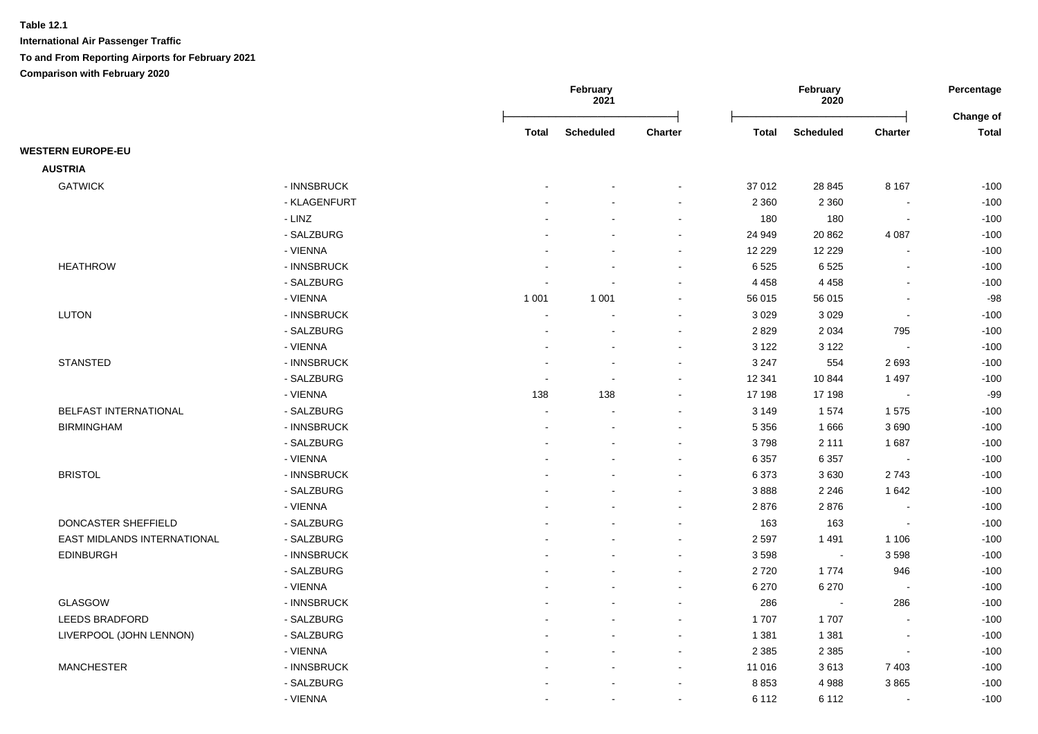|                              |              |         | February<br>February<br>2021<br>2020 |                |              | Percentage       |                          |                           |
|------------------------------|--------------|---------|--------------------------------------|----------------|--------------|------------------|--------------------------|---------------------------|
|                              |              | Total   | <b>Scheduled</b>                     | <b>Charter</b> | <b>Total</b> | <b>Scheduled</b> | <b>Charter</b>           | Change of<br><b>Total</b> |
| <b>WESTERN EUROPE-EU</b>     |              |         |                                      |                |              |                  |                          |                           |
| <b>AUSTRIA</b>               |              |         |                                      |                |              |                  |                          |                           |
| <b>GATWICK</b>               | - INNSBRUCK  |         |                                      | $\blacksquare$ | 37 012       | 28 845           | 8 1 6 7                  | $-100$                    |
|                              | - KLAGENFURT |         |                                      | $\sim$         | 2 3 6 0      | 2 3 6 0          | $\blacksquare$           | $-100$                    |
|                              | - LINZ       |         |                                      | $\sim$         | 180          | 180              | $\blacksquare$           | $-100$                    |
|                              | - SALZBURG   |         |                                      | $\sim$         | 24 949       | 20 862           | 4 0 8 7                  | $-100$                    |
|                              | - VIENNA     |         |                                      | $\blacksquare$ | 12 2 2 9     | 12 2 2 9         | $\overline{\phantom{a}}$ | $-100$                    |
| <b>HEATHROW</b>              | - INNSBRUCK  |         |                                      | $\sim$         | 6525         | 6525             | $\overline{a}$           | $-100$                    |
|                              | - SALZBURG   |         |                                      | $\sim$         | 4 4 5 8      | 4 4 5 8          | $\blacksquare$           | $-100$                    |
|                              | - VIENNA     | 1 0 0 1 | 1 0 0 1                              | $\sim$         | 56 015       | 56 015           | $\blacksquare$           | $-98$                     |
| <b>LUTON</b>                 | - INNSBRUCK  |         |                                      | $\blacksquare$ | 3 0 2 9      | 3 0 2 9          | $\blacksquare$           | $-100$                    |
|                              | - SALZBURG   |         |                                      | $\sim$         | 2829         | 2 0 3 4          | 795                      | $-100$                    |
|                              | - VIENNA     |         |                                      | $\sim$         | 3 1 2 2      | 3 1 2 2          | $\sim$                   | $-100$                    |
| <b>STANSTED</b>              | - INNSBRUCK  |         |                                      | $\blacksquare$ | 3 2 4 7      | 554              | 2693                     | $-100$                    |
|                              | - SALZBURG   |         |                                      | $\sim$         | 12 341       | 10844            | 1 4 9 7                  | $-100$                    |
|                              | - VIENNA     | 138     | 138                                  | $\blacksquare$ | 17 198       | 17 198           | $\overline{\phantom{a}}$ | $-99$                     |
| <b>BELFAST INTERNATIONAL</b> | - SALZBURG   |         |                                      | $\sim$         | 3 1 4 9      | 1574             | 1575                     | $-100$                    |
| <b>BIRMINGHAM</b>            | - INNSBRUCK  |         |                                      |                | 5 3 5 6      | 1666             | 3690                     | $-100$                    |
|                              | - SALZBURG   |         |                                      | $\sim$         | 3798         | 2 1 1 1          | 1687                     | $-100$                    |
|                              | - VIENNA     |         |                                      | $\sim$         | 6 3 5 7      | 6 3 5 7          | $\overline{\phantom{a}}$ | $-100$                    |
| <b>BRISTOL</b>               | - INNSBRUCK  |         |                                      | $\overline{a}$ | 6 3 7 3      | 3630             | 2743                     | $-100$                    |
|                              | - SALZBURG   |         |                                      | $\sim$         | 3888         | 2 2 4 6          | 1642                     | $-100$                    |
|                              | - VIENNA     |         |                                      | $\sim$         | 2876         | 2876             | $\blacksquare$           | $-100$                    |
| <b>DONCASTER SHEFFIELD</b>   | - SALZBURG   |         |                                      | $\blacksquare$ | 163          | 163              | $\Delta$                 | $-100$                    |
| EAST MIDLANDS INTERNATIONAL  | - SALZBURG   |         |                                      | $\blacksquare$ | 2 5 9 7      | 1491             | 1 1 0 6                  | $-100$                    |
| <b>EDINBURGH</b>             | - INNSBRUCK  |         |                                      | $\sim$         | 3598         | $\sim$           | 3598                     | $-100$                    |
|                              | - SALZBURG   |         |                                      | $\sim$         | 2720         | 1774             | 946                      | $-100$                    |
|                              | - VIENNA     |         |                                      | $\blacksquare$ | 6 2 7 0      | 6 2 7 0          | $\overline{\phantom{a}}$ | $-100$                    |
| <b>GLASGOW</b>               | - INNSBRUCK  |         |                                      | $\blacksquare$ | 286          | $\sim$           | 286                      | $-100$                    |
| <b>LEEDS BRADFORD</b>        | - SALZBURG   |         |                                      | $\sim$         | 1707         | 1707             |                          | $-100$                    |
| LIVERPOOL (JOHN LENNON)      | - SALZBURG   |         |                                      | $\blacksquare$ | 1 3 8 1      | 1 3 8 1          | $\overline{\phantom{a}}$ | $-100$                    |
|                              | - VIENNA     |         |                                      | $\sim$         | 2 3 8 5      | 2 3 8 5          | $\sim$                   | $-100$                    |
| <b>MANCHESTER</b>            | - INNSBRUCK  |         |                                      | $\sim$         | 11 016       | 3613             | 7 4 0 3                  | $-100$                    |
|                              | - SALZBURG   |         |                                      | $\blacksquare$ | 8853         | 4988             | 3865                     | $-100$                    |
|                              | - VIENNA     |         | $\sim$                               | $\sim$         | 6 1 1 2      | 6 1 1 2          | $\blacksquare$           | $-100$                    |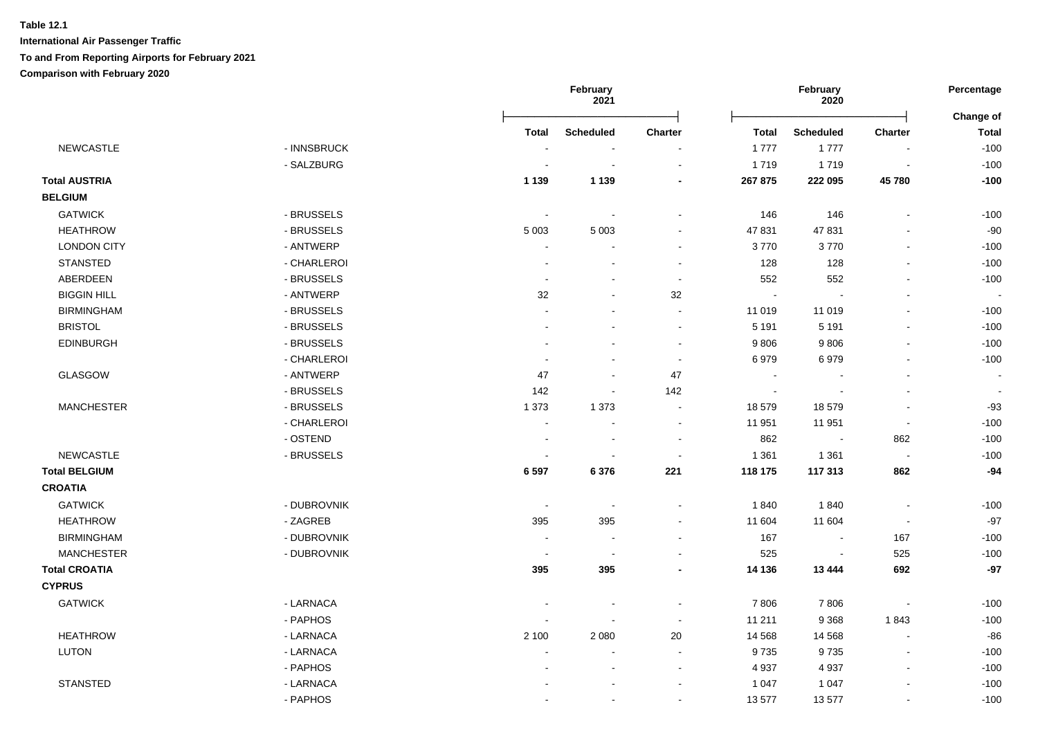|                      |             | February<br>2021         |                  |                          | February<br>2020 |                  |                          |                           |
|----------------------|-------------|--------------------------|------------------|--------------------------|------------------|------------------|--------------------------|---------------------------|
|                      |             | <b>Total</b>             | <b>Scheduled</b> | Charter                  | <b>Total</b>     | <b>Scheduled</b> | <b>Charter</b>           | Change of<br><b>Total</b> |
| <b>NEWCASTLE</b>     | - INNSBRUCK | $\blacksquare$           | $\blacksquare$   |                          | 1777             | 1777             | $\overline{\phantom{a}}$ | $-100$                    |
|                      | - SALZBURG  | $\sim$                   | $\sim$           | $\blacksquare$           | 1719             | 1719             | $\sim$                   | $-100$                    |
| <b>Total AUSTRIA</b> |             | 1 1 3 9                  | 1 1 3 9          | $\blacksquare$           | 267 875          | 222 095          | 45780                    | $-100$                    |
| <b>BELGIUM</b>       |             |                          |                  |                          |                  |                  |                          |                           |
| <b>GATWICK</b>       | - BRUSSELS  | $\sim$                   |                  |                          | 146              | 146              |                          | $-100$                    |
| <b>HEATHROW</b>      | - BRUSSELS  | 5 0 0 3                  | 5 0 0 3          | $\sim$                   | 47831            | 47831            |                          | $-90$                     |
| <b>LONDON CITY</b>   | - ANTWERP   | $\blacksquare$           |                  | $\sim$                   | 3770             | 3770             | $\overline{a}$           | $-100$                    |
| <b>STANSTED</b>      | - CHARLEROI | $\overline{\phantom{a}}$ |                  | $\sim$                   | 128              | 128              | $\blacksquare$           | $-100$                    |
| ABERDEEN             | - BRUSSELS  | $\blacksquare$           |                  | $\sim$                   | 552              | 552              | $\blacksquare$           | $-100$                    |
| <b>BIGGIN HILL</b>   | - ANTWERP   | 32                       |                  | 32                       | $\sim$           |                  | ä,                       |                           |
| <b>BIRMINGHAM</b>    | - BRUSSELS  |                          |                  | $\blacksquare$           | 11 019           | 11 019           | ä,                       | $-100$                    |
| <b>BRISTOL</b>       | - BRUSSELS  |                          |                  | $\sim$                   | 5 1 9 1          | 5 1 9 1          | ä,                       | $-100$                    |
| <b>EDINBURGH</b>     | - BRUSSELS  |                          |                  | $\sim$                   | 9806             | 9806             |                          | $-100$                    |
|                      | - CHARLEROI | $\sim$                   |                  | $\sim$                   | 6979             | 6979             | ä,                       | $-100$                    |
| GLASGOW              | - ANTWERP   | 47                       |                  | 47                       | $\sim$           |                  |                          | $\overline{\phantom{a}}$  |
|                      | - BRUSSELS  | 142                      | $\sim$           | 142                      | $\sim$           | $\sim$           | $\blacksquare$           | $\sim$                    |
| <b>MANCHESTER</b>    | - BRUSSELS  | 1 3 7 3                  | 1 3 7 3          | $\sim$                   | 18 579           | 18579            | $\blacksquare$           | $-93$                     |
|                      | - CHARLEROI | $\blacksquare$           | $\blacksquare$   | $\sim$                   | 11 951           | 11 951           | $\blacksquare$           | $-100$                    |
|                      | - OSTEND    | $\sim$                   | $\sim$           | $\sim$                   | 862              | $\blacksquare$   | 862                      | $-100$                    |
| <b>NEWCASTLE</b>     | - BRUSSELS  | $\sim$                   | $\sim$           | $\sim$                   | 1 3 6 1          | 1 3 6 1          | $\blacksquare$           | $-100$                    |
| <b>Total BELGIUM</b> |             | 6 5 9 7                  | 6 3 7 6          | 221                      | 118 175          | 117 313          | 862                      | $-94$                     |
| <b>CROATIA</b>       |             |                          |                  |                          |                  |                  |                          |                           |
| <b>GATWICK</b>       | - DUBROVNIK | $\sim$                   | $\sim$           | $\sim$                   | 1840             | 1840             | $\sim$                   | $-100$                    |
| <b>HEATHROW</b>      | - ZAGREB    | 395                      | 395              |                          | 11 604           | 11 604           | $\overline{\phantom{a}}$ | $-97$                     |
| <b>BIRMINGHAM</b>    | - DUBROVNIK | $\sim$                   | $\sim$           | $\sim$                   | 167              | $\blacksquare$   | 167                      | $-100$                    |
| <b>MANCHESTER</b>    | - DUBROVNIK | $\sim$                   | $\blacksquare$   | $\sim$                   | 525              | $\blacksquare$   | 525                      | $-100$                    |
| <b>Total CROATIA</b> |             | 395                      | 395              | $\overline{\phantom{a}}$ | 14 136           | 13 4 44          | 692                      | $-97$                     |
| <b>CYPRUS</b>        |             |                          |                  |                          |                  |                  |                          |                           |
| <b>GATWICK</b>       | - LARNACA   | $\blacksquare$           |                  | $\overline{\phantom{a}}$ | 7806             | 7806             | $\overline{\phantom{a}}$ | $-100$                    |
|                      | - PAPHOS    | $\sim$                   |                  | $\blacksquare$           | 11 211           | 9 3 6 8          | 1843                     | $-100$                    |
| <b>HEATHROW</b>      | - LARNACA   | 2 100                    | 2 0 8 0          | $20\,$                   | 14 5 68          | 14 5 68          | $\sim$                   | $-86$                     |
| LUTON                | - LARNACA   | $\blacksquare$           | $\blacksquare$   | $\sim$                   | 9735             | 9735             | $\blacksquare$           | $-100$                    |
|                      | - PAPHOS    |                          |                  | $\overline{\phantom{a}}$ | 4 9 3 7          | 4937             | $\blacksquare$           | $-100$                    |
| <b>STANSTED</b>      | - LARNACA   |                          |                  |                          | 1 0 4 7          | 1 0 4 7          |                          | $-100$                    |
|                      | - PAPHOS    |                          |                  |                          | 13 577           | 13577            | $\overline{a}$           | $-100$                    |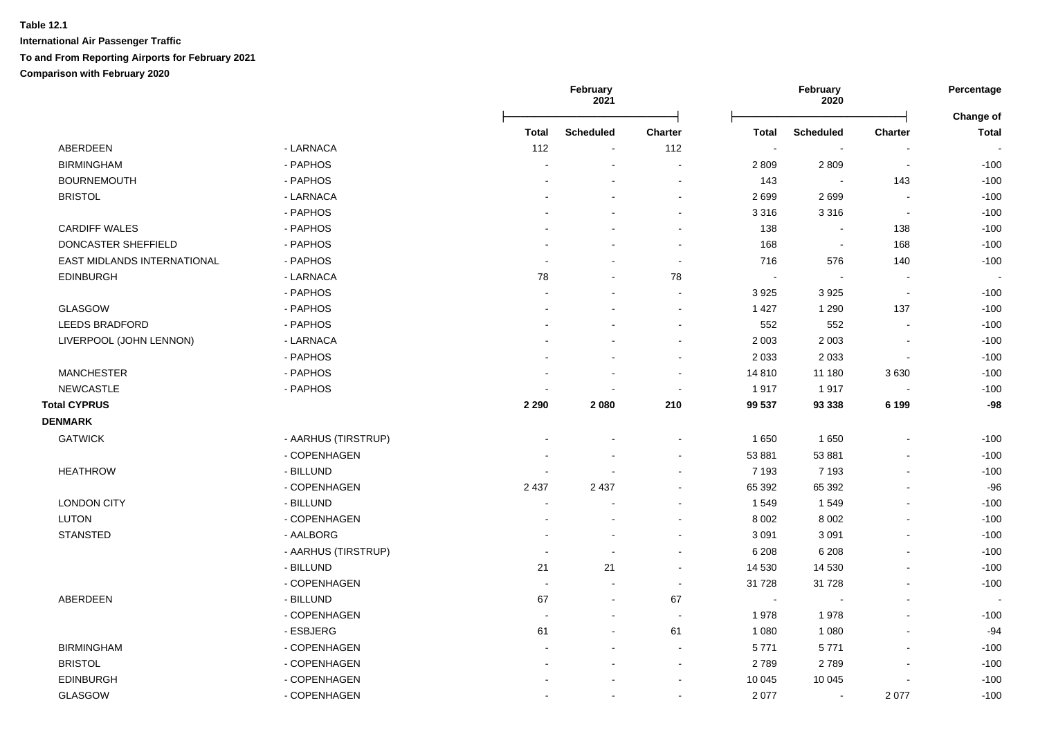|                             |                     |         | February<br>2021 |                          |                | February<br>2020 |                          | Percentage<br>Change of |  |
|-----------------------------|---------------------|---------|------------------|--------------------------|----------------|------------------|--------------------------|-------------------------|--|
|                             |                     | Total   | <b>Scheduled</b> | Charter                  | <b>Total</b>   | <b>Scheduled</b> | <b>Charter</b>           | Total                   |  |
| ABERDEEN                    | - LARNACA           | 112     | $\blacksquare$   | 112                      | $\sim$         |                  |                          |                         |  |
| <b>BIRMINGHAM</b>           | - PAPHOS            |         | $\blacksquare$   | $\blacksquare$           | 2 8 0 9        | 2809             | $\blacksquare$           | $-100$                  |  |
| <b>BOURNEMOUTH</b>          | - PAPHOS            |         |                  | $\overline{\phantom{a}}$ | 143            | $\blacksquare$   | 143                      | $-100$                  |  |
| <b>BRISTOL</b>              | - LARNACA           |         |                  | $\blacksquare$           | 2699           | 2699             | $\overline{\phantom{a}}$ | $-100$                  |  |
|                             | - PAPHOS            |         |                  | $\blacksquare$           | 3 3 1 6        | 3 3 1 6          | $\overline{\phantom{a}}$ | $-100$                  |  |
| <b>CARDIFF WALES</b>        | - PAPHOS            |         |                  | $\blacksquare$           | 138            | $\blacksquare$   | 138                      | $-100$                  |  |
| DONCASTER SHEFFIELD         | - PAPHOS            |         |                  | $\sim$                   | 168            | $\blacksquare$   | 168                      | $-100$                  |  |
| EAST MIDLANDS INTERNATIONAL | - PAPHOS            |         |                  | $\blacksquare$           | 716            | 576              | 140                      | $-100$                  |  |
| <b>EDINBURGH</b>            | - LARNACA           | 78      |                  | 78                       | $\sim$         |                  |                          |                         |  |
|                             | - PAPHOS            |         |                  |                          | 3 9 2 5        | 3925             | $\sim$                   | $-100$                  |  |
| <b>GLASGOW</b>              | - PAPHOS            |         |                  | $\sim$                   | 1 4 2 7        | 1 2 9 0          | 137                      | $-100$                  |  |
| <b>LEEDS BRADFORD</b>       | - PAPHOS            |         |                  | ÷                        | 552            | 552              |                          | $-100$                  |  |
| LIVERPOOL (JOHN LENNON)     | - LARNACA           |         |                  | $\blacksquare$           | 2 0 0 3        | 2 0 0 3          | $\overline{\phantom{a}}$ | $-100$                  |  |
|                             | - PAPHOS            |         |                  | $\blacksquare$           | 2 0 3 3        | 2 0 3 3          | $\blacksquare$           | $-100$                  |  |
| <b>MANCHESTER</b>           | - PAPHOS            |         | $\blacksquare$   | $\sim$                   | 14 810         | 11 180           | 3630                     | $-100$                  |  |
| <b>NEWCASTLE</b>            | - PAPHOS            |         | $\blacksquare$   | $\blacksquare$           | 1917           | 1917             | $\blacksquare$           | $-100$                  |  |
| <b>Total CYPRUS</b>         |                     | 2 2 9 0 | 2 0 8 0          | 210                      | 99 537         | 93 338           | 6 1 9 9                  | $-98$                   |  |
| <b>DENMARK</b>              |                     |         |                  |                          |                |                  |                          |                         |  |
| <b>GATWICK</b>              | - AARHUS (TIRSTRUP) |         |                  |                          | 1650           | 1 6 5 0          |                          | $-100$                  |  |
|                             | - COPENHAGEN        |         |                  | $\blacksquare$           | 53 881         | 53 881           |                          | $-100$                  |  |
| <b>HEATHROW</b>             | - BILLUND           |         |                  | $\blacksquare$           | 7 1 9 3        | 7 1 9 3          |                          | $-100$                  |  |
|                             | - COPENHAGEN        | 2 4 3 7 | 2 4 3 7          | $\blacksquare$           | 65 392         | 65 392           |                          | $-96$                   |  |
| <b>LONDON CITY</b>          | - BILLUND           |         |                  |                          | 1549           | 1549             |                          | $-100$                  |  |
| <b>LUTON</b>                | - COPENHAGEN        |         |                  | $\blacksquare$           | 8 0 0 2        | 8 0 0 2          |                          | $-100$                  |  |
| <b>STANSTED</b>             | - AALBORG           |         | $\blacksquare$   | $\blacksquare$           | 3 0 9 1        | 3 0 9 1          |                          | $-100$                  |  |
|                             | - AARHUS (TIRSTRUP) |         | $\blacksquare$   | $\blacksquare$           | 6 2 0 8        | 6 2 0 8          | $\overline{\phantom{a}}$ | $-100$                  |  |
|                             | - BILLUND           | 21      | 21               | $\sim$                   | 14 530         | 14 530           |                          | $-100$                  |  |
|                             | - COPENHAGEN        |         | $\blacksquare$   | $\blacksquare$           | 31 7 28        | 31 728           |                          | $-100$                  |  |
| ABERDEEN                    | - BILLUND           | 67      | $\sim$           | 67                       | $\blacksquare$ |                  |                          |                         |  |
|                             | - COPENHAGEN        |         | $\sim$           | $\overline{\phantom{a}}$ | 1978           | 1978             |                          | $-100$                  |  |
|                             | - ESBJERG           | 61      |                  | 61                       | 1 0 8 0        | 1 0 8 0          |                          | $-94$                   |  |
| <b>BIRMINGHAM</b>           | - COPENHAGEN        |         | ÷                | L,                       | 5771           | 5771             |                          | $-100$                  |  |
| <b>BRISTOL</b>              | - COPENHAGEN        |         |                  | $\sim$                   | 2789           | 2789             | $\overline{\phantom{a}}$ | $-100$                  |  |
| <b>EDINBURGH</b>            | - COPENHAGEN        |         |                  | $\overline{a}$           | 10 045         | 10 045           |                          | $-100$                  |  |
| GLASGOW                     | - COPENHAGEN        |         | $\mathbf{r}$     | $\blacksquare$           | 2 0 7 7        | $\mathbf{r}$     | 2 0 7 7                  | $-100$                  |  |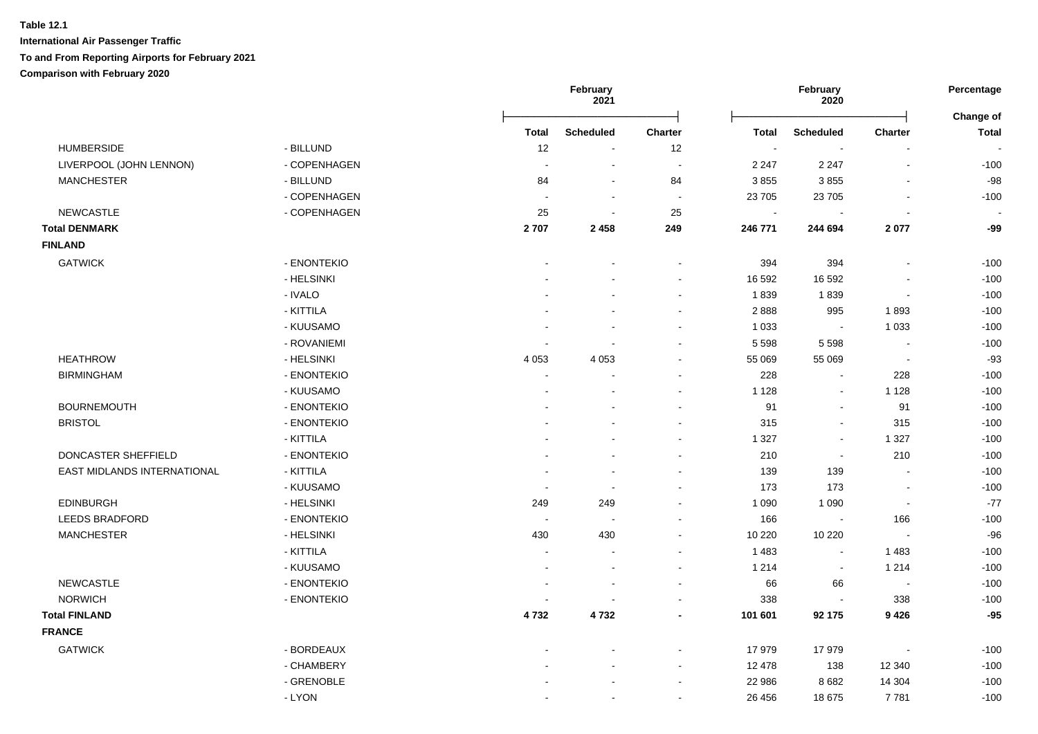|                             |              |                | February<br>2021 |                |                | February<br>2020 |                          | Percentage                |  |
|-----------------------------|--------------|----------------|------------------|----------------|----------------|------------------|--------------------------|---------------------------|--|
|                             |              | <b>Total</b>   | <b>Scheduled</b> | <b>Charter</b> | <b>Total</b>   | <b>Scheduled</b> | Charter                  | Change of<br><b>Total</b> |  |
| <b>HUMBERSIDE</b>           | - BILLUND    | 12             | $\blacksquare$   | 12             | $\blacksquare$ | $\sim$           |                          |                           |  |
| LIVERPOOL (JOHN LENNON)     | - COPENHAGEN | $\sim$         | $\blacksquare$   | $\sim$         | 2 2 4 7        | 2 2 4 7          | $\sim$                   | $-100$                    |  |
| <b>MANCHESTER</b>           | - BILLUND    | 84             | $\sim$           | 84             | 3855           | 3855             | $\overline{a}$           | $-98$                     |  |
|                             | - COPENHAGEN | $\sim$         | $\blacksquare$   | $\sim$         | 23 705         | 23 705           |                          | $-100$                    |  |
| <b>NEWCASTLE</b>            | - COPENHAGEN | 25             | $\blacksquare$   | 25             | $\blacksquare$ |                  |                          |                           |  |
| <b>Total DENMARK</b>        |              | 2707           | 2 4 5 8          | 249            | 246 771        | 244 694          | 2077                     | -99                       |  |
| <b>FINLAND</b>              |              |                |                  |                |                |                  |                          |                           |  |
| <b>GATWICK</b>              | - ENONTEKIO  | $\blacksquare$ |                  | $\blacksquare$ | 394            | 394              | $\sim$                   | $-100$                    |  |
|                             | - HELSINKI   |                |                  | $\sim$         | 16 592         | 16 592           |                          | $-100$                    |  |
|                             | - IVALO      |                |                  | $\blacksquare$ | 1839           | 1839             |                          | $-100$                    |  |
|                             | - KITTILA    |                |                  | $\sim$         | 2888           | 995              | 1893                     | $-100$                    |  |
|                             | - KUUSAMO    |                |                  |                | 1 0 3 3        |                  | 1 0 3 3                  | $-100$                    |  |
|                             | - ROVANIEMI  |                |                  |                | 5 5 9 8        | 5 5 9 8          |                          | $-100$                    |  |
| <b>HEATHROW</b>             | - HELSINKI   | 4 0 5 3        | 4 0 5 3          | $\sim$         | 55 069         | 55 069           | $\sim$                   | $-93$                     |  |
| <b>BIRMINGHAM</b>           | - ENONTEKIO  |                |                  | $\sim$         | 228            | $\mathbf{r}$     | 228                      | $-100$                    |  |
|                             | - KUUSAMO    | $\blacksquare$ |                  | $\sim$         | 1 1 2 8        | $\sim$           | 1 1 2 8                  | $-100$                    |  |
| <b>BOURNEMOUTH</b>          | - ENONTEKIO  |                |                  |                | 91             | $\sim$           | 91                       | $-100$                    |  |
| <b>BRISTOL</b>              | - ENONTEKIO  |                |                  | $\blacksquare$ | 315            | $\blacksquare$   | 315                      | $-100$                    |  |
|                             | - KITTILA    |                | ÷                | $\sim$         | 1 3 2 7        | $\blacksquare$   | 1 3 2 7                  | $-100$                    |  |
| DONCASTER SHEFFIELD         | - ENONTEKIO  |                |                  | $\sim$         | 210            | $\blacksquare$   | 210                      | $-100$                    |  |
| EAST MIDLANDS INTERNATIONAL | - KITTILA    |                |                  | $\blacksquare$ | 139            | 139              | $\overline{\phantom{a}}$ | $-100$                    |  |
|                             | - KUUSAMO    | $\sim$         | $\blacksquare$   | $\blacksquare$ | 173            | 173              |                          | $-100$                    |  |
| <b>EDINBURGH</b>            | - HELSINKI   | 249            | 249              | $\sim$         | 1 0 9 0        | 1 0 9 0          | $\overline{\phantom{a}}$ | $-77$                     |  |
| <b>LEEDS BRADFORD</b>       | - ENONTEKIO  | $\sim$         | $\overline{a}$   | $\sim$         | 166            | $\mathbf{r}$     | 166                      | $-100$                    |  |
| <b>MANCHESTER</b>           | - HELSINKI   | 430            | 430              | $\blacksquare$ | 10 220         | 10 2 20          | $\sim$                   | $-96$                     |  |
|                             | - KITTILA    | $\sim$         | $\blacksquare$   | $\blacksquare$ | 1 4 8 3        | $\sim$           | 1 4 8 3                  | $-100$                    |  |
|                             | - KUUSAMO    |                | ä,               | $\blacksquare$ | 1 2 1 4        | $\blacksquare$   | 1 2 1 4                  | $-100$                    |  |
| <b>NEWCASTLE</b>            | - ENONTEKIO  |                |                  | $\sim$         | 66             | 66               | $\sim$                   | $-100$                    |  |
| <b>NORWICH</b>              | - ENONTEKIO  |                |                  |                | 338            |                  | 338                      | $-100$                    |  |
| <b>Total FINLAND</b>        |              | 4732           | 4732             |                | 101 601        | 92 175           | 9 4 2 6                  | $-95$                     |  |
| <b>FRANCE</b>               |              |                |                  |                |                |                  |                          |                           |  |
| <b>GATWICK</b>              | - BORDEAUX   |                | $\blacksquare$   | $\blacksquare$ | 17 979         | 17979            | $\blacksquare$           | $-100$                    |  |
|                             | - CHAMBERY   |                |                  | $\blacksquare$ | 12 478         | 138              | 12 340                   | $-100$                    |  |
|                             | - GRENOBLE   |                |                  |                | 22 986         | 8682             | 14 304                   | $-100$                    |  |
|                             | - LYON       |                |                  |                | 26 45 6        | 18 675           | 7781                     | $-100$                    |  |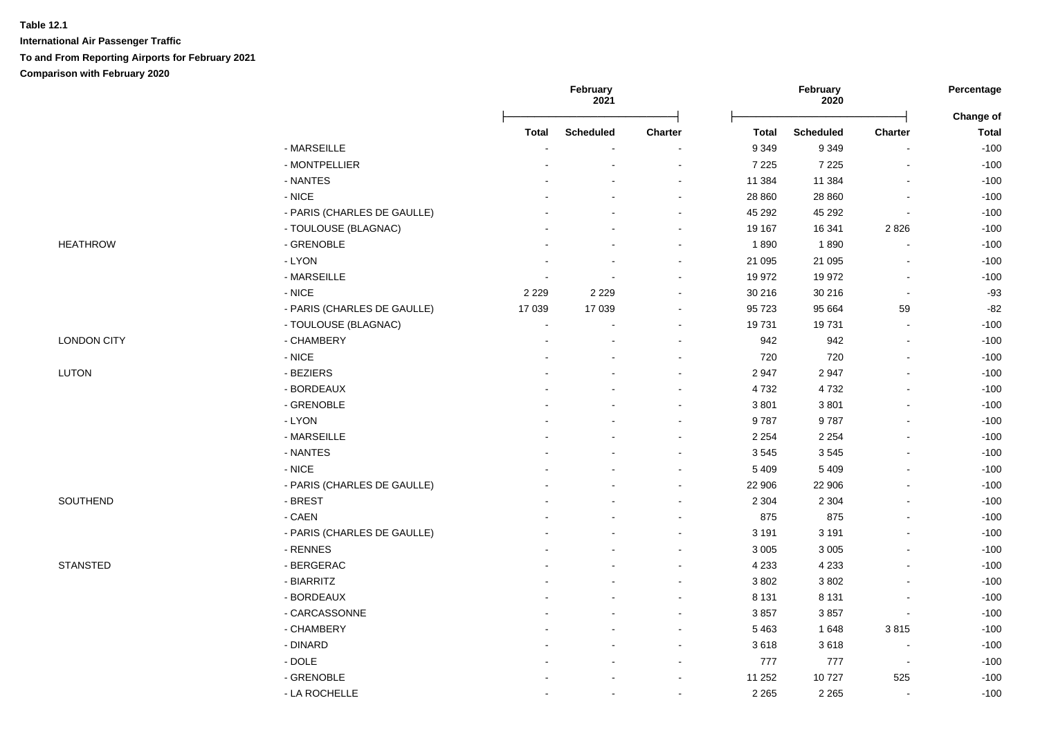|                    |                             |              | February<br>2021         |                |              | February<br>2020 |                          | Percentage                |
|--------------------|-----------------------------|--------------|--------------------------|----------------|--------------|------------------|--------------------------|---------------------------|
|                    |                             | <b>Total</b> | <b>Scheduled</b>         | Charter        | <b>Total</b> | <b>Scheduled</b> | <b>Charter</b>           | Change of<br><b>Total</b> |
|                    | - MARSEILLE                 |              |                          |                | 9 3 4 9      | 9 3 4 9          |                          | $-100$                    |
|                    | - MONTPELLIER               |              | $\overline{\phantom{a}}$ | $\sim$         | 7 2 2 5      | 7 2 2 5          | $\mathbf{r}$             | $-100$                    |
|                    | - NANTES                    |              |                          |                | 11 384       | 11 384           |                          | $-100$                    |
|                    | $-$ NICE                    |              |                          |                | 28 860       | 28 8 6 0         | ÷,                       | $-100$                    |
|                    | - PARIS (CHARLES DE GAULLE) |              |                          |                | 45 29 2      | 45 29 2          | $\blacksquare$           | $-100$                    |
|                    | - TOULOUSE (BLAGNAC)        |              |                          |                | 19 167       | 16 341           | 2826                     | $-100$                    |
| <b>HEATHROW</b>    | - GRENOBLE                  |              |                          |                | 1890         | 1890             |                          | $-100$                    |
|                    | - LYON                      |              |                          | $\blacksquare$ | 21 095       | 21 095           | $\overline{a}$           | $-100$                    |
|                    | - MARSEILLE                 | ÷.           |                          |                | 19 972       | 19 972           | $\blacksquare$           | $-100$                    |
|                    | $-$ NICE                    | 2 2 2 9      | 2 2 2 9                  |                | 30 216       | 30 216           | $\overline{\phantom{a}}$ | $-93$                     |
|                    | - PARIS (CHARLES DE GAULLE) | 17 039       | 17 039                   |                | 95 723       | 95 664           | 59                       | $-82$                     |
|                    | - TOULOUSE (BLAGNAC)        | ÷            |                          | $\sim$         | 19731        | 19731            | $\overline{\phantom{a}}$ | $-100$                    |
| <b>LONDON CITY</b> | - CHAMBERY                  |              |                          |                | 942          | 942              | $\overline{\phantom{a}}$ | $-100$                    |
|                    | $\text{-}\mathsf{NICE}$     |              |                          |                | 720          | 720              | $\mathbf{r}$             | $-100$                    |
| LUTON              | - BEZIERS                   |              |                          |                | 2 9 4 7      | 2947             | $\overline{a}$           | $-100$                    |
|                    | - BORDEAUX                  |              |                          | $\blacksquare$ | 4732         | 4732             |                          | $-100$                    |
|                    | - GRENOBLE                  |              |                          |                | 3801         | 3801             |                          | $-100$                    |
|                    | - LYON                      |              |                          |                | 9787         | 9787             |                          | $-100$                    |
|                    | - MARSEILLE                 |              |                          |                | 2 2 5 4      | 2 2 5 4          |                          | $-100$                    |
|                    | - NANTES                    |              |                          |                | 3545         | 3545             |                          | $-100$                    |
|                    | $-$ NICE                    |              |                          |                | 5 4 0 9      | 5 4 0 9          |                          | $-100$                    |
|                    | - PARIS (CHARLES DE GAULLE) |              |                          |                | 22 906       | 22 906           |                          | $-100$                    |
| SOUTHEND           | - BREST                     |              |                          |                | 2 3 0 4      | 2 3 0 4          |                          | $-100$                    |
|                    | - CAEN                      |              |                          |                | 875          | 875              |                          | $-100$                    |
|                    | - PARIS (CHARLES DE GAULLE) |              |                          |                | 3 1 9 1      | 3 1 9 1          |                          | $-100$                    |
|                    | - RENNES                    |              |                          |                | 3 0 0 5      | 3 0 0 5          |                          | $-100$                    |
| <b>STANSTED</b>    | - BERGERAC                  |              |                          | $\sim$         | 4 2 3 3      | 4 2 3 3          | $\overline{a}$           | $-100$                    |
|                    | - BIARRITZ                  |              |                          |                | 3 8 0 2      | 3802             | $\blacksquare$           | $-100$                    |
|                    | - BORDEAUX                  |              |                          | $\blacksquare$ | 8 1 3 1      | 8 1 3 1          | $\overline{a}$           | $-100$                    |
|                    | - CARCASSONNE               |              |                          | $\sim$         | 3857         | 3857             | $\blacksquare$           | $-100$                    |
|                    | - CHAMBERY                  |              |                          | $\blacksquare$ | 5 4 6 3      | 1648             | 3815                     | $-100$                    |
|                    | - DINARD                    |              |                          | $\blacksquare$ | 3618         | 3618             | $\blacksquare$           | $-100$                    |
|                    | $-DOLE$                     |              |                          | $\blacksquare$ | 777          | 777              | $\overline{\phantom{a}}$ | $-100$                    |
|                    | - GRENOBLE                  |              |                          |                | 11 252       | 10727            | 525                      | $-100$                    |
|                    | - LA ROCHELLE               |              |                          |                | 2 2 6 5      | 2 2 6 5          | $\sim$                   | $-100$                    |
|                    |                             |              |                          |                |              |                  |                          |                           |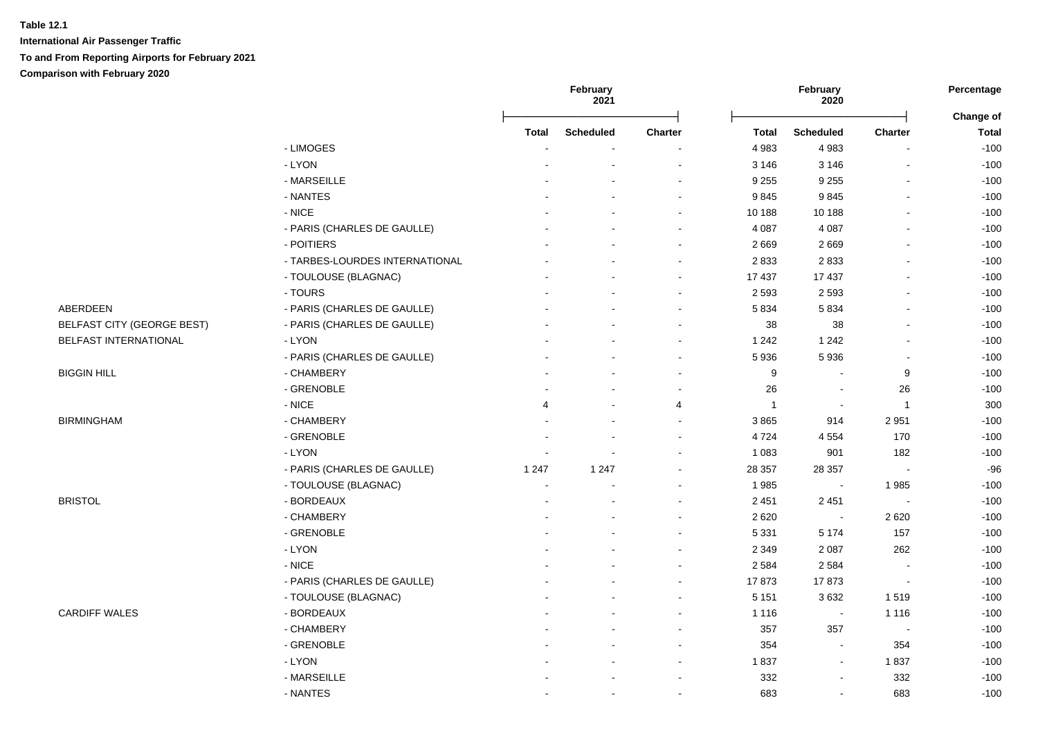|                                   |                                |                | February<br>2021 |                          |                  | February<br>2020 |                | Percentage                |  |
|-----------------------------------|--------------------------------|----------------|------------------|--------------------------|------------------|------------------|----------------|---------------------------|--|
|                                   |                                | <b>Total</b>   | <b>Scheduled</b> | Charter                  | <b>Total</b>     | <b>Scheduled</b> | <b>Charter</b> | Change of<br><b>Total</b> |  |
|                                   | - LIMOGES                      |                |                  |                          | 4 9 8 3          | 4983             |                | $-100$                    |  |
|                                   | - LYON                         |                |                  | $\sim$                   | 3 1 4 6          | 3 1 4 6          | $\sim$         | $-100$                    |  |
|                                   | - MARSEILLE                    |                |                  |                          | 9 2 5 5          | 9 2 5 5          |                | $-100$                    |  |
|                                   | - NANTES                       |                |                  |                          | 9845             | 9845             |                | $-100$                    |  |
|                                   | - NICE                         |                |                  |                          | 10 188           | 10 188           |                | $-100$                    |  |
|                                   | - PARIS (CHARLES DE GAULLE)    |                |                  | $\overline{\phantom{a}}$ | 4 0 8 7          | 4 0 8 7          |                | $-100$                    |  |
|                                   | - POITIERS                     |                |                  | $\overline{\phantom{a}}$ | 2 6 6 9          | 2669             |                | $-100$                    |  |
|                                   | - TARBES-LOURDES INTERNATIONAL |                |                  |                          | 2833             | 2833             |                | $-100$                    |  |
|                                   | - TOULOUSE (BLAGNAC)           |                |                  |                          | 17 437           | 17 437           |                | $-100$                    |  |
|                                   | - TOURS                        |                |                  |                          | 2 5 9 3          | 2 5 9 3          |                | $-100$                    |  |
| ABERDEEN                          | - PARIS (CHARLES DE GAULLE)    |                |                  |                          | 5 8 3 4          | 5834             |                | $-100$                    |  |
| <b>BELFAST CITY (GEORGE BEST)</b> | - PARIS (CHARLES DE GAULLE)    |                |                  |                          | 38               | 38               |                | $-100$                    |  |
| BELFAST INTERNATIONAL             | - LYON                         |                |                  | ÷                        | 1 2 4 2          | 1 2 4 2          |                | $-100$                    |  |
|                                   | - PARIS (CHARLES DE GAULLE)    |                |                  | $\sim$                   | 5 9 3 6          | 5936             |                | $-100$                    |  |
| <b>BIGGIN HILL</b>                | - CHAMBERY                     |                |                  | ÷                        | $\boldsymbol{9}$ |                  | 9              | $-100$                    |  |
|                                   | - GRENOBLE                     |                |                  | $\blacksquare$           | 26               | $\blacksquare$   | 26             | $-100$                    |  |
|                                   | $-$ NICE                       | $\overline{4}$ | $\sim$           | 4                        | $\mathbf{1}$     | $\blacksquare$   | $\overline{1}$ | 300                       |  |
| <b>BIRMINGHAM</b>                 | - CHAMBERY                     |                |                  | $\sim$                   | 3865             | 914              | 2951           | $-100$                    |  |
|                                   | - GRENOBLE                     |                |                  |                          | 4724             | 4 5 5 4          | 170            | $-100$                    |  |
|                                   | - LYON                         |                |                  |                          | 1 0 8 3          | 901              | 182            | $-100$                    |  |
|                                   | - PARIS (CHARLES DE GAULLE)    | 1 2 4 7        | 1 2 4 7          |                          | 28 357           | 28 357           | $\sim$         | $-96$                     |  |
|                                   | - TOULOUSE (BLAGNAC)           | ÷.             |                  |                          | 1985             | $\blacksquare$   | 1985           | $-100$                    |  |
| <b>BRISTOL</b>                    | - BORDEAUX                     |                |                  | $\overline{\phantom{a}}$ | 2 4 5 1          | 2 4 5 1          | $\sim$         | $-100$                    |  |
|                                   | - CHAMBERY                     |                |                  | $\overline{\phantom{a}}$ | 2 6 2 0          |                  | 2620           | $-100$                    |  |
|                                   | - GRENOBLE                     |                |                  | $\overline{\phantom{a}}$ | 5 3 3 1          | 5 1 7 4          | 157            | $-100$                    |  |
|                                   | - LYON                         |                |                  |                          | 2 3 4 9          | 2 0 8 7          | 262            | $-100$                    |  |
|                                   | - NICE                         |                |                  |                          | 2 5 8 4          | 2 5 8 4          |                | $-100$                    |  |
|                                   | - PARIS (CHARLES DE GAULLE)    |                |                  |                          | 17873            | 17873            | $\blacksquare$ | $-100$                    |  |
|                                   | - TOULOUSE (BLAGNAC)           |                |                  |                          | 5 1 5 1          | 3632             | 1519           | $-100$                    |  |
| <b>CARDIFF WALES</b>              | - BORDEAUX                     |                |                  | $\overline{\phantom{a}}$ | 1 1 1 6          | $\blacksquare$   | 1 1 1 6        | $-100$                    |  |
|                                   | - CHAMBERY                     |                |                  | $\sim$                   | 357              | 357              | $\sim$         | $-100$                    |  |
|                                   | - GRENOBLE                     |                |                  | $\sim$                   | 354              | $\blacksquare$   | 354            | $-100$                    |  |
|                                   | - LYON                         |                |                  | $\blacksquare$           | 1837             | $\blacksquare$   | 1837           | $-100$                    |  |
|                                   | - MARSEILLE                    |                |                  | $\sim$                   | 332              | $\sim$           | 332            | $-100$                    |  |
|                                   | - NANTES                       |                | $\blacksquare$   | $\overline{\phantom{a}}$ | 683              | $\blacksquare$   | 683            | $-100$                    |  |
|                                   |                                |                |                  |                          |                  |                  |                |                           |  |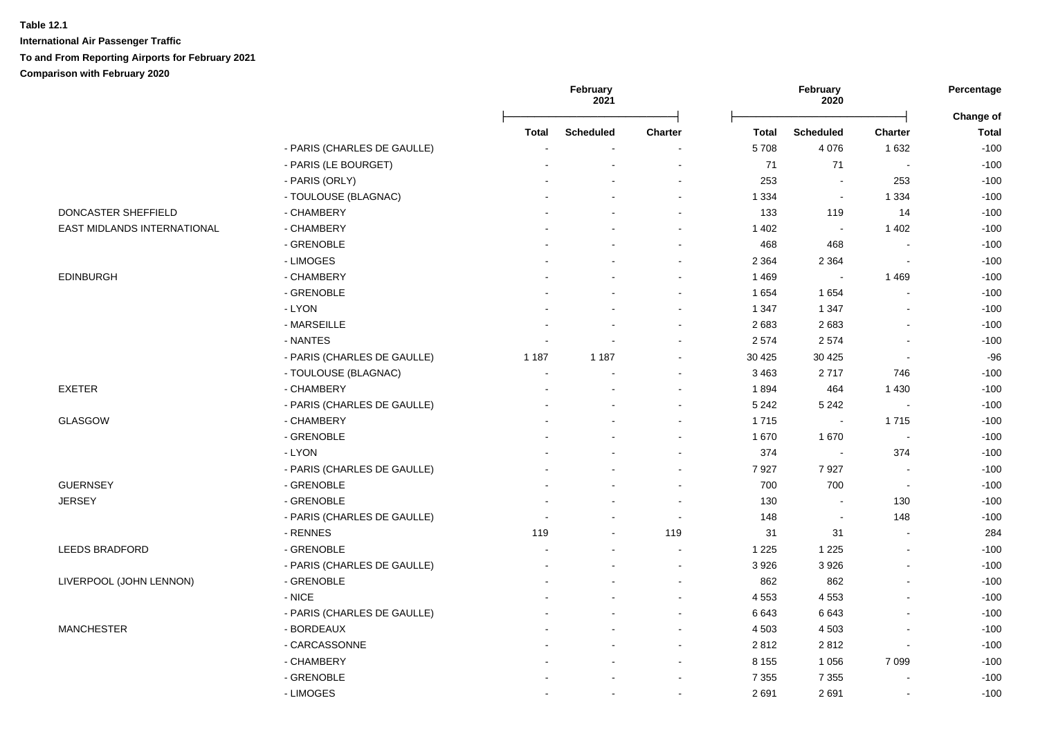|                             |                             |              | February<br>2021 |                          |         | February<br>2020         |                          | Percentage<br>Change of |
|-----------------------------|-----------------------------|--------------|------------------|--------------------------|---------|--------------------------|--------------------------|-------------------------|
|                             |                             | <b>Total</b> | <b>Scheduled</b> | <b>Charter</b>           | Total   | <b>Scheduled</b>         | <b>Charter</b>           | <b>Total</b>            |
|                             | - PARIS (CHARLES DE GAULLE) |              |                  |                          | 5708    | 4 0 7 6                  | 1 6 3 2                  | $-100$                  |
|                             | - PARIS (LE BOURGET)        |              | $\overline{a}$   | $\overline{\phantom{a}}$ | $71$    | 71                       | $\sim$                   | $-100$                  |
|                             | - PARIS (ORLY)              |              |                  |                          | 253     |                          | 253                      | $-100$                  |
|                             | - TOULOUSE (BLAGNAC)        |              |                  | $\blacksquare$           | 1 3 3 4 | $\blacksquare$           | 1 3 3 4                  | $-100$                  |
| DONCASTER SHEFFIELD         | - CHAMBERY                  |              |                  | $\blacksquare$           | 133     | 119                      | 14                       | $-100$                  |
| EAST MIDLANDS INTERNATIONAL | - CHAMBERY                  |              |                  | $\blacksquare$           | 1 4 0 2 | $\sim$                   | 1 4 0 2                  | $-100$                  |
|                             | - GRENOBLE                  |              |                  | ä,                       | 468     | 468                      | $\blacksquare$           | $-100$                  |
|                             | - LIMOGES                   |              |                  | $\sim$                   | 2 3 6 4 | 2 3 6 4                  | $\blacksquare$           | $-100$                  |
| <b>EDINBURGH</b>            | - CHAMBERY                  |              |                  | $\sim$                   | 1 4 6 9 |                          | 1 4 6 9                  | $-100$                  |
|                             | - GRENOBLE                  |              |                  |                          | 1 6 5 4 | 1654                     |                          | $-100$                  |
|                             | - LYON                      |              |                  |                          | 1 3 4 7 | 1 3 4 7                  |                          | $-100$                  |
|                             | - MARSEILLE                 |              | $\overline{a}$   | $\overline{a}$           | 2683    | 2683                     | ÷.                       | $-100$                  |
|                             | - NANTES                    |              | $\overline{a}$   | $\blacksquare$           | 2 5 7 4 | 2574                     |                          | $-100$                  |
|                             | - PARIS (CHARLES DE GAULLE) | 1 1 8 7      | 1 1 8 7          | ۰                        | 30 4 25 | 30 4 25                  | $\blacksquare$           | $-96$                   |
|                             | - TOULOUSE (BLAGNAC)        | $\sim$       |                  | $\blacksquare$           | 3 4 6 3 | 2717                     | 746                      | $-100$                  |
| EXETER                      | - CHAMBERY                  |              | $\sim$           | $\blacksquare$           | 1894    | 464                      | 1 4 3 0                  | $-100$                  |
|                             | - PARIS (CHARLES DE GAULLE) |              | $\overline{a}$   | $\blacksquare$           | 5 2 4 2 | 5 2 4 2                  | $\overline{\phantom{a}}$ | $-100$                  |
| GLASGOW                     | - CHAMBERY                  |              |                  |                          | 1715    | $\sim$                   | 1715                     | $-100$                  |
|                             | - GRENOBLE                  |              |                  | $\blacksquare$           | 1 670   | 1670                     | $\sim$                   | $-100$                  |
|                             | - LYON                      |              |                  | ä,                       | 374     | $\overline{\phantom{a}}$ | 374                      | $-100$                  |
|                             | - PARIS (CHARLES DE GAULLE) |              |                  | $\blacksquare$           | 7927    | 7927                     | $\blacksquare$           | $-100$                  |
| <b>GUERNSEY</b>             | - GRENOBLE                  |              |                  | $\blacksquare$           | 700     | 700                      | $\sim$                   | $-100$                  |
| <b>JERSEY</b>               | - GRENOBLE                  |              |                  | $\sim$                   | 130     |                          | 130                      | $-100$                  |
|                             | - PARIS (CHARLES DE GAULLE) |              |                  | $\sim$                   | 148     | $\blacksquare$           | 148                      | $-100$                  |
|                             | - RENNES                    | 119          | ÷,               | 119                      | 31      | 31                       | $\blacksquare$           | 284                     |
| <b>LEEDS BRADFORD</b>       | - GRENOBLE                  |              |                  |                          | 1 2 2 5 | 1 2 2 5                  | L.                       | $-100$                  |
|                             | - PARIS (CHARLES DE GAULLE) |              |                  | $\blacksquare$           | 3 9 2 6 | 3926                     | $\blacksquare$           | $-100$                  |
| LIVERPOOL (JOHN LENNON)     | - GRENOBLE                  |              |                  |                          | 862     | 862                      |                          | $-100$                  |
|                             | - NICE                      |              |                  | $\sim$                   | 4 5 5 3 | 4553                     | $\overline{a}$           | $-100$                  |
|                             | - PARIS (CHARLES DE GAULLE) |              | $\blacksquare$   | $\blacksquare$           | 6643    | 6643                     | $\blacksquare$           | $-100$                  |
| <b>MANCHESTER</b>           | - BORDEAUX                  |              |                  | $\sim$                   | 4 5 0 3 | 4 5 0 3                  | L,                       | $-100$                  |
|                             | - CARCASSONNE               |              |                  | $\blacksquare$           | 2812    | 2812                     | $\blacksquare$           | $-100$                  |
|                             | - CHAMBERY                  |              | $\overline{a}$   | $\blacksquare$           | 8 1 5 5 | 1 0 5 6                  | 7 0 9 9                  | $-100$                  |
|                             | - GRENOBLE                  |              |                  | ۰                        | 7 3 5 5 | 7 3 5 5                  | ä,                       | $-100$                  |
|                             | - LIMOGES                   |              | $\blacksquare$   | $\blacksquare$           | 2691    | 2691                     | $\blacksquare$           | $-100$                  |
|                             |                             |              |                  |                          |         |                          |                          |                         |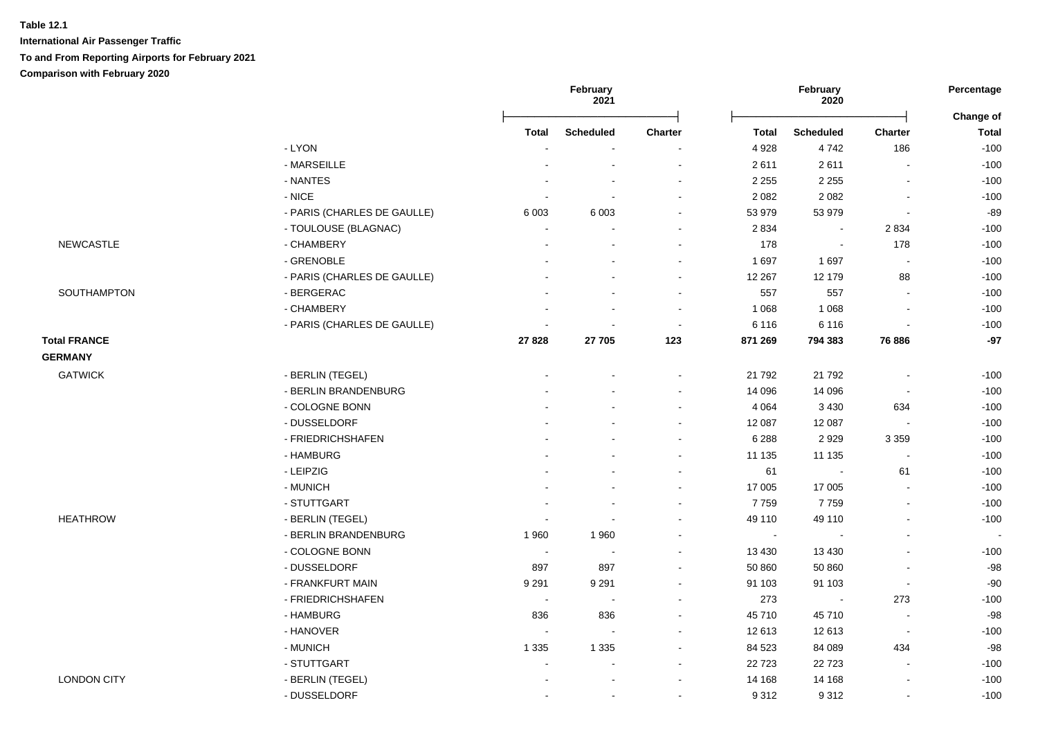|                     |                             | February<br>2021 |                          |                | February<br>2020 |                          | Percentage               |                           |
|---------------------|-----------------------------|------------------|--------------------------|----------------|------------------|--------------------------|--------------------------|---------------------------|
|                     |                             | Total            | <b>Scheduled</b>         | <b>Charter</b> | <b>Total</b>     | <b>Scheduled</b>         | Charter                  | Change of<br><b>Total</b> |
|                     | - LYON                      |                  |                          |                | 4 9 28           | 4742                     | 186                      | $-100$                    |
|                     | - MARSEILLE                 |                  |                          |                | 2611             | 2611                     |                          | $-100$                    |
|                     | - NANTES                    |                  |                          |                | 2 2 5 5          | 2 2 5 5                  |                          | $-100$                    |
|                     | $-$ NICE                    |                  |                          |                | 2 0 8 2          | 2 0 8 2                  | $\blacksquare$           | $-100$                    |
|                     | - PARIS (CHARLES DE GAULLE) | 6 0 03           | 6 0 0 3                  |                | 53 979           | 53 979                   | $\overline{\phantom{a}}$ | $-89$                     |
|                     | - TOULOUSE (BLAGNAC)        |                  |                          |                | 2 8 3 4          | $\blacksquare$           | 2834                     | $-100$                    |
| <b>NEWCASTLE</b>    | - CHAMBERY                  |                  |                          |                | 178              | $\overline{\phantom{a}}$ | 178                      | $-100$                    |
|                     | - GRENOBLE                  |                  |                          |                | 1697             | 1697                     | $\overline{\phantom{a}}$ | $-100$                    |
|                     | - PARIS (CHARLES DE GAULLE) |                  |                          |                | 12 267           | 12 179                   | 88                       | $-100$                    |
| SOUTHAMPTON         | - BERGERAC                  |                  |                          |                | 557              | 557                      |                          | $-100$                    |
|                     | - CHAMBERY                  |                  |                          |                | 1 0 6 8          | 1 0 6 8                  |                          | $-100$                    |
|                     | - PARIS (CHARLES DE GAULLE) |                  |                          | $\sim$         | 6 1 1 6          | 6 1 1 6                  |                          | $-100$                    |
| <b>Total FRANCE</b> |                             | 27828            | 27 705                   | 123            | 871 269          | 794 383                  | 76 886                   | $-97$                     |
| <b>GERMANY</b>      |                             |                  |                          |                |                  |                          |                          |                           |
| <b>GATWICK</b>      | - BERLIN (TEGEL)            |                  |                          |                | 21 792           | 21 792                   |                          | $-100$                    |
|                     | - BERLIN BRANDENBURG        |                  |                          |                | 14 096           | 14 096                   | $\overline{\phantom{a}}$ | $-100$                    |
|                     | - COLOGNE BONN              |                  |                          |                | 4 0 64           | 3 4 3 0                  | 634                      | $-100$                    |
|                     | - DUSSELDORF                |                  |                          |                | 12 087           | 12 087                   | $\overline{\phantom{a}}$ | $-100$                    |
|                     | - FRIEDRICHSHAFEN           |                  |                          |                | 6 2 8 8          | 2929                     | 3 3 5 9                  | $-100$                    |
|                     | - HAMBURG                   |                  |                          |                | 11 135           | 11 135                   | $\sim$                   | $-100$                    |
|                     | - LEIPZIG                   |                  |                          |                | 61               | $\sim$                   | 61                       | $-100$                    |
|                     | - MUNICH                    |                  |                          |                | 17 005           | 17 005                   | $\sim$                   | $-100$                    |
|                     | - STUTTGART                 |                  |                          |                | 7759             | 7759                     |                          | $-100$                    |
| <b>HEATHROW</b>     | - BERLIN (TEGEL)            |                  |                          |                | 49 110           | 49 110                   |                          | $-100$                    |
|                     | - BERLIN BRANDENBURG        | 1 9 6 0          | 1960                     |                | $\sim$           |                          |                          | $\sim$                    |
|                     | - COLOGNE BONN              | $\sim$           | $\blacksquare$           |                | 13 4 30          | 13 4 30                  |                          | $-100$                    |
|                     | - DUSSELDORF                | 897              | 897                      |                | 50 860           | 50 860                   |                          | $-98$                     |
|                     | - FRANKFURT MAIN            | 9 2 9 1          | 9 2 9 1                  |                | 91 103           | 91 103                   | $\blacksquare$           | $-90$                     |
|                     | - FRIEDRICHSHAFEN           | $\sim$           | $\overline{\phantom{a}}$ |                | 273              | $\blacksquare$           | 273                      | $-100$                    |
|                     | - HAMBURG                   | 836              | 836                      |                | 45 710           | 45710                    | $\blacksquare$           | $-98$                     |
|                     | - HANOVER                   | $\sim$           | $\sim$                   |                | 12 613           | 12 613                   | $\sim$                   | $-100$                    |
|                     | - MUNICH                    | 1 3 3 5          | 1 3 3 5                  |                | 84 523           | 84 089                   | 434                      | $-98$                     |
|                     | - STUTTGART                 |                  |                          |                | 22 7 23          | 22723                    |                          | $-100$                    |
| <b>LONDON CITY</b>  | - BERLIN (TEGEL)            |                  |                          |                | 14 168           | 14 168                   |                          | $-100$                    |
|                     | - DUSSELDORF                |                  |                          |                | 9 3 1 2          | 9312                     |                          | $-100$                    |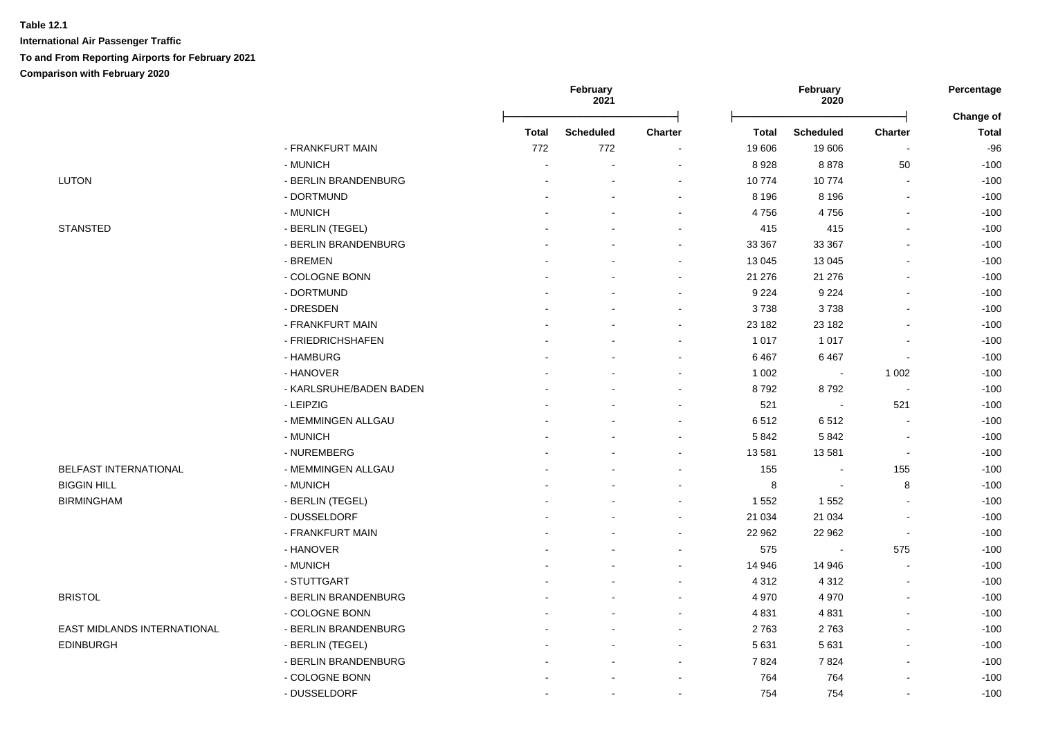|                             |                         | February<br>2021 |                  |                | February<br>2020 | Percentage<br>Change of  |                          |              |
|-----------------------------|-------------------------|------------------|------------------|----------------|------------------|--------------------------|--------------------------|--------------|
|                             |                         | <b>Total</b>     | <b>Scheduled</b> | <b>Charter</b> | <b>Total</b>     | <b>Scheduled</b>         | <b>Charter</b>           | <b>Total</b> |
|                             | - FRANKFURT MAIN        | 772              | 772              |                | 19 606           | 19 606                   |                          | $-96$        |
|                             | - MUNICH                |                  |                  |                | 8928             | 8878                     | 50                       | $-100$       |
| <b>LUTON</b>                | - BERLIN BRANDENBURG    |                  |                  |                | 10774            | 10774                    |                          | $-100$       |
|                             | - DORTMUND              |                  |                  |                | 8 1 9 6          | 8 1 9 6                  |                          | $-100$       |
|                             | - MUNICH                |                  |                  |                | 4756             | 4756                     |                          | $-100$       |
| <b>STANSTED</b>             | - BERLIN (TEGEL)        |                  |                  |                | 415              | 415                      | $\overline{\phantom{a}}$ | $-100$       |
|                             | - BERLIN BRANDENBURG    |                  |                  |                | 33 367           | 33 367                   |                          | $-100$       |
|                             | - BREMEN                |                  |                  |                | 13 045           | 13 045                   |                          | $-100$       |
|                             | - COLOGNE BONN          |                  |                  |                | 21 276           | 21 276                   |                          | $-100$       |
|                             | - DORTMUND              |                  |                  |                | 9 2 2 4          | 9 2 2 4                  |                          | $-100$       |
|                             | - DRESDEN               |                  |                  |                | 3738             | 3738                     |                          | $-100$       |
|                             | - FRANKFURT MAIN        |                  |                  |                | 23 182           | 23 182                   |                          | $-100$       |
|                             | - FRIEDRICHSHAFEN       |                  |                  |                | 1 0 1 7          | 1 0 1 7                  |                          | $-100$       |
|                             | - HAMBURG               |                  |                  |                | 6467             | 6467                     | $\overline{\phantom{a}}$ | $-100$       |
|                             | - HANOVER               |                  |                  |                | 1 0 0 2          | $\sim$                   | 1 0 0 2                  | $-100$       |
|                             | - KARLSRUHE/BADEN BADEN |                  |                  |                | 8792             | 8792                     | $\sim$                   | $-100$       |
|                             | - LEIPZIG               |                  |                  |                | 521              | $\sim$                   | 521                      | $-100$       |
|                             | - MEMMINGEN ALLGAU      |                  |                  |                | 6512             | 6512                     | $\blacksquare$           | $-100$       |
|                             | - MUNICH                |                  |                  |                | 5842             | 5842                     | $\sim$                   | $-100$       |
|                             | - NUREMBERG             |                  |                  |                | 13 581           | 13581                    | $\overline{\phantom{a}}$ | $-100$       |
| BELFAST INTERNATIONAL       | - MEMMINGEN ALLGAU      |                  |                  |                | 155              |                          | 155                      | $-100$       |
| <b>BIGGIN HILL</b>          | - MUNICH                |                  |                  |                | 8                | $\overline{\phantom{a}}$ | 8                        | $-100$       |
| <b>BIRMINGHAM</b>           | - BERLIN (TEGEL)        |                  |                  |                | 1 5 5 2          | 1 5 5 2                  |                          | $-100$       |
|                             | - DUSSELDORF            |                  |                  |                | 21 0 34          | 21 0 34                  |                          | $-100$       |
|                             | - FRANKFURT MAIN        |                  |                  |                | 22 962           | 22 962                   | $\blacksquare$           | $-100$       |
|                             | - HANOVER               |                  |                  |                | 575              |                          | 575                      | $-100$       |
|                             | - MUNICH                |                  |                  |                | 14 946           | 14 946                   |                          | $-100$       |
|                             | - STUTTGART             |                  |                  |                | 4 3 1 2          | 4 3 1 2                  |                          | $-100$       |
| <b>BRISTOL</b>              | - BERLIN BRANDENBURG    |                  |                  |                | 4 9 7 0          | 4 9 7 0                  | $\overline{\phantom{a}}$ | $-100$       |
|                             | - COLOGNE BONN          |                  |                  |                | 4 8 31           | 4831                     | $\overline{\phantom{a}}$ | $-100$       |
| EAST MIDLANDS INTERNATIONAL | - BERLIN BRANDENBURG    |                  |                  |                | 2763             | 2763                     |                          | $-100$       |
| <b>EDINBURGH</b>            | - BERLIN (TEGEL)        |                  |                  | $\sim$         | 5 6 3 1          | 5 6 3 1                  | $\blacksquare$           | $-100$       |
|                             | - BERLIN BRANDENBURG    |                  |                  |                | 7824             | 7824                     |                          | $-100$       |
|                             | - COLOGNE BONN          |                  |                  |                | 764              | 764                      |                          | $-100$       |
|                             |                         |                  |                  |                |                  |                          |                          |              |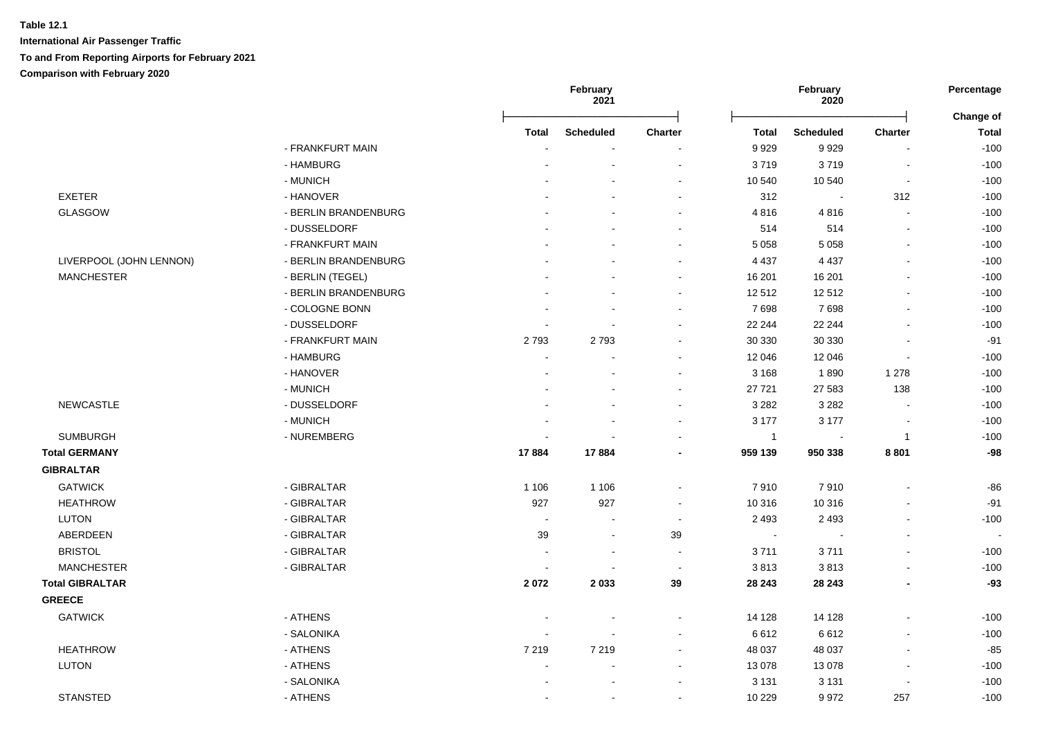|                         |                      |                | February<br>2021 |                          |                | February<br>2020 |                          | Percentage<br>Change of  |
|-------------------------|----------------------|----------------|------------------|--------------------------|----------------|------------------|--------------------------|--------------------------|
|                         |                      | <b>Total</b>   | <b>Scheduled</b> | Charter                  | <b>Total</b>   | <b>Scheduled</b> | <b>Charter</b>           | <b>Total</b>             |
|                         | - FRANKFURT MAIN     |                |                  |                          | 9929           | 9929             | L.                       | $-100$                   |
|                         | - HAMBURG            |                |                  | $\overline{\phantom{a}}$ | 3719           | 3719             | $\overline{\phantom{a}}$ | $-100$                   |
|                         | - MUNICH             |                |                  | $\sim$                   | 10 540         | 10 540           | $\overline{\phantom{a}}$ | $-100$                   |
| <b>EXETER</b>           | - HANOVER            |                |                  | $\overline{\phantom{a}}$ | 312            | $\sim$           | 312                      | $-100$                   |
| GLASGOW                 | - BERLIN BRANDENBURG |                |                  |                          | 4816           | 4816             | $\sim$                   | $-100$                   |
|                         | - DUSSELDORF         |                |                  | $\sim$                   | 514            | 514              | $\blacksquare$           | $-100$                   |
|                         | - FRANKFURT MAIN     |                |                  |                          | 5 0 5 8        | 5 0 5 8          | $\mathbf{r}$             | $-100$                   |
| LIVERPOOL (JOHN LENNON) | - BERLIN BRANDENBURG |                |                  |                          | 4 4 3 7        | 4 4 3 7          | $\blacksquare$           | $-100$                   |
| <b>MANCHESTER</b>       | - BERLIN (TEGEL)     |                |                  |                          | 16 201         | 16 201           |                          | $-100$                   |
|                         | - BERLIN BRANDENBURG |                |                  |                          | 12 512         | 12512            | L,                       | $-100$                   |
|                         | - COLOGNE BONN       |                |                  |                          | 7698           | 7698             | $\blacksquare$           | $-100$                   |
|                         | - DUSSELDORF         |                |                  |                          | 22 244         | 22 244           | L,                       | $-100$                   |
|                         | - FRANKFURT MAIN     | 2793           | 2793             |                          | 30 330         | 30 330           | $\overline{a}$           | $-91$                    |
|                         | - HAMBURG            | $\blacksquare$ |                  | $\blacksquare$           | 12 046         | 12 046           | $\blacksquare$           | $-100$                   |
|                         | - HANOVER            |                |                  |                          | 3 1 6 8        | 1890             | 1 2 7 8                  | $-100$                   |
|                         | - MUNICH             |                |                  | $\sim$                   | 27 721         | 27 583           | 138                      | $-100$                   |
| <b>NEWCASTLE</b>        | - DUSSELDORF         |                |                  |                          | 3 2 8 2        | 3 2 8 2          | $\sim$                   | $-100$                   |
|                         | - MUNICH             |                |                  |                          | 3 177          | 3 1 7 7          | $\blacksquare$           | $-100$                   |
| <b>SUMBURGH</b>         | - NUREMBERG          |                |                  |                          | $\overline{1}$ |                  | $\mathbf{1}$             | $-100$                   |
| <b>Total GERMANY</b>    |                      | 17884          | 17884            |                          | 959 139        | 950 338          | 8801                     | $-98$                    |
| <b>GIBRALTAR</b>        |                      |                |                  |                          |                |                  |                          |                          |
| <b>GATWICK</b>          | - GIBRALTAR          | 1 1 0 6        | 1 1 0 6          | $\blacksquare$           | 7910           | 7910             | $\overline{a}$           | $-86$                    |
| <b>HEATHROW</b>         | - GIBRALTAR          | 927            | 927              | $\overline{\phantom{a}}$ | 10 316         | 10 316           | $\blacksquare$           | $-91$                    |
| <b>LUTON</b>            | - GIBRALTAR          | $\sim$         |                  | $\sim$                   | 2 4 9 3        | 2 4 9 3          | $\blacksquare$           | $-100$                   |
| ABERDEEN                | - GIBRALTAR          | 39             | ÷,               | 39                       | $\sim$         |                  | $\blacksquare$           | $\overline{\phantom{a}}$ |
| <b>BRISTOL</b>          | - GIBRALTAR          | $\blacksquare$ | ÷,               | $\blacksquare$           | 3711           | 3711             | $\blacksquare$           | $-100$                   |
| <b>MANCHESTER</b>       | - GIBRALTAR          | $\overline{a}$ |                  | $\blacksquare$           | 3813           | 3813             | $\overline{a}$           | $-100$                   |
| <b>Total GIBRALTAR</b>  |                      | 2072           | 2033             | 39                       | 28 24 3        | 28 24 3          | -                        | $-93$                    |
| <b>GREECE</b>           |                      |                |                  |                          |                |                  |                          |                          |
| <b>GATWICK</b>          | - ATHENS             |                |                  |                          | 14 128         | 14 1 28          | L,                       | $-100$                   |
|                         | - SALONIKA           | $\overline{a}$ |                  |                          | 6612           | 6612             | $\overline{a}$           | $-100$                   |
| <b>HEATHROW</b>         | - ATHENS             | 7 2 1 9        | 7 2 1 9          |                          | 48 037         | 48 037           | $\overline{\phantom{a}}$ | $-85$                    |
| <b>LUTON</b>            | - ATHENS             |                |                  |                          | 13 0 78        | 13 0 78          |                          | $-100$                   |
|                         | - SALONIKA           |                |                  |                          | 3 1 3 1        | 3 1 3 1          |                          | $-100$                   |
| <b>STANSTED</b>         | - ATHENS             |                |                  |                          | 10 229         | 9972             | 257                      | $-100$                   |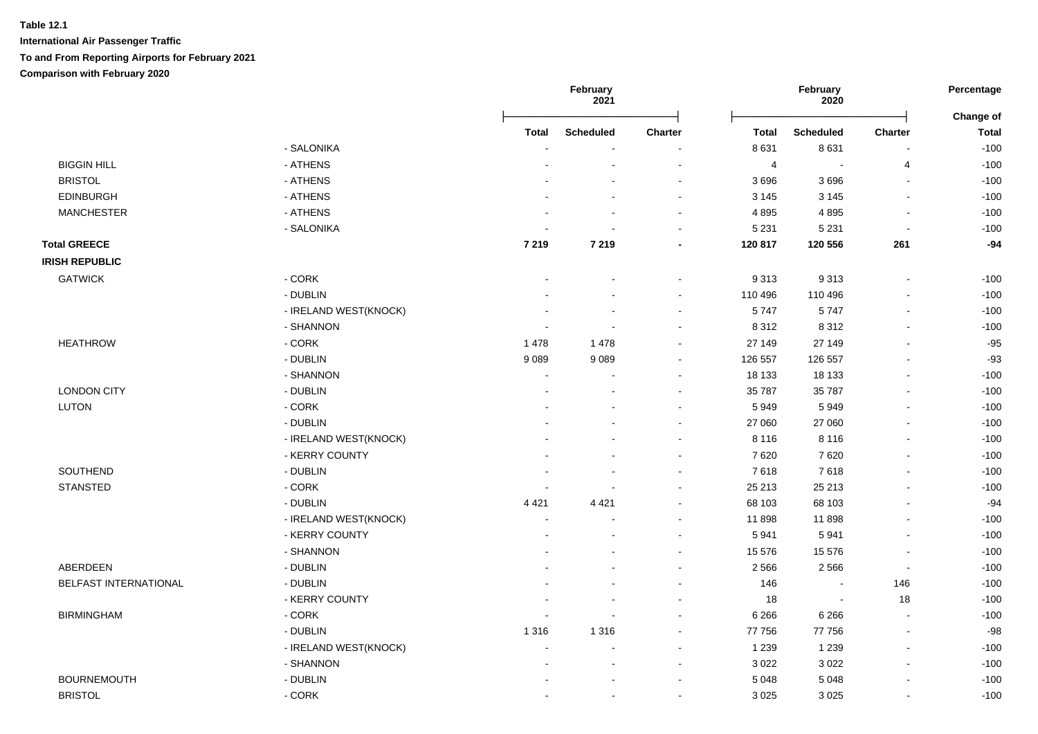|                       |                       |                | February<br>2021 |                          |                | February<br>2020         |                          | Percentage<br>Change of |
|-----------------------|-----------------------|----------------|------------------|--------------------------|----------------|--------------------------|--------------------------|-------------------------|
|                       |                       | Total          | <b>Scheduled</b> | <b>Charter</b>           | Total          | <b>Scheduled</b>         | <b>Charter</b>           | <b>Total</b>            |
|                       | - SALONIKA            |                |                  |                          | 8 6 3 1        | 8631                     | $\overline{a}$           | $-100$                  |
| <b>BIGGIN HILL</b>    | - ATHENS              |                |                  | $\overline{\phantom{a}}$ | $\overline{4}$ | $\sim$                   | 4                        | $-100$                  |
| <b>BRISTOL</b>        | - ATHENS              |                |                  |                          | 3696           | 3696                     | $\overline{a}$           | $-100$                  |
| <b>EDINBURGH</b>      | - ATHENS              |                |                  | $\overline{\phantom{a}}$ | 3 1 4 5        | 3 1 4 5                  | $\overline{a}$           | $-100$                  |
| <b>MANCHESTER</b>     | - ATHENS              |                |                  | $\sim$                   | 4895           | 4895                     | $\overline{\phantom{a}}$ | $-100$                  |
|                       | - SALONIKA            |                |                  | $\sim$                   | 5 2 3 1        | 5 2 3 1                  | $\blacksquare$           | $-100$                  |
| <b>Total GREECE</b>   |                       | 7 2 1 9        | 7 2 1 9          |                          | 120 817        | 120 556                  | 261                      | $-94$                   |
| <b>IRISH REPUBLIC</b> |                       |                |                  |                          |                |                          |                          |                         |
| <b>GATWICK</b>        | - CORK                |                |                  |                          | 9 3 1 3        | 9313                     | $\blacksquare$           | $-100$                  |
|                       | - DUBLIN              |                |                  |                          | 110 496        | 110 496                  | $\blacksquare$           | $-100$                  |
|                       | - IRELAND WEST(KNOCK) |                |                  | $\overline{\phantom{a}}$ | 5747           | 5747                     | $\blacksquare$           | $-100$                  |
|                       | - SHANNON             |                |                  | $\sim$                   | 8 3 1 2        | 8312                     | $\mathbf{r}$             | $-100$                  |
| <b>HEATHROW</b>       | - CORK                | 1 4 7 8        | 1 4 7 8          |                          | 27 149         | 27 149                   | $\blacksquare$           | $-95$                   |
|                       | - DUBLIN              | 9089           | 9089             |                          | 126 557        | 126 557                  |                          | $-93$                   |
|                       | - SHANNON             |                |                  |                          | 18 133         | 18 133                   |                          | $-100$                  |
| <b>LONDON CITY</b>    | - DUBLIN              | $\overline{a}$ |                  |                          | 35 787         | 35 787                   | $\mathbf{r}$             | $-100$                  |
| <b>LUTON</b>          | - CORK                |                |                  |                          | 5949           | 5949                     | $\sim$                   | $-100$                  |
|                       | - DUBLIN              |                |                  |                          | 27 060         | 27 060                   | L,                       | $-100$                  |
|                       | - IRELAND WEST(KNOCK) |                |                  |                          | 8 1 1 6        | 8 1 1 6                  | $\blacksquare$           | $-100$                  |
|                       | - KERRY COUNTY        |                |                  | $\sim$                   | 7620           | 7620                     | $\sim$                   | $-100$                  |
| SOUTHEND              | - DUBLIN              | $\overline{a}$ |                  | $\sim$                   | 7618           | 7618                     | $\mathbf{r}$             | $-100$                  |
| <b>STANSTED</b>       | - CORK                |                |                  | $\sim$                   | 25 213         | 25 213                   | $\blacksquare$           | $-100$                  |
|                       | - DUBLIN              | 4 4 2 1        | 4 4 2 1          | $\sim$                   | 68 103         | 68 103                   | L,                       | $-94$                   |
|                       | - IRELAND WEST(KNOCK) | $\overline{a}$ |                  |                          | 11 898         | 11898                    | $\overline{a}$           | $-100$                  |
|                       | - KERRY COUNTY        |                |                  |                          | 5 9 4 1        | 5941                     | $\blacksquare$           | $-100$                  |
|                       | - SHANNON             |                |                  | $\sim$                   | 15 576         | 15 576                   | $\overline{\phantom{a}}$ | $-100$                  |
| ABERDEEN              | - DUBLIN              |                |                  |                          | 2 5 6 6        | 2 5 6 6                  | $\sim$                   | $-100$                  |
| BELFAST INTERNATIONAL | - DUBLIN              |                |                  |                          | 146            | $\overline{\phantom{a}}$ | 146                      | $-100$                  |
|                       | - KERRY COUNTY        |                |                  |                          | 18             | $\sim$                   | 18                       | $-100$                  |
| <b>BIRMINGHAM</b>     | - CORK                |                |                  |                          | 6 2 6 6        | 6 2 6 6                  | $\overline{a}$           | $-100$                  |
|                       | - DUBLIN              | 1 3 1 6        | 1 3 1 6          |                          | 77 756         | 77 756                   | $\overline{a}$           | $-98$                   |
|                       | - IRELAND WEST(KNOCK) | $\overline{a}$ |                  |                          | 1 2 3 9        | 1 2 3 9                  | $\sim$                   | $-100$                  |
|                       | - SHANNON             | $\overline{a}$ |                  | $\sim$                   | 3 0 2 2        | 3 0 2 2                  | $\mathbf{r}$             | $-100$                  |
| <b>BOURNEMOUTH</b>    | - DUBLIN              |                |                  |                          | 5 0 4 8        | 5 0 4 8                  | $\blacksquare$           | $-100$                  |
| <b>BRISTOL</b>        | - CORK                | $\overline{a}$ | $\overline{a}$   | $\sim$                   | 3 0 2 5        | 3 0 2 5                  | L,                       | $-100$                  |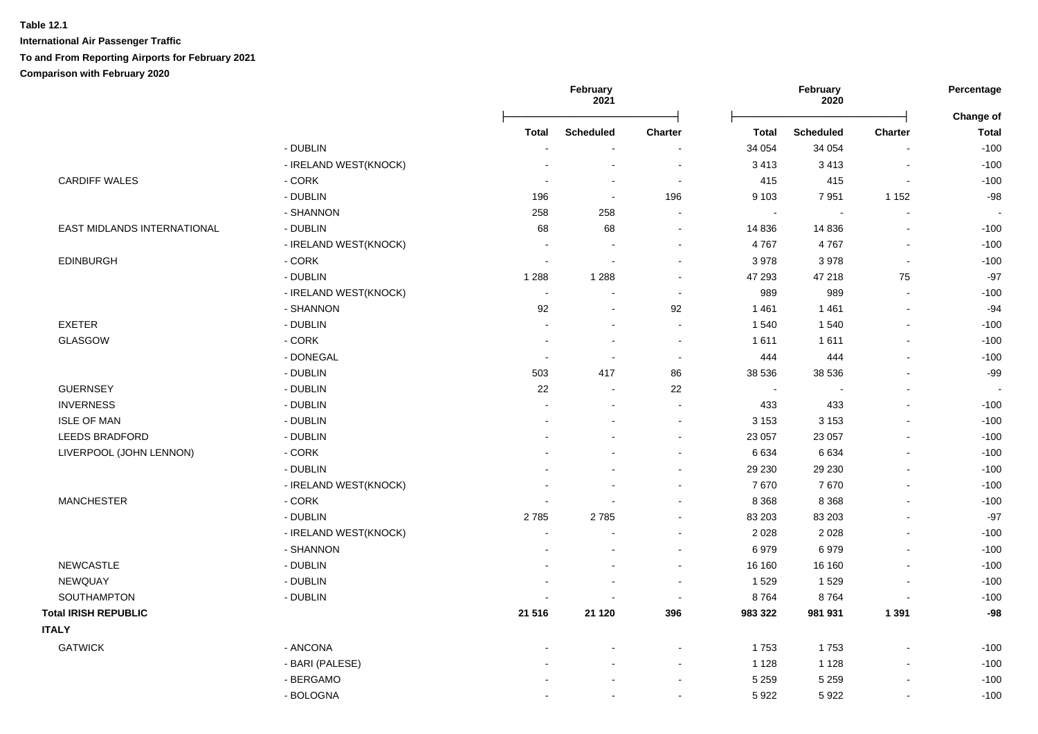|                             |                       |                          | February<br>2021         |                          |                | February<br>2020 |                          | Percentage                |
|-----------------------------|-----------------------|--------------------------|--------------------------|--------------------------|----------------|------------------|--------------------------|---------------------------|
|                             |                       | <b>Total</b>             | <b>Scheduled</b>         | Charter                  | <b>Total</b>   | <b>Scheduled</b> | <b>Charter</b>           | Change of<br><b>Total</b> |
|                             | - DUBLIN              |                          |                          |                          | 34 054         | 34 054           | $\overline{a}$           | $-100$                    |
|                             | - IRELAND WEST(KNOCK) |                          | $\overline{a}$           | $\overline{\phantom{a}}$ | 3 4 1 3        | 3413             | $\blacksquare$           | $-100$                    |
| <b>CARDIFF WALES</b>        | - CORK                | $\overline{a}$           | $\overline{a}$           | $\sim$                   | 415            | 415              | $\overline{a}$           | $-100$                    |
|                             | - DUBLIN              | 196                      | $\overline{\phantom{a}}$ | 196                      | 9 1 0 3        | 7951             | 1 1 5 2                  | $-98$                     |
|                             | - SHANNON             | 258                      | 258                      | $\blacksquare$           | $\blacksquare$ | $\sim$           | L,                       |                           |
| EAST MIDLANDS INTERNATIONAL | - DUBLIN              | 68                       | 68                       | $\overline{\phantom{a}}$ | 14 8 36        | 14 8 36          | $\blacksquare$           | $-100$                    |
|                             | - IRELAND WEST(KNOCK) | ÷,                       | ÷,                       |                          | 4767           | 4767             | $\blacksquare$           | $-100$                    |
| <b>EDINBURGH</b>            | $-CORK$               | $\overline{a}$           | $\overline{a}$           | $\sim$                   | 3 9 7 8        | 3978             | $\sim$                   | $-100$                    |
|                             | - DUBLIN              | 1 2 8 8                  | 1 2 8 8                  | $\sim$                   | 47 293         | 47 218           | 75                       | $-97$                     |
|                             | - IRELAND WEST(KNOCK) | $\overline{\phantom{a}}$ |                          | $\sim$                   | 989            | 989              | $\mathbf{r}$             | $-100$                    |
|                             | - SHANNON             | 92                       |                          | 92                       | 1 4 6 1        | 1 4 6 1          | $\overline{a}$           | $-94$                     |
| <b>EXETER</b>               | - DUBLIN              | ÷.                       | ÷.                       | $\sim$                   | 1 540          | 1540             | $\overline{a}$           | $-100$                    |
| <b>GLASGOW</b>              | - CORK                | $\blacksquare$           | $\overline{a}$           | $\sim$                   | 1611           | 1611             | $\overline{\phantom{a}}$ | $-100$                    |
|                             | - DONEGAL             | $\overline{a}$           | $\sim$                   | $\sim$                   | 444            | 444              | L.                       | $-100$                    |
|                             | - DUBLIN              | 503                      | 417                      | 86                       | 38 536         | 38 536           | L,                       | $-99$                     |
| <b>GUERNSEY</b>             | - DUBLIN              | 22                       | $\overline{\phantom{a}}$ | 22                       | $\sim$         |                  | $\blacksquare$           |                           |
| <b>INVERNESS</b>            | - DUBLIN              | $\overline{a}$           | $\overline{a}$           | $\blacksquare$           | 433            | 433              | $\blacksquare$           | $-100$                    |
| <b>ISLE OF MAN</b>          | - DUBLIN              |                          |                          | $\sim$                   | 3 1 5 3        | 3 1 5 3          | $\blacksquare$           | $-100$                    |
| <b>LEEDS BRADFORD</b>       | - DUBLIN              |                          |                          | $\sim$                   | 23 057         | 23 057           | $\sim$                   | $-100$                    |
| LIVERPOOL (JOHN LENNON)     | $-CORK$               |                          |                          |                          | 6 6 3 4        | 6 6 3 4          | $\overline{a}$           | $-100$                    |
|                             | - DUBLIN              |                          |                          | $\blacksquare$           | 29 230         | 29 230           | $\overline{a}$           | $-100$                    |
|                             | - IRELAND WEST(KNOCK) |                          |                          |                          | 7670           | 7670             | $\blacksquare$           | $-100$                    |
| <b>MANCHESTER</b>           | $-CORK$               | $\blacksquare$           |                          | $\sim$                   | 8 3 6 8        | 8 3 6 8          | $\sim$                   | $-100$                    |
|                             | - DUBLIN              | 2785                     | 2785                     |                          | 83 203         | 83 203           | $\blacksquare$           | $-97$                     |
|                             | - IRELAND WEST(KNOCK) | $\ddot{\phantom{a}}$     |                          |                          | 2 0 2 8        | 2 0 2 8          | $\blacksquare$           | $-100$                    |
|                             | - SHANNON             |                          |                          | $\sim$                   | 6979           | 6979             | $\mathbf{r}$             | $-100$                    |
| <b>NEWCASTLE</b>            | - DUBLIN              |                          |                          | $\sim$                   | 16 160         | 16 160           | $\overline{a}$           | $-100$                    |
| NEWQUAY                     | - DUBLIN              |                          |                          | $\blacksquare$           | 1529           | 1529             |                          | $-100$                    |
| SOUTHAMPTON                 | - DUBLIN              |                          |                          | $\overline{\phantom{a}}$ | 8764           | 8764             |                          | $-100$                    |
| <b>Total IRISH REPUBLIC</b> |                       | 21 516                   | 21 1 20                  | 396                      | 983 322        | 981 931          | 1 3 9 1                  | $-98$                     |
| <b>ITALY</b>                |                       |                          |                          |                          |                |                  |                          |                           |
| <b>GATWICK</b>              | - ANCONA              |                          |                          |                          | 1753           | 1753             | $\blacksquare$           | $-100$                    |
|                             | - BARI (PALESE)       |                          |                          |                          | 1 1 2 8        | 1 1 2 8          | L,                       | $-100$                    |
|                             | - BERGAMO             |                          |                          |                          | 5 2 5 9        | 5 2 5 9          |                          | $-100$                    |
|                             | - BOLOGNA             |                          |                          |                          | 5922           | 5922             | $\blacksquare$           | $-100$                    |
|                             |                       |                          |                          |                          |                |                  |                          |                           |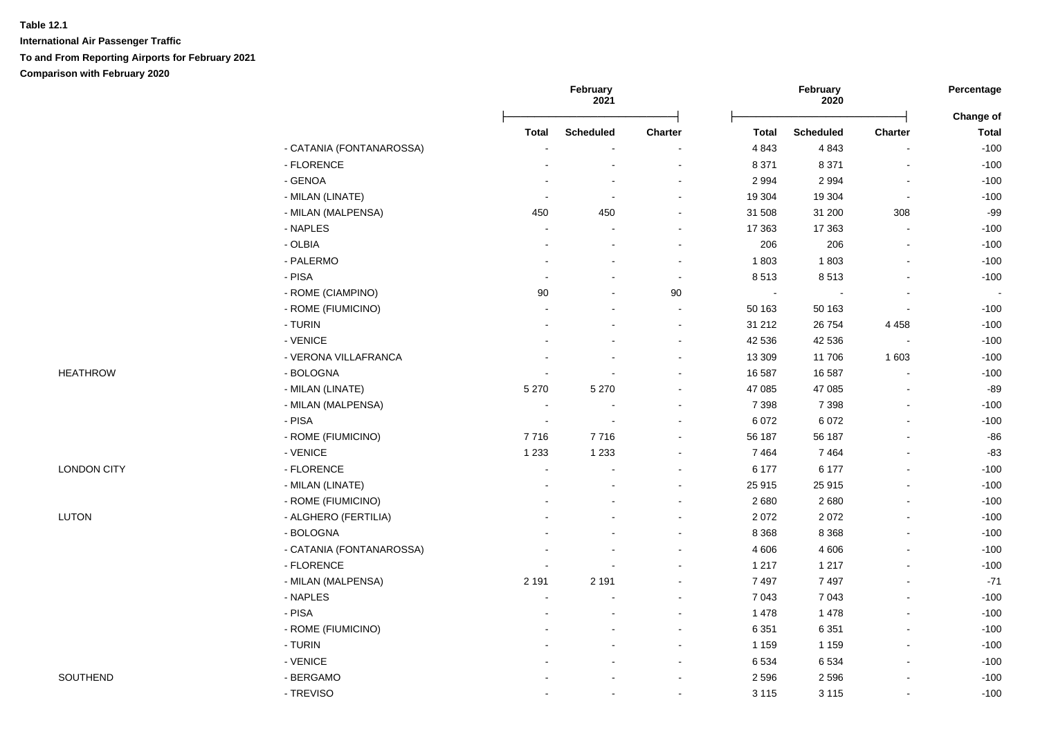|                    |                          |                          | February<br>February<br>2021<br>2020 |         | Percentage<br>Change of |                  |                          |              |
|--------------------|--------------------------|--------------------------|--------------------------------------|---------|-------------------------|------------------|--------------------------|--------------|
|                    |                          | <b>Total</b>             | <b>Scheduled</b>                     | Charter | <b>Total</b>            | <b>Scheduled</b> | Charter                  | <b>Total</b> |
|                    | - CATANIA (FONTANAROSSA) |                          |                                      |         | 4 8 4 3                 | 4843             | $\sim$                   | $-100$       |
|                    | - FLORENCE               |                          | $\sim$                               |         | 8 3 7 1                 | 8 3 7 1          | $\sim$                   | $-100$       |
|                    | - GENOA                  |                          | $\sim$                               |         | 2 9 9 4                 | 2 9 9 4          | $\overline{\phantom{a}}$ | $-100$       |
|                    | - MILAN (LINATE)         | $\overline{\phantom{a}}$ | $\blacksquare$                       | $\sim$  | 19 304                  | 19 304           | $\sim$                   | $-100$       |
|                    | - MILAN (MALPENSA)       | 450                      | 450                                  | $\sim$  | 31 508                  | 31 200           | 308                      | $-99$        |
|                    | - NAPLES                 |                          |                                      |         | 17 363                  | 17 363           | $\blacksquare$           | $-100$       |
|                    | - OLBIA                  |                          |                                      |         | 206                     | 206              | $\blacksquare$           | $-100$       |
|                    | - PALERMO                |                          |                                      |         | 1803                    | 1803             | $\blacksquare$           | $-100$       |
|                    | - PISA                   |                          |                                      |         | 8513                    | 8513             | $\overline{a}$           | $-100$       |
|                    | - ROME (CIAMPINO)        | 90                       | $\overline{\phantom{a}}$             | 90      | $\sim$                  |                  | $\blacksquare$           |              |
|                    | - ROME (FIUMICINO)       |                          |                                      | $\sim$  | 50 163                  | 50 163           | $\overline{\phantom{a}}$ | $-100$       |
|                    | - TURIN                  |                          |                                      |         | 31 21 2                 | 26 754           | 4 4 5 8                  | $-100$       |
|                    | - VENICE                 |                          |                                      |         | 42 536                  | 42 536           | $\blacksquare$           | $-100$       |
|                    | - VERONA VILLAFRANCA     |                          |                                      |         | 13 309                  | 11706            | 1 603                    | $-100$       |
| <b>HEATHROW</b>    | - BOLOGNA                |                          |                                      |         | 16 587                  | 16 587           |                          | $-100$       |
|                    | - MILAN (LINATE)         | 5 2 7 0                  | 5 2 7 0                              |         | 47 085                  | 47 085           |                          | $-89$        |
|                    | - MILAN (MALPENSA)       | $\sim$                   | $\overline{\phantom{a}}$             |         | 7 3 9 8                 | 7 3 9 8          | $\blacksquare$           | $-100$       |
|                    | - PISA                   | $\sim$                   | $\sim$                               |         | 6 0 7 2                 | 6 0 7 2          | $\blacksquare$           | $-100$       |
|                    | - ROME (FIUMICINO)       | 7716                     | 7716                                 |         | 56 187                  | 56 187           | $\blacksquare$           | $-86$        |
|                    | - VENICE                 | 1 2 3 3                  | 1 2 3 3                              |         | 7 4 6 4                 | 7464             | $\overline{a}$           | $-83$        |
| <b>LONDON CITY</b> | - FLORENCE               | $\sim$                   |                                      |         | 6 177                   | 6 177            | $\blacksquare$           | $-100$       |
|                    | - MILAN (LINATE)         |                          |                                      |         | 25 915                  | 25 915           |                          | $-100$       |
|                    | - ROME (FIUMICINO)       |                          |                                      |         | 2 6 8 0                 | 2680             |                          | $-100$       |
| <b>LUTON</b>       | - ALGHERO (FERTILIA)     |                          |                                      |         | 2 0 7 2                 | 2072             | $\blacksquare$           | $-100$       |
|                    | - BOLOGNA                |                          |                                      |         | 8 3 6 8                 | 8 3 6 8          | ä,                       | $-100$       |
|                    | - CATANIA (FONTANAROSSA) |                          |                                      |         | 4 60 6                  | 4 60 6           | $\blacksquare$           | $-100$       |
|                    | - FLORENCE               |                          |                                      |         | 1 2 1 7                 | 1 2 1 7          | $\blacksquare$           | $-100$       |
|                    | - MILAN (MALPENSA)       | 2 1 9 1                  | 2 1 9 1                              |         | 7 4 9 7                 | 7497             | ä,                       | $-71$        |
|                    | - NAPLES                 |                          |                                      |         | 7 0 4 3                 | 7 0 4 3          | $\blacksquare$           | $-100$       |
|                    | - PISA                   |                          |                                      |         | 1 4 7 8                 | 1 4 7 8          |                          | $-100$       |
|                    | - ROME (FIUMICINO)       |                          |                                      |         | 6 3 5 1                 | 6 3 5 1          | L.                       | $-100$       |
|                    | - TURIN                  |                          |                                      |         | 1 1 5 9                 | 1 1 5 9          | $\blacksquare$           | $-100$       |
|                    | - VENICE                 |                          |                                      |         | 6 5 3 4                 | 6534             | $\overline{a}$           | $-100$       |
| SOUTHEND           | - BERGAMO                |                          |                                      |         | 2 5 9 6                 | 2596             | $\overline{a}$           | $-100$       |
|                    | - TREVISO                |                          | $\sim$                               | $\sim$  | 3 1 1 5                 | 3 1 1 5          | $\blacksquare$           | $-100$       |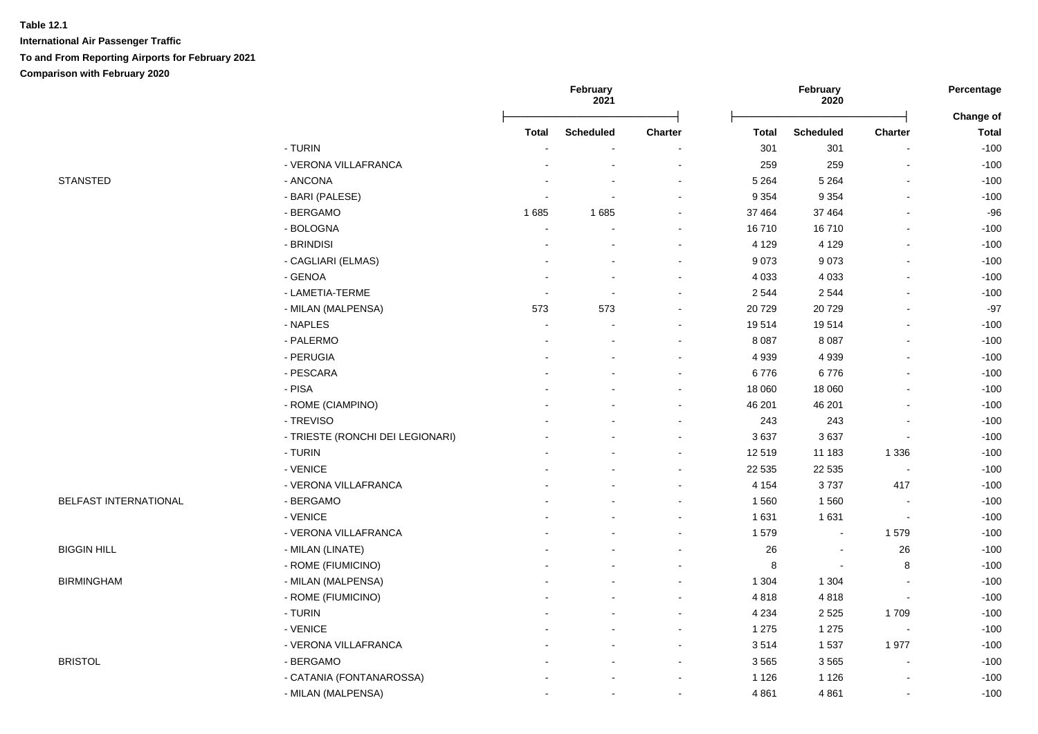|                       |                                  |                | February<br>2021 |                          |                    | February<br>2020 |                          | Percentage                       |  |
|-----------------------|----------------------------------|----------------|------------------|--------------------------|--------------------|------------------|--------------------------|----------------------------------|--|
|                       |                                  | <b>Total</b>   |                  | Charter                  | <b>Total</b>       | <b>Scheduled</b> | <b>Charter</b>           | <b>Change of</b><br><b>Total</b> |  |
|                       | - TURIN                          |                | <b>Scheduled</b> |                          | 301                | 301              |                          | $-100$                           |  |
|                       | - VERONA VILLAFRANCA             |                |                  |                          | 259                | 259              |                          | $-100$                           |  |
| <b>STANSTED</b>       | - ANCONA                         |                |                  |                          | 5 2 6 4            | 5 2 6 4          |                          | $-100$                           |  |
|                       | - BARI (PALESE)                  |                |                  | $\sim$                   | 9 3 5 4            | 9 3 5 4          |                          | $-100$                           |  |
|                       | - BERGAMO                        | 1685           | 1685             | $\sim$                   | 37 464             | 37 4 64          |                          | $-96$                            |  |
|                       | - BOLOGNA                        | $\blacksquare$ |                  | $\overline{\phantom{a}}$ | 16710              | 16710            |                          | $-100$                           |  |
|                       | - BRINDISI                       |                |                  |                          | 4 1 2 9            | 4 1 2 9          |                          | $-100$                           |  |
|                       | - CAGLIARI (ELMAS)               |                |                  |                          | 9073               | 9073             |                          | $-100$                           |  |
|                       | - GENOA                          |                |                  |                          | 4 0 3 3            | 4 0 3 3          |                          | $-100$                           |  |
|                       | - LAMETIA-TERME                  |                |                  |                          | 2 5 4 4            | 2 5 4 4          |                          | $-100$                           |  |
|                       | - MILAN (MALPENSA)               | 573            | 573              |                          | 20729              | 20729            |                          | $-97$                            |  |
|                       | - NAPLES                         | $\sim$         |                  | $\sim$                   | 19514              | 19514            |                          |                                  |  |
|                       | - PALERMO                        |                |                  |                          | 8 0 8 7            | 8 0 8 7          |                          | $-100$<br>$-100$                 |  |
|                       | - PERUGIA                        |                |                  | $\overline{\phantom{a}}$ | 4 9 3 9            | 4 9 3 9          |                          | $-100$                           |  |
|                       | - PESCARA                        |                |                  | $\overline{\phantom{a}}$ | 6776               | 6776             |                          | $-100$                           |  |
|                       | - PISA                           |                |                  |                          | 18 060             | 18 060           |                          | $-100$                           |  |
|                       | - ROME (CIAMPINO)                |                |                  |                          | 46 201             | 46 201           |                          | $-100$                           |  |
|                       | - TREVISO                        |                |                  |                          | 243                | 243              |                          | $-100$                           |  |
|                       | - TRIESTE (RONCHI DEI LEGIONARI) |                |                  |                          | 3637               | 3637             |                          | $-100$                           |  |
|                       | - TURIN                          |                |                  | ÷                        | 12 519             | 11 183           | 1 3 3 6                  | $-100$                           |  |
|                       | - VENICE                         |                |                  | $\sim$                   | 22 5 35            | 22 5 35          | $\overline{\phantom{a}}$ | $-100$                           |  |
|                       | - VERONA VILLAFRANCA             |                |                  | $\overline{\phantom{a}}$ | 4 1 5 4            | 3737             | 417                      | $-100$                           |  |
| BELFAST INTERNATIONAL | - BERGAMO                        |                |                  | $\overline{\phantom{a}}$ | 1 5 6 0            | 1560             | $\sim$                   | $-100$                           |  |
|                       | - VENICE                         |                |                  | $\overline{\phantom{a}}$ | 1 6 3 1            | 1631             | $\blacksquare$           | $-100$                           |  |
|                       | - VERONA VILLAFRANCA             |                |                  |                          | 1579               | $\blacksquare$   | 1579                     | $-100$                           |  |
| <b>BIGGIN HILL</b>    | - MILAN (LINATE)                 |                |                  |                          | 26                 |                  | 26                       | $-100$                           |  |
|                       | - ROME (FIUMICINO)               |                |                  |                          | 8                  | $\blacksquare$   | 8                        | $-100$                           |  |
| <b>BIRMINGHAM</b>     | - MILAN (MALPENSA)               |                |                  |                          | 1 3 0 4            | 1 3 0 4          |                          | $-100$                           |  |
|                       | - ROME (FIUMICINO)               |                |                  | $\overline{\phantom{a}}$ | 4818               | 4818             | $\blacksquare$           | $-100$                           |  |
|                       | - TURIN                          |                |                  |                          |                    | 2525             | 1709                     | $-100$                           |  |
|                       | - VENICE                         |                |                  |                          | 4 2 3 4<br>1 2 7 5 | 1 2 7 5          | $\sim$                   | $-100$                           |  |
|                       | - VERONA VILLAFRANCA             |                |                  | $\overline{\phantom{a}}$ | 3514               | 1537             | 1977                     | $-100$                           |  |
| <b>BRISTOL</b>        | - BERGAMO                        |                |                  |                          |                    | 3565             |                          | $-100$                           |  |
|                       |                                  |                |                  |                          | 3565               |                  |                          |                                  |  |
|                       | - CATANIA (FONTANAROSSA)         |                |                  |                          | 1 1 2 6            | 1 1 2 6          |                          | $-100$                           |  |
|                       | - MILAN (MALPENSA)               |                |                  |                          | 4 8 6 1            | 4861             |                          | $-100$                           |  |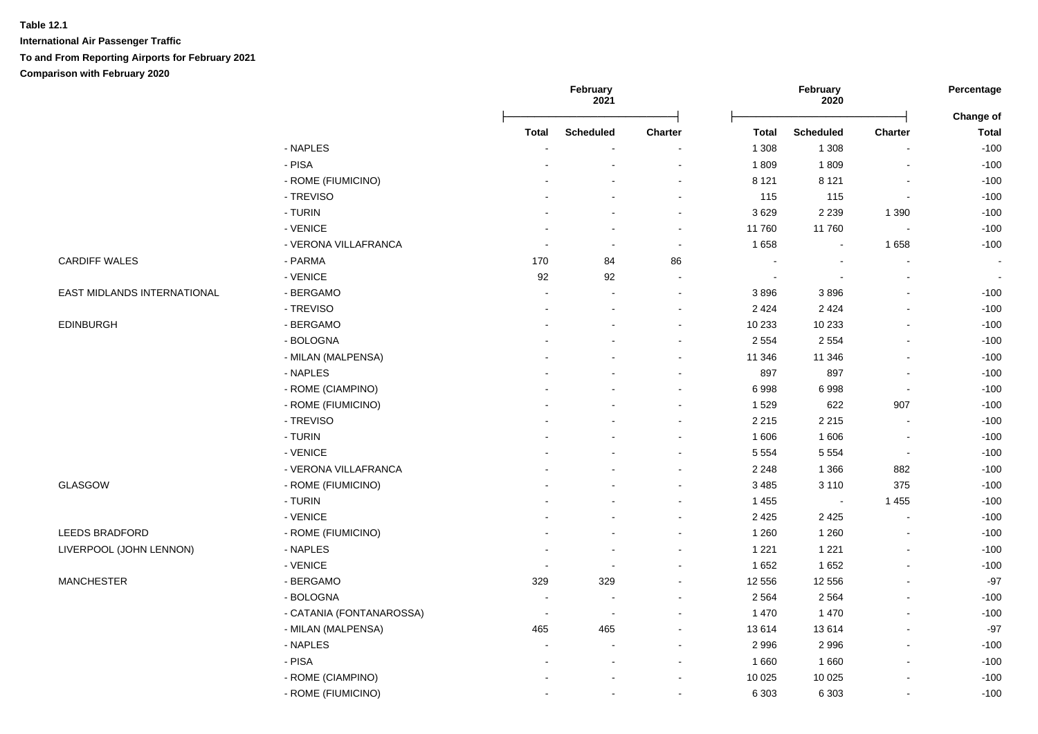|                             |                          |                          | February<br>2021         |                          |              | February<br>2020 |                          | Percentage                |  |
|-----------------------------|--------------------------|--------------------------|--------------------------|--------------------------|--------------|------------------|--------------------------|---------------------------|--|
|                             |                          | Total                    | <b>Scheduled</b>         | Charter                  | <b>Total</b> | <b>Scheduled</b> | <b>Charter</b>           | Change of<br><b>Total</b> |  |
|                             | - NAPLES                 |                          |                          |                          | 1 3 0 8      | 1 3 0 8          |                          | $-100$                    |  |
|                             | - PISA                   |                          |                          |                          | 1809         | 1809             |                          | $-100$                    |  |
|                             | - ROME (FIUMICINO)       |                          |                          |                          | 8 1 2 1      | 8 1 2 1          |                          | $-100$                    |  |
|                             | - TREVISO                |                          |                          | $\sim$                   | 115          | 115              |                          | $-100$                    |  |
|                             | - TURIN                  |                          |                          |                          | 3629         | 2 2 3 9          | 1 3 9 0                  | $-100$                    |  |
|                             | - VENICE                 |                          |                          | $\sim$                   | 11760        | 11760            |                          | $-100$                    |  |
|                             | - VERONA VILLAFRANCA     |                          | $\overline{\phantom{a}}$ | $\overline{\phantom{a}}$ | 1 6 5 8      |                  | 1658                     | $-100$                    |  |
| <b>CARDIFF WALES</b>        | - PARMA                  | 170                      | 84                       | 86                       |              |                  |                          | $\sim$                    |  |
|                             | - VENICE                 | 92                       | 92                       |                          |              |                  |                          | $\overline{\phantom{a}}$  |  |
| EAST MIDLANDS INTERNATIONAL | - BERGAMO                |                          |                          |                          | 3896         | 3896             |                          | $-100$                    |  |
|                             | - TREVISO                |                          |                          |                          | 2 4 2 4      | 2 4 2 4          |                          | $-100$                    |  |
| <b>EDINBURGH</b>            | - BERGAMO                |                          |                          |                          | 10 233       | 10 233           |                          | $-100$                    |  |
|                             | - BOLOGNA                |                          |                          |                          | 2 5 5 4      | 2 5 5 4          |                          | $-100$                    |  |
|                             | - MILAN (MALPENSA)       |                          |                          |                          | 11 346       | 11 346           |                          | $-100$                    |  |
|                             | - NAPLES                 |                          |                          | $\overline{\phantom{a}}$ | 897          | 897              |                          | $-100$                    |  |
|                             | - ROME (CIAMPINO)        |                          |                          | $\sim$                   | 6998         | 6998             |                          | $-100$                    |  |
|                             | - ROME (FIUMICINO)       |                          |                          | $\overline{\phantom{a}}$ | 1529         | 622              | 907                      | $-100$                    |  |
|                             | - TREVISO                |                          |                          |                          | 2 2 1 5      | 2 2 1 5          |                          | $-100$                    |  |
|                             | - TURIN                  |                          |                          |                          | 1 606        | 1 60 6           |                          | $-100$                    |  |
|                             | - VENICE                 |                          |                          |                          | 5 5 5 4      | 5 5 5 4          | $\overline{\phantom{a}}$ | $-100$                    |  |
|                             | - VERONA VILLAFRANCA     |                          |                          |                          | 2 2 4 8      | 1 3 6 6          | 882                      | $-100$                    |  |
| GLASGOW                     | - ROME (FIUMICINO)       |                          |                          |                          | 3 4 8 5      | 3 1 1 0          | 375                      | $-100$                    |  |
|                             | - TURIN                  |                          |                          |                          | 1 4 5 5      | $\sim$           | 1 4 5 5                  | $-100$                    |  |
|                             | - VENICE                 |                          |                          |                          | 2 4 2 5      | 2 4 2 5          |                          | $-100$                    |  |
| LEEDS BRADFORD              | - ROME (FIUMICINO)       |                          |                          | $\sim$                   | 1 2 6 0      | 1 2 6 0          |                          | $-100$                    |  |
| LIVERPOOL (JOHN LENNON)     | - NAPLES                 |                          |                          |                          | 1 2 2 1      | 1 2 2 1          |                          | $-100$                    |  |
|                             | - VENICE                 |                          |                          |                          | 1652         | 1652             |                          | $-100$                    |  |
| <b>MANCHESTER</b>           | - BERGAMO                | 329                      | 329                      |                          | 12 556       | 12 556           |                          | $-97$                     |  |
|                             | - BOLOGNA                |                          |                          |                          | 2 5 6 4      | 2 5 6 4          |                          | $-100$                    |  |
|                             | - CATANIA (FONTANAROSSA) | $\overline{\phantom{a}}$ |                          |                          | 1 4 7 0      | 1 4 7 0          |                          | $-100$                    |  |
|                             | - MILAN (MALPENSA)       | 465                      | 465                      |                          | 13 614       | 13614            |                          | $-97$                     |  |
|                             | - NAPLES                 |                          | $\sim$                   | $\sim$                   | 2 9 9 6      | 2 9 9 6          |                          | $-100$                    |  |
|                             | - PISA                   |                          | $\sim$                   | $\sim$                   | 1660         | 1 6 6 0          |                          | $-100$                    |  |
|                             | - ROME (CIAMPINO)        |                          |                          | $\sim$                   | 10 0 25      | 10 0 25          |                          | $-100$                    |  |
|                             | - ROME (FIUMICINO)       |                          |                          | $\overline{\phantom{a}}$ | 6 3 0 3      | 6 3 0 3          |                          | $-100$                    |  |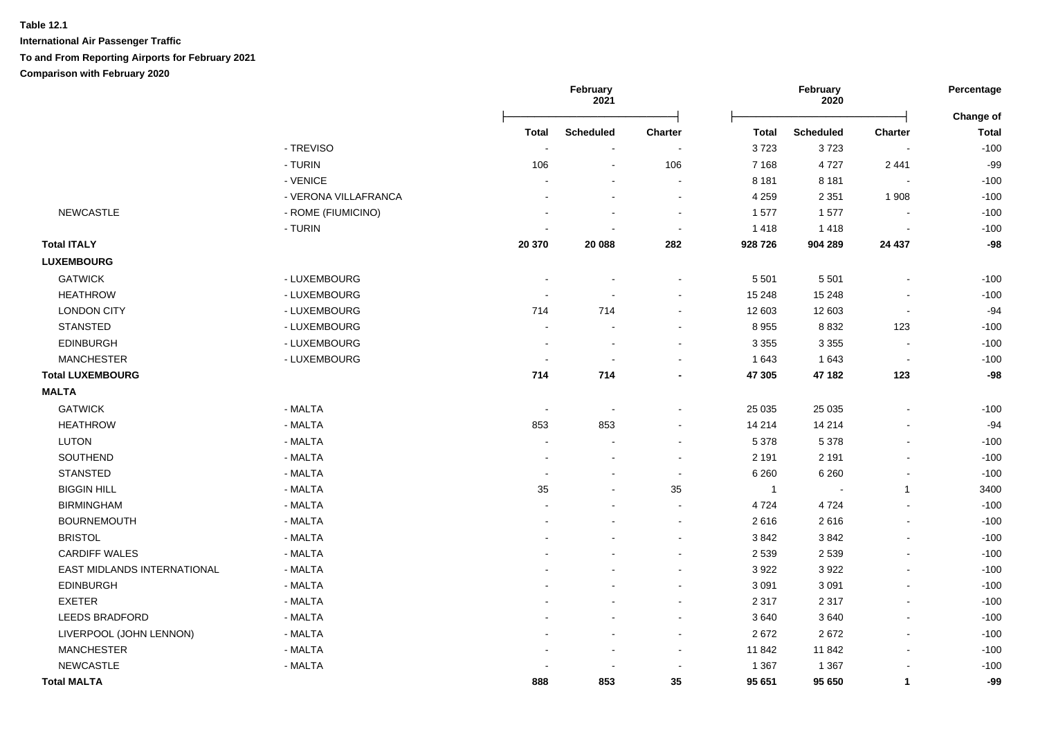|                             |                      | February<br>2021 |                  |                | February<br>2020 |                  |                          |                           |
|-----------------------------|----------------------|------------------|------------------|----------------|------------------|------------------|--------------------------|---------------------------|
|                             |                      | Total            | <b>Scheduled</b> | Charter        | Total            | <b>Scheduled</b> | <b>Charter</b>           | Change of<br><b>Total</b> |
|                             | - TREVISO            |                  |                  |                | 3723             | 3723             |                          | $-100$                    |
|                             | - TURIN              | 106              | $\overline{a}$   | 106            | 7 1 6 8          | 4727             | 2 4 4 1                  | $-99$                     |
|                             | - VENICE             |                  |                  | $\blacksquare$ | 8 1 8 1          | 8 1 8 1          | $\overline{\phantom{a}}$ | $-100$                    |
|                             | - VERONA VILLAFRANCA |                  |                  | $\blacksquare$ | 4 2 5 9          | 2 3 5 1          | 1 9 0 8                  | $-100$                    |
| <b>NEWCASTLE</b>            | - ROME (FIUMICINO)   |                  |                  | $\blacksquare$ | 1577             | 1577             | $\blacksquare$           | $-100$                    |
|                             | - TURIN              |                  |                  | $\sim$         | 1 4 1 8          | 1418             | $\blacksquare$           | $-100$                    |
| <b>Total ITALY</b>          |                      | 20 370           | 20 088           | 282            | 928 726          | 904 289          | 24 437                   | $-98$                     |
| <b>LUXEMBOURG</b>           |                      |                  |                  |                |                  |                  |                          |                           |
| <b>GATWICK</b>              | - LUXEMBOURG         |                  |                  |                | 5 5 0 1          | 5 5 0 1          |                          | $-100$                    |
| <b>HEATHROW</b>             | - LUXEMBOURG         |                  |                  |                | 15 248           | 15 248           |                          | $-100$                    |
| <b>LONDON CITY</b>          | - LUXEMBOURG         | 714              | 714              |                | 12 603           | 12 603           | $\overline{a}$           | $-94$                     |
| <b>STANSTED</b>             | - LUXEMBOURG         | $\overline{a}$   |                  |                | 8955             | 8 8 3 2          | 123                      | $-100$                    |
| <b>EDINBURGH</b>            | - LUXEMBOURG         | $\blacksquare$   |                  |                | 3 3 5 5          | 3 3 5 5          | $\overline{\phantom{a}}$ | $-100$                    |
| <b>MANCHESTER</b>           | - LUXEMBOURG         | $\sim$           |                  |                | 1 643            | 1 6 4 3          | $\sim$                   | $-100$                    |
| <b>Total LUXEMBOURG</b>     |                      | 714              | 714              |                | 47 305           | 47 182           | 123                      | $-98$                     |
| <b>MALTA</b>                |                      |                  |                  |                |                  |                  |                          |                           |
| <b>GATWICK</b>              | - MALTA              | $\sim$           |                  |                | 25 0 35          | 25 0 35          |                          | $-100$                    |
| <b>HEATHROW</b>             | - MALTA              | 853              | 853              |                | 14 214           | 14 214           |                          | $-94$                     |
| <b>LUTON</b>                | - MALTA              |                  |                  |                | 5 3 7 8          | 5 3 7 8          | $\blacksquare$           | $-100$                    |
| SOUTHEND                    | - MALTA              |                  |                  | $\sim$         | 2 1 9 1          | 2 1 9 1          | $\overline{a}$           | $-100$                    |
| <b>STANSTED</b>             | - MALTA              |                  |                  |                | 6 2 6 0          | 6 2 6 0          | L,                       | $-100$                    |
| <b>BIGGIN HILL</b>          | - MALTA              | 35               |                  | 35             | $\overline{1}$   |                  | $\mathbf{1}$             | 3400                      |
| <b>BIRMINGHAM</b>           | - MALTA              |                  |                  |                | 4 7 2 4          | 4724             | ÷.                       | $-100$                    |
| <b>BOURNEMOUTH</b>          | - MALTA              |                  |                  |                | 2616             | 2616             | $\blacksquare$           | $-100$                    |
| <b>BRISTOL</b>              | - MALTA              |                  |                  |                | 3842             | 3842             | $\mathbf{r}$             | $-100$                    |
| <b>CARDIFF WALES</b>        | - MALTA              |                  |                  |                | 2 5 3 9          | 2 5 3 9          | $\blacksquare$           | $-100$                    |
| EAST MIDLANDS INTERNATIONAL | - MALTA              |                  |                  |                | 3 9 2 2          | 3922             | $\blacksquare$           | $-100$                    |
| <b>EDINBURGH</b>            | - MALTA              |                  |                  |                | 3 0 9 1          | 3 0 9 1          | $\blacksquare$           | $-100$                    |
| <b>EXETER</b>               | - MALTA              |                  |                  |                | 2 3 1 7          | 2 3 1 7          | $\blacksquare$           | $-100$                    |
| <b>LEEDS BRADFORD</b>       | - MALTA              |                  |                  |                | 3640             | 3640             | $\blacksquare$           | $-100$                    |
| LIVERPOOL (JOHN LENNON)     | - MALTA              |                  |                  |                | 2672             | 2672             | $\blacksquare$           | $-100$                    |
| <b>MANCHESTER</b>           | - MALTA              |                  | $\overline{a}$   | $\sim$         | 11 842           | 11 842           | $\blacksquare$           | $-100$                    |
| <b>NEWCASTLE</b>            | - MALTA              |                  |                  |                | 1 3 6 7          | 1 3 6 7          |                          | $-100$                    |
| <b>Total MALTA</b>          |                      | 888              | 853              | 35             | 95 651           | 95 650           | $\mathbf{1}$             | $-99$                     |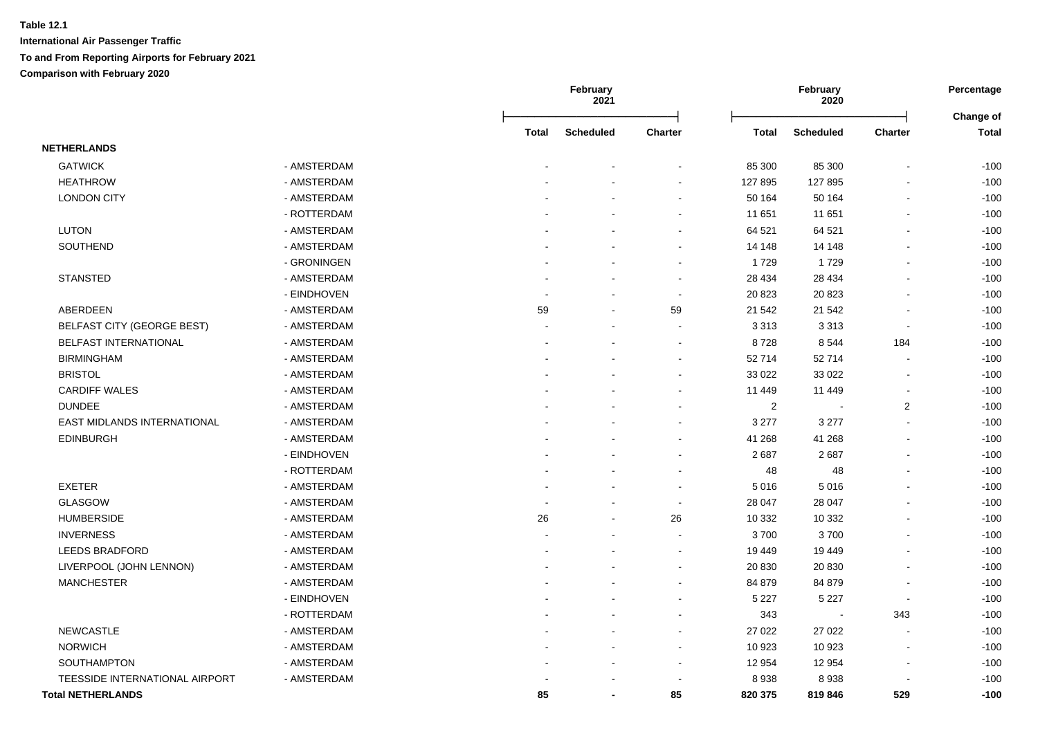|                                   |             |       | February<br>2021 |                          |                | February<br>2020 |                          | Percentage                |  |
|-----------------------------------|-------------|-------|------------------|--------------------------|----------------|------------------|--------------------------|---------------------------|--|
|                                   |             | Total | <b>Scheduled</b> | Charter                  | Total          | <b>Scheduled</b> | Charter                  | Change of<br><b>Total</b> |  |
| <b>NETHERLANDS</b>                |             |       |                  |                          |                |                  |                          |                           |  |
| <b>GATWICK</b>                    | - AMSTERDAM |       |                  |                          | 85 300         | 85 300           |                          | $-100$                    |  |
| <b>HEATHROW</b>                   | - AMSTERDAM |       |                  | $\blacksquare$           | 127 895        | 127 895          |                          | $-100$                    |  |
| <b>LONDON CITY</b>                | - AMSTERDAM |       |                  | $\sim$                   | 50 164         | 50 164           | $\overline{\phantom{a}}$ | $-100$                    |  |
|                                   | - ROTTERDAM |       |                  | $\blacksquare$           | 11 651         | 11 651           | $\blacksquare$           | $-100$                    |  |
| LUTON                             | - AMSTERDAM |       |                  | $\blacksquare$           | 64 521         | 64 521           | $\overline{\phantom{a}}$ | $-100$                    |  |
| SOUTHEND                          | - AMSTERDAM |       |                  | ۰                        | 14 148         | 14 148           | $\blacksquare$           | $-100$                    |  |
|                                   | - GRONINGEN |       |                  |                          | 1729           | 1729             |                          | $-100$                    |  |
| <b>STANSTED</b>                   | - AMSTERDAM |       |                  | $\blacksquare$           | 28 4 34        | 28 4 34          |                          | $-100$                    |  |
|                                   | - EINDHOVEN |       |                  | $\sim$                   | 20 823         | 20 823           |                          | $-100$                    |  |
| ABERDEEN                          | - AMSTERDAM | 59    |                  | 59                       | 21 542         | 21 542           |                          | $-100$                    |  |
| <b>BELFAST CITY (GEORGE BEST)</b> | - AMSTERDAM |       |                  |                          | 3 3 1 3        | 3313             | ÷,                       | $-100$                    |  |
| BELFAST INTERNATIONAL             | - AMSTERDAM |       |                  |                          | 8728           | 8544             | 184                      | $-100$                    |  |
| <b>BIRMINGHAM</b>                 | - AMSTERDAM |       |                  |                          | 52 714         | 52714            | $\overline{\phantom{a}}$ | $-100$                    |  |
| <b>BRISTOL</b>                    | - AMSTERDAM |       |                  |                          | 33 0 22        | 33 0 22          | $\overline{\phantom{a}}$ | $-100$                    |  |
| <b>CARDIFF WALES</b>              | - AMSTERDAM |       |                  |                          | 11 449         | 11 449           | $\sim$                   | $-100$                    |  |
| <b>DUNDEE</b>                     | - AMSTERDAM |       |                  | $\blacksquare$           | $\overline{2}$ | $\blacksquare$   | $\overline{2}$           | $-100$                    |  |
| EAST MIDLANDS INTERNATIONAL       | - AMSTERDAM |       |                  |                          | 3 2 7 7        | 3 2 7 7          | $\blacksquare$           | $-100$                    |  |
| <b>EDINBURGH</b>                  | - AMSTERDAM |       |                  | ۰                        | 41 268         | 41 268           | $\overline{\phantom{a}}$ | $-100$                    |  |
|                                   | - EINDHOVEN |       |                  | $\sim$                   | 2687           | 2687             | $\sim$                   | $-100$                    |  |
|                                   | - ROTTERDAM |       |                  | ÷.                       | 48             | 48               |                          | $-100$                    |  |
| <b>EXETER</b>                     | - AMSTERDAM |       |                  | $\overline{\phantom{a}}$ | 5 0 1 6        | 5016             |                          | $-100$                    |  |
| <b>GLASGOW</b>                    | - AMSTERDAM |       |                  | $\blacksquare$           | 28 047         | 28 047           |                          | $-100$                    |  |
| <b>HUMBERSIDE</b>                 | - AMSTERDAM | 26    |                  | 26                       | 10 332         | 10 332           |                          | $-100$                    |  |
| <b>INVERNESS</b>                  | - AMSTERDAM |       |                  | $\overline{a}$           | 3700           | 3700             | $\overline{\phantom{a}}$ | $-100$                    |  |
| <b>LEEDS BRADFORD</b>             | - AMSTERDAM |       |                  | $\blacksquare$           | 19 449         | 19 449           | $\overline{\phantom{a}}$ | $-100$                    |  |
| LIVERPOOL (JOHN LENNON)           | - AMSTERDAM |       |                  | $\sim$                   | 20 830         | 20 830           | $\sim$                   | $-100$                    |  |
| <b>MANCHESTER</b>                 | - AMSTERDAM |       |                  |                          | 84 879         | 84 879           |                          | $-100$                    |  |
|                                   | - EINDHOVEN |       |                  | $\blacksquare$           | 5 2 2 7        | 5 2 2 7          | $\overline{\phantom{a}}$ | $-100$                    |  |
|                                   | - ROTTERDAM |       |                  |                          | 343            |                  | 343                      | $-100$                    |  |
| <b>NEWCASTLE</b>                  | - AMSTERDAM |       |                  |                          | 27 0 22        | 27 0 22          |                          | $-100$                    |  |
| <b>NORWICH</b>                    | - AMSTERDAM |       |                  |                          | 10 923         | 10 923           |                          | $-100$                    |  |
| SOUTHAMPTON                       | - AMSTERDAM |       |                  | ä,                       | 12 9 54        | 12 9 54          |                          | $-100$                    |  |
| TEESSIDE INTERNATIONAL AIRPORT    | - AMSTERDAM |       |                  |                          | 8938           | 8938             |                          | $-100$                    |  |
| <b>Total NETHERLANDS</b>          |             | 85    |                  | 85                       | 820 375        | 819 846          | 529                      | $-100$                    |  |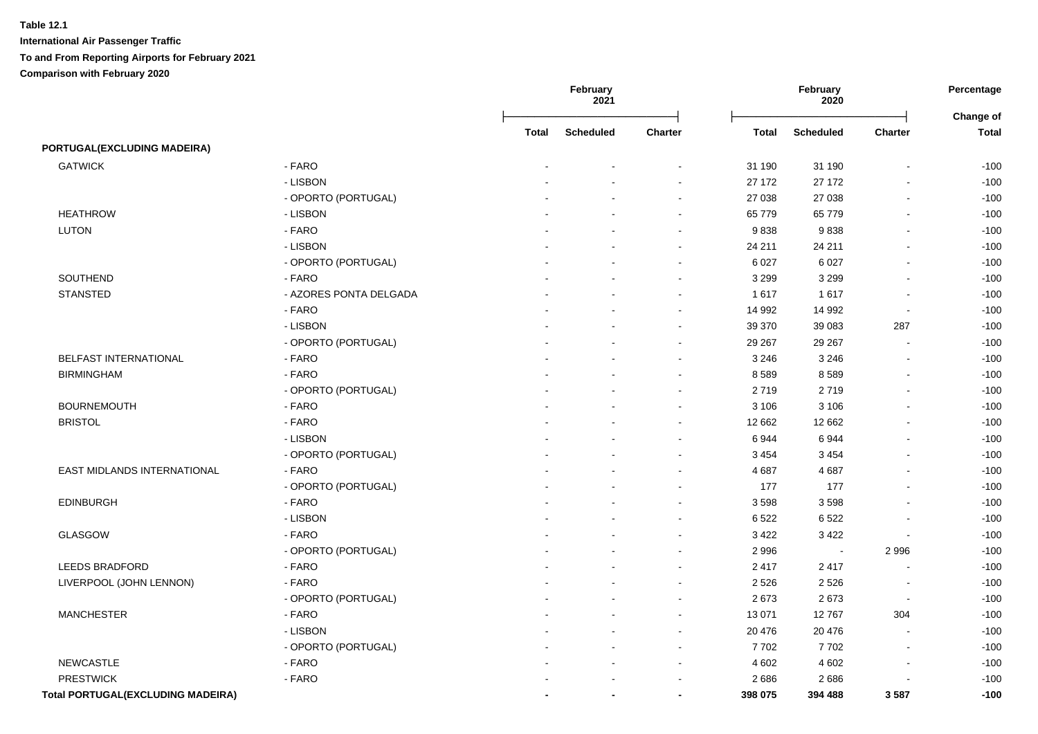|                                          |                        |       | February<br>2021 |                          |         | February<br>2020 |                | Percentage<br>Change of |  |
|------------------------------------------|------------------------|-------|------------------|--------------------------|---------|------------------|----------------|-------------------------|--|
|                                          |                        | Total | <b>Scheduled</b> | Charter                  | Total   | <b>Scheduled</b> | Charter        | <b>Total</b>            |  |
| PORTUGAL(EXCLUDING MADEIRA)              |                        |       |                  |                          |         |                  |                |                         |  |
| <b>GATWICK</b>                           | - FARO                 |       |                  |                          | 31 190  | 31 190           | $\overline{a}$ | $-100$                  |  |
|                                          | - LISBON               |       |                  |                          | 27 172  | 27 172           | L.             | $-100$                  |  |
|                                          | - OPORTO (PORTUGAL)    |       |                  | $\blacksquare$           | 27 038  | 27 038           | ä,             | $-100$                  |  |
| <b>HEATHROW</b>                          | - LISBON               |       |                  | $\sim$                   | 65 779  | 65 779           | $\blacksquare$ | $-100$                  |  |
| <b>LUTON</b>                             | - FARO                 |       |                  | $\sim$                   | 9838    | 9838             | $\sim$         | $-100$                  |  |
|                                          | - LISBON               |       |                  | $\sim$                   | 24 211  | 24 211           | $\sim$         | $-100$                  |  |
|                                          | - OPORTO (PORTUGAL)    |       |                  | $\overline{\phantom{a}}$ | 6 0 27  | 6 0 27           | $\blacksquare$ | $-100$                  |  |
| SOUTHEND                                 | - FARO                 |       |                  | $\sim$                   | 3 2 9 9 | 3 2 9 9          | $\blacksquare$ | $-100$                  |  |
| <b>STANSTED</b>                          | - AZORES PONTA DELGADA |       |                  | $\sim$                   | 1617    | 1617             | $\sim$         | $-100$                  |  |
|                                          | - FARO                 |       |                  | $\sim$                   | 14 992  | 14 992           | $\sim$         | $-100$                  |  |
|                                          | - LISBON               |       |                  | $\blacksquare$           | 39 370  | 39 083           | 287            | $-100$                  |  |
|                                          | - OPORTO (PORTUGAL)    |       |                  |                          | 29 267  | 29 267           | $\blacksquare$ | $-100$                  |  |
| BELFAST INTERNATIONAL                    | - FARO                 |       |                  | $\sim$                   | 3 2 4 6 | 3 2 4 6          | $\sim$         | $-100$                  |  |
| <b>BIRMINGHAM</b>                        | - FARO                 |       |                  |                          | 8589    | 8589             | $\sim$         | $-100$                  |  |
|                                          | - OPORTO (PORTUGAL)    |       |                  |                          | 2719    | 2719             |                | $-100$                  |  |
| <b>BOURNEMOUTH</b>                       | - FARO                 |       |                  | $\sim$                   | 3 1 0 6 | 3 1 0 6          | $\blacksquare$ | $-100$                  |  |
| <b>BRISTOL</b>                           | - FARO                 |       |                  | $\sim$                   | 12 662  | 12 662           | $\blacksquare$ | $-100$                  |  |
|                                          | - LISBON               |       |                  | $\sim$                   | 6944    | 6944             | $\blacksquare$ | $-100$                  |  |
|                                          | - OPORTO (PORTUGAL)    |       |                  | $\sim$                   | 3 4 5 4 | 3 4 5 4          | $\blacksquare$ | $-100$                  |  |
| <b>EAST MIDLANDS INTERNATIONAL</b>       | - FARO                 |       |                  | $\sim$                   | 4 6 8 7 | 4687             | $\overline{a}$ | $-100$                  |  |
|                                          | - OPORTO (PORTUGAL)    |       |                  | $\sim$                   | 177     | 177              | $\overline{a}$ | $-100$                  |  |
| <b>EDINBURGH</b>                         | - FARO                 |       |                  | $\sim$                   | 3 5 9 8 | 3598             | $\blacksquare$ | $-100$                  |  |
|                                          | - LISBON               |       |                  | $\sim$                   | 6522    | 6522             |                | $-100$                  |  |
| GLASGOW                                  | - FARO                 |       |                  | $\sim$                   | 3 4 2 2 | 3 4 2 2          |                | $-100$                  |  |
|                                          | - OPORTO (PORTUGAL)    |       |                  | $\sim$                   | 2 9 9 6 |                  | 2 9 9 6        | $-100$                  |  |
| <b>LEEDS BRADFORD</b>                    | - FARO                 |       |                  | $\sim$                   | 2 4 1 7 | 2417             | $\sim$         | $-100$                  |  |
| LIVERPOOL (JOHN LENNON)                  | - FARO                 |       |                  | $\sim$                   | 2 5 2 6 | 2 5 2 6          | $\sim$         | $-100$                  |  |
|                                          | - OPORTO (PORTUGAL)    |       |                  | $\sim$                   | 2673    | 2673             | $\blacksquare$ | $-100$                  |  |
| <b>MANCHESTER</b>                        | - FARO                 |       |                  | $\sim$                   | 13 071  | 12767            | 304            | $-100$                  |  |
|                                          | - LISBON               |       |                  | $\sim$                   | 20 476  | 20 476           |                | $-100$                  |  |
|                                          | - OPORTO (PORTUGAL)    |       |                  |                          | 7702    | 7702             |                | $-100$                  |  |
| <b>NEWCASTLE</b>                         | - FARO                 |       |                  |                          | 4 6 0 2 | 4 6 0 2          |                | $-100$                  |  |
| <b>PRESTWICK</b>                         | - FARO                 |       |                  |                          | 2686    | 2686             |                | $-100$                  |  |
| <b>Total PORTUGAL(EXCLUDING MADEIRA)</b> |                        |       | $\blacksquare$   | $\blacksquare$           | 398 075 | 394 488          | 3587           | $-100$                  |  |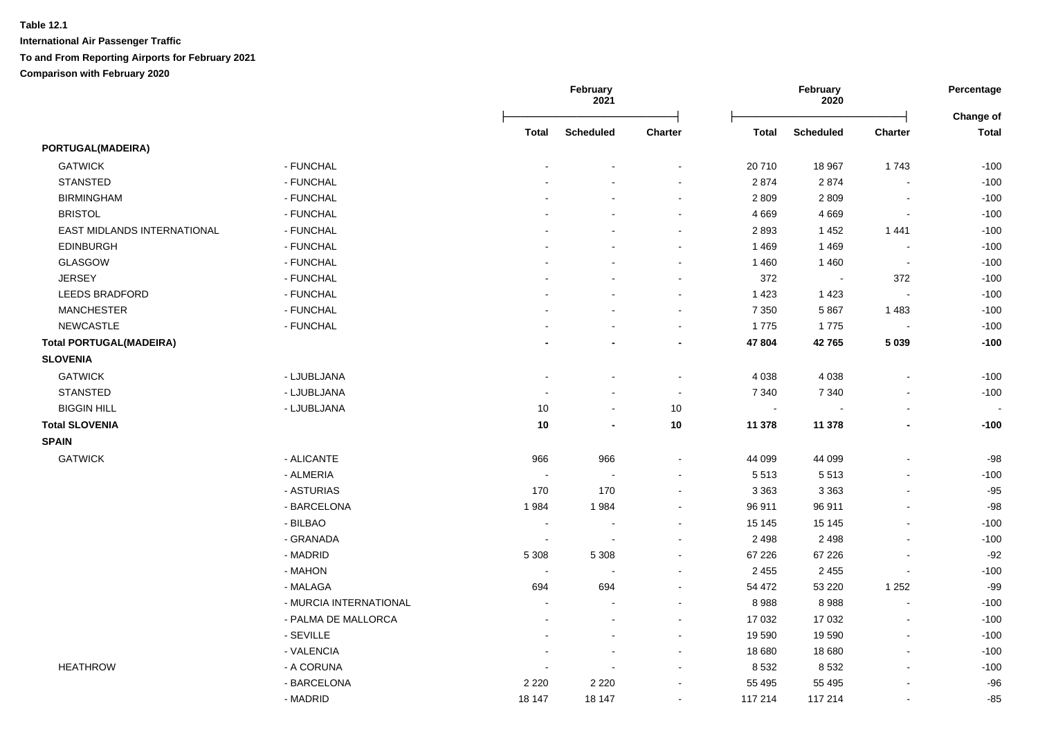|                                |                        | February<br>2021<br>February<br>2020 |                  | Percentage<br>Change of  |              |                  |                          |              |
|--------------------------------|------------------------|--------------------------------------|------------------|--------------------------|--------------|------------------|--------------------------|--------------|
|                                |                        | <b>Total</b>                         | <b>Scheduled</b> | <b>Charter</b>           | <b>Total</b> | <b>Scheduled</b> | <b>Charter</b>           | <b>Total</b> |
| <b>PORTUGAL(MADEIRA)</b>       |                        |                                      |                  |                          |              |                  |                          |              |
| <b>GATWICK</b>                 | - FUNCHAL              |                                      |                  | $\blacksquare$           | 20710        | 18 967           | 1743                     | $-100$       |
| <b>STANSTED</b>                | - FUNCHAL              |                                      |                  | $\overline{\phantom{0}}$ | 2874         | 2874             |                          | $-100$       |
| <b>BIRMINGHAM</b>              | - FUNCHAL              |                                      | ÷                | $\overline{a}$           | 2 8 0 9      | 2809             | $\overline{\phantom{a}}$ | $-100$       |
| <b>BRISTOL</b>                 | - FUNCHAL              |                                      |                  | $\sim$                   | 4 6 6 9      | 4 6 6 9          | $\sim$                   | $-100$       |
| EAST MIDLANDS INTERNATIONAL    | - FUNCHAL              |                                      |                  | ä,                       | 2893         | 1452             | 1441                     | $-100$       |
| <b>EDINBURGH</b>               | - FUNCHAL              |                                      | ÷                | $\blacksquare$           | 1469         | 1469             |                          | $-100$       |
| GLASGOW                        | - FUNCHAL              |                                      |                  | $\blacksquare$           | 1 4 6 0      | 1460             | $\sim$                   | $-100$       |
| <b>JERSEY</b>                  | - FUNCHAL              |                                      |                  | ÷,                       | 372          | $\sim$           | 372                      | $-100$       |
| <b>LEEDS BRADFORD</b>          | - FUNCHAL              |                                      |                  | $\sim$                   | 1 4 2 3      | 1 4 2 3          | $\overline{\phantom{a}}$ | $-100$       |
| <b>MANCHESTER</b>              | - FUNCHAL              |                                      |                  | $\overline{a}$           | 7 3 5 0      | 5867             | 1 4 8 3                  | $-100$       |
| <b>NEWCASTLE</b>               | - FUNCHAL              |                                      |                  | $\mathbf{r}$             | 1775         | 1775             | $\sim$                   | $-100$       |
| <b>Total PORTUGAL(MADEIRA)</b> |                        |                                      | $\blacksquare$   | $\overline{a}$           | 47 804       | 42765            | 5 0 3 9                  | $-100$       |
| <b>SLOVENIA</b>                |                        |                                      |                  |                          |              |                  |                          |              |
| <b>GATWICK</b>                 | - LJUBLJANA            | $\blacksquare$                       | $\blacksquare$   | $\blacksquare$           | 4 0 38       | 4 0 38           | $\sim$                   | $-100$       |
| <b>STANSTED</b>                | - LJUBLJANA            |                                      | $\blacksquare$   | $\mathbf{r}$             | 7 3 4 0      | 7 3 4 0          | $\sim$                   | $-100$       |
| <b>BIGGIN HILL</b>             | - LJUBLJANA            | 10                                   | $\blacksquare$   | 10                       | $\sim$       |                  | $\sim$                   | $\sim$       |
| <b>Total SLOVENIA</b>          |                        | 10                                   | $\blacksquare$   | 10                       | 11 378       | 11 378           | $\blacksquare$           | $-100$       |
| <b>SPAIN</b>                   |                        |                                      |                  |                          |              |                  |                          |              |
| <b>GATWICK</b>                 | - ALICANTE             | 966                                  | 966              | $\blacksquare$           | 44 099       | 44 099           |                          | -98          |
|                                | - ALMERIA              | $\sim$                               | $\blacksquare$   | $\sim$                   | 5513         | 5513             | $\sim$                   | $-100$       |
|                                | - ASTURIAS             | 170                                  | 170              | ä,                       | 3 3 6 3      | 3 3 6 3          |                          | $-95$        |
|                                | - BARCELONA            | 1984                                 | 1984             | ÷,                       | 96 911       | 96 911           |                          | $-98$        |
|                                | - BILBAO               | $\blacksquare$                       | $\blacksquare$   | $\blacksquare$           | 15 145       | 15 145           | $\blacksquare$           | $-100$       |
|                                | - GRANADA              | $\blacksquare$                       | $\blacksquare$   | $\blacksquare$           | 2 4 9 8      | 2 4 9 8          | $\sim$                   | $-100$       |
|                                | - MADRID               | 5 3 0 8                              | 5 3 0 8          | ÷,                       | 67 226       | 67 226           |                          | $-92$        |
|                                | - MAHON                | $\blacksquare$                       | $\blacksquare$   | $\blacksquare$           | 2 4 5 5      | 2 4 5 5          |                          | $-100$       |
|                                | - MALAGA               | 694                                  | 694              | ä,                       | 54 472       | 53 220           | 1 2 5 2                  | $-99$        |
|                                | - MURCIA INTERNATIONAL | $\overline{a}$                       |                  | ä,                       | 8988         | 8988             |                          | $-100$       |
|                                | - PALMA DE MALLORCA    | ä,                                   | $\sim$           | ä,                       | 17 032       | 17 032           | $\sim$                   | $-100$       |
|                                | - SEVILLE              |                                      | $\sim$           | $\sim$                   | 19 590       | 19 590           | $\sim$                   | $-100$       |
|                                | - VALENCIA             | ä,                                   | $\blacksquare$   | $\blacksquare$           | 18 680       | 18 680           | $\sim$                   | $-100$       |
| <b>HEATHROW</b>                | - A CORUNA             |                                      | ÷,               | ä,                       | 8 5 3 2      | 8 5 3 2          | $\sim$                   | $-100$       |
|                                | - BARCELONA            | 2 2 2 0                              | 2 2 2 0          | $\blacksquare$           | 55 4 95      | 55 4 95          |                          | $-96$        |
|                                | - MADRID               | 18 147                               | 18 147           | $\blacksquare$           | 117 214      | 117 214          | $\blacksquare$           | -85          |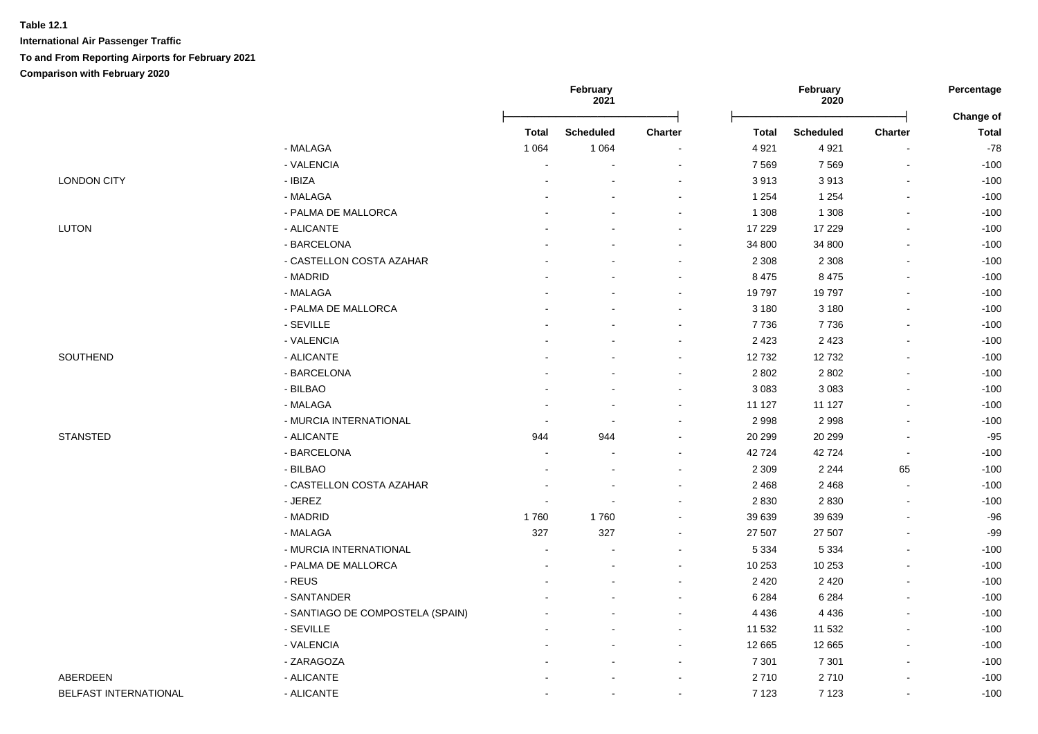|                       |                                  | February<br>2021<br>2020 |                  | February                 |              | Percentage       |                          |                           |
|-----------------------|----------------------------------|--------------------------|------------------|--------------------------|--------------|------------------|--------------------------|---------------------------|
|                       |                                  | <b>Total</b>             | <b>Scheduled</b> | <b>Charter</b>           | <b>Total</b> | <b>Scheduled</b> | <b>Charter</b>           | Change of<br><b>Total</b> |
|                       | - MALAGA                         | 1 0 6 4                  | 1 0 6 4          | $\blacksquare$           | 4 9 21       | 4921             |                          | $-78$                     |
|                       | - VALENCIA                       |                          | $\blacksquare$   | $\sim$                   | 7 5 6 9      | 7569             | $\overline{\phantom{a}}$ | $-100$                    |
| <b>LONDON CITY</b>    | - IBIZA                          |                          |                  | $\blacksquare$           | 3913         | 3913             |                          | $-100$                    |
|                       | - MALAGA                         |                          |                  | $\blacksquare$           | 1 2 5 4      | 1 2 5 4          |                          | $-100$                    |
|                       | - PALMA DE MALLORCA              |                          |                  | $\blacksquare$           | 1 3 0 8      | 1 3 0 8          |                          | $-100$                    |
| <b>LUTON</b>          | - ALICANTE                       |                          |                  | $\sim$                   | 17 229       | 17 229           |                          | $-100$                    |
|                       | - BARCELONA                      |                          |                  | $\blacksquare$           | 34 800       | 34 800           |                          | $-100$                    |
|                       | - CASTELLON COSTA AZAHAR         |                          |                  | $\blacksquare$           | 2 3 0 8      | 2 3 0 8          |                          | $-100$                    |
|                       | - MADRID                         |                          |                  | $\blacksquare$           | 8 4 7 5      | 8 4 7 5          |                          | $-100$                    |
|                       | - MALAGA                         |                          |                  | $\blacksquare$           | 19797        | 19797            |                          | $-100$                    |
|                       | - PALMA DE MALLORCA              |                          |                  | $\blacksquare$           | 3 1 8 0      | 3 1 8 0          |                          | $-100$                    |
|                       | - SEVILLE                        |                          |                  | $\overline{a}$           | 7736         | 7736             |                          | $-100$                    |
|                       | - VALENCIA                       |                          |                  |                          | 2 4 2 3      | 2 4 2 3          |                          | $-100$                    |
| SOUTHEND              | - ALICANTE                       |                          |                  | ÷                        | 12732        | 12732            |                          | $-100$                    |
|                       | - BARCELONA                      |                          |                  | ÷                        | 2 8 0 2      | 2 8 0 2          |                          | $-100$                    |
|                       | - BILBAO                         |                          |                  | $\overline{a}$           | 3 0 8 3      | 3 0 8 3          |                          | $-100$                    |
|                       | - MALAGA                         |                          |                  | $\overline{a}$           | 11 127       | 11 127           |                          | $-100$                    |
|                       | - MURCIA INTERNATIONAL           |                          | $\blacksquare$   | $\blacksquare$           | 2 9 9 8      | 2998             |                          | $-100$                    |
| <b>STANSTED</b>       | - ALICANTE                       | 944                      | 944              | $\overline{a}$           | 20 29 9      | 20 29 9          |                          | $-95$                     |
|                       | - BARCELONA                      |                          | $\blacksquare$   | $\blacksquare$           | 42724        | 42724            | $\blacksquare$           | $-100$                    |
|                       | - BILBAO                         |                          |                  | $\sim$                   | 2 3 0 9      | 2 2 4 4          | 65                       | $-100$                    |
|                       | - CASTELLON COSTA AZAHAR         |                          |                  | $\blacksquare$           | 2 4 6 8      | 2 4 6 8          | $\blacksquare$           | $-100$                    |
|                       | - JEREZ                          |                          | $\overline{a}$   | ÷                        | 2 8 3 0      | 2830             |                          | $-100$                    |
|                       | - MADRID                         | 1760                     | 1760             | $\blacksquare$           | 39 639       | 39 639           |                          | $-96$                     |
|                       | - MALAGA                         | 327                      | 327              | $\blacksquare$           | 27 507       | 27 507           |                          | $-99$                     |
|                       | - MURCIA INTERNATIONAL           |                          | $\blacksquare$   | $\blacksquare$           | 5 3 3 4      | 5 3 3 4          | $\blacksquare$           | $-100$                    |
|                       | - PALMA DE MALLORCA              |                          |                  |                          | 10 253       | 10 253           |                          | $-100$                    |
|                       | - REUS                           |                          |                  | $\blacksquare$           | 2 4 2 0      | 2 4 2 0          |                          | $-100$                    |
|                       | - SANTANDER                      |                          |                  | $\blacksquare$           | 6 2 8 4      | 6 2 8 4          |                          | $-100$                    |
|                       | - SANTIAGO DE COMPOSTELA (SPAIN) |                          |                  | $\blacksquare$           | 4 4 3 6      | 4 4 3 6          |                          | $-100$                    |
|                       | - SEVILLE                        |                          |                  |                          | 11 532       | 11 532           |                          | $-100$                    |
|                       | - VALENCIA                       |                          |                  | $\overline{a}$           | 12 665       | 12 665           |                          | $-100$                    |
|                       | - ZARAGOZA                       |                          |                  | ÷                        | 7 3 0 1      | 7 3 0 1          | $\sim$                   | $-100$                    |
| ABERDEEN              | - ALICANTE                       |                          |                  | $\overline{\phantom{a}}$ | 2710         | 2710             |                          | $-100$                    |
| BELFAST INTERNATIONAL | - ALICANTE                       |                          | ÷                | ÷                        | 7 1 2 3      | 7 1 2 3          | $\sim$                   | $-100$                    |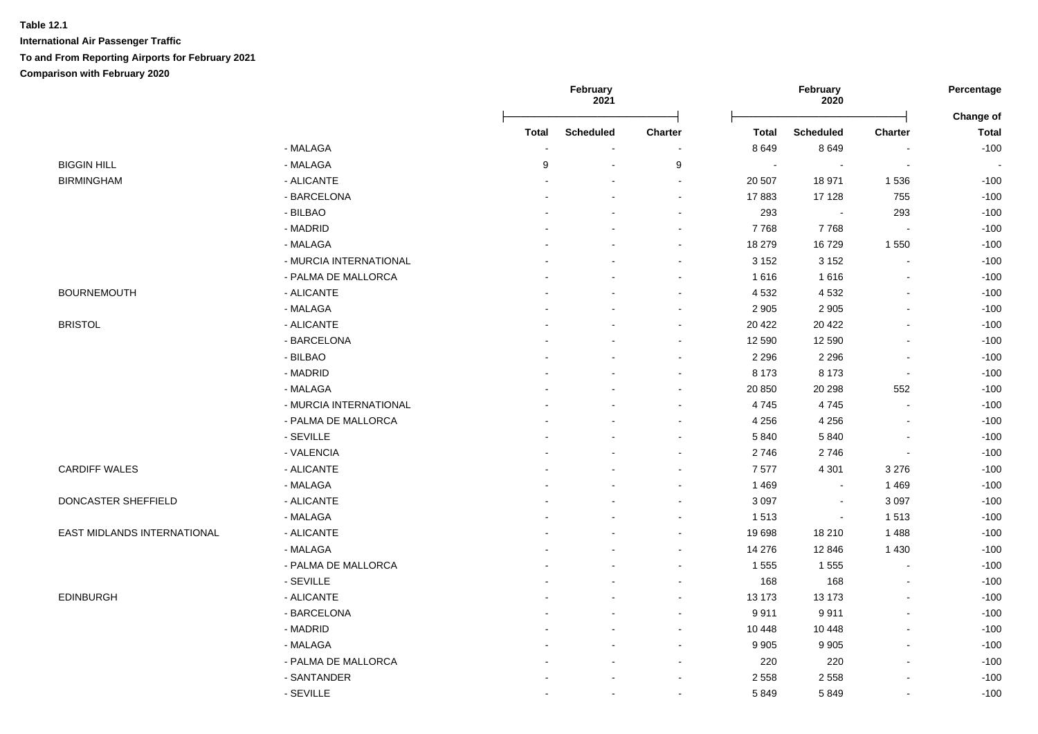|                             |                        |              | February<br>2021 |                |                          | February<br>2020         |                | Percentage<br>Change of |  |
|-----------------------------|------------------------|--------------|------------------|----------------|--------------------------|--------------------------|----------------|-------------------------|--|
|                             |                        | <b>Total</b> | <b>Scheduled</b> | <b>Charter</b> | <b>Total</b>             | <b>Scheduled</b>         | <b>Charter</b> | <b>Total</b>            |  |
|                             | - MALAGA               | ÷,           |                  |                | 8 6 4 9                  | 8649                     | $\blacksquare$ | $-100$                  |  |
| <b>BIGGIN HILL</b>          | - MALAGA               | 9            | $\sim$           | 9              | $\overline{\phantom{a}}$ | $\overline{\phantom{a}}$ | $\blacksquare$ | $\sim$                  |  |
| <b>BIRMINGHAM</b>           | - ALICANTE             |              |                  | $\sim$         | 20 507                   | 18 971                   | 1536           | $-100$                  |  |
|                             | - BARCELONA            |              |                  | $\sim$         | 17883                    | 17 128                   | 755            | $-100$                  |  |
|                             | - BILBAO               |              |                  |                | 293                      |                          | 293            | $-100$                  |  |
|                             | - MADRID               |              |                  |                | 7768                     | 7768                     |                | $-100$                  |  |
|                             | - MALAGA               |              |                  |                | 18 279                   | 16729                    | 1 5 5 0        | $-100$                  |  |
|                             | - MURCIA INTERNATIONAL |              |                  |                | 3 1 5 2                  | 3 1 5 2                  | $\blacksquare$ | $-100$                  |  |
|                             | - PALMA DE MALLORCA    |              |                  |                | 1 6 1 6                  | 1616                     | $\sim$         | $-100$                  |  |
| <b>BOURNEMOUTH</b>          | - ALICANTE             |              |                  |                | 4 5 3 2                  | 4 5 3 2                  | $\sim$         | $-100$                  |  |
|                             | - MALAGA               |              |                  |                | 2 9 0 5                  | 2 9 0 5                  | $\blacksquare$ | $-100$                  |  |
| <b>BRISTOL</b>              | - ALICANTE             |              |                  |                | 20 4 22                  | 20 4 22                  | $\blacksquare$ | $-100$                  |  |
|                             | - BARCELONA            |              |                  |                | 12 590                   | 12 590                   | $\sim$         | $-100$                  |  |
|                             | - BILBAO               |              |                  |                | 2 2 9 6                  | 2 2 9 6                  | $\blacksquare$ | $-100$                  |  |
|                             | - MADRID               |              |                  |                | 8 1 7 3                  | 8 1 7 3                  | $\blacksquare$ | $-100$                  |  |
|                             | - MALAGA               |              |                  |                | 20 850                   | 20 298                   | 552            | $-100$                  |  |
|                             | - MURCIA INTERNATIONAL |              |                  |                | 4745                     | 4745                     | $\blacksquare$ | $-100$                  |  |
|                             | - PALMA DE MALLORCA    |              |                  |                | 4 2 5 6                  | 4 2 5 6                  | $\blacksquare$ | $-100$                  |  |
|                             | - SEVILLE              |              |                  |                | 5840                     | 5840                     | $\blacksquare$ | $-100$                  |  |
|                             | - VALENCIA             |              |                  |                | 2746                     | 2746                     | $\blacksquare$ | $-100$                  |  |
| <b>CARDIFF WALES</b>        | - ALICANTE             |              |                  |                | 7577                     | 4 3 0 1                  | 3 2 7 6        | $-100$                  |  |
|                             | - MALAGA               |              |                  |                | 1 4 6 9                  |                          | 1469           | $-100$                  |  |
| DONCASTER SHEFFIELD         | - ALICANTE             |              |                  |                | 3 0 9 7                  | $\blacksquare$           | 3 0 9 7        | $-100$                  |  |
|                             | - MALAGA               |              |                  |                | 1513                     | $\blacksquare$           | 1513           | $-100$                  |  |
| EAST MIDLANDS INTERNATIONAL | - ALICANTE             |              |                  |                | 19 698                   | 18 210                   | 1 4 8 8        | $-100$                  |  |
|                             | - MALAGA               |              |                  |                | 14 276                   | 12 846                   | 1 4 3 0        | $-100$                  |  |
|                             | - PALMA DE MALLORCA    |              |                  |                | 1 5 5 5                  | 1555                     | $\blacksquare$ | $-100$                  |  |
|                             | - SEVILLE              |              |                  |                | 168                      | 168                      | $\blacksquare$ | $-100$                  |  |
| <b>EDINBURGH</b>            | - ALICANTE             |              |                  |                | 13 173                   | 13 173                   | $\blacksquare$ | $-100$                  |  |
|                             | - BARCELONA            |              |                  | $\sim$         | 9911                     | 9911                     | $\blacksquare$ | $-100$                  |  |
|                             | - MADRID               |              |                  |                | 10 448                   | 10 448                   | $\sim$         | $-100$                  |  |
|                             | - MALAGA               |              |                  |                | 9 9 0 5                  | 9 9 0 5                  | $\blacksquare$ | $-100$                  |  |
|                             | - PALMA DE MALLORCA    |              |                  |                | 220                      | 220                      | $\blacksquare$ | $-100$                  |  |
|                             | - SANTANDER            |              |                  |                | 2 5 5 8                  | 2 5 5 8                  | $\sim$         | $-100$                  |  |
|                             | - SEVILLE              |              |                  |                | 5849                     |                          |                | $-100$                  |  |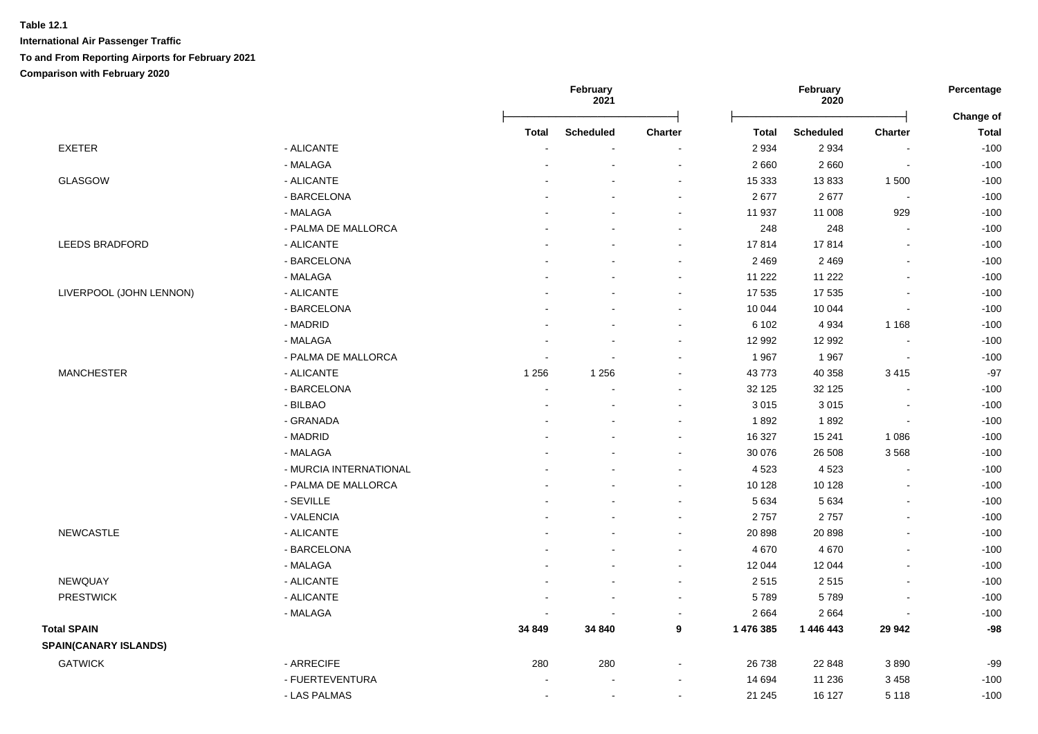|                              |                        |                | February<br>2021 |                |              | February<br>2020 |                          | Percentage<br>Change of |  |
|------------------------------|------------------------|----------------|------------------|----------------|--------------|------------------|--------------------------|-------------------------|--|
|                              |                        | <b>Total</b>   | <b>Scheduled</b> | <b>Charter</b> | <b>Total</b> | <b>Scheduled</b> | <b>Charter</b>           | <b>Total</b>            |  |
| <b>EXETER</b>                | - ALICANTE             |                | $\sim$           |                | 2 9 3 4      | 2934             | $\blacksquare$           | $-100$                  |  |
|                              | - MALAGA               |                |                  |                | 2 6 6 0      | 2660             | $\blacksquare$           | $-100$                  |  |
| GLASGOW                      | - ALICANTE             |                |                  |                | 15 3 33      | 13833            | 1 500                    | $-100$                  |  |
|                              | - BARCELONA            |                |                  | $\sim$         | 2677         | 2677             | $\overline{\phantom{a}}$ | $-100$                  |  |
|                              | - MALAGA               |                |                  | $\sim$         | 11 937       | 11 008           | 929                      | $-100$                  |  |
|                              | - PALMA DE MALLORCA    |                |                  | $\sim$         | 248          | 248              | $\overline{a}$           | $-100$                  |  |
| LEEDS BRADFORD               | - ALICANTE             |                |                  |                | 17814        | 17814            | $\overline{a}$           | $-100$                  |  |
|                              | - BARCELONA            |                |                  |                | 2 4 6 9      | 2 4 6 9          |                          | $-100$                  |  |
|                              | - MALAGA               |                |                  |                | 11 222       | 11 222           | $\overline{a}$           | $-100$                  |  |
| LIVERPOOL (JOHN LENNON)      | - ALICANTE             |                |                  |                | 17 535       | 17 535           |                          | $-100$                  |  |
|                              | - BARCELONA            |                |                  |                | 10 044       | 10 044           |                          | $-100$                  |  |
|                              | - MADRID               |                |                  |                | 6 10 2       | 4 9 3 4          | 1 1 6 8                  | $-100$                  |  |
|                              | - MALAGA               |                |                  | $\sim$         | 12 992       | 12 992           | $\overline{a}$           | $-100$                  |  |
|                              | - PALMA DE MALLORCA    |                |                  |                | 1967         | 1967             | ÷,                       | $-100$                  |  |
| <b>MANCHESTER</b>            | - ALICANTE             | 1 2 5 6        | 1 2 5 6          |                | 43773        | 40 358           | 3 4 1 5                  | $-97$                   |  |
|                              | - BARCELONA            | $\sim$         |                  |                | 32 125       | 32 1 25          |                          | $-100$                  |  |
|                              | - BILBAO               | $\blacksquare$ |                  |                | 3 0 1 5      | 3015             | $\blacksquare$           | $-100$                  |  |
|                              | - GRANADA              |                |                  |                | 1892         | 1892             | $\sim$                   | $-100$                  |  |
|                              | - MADRID               |                |                  | $\sim$         | 16 327       | 15 241           | 1 0 8 6                  | $-100$                  |  |
|                              | - MALAGA               |                |                  |                | 30 076       | 26 508           | 3568                     | $-100$                  |  |
|                              | - MURCIA INTERNATIONAL |                |                  |                | 4 5 23       | 4523             | $\overline{a}$           | $-100$                  |  |
|                              | - PALMA DE MALLORCA    |                |                  | $\sim$         | 10 128       | 10 128           |                          | $-100$                  |  |
|                              | - SEVILLE              |                |                  | $\sim$         | 5 6 3 4      | 5 6 3 4          | L.                       | $-100$                  |  |
|                              | - VALENCIA             |                |                  | $\sim$         | 2757         | 2757             | L.                       | $-100$                  |  |
| <b>NEWCASTLE</b>             | - ALICANTE             |                |                  |                | 20 898       | 20 898           |                          | $-100$                  |  |
|                              | - BARCELONA            |                |                  |                | 4 6 7 0      | 4670             | $\overline{a}$           | $-100$                  |  |
|                              | - MALAGA               |                |                  |                | 12 044       | 12 044           | $\blacksquare$           | $-100$                  |  |
| NEWQUAY                      | - ALICANTE             |                |                  | $\sim$         | 2515         | 2515             |                          | $-100$                  |  |
| <b>PRESTWICK</b>             | - ALICANTE             |                |                  | $\sim$         | 5789         | 5789             | L,                       | $-100$                  |  |
|                              | - MALAGA               |                |                  |                | 2 6 6 4      | 2664             |                          | $-100$                  |  |
| <b>Total SPAIN</b>           |                        | 34 849         | 34 840           | 9              | 1 476 385    | 1 446 443        | 29 942                   | $-98$                   |  |
| <b>SPAIN(CANARY ISLANDS)</b> |                        |                |                  |                |              |                  |                          |                         |  |
| <b>GATWICK</b>               | - ARRECIFE             | 280            | 280              | $\sim$         | 26 738       | 22 848           | 3890                     | $-99$                   |  |
|                              | - FUERTEVENTURA        |                |                  |                | 14 694       | 11 236           | 3 4 5 8                  | $-100$                  |  |
|                              | - LAS PALMAS           | ÷              | $\sim$           |                | 21 245       | 16 127           | 5 1 1 8                  | $-100$                  |  |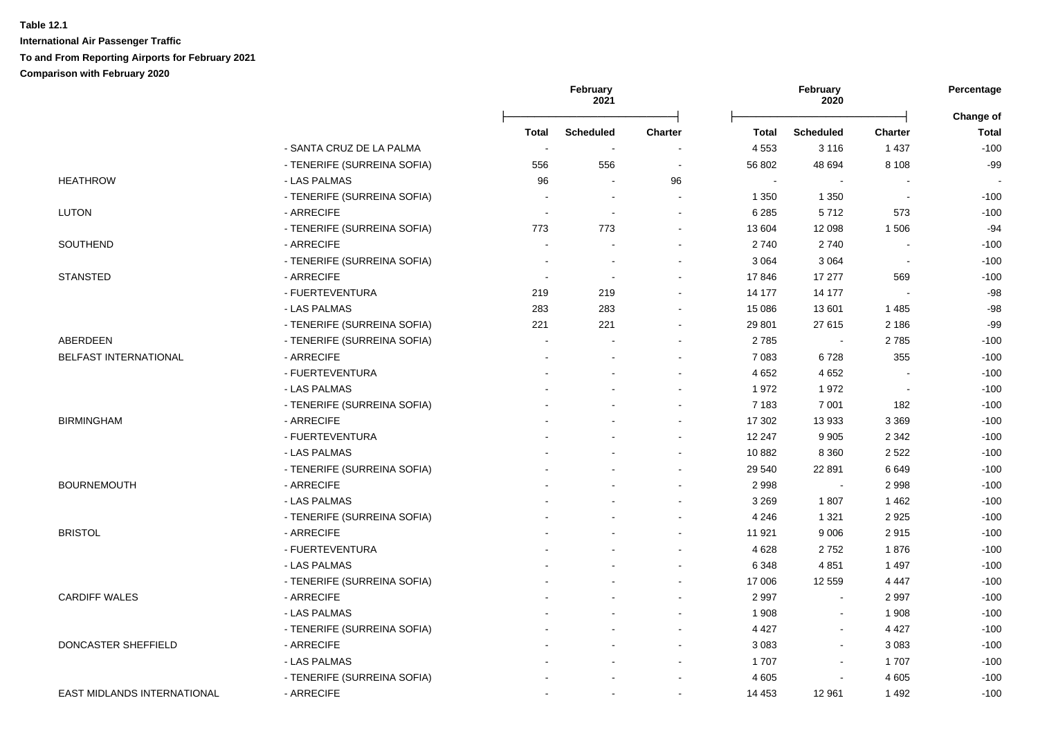|                                    |                             | February<br>2021 |                          |                | February<br>2020 |                  |                |                           |
|------------------------------------|-----------------------------|------------------|--------------------------|----------------|------------------|------------------|----------------|---------------------------|
|                                    |                             | <b>Total</b>     | <b>Scheduled</b>         | <b>Charter</b> | <b>Total</b>     | <b>Scheduled</b> | <b>Charter</b> | Change of<br><b>Total</b> |
|                                    | - SANTA CRUZ DE LA PALMA    |                  | $\sim$                   |                | 4 5 5 3          | 3 1 1 6          | 1 4 3 7        | $-100$                    |
|                                    | - TENERIFE (SURREINA SOFIA) | 556              | 556                      | $\blacksquare$ | 56 802           | 48 694           | 8 1 0 8        | $-99$                     |
| <b>HEATHROW</b>                    | - LAS PALMAS                | 96               | $\overline{\phantom{a}}$ | 96             | $\sim$           |                  |                |                           |
|                                    | - TENERIFE (SURREINA SOFIA) |                  | $\sim$                   |                | 1 3 5 0          | 1 3 5 0          |                | $-100$                    |
| <b>LUTON</b>                       | - ARRECIFE                  |                  | $\blacksquare$           |                | 6 2 8 5          | 5712             | 573            | $-100$                    |
|                                    | - TENERIFE (SURREINA SOFIA) | 773              | 773                      |                | 13 604           | 12 098           | 1506           | $-94$                     |
| SOUTHEND                           | - ARRECIFE                  |                  |                          |                | 2740             | 2740             |                | $-100$                    |
|                                    | - TENERIFE (SURREINA SOFIA) |                  |                          |                | 3 0 6 4          | 3 0 6 4          |                | $-100$                    |
| <b>STANSTED</b>                    | - ARRECIFE                  |                  |                          |                | 17846            | 17 277           | 569            | $-100$                    |
|                                    | - FUERTEVENTURA             | 219              | 219                      |                | 14 177           | 14 177           |                | $-98$                     |
|                                    | - LAS PALMAS                | 283              | 283                      |                | 15 086           | 13 601           | 1 4 8 5        | $-98$                     |
|                                    | - TENERIFE (SURREINA SOFIA) | 221              | 221                      |                | 29 801           | 27 615           | 2 186          | $-99$                     |
| ABERDEEN                           | - TENERIFE (SURREINA SOFIA) | $\sim$           |                          |                | 2785             | $\sim$           | 2785           | $-100$                    |
| <b>BELFAST INTERNATIONAL</b>       | - ARRECIFE                  |                  |                          |                | 7 0 8 3          | 6728             | 355            | $-100$                    |
|                                    | - FUERTEVENTURA             |                  |                          |                | 4 6 5 2          | 4 6 5 2          |                | $-100$                    |
|                                    | - LAS PALMAS                |                  |                          |                | 1972             | 1972             | $\sim$         | $-100$                    |
|                                    | - TENERIFE (SURREINA SOFIA) |                  |                          |                | 7 1 8 3          | 7 0 0 1          | 182            | $-100$                    |
| <b>BIRMINGHAM</b>                  | - ARRECIFE                  |                  |                          |                | 17 302           | 13 933           | 3 3 6 9        | $-100$                    |
|                                    | - FUERTEVENTURA             |                  |                          |                | 12 247           | 9 9 0 5          | 2 3 4 2        | $-100$                    |
|                                    | - LAS PALMAS                |                  |                          |                | 10 882           | 8 3 6 0          | 2522           | $-100$                    |
|                                    | - TENERIFE (SURREINA SOFIA) |                  |                          |                | 29 540           | 22 891           | 6649           | $-100$                    |
| <b>BOURNEMOUTH</b>                 | - ARRECIFE                  |                  |                          |                | 2998             |                  | 2 9 9 8        | $-100$                    |
|                                    | - LAS PALMAS                |                  |                          |                | 3 2 6 9          | 1807             | 1 4 6 2        | $-100$                    |
|                                    | - TENERIFE (SURREINA SOFIA) |                  |                          |                | 4 2 4 6          | 1 3 2 1          | 2925           | $-100$                    |
| <b>BRISTOL</b>                     | - ARRECIFE                  |                  |                          |                | 11 921           | 9 0 0 6          | 2915           | $-100$                    |
|                                    | - FUERTEVENTURA             |                  |                          |                | 4 6 28           | 2752             | 1876           | $-100$                    |
|                                    | - LAS PALMAS                |                  |                          |                | 6 3 4 8          | 4851             | 1 4 9 7        | $-100$                    |
|                                    | - TENERIFE (SURREINA SOFIA) |                  |                          |                | 17 006           | 12 5 5 9         | 4 4 4 7        | $-100$                    |
| <b>CARDIFF WALES</b>               | - ARRECIFE                  |                  |                          |                | 2 9 9 7          | $\blacksquare$   | 2997           | $-100$                    |
|                                    | - LAS PALMAS                |                  |                          |                | 1 908            | $\blacksquare$   | 1 9 0 8        | $-100$                    |
|                                    | - TENERIFE (SURREINA SOFIA) |                  |                          | $\sim$         | 4 4 2 7          | $\sim$           | 4 4 2 7        | $-100$                    |
| DONCASTER SHEFFIELD                | - ARRECIFE                  |                  |                          |                | 3 0 8 3          | $\sim$           | 3 0 8 3        | $-100$                    |
|                                    | - LAS PALMAS                |                  |                          | $\sim$         | 1707             | $\blacksquare$   | 1707           | $-100$                    |
|                                    | - TENERIFE (SURREINA SOFIA) |                  |                          |                | 4 6 0 5          | $\blacksquare$   | 4 6 0 5        | $-100$                    |
| <b>EAST MIDLANDS INTERNATIONAL</b> | - ARRECIFE                  |                  | $\blacksquare$           | $\blacksquare$ | 14 4 53          | 12 961           | 1492           | $-100$                    |
|                                    |                             |                  |                          |                |                  |                  |                |                           |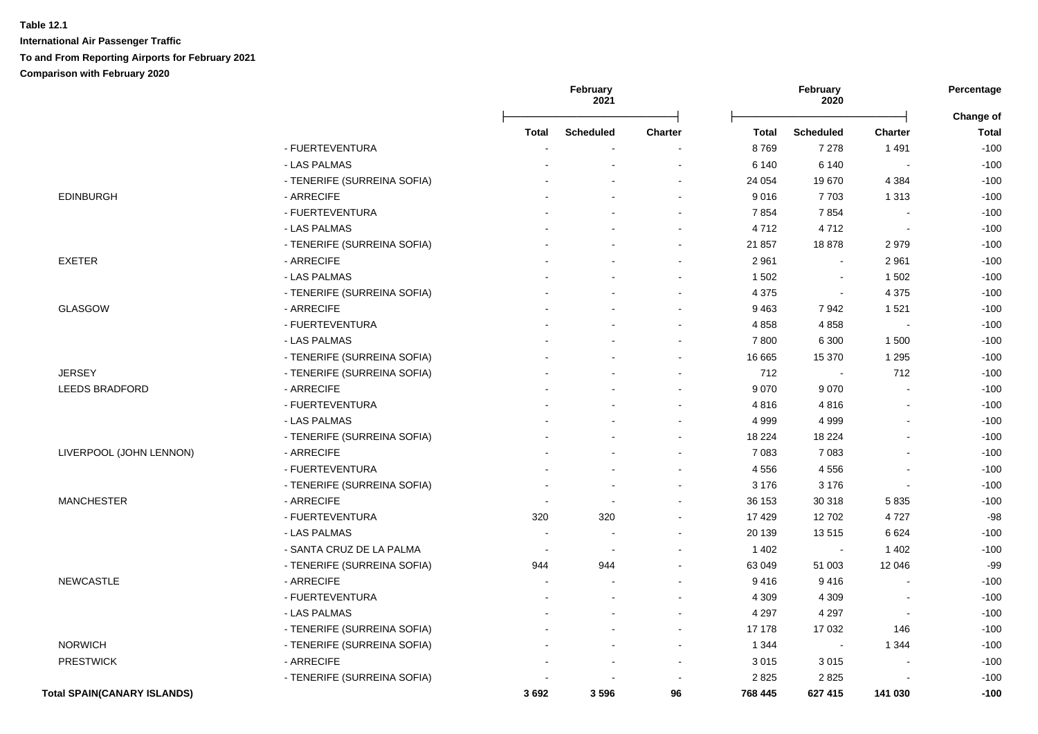|                                    |                             |                          | February<br>2021 |                |         | February<br>2020      |                | Percentage                |  |
|------------------------------------|-----------------------------|--------------------------|------------------|----------------|---------|-----------------------|----------------|---------------------------|--|
|                                    |                             | Total                    | <b>Scheduled</b> | <b>Charter</b> | Total   | <b>Scheduled</b>      | <b>Charter</b> | Change of<br><b>Total</b> |  |
|                                    | - FUERTEVENTURA             |                          |                  |                | 8769    | 7 2 7 8               | 1 4 9 1        | $-100$                    |  |
|                                    | - LAS PALMAS                |                          |                  |                | 6 140   | 6 1 4 0               |                | $-100$                    |  |
|                                    | - TENERIFE (SURREINA SOFIA) |                          |                  |                | 24 054  | 19670                 | 4 3 8 4        | $-100$                    |  |
| <b>EDINBURGH</b>                   | - ARRECIFE                  |                          |                  |                | 9016    | 7703                  | 1 3 1 3        | $-100$                    |  |
|                                    | - FUERTEVENTURA             |                          |                  |                | 7854    | 7854                  |                | $-100$                    |  |
|                                    | - LAS PALMAS                |                          |                  |                | 4712    | 4712                  |                | $-100$                    |  |
|                                    | - TENERIFE (SURREINA SOFIA) |                          |                  |                | 21 857  | 18878                 | 2979           | $-100$                    |  |
| <b>EXETER</b>                      | - ARRECIFE                  |                          |                  |                | 2 9 6 1 | $\sim$                | 2 9 6 1        | $-100$                    |  |
|                                    | - LAS PALMAS                |                          |                  |                | 1 502   | $\tilde{\phantom{a}}$ | 1 502          | $-100$                    |  |
|                                    | - TENERIFE (SURREINA SOFIA) |                          |                  |                | 4 3 7 5 | $\sim$                | 4 3 7 5        | $-100$                    |  |
| <b>GLASGOW</b>                     | - ARRECIFE                  |                          |                  |                | 9463    | 7942                  | 1 5 2 1        | $-100$                    |  |
|                                    | - FUERTEVENTURA             |                          |                  |                | 4 8 5 8 | 4858                  | ÷,             | $-100$                    |  |
|                                    | - LAS PALMAS                |                          |                  |                | 7 800   | 6 3 0 0               | 1 500          | $-100$                    |  |
|                                    | - TENERIFE (SURREINA SOFIA) |                          |                  |                | 16 665  | 15 370                | 1 2 9 5        | $-100$                    |  |
| <b>JERSEY</b>                      | - TENERIFE (SURREINA SOFIA) |                          |                  |                | 712     | $\blacksquare$        | 712            | $-100$                    |  |
| <b>LEEDS BRADFORD</b>              | - ARRECIFE                  |                          |                  |                | 9 0 7 0 | 9070                  | $\sim$         | $-100$                    |  |
|                                    | - FUERTEVENTURA             |                          |                  |                | 4816    | 4816                  |                | $-100$                    |  |
|                                    | - LAS PALMAS                |                          |                  |                | 4 9 9 9 | 4 9 9 9               |                | $-100$                    |  |
|                                    | - TENERIFE (SURREINA SOFIA) |                          |                  |                | 18 2 24 | 18 2 24               |                | $-100$                    |  |
| LIVERPOOL (JOHN LENNON)            | - ARRECIFE                  |                          |                  |                | 7 0 8 3 | 7 0 8 3               |                | $-100$                    |  |
|                                    | - FUERTEVENTURA             |                          |                  |                | 4 5 5 6 | 4556                  |                | $-100$                    |  |
|                                    | - TENERIFE (SURREINA SOFIA) |                          |                  |                | 3 1 7 6 | 3 1 7 6               | $\overline{a}$ | $-100$                    |  |
| <b>MANCHESTER</b>                  | - ARRECIFE                  |                          |                  |                | 36 153  | 30 318                | 5835           | $-100$                    |  |
|                                    | - FUERTEVENTURA             | 320                      | 320              |                | 17 4 29 | 12702                 | 4727           | $-98$                     |  |
|                                    | - LAS PALMAS                | $\overline{\phantom{a}}$ |                  |                | 20 139  | 13515                 | 6624           | $-100$                    |  |
|                                    | - SANTA CRUZ DE LA PALMA    |                          |                  |                | 1 4 0 2 |                       | 1 4 0 2        | $-100$                    |  |
|                                    | - TENERIFE (SURREINA SOFIA) | 944                      | 944              |                | 63 049  | 51 003                | 12 046         | $-99$                     |  |
| <b>NEWCASTLE</b>                   | - ARRECIFE                  |                          |                  |                | 9416    | 9416                  |                | $-100$                    |  |
|                                    | - FUERTEVENTURA             |                          |                  |                | 4 3 0 9 | 4 3 0 9               |                | $-100$                    |  |
|                                    | - LAS PALMAS                |                          |                  |                | 4 2 9 7 | 4 2 9 7               | $\blacksquare$ | $-100$                    |  |
|                                    | - TENERIFE (SURREINA SOFIA) |                          |                  |                | 17 178  | 17 032                | 146            | $-100$                    |  |
| <b>NORWICH</b>                     | - TENERIFE (SURREINA SOFIA) |                          |                  | $\sim$         | 1 3 4 4 | $\blacksquare$        | 1 3 4 4        | $-100$                    |  |
| <b>PRESTWICK</b>                   | - ARRECIFE                  |                          | $\sim$           | $\sim$         | 3015    | 3015                  | $\blacksquare$ | $-100$                    |  |
|                                    | - TENERIFE (SURREINA SOFIA) |                          |                  |                | 2825    | 2825                  |                | $-100$                    |  |
| <b>Total SPAIN(CANARY ISLANDS)</b> |                             | 3692                     | 3596             | 96             | 768 445 | 627 415               | 141 030        | $-100$                    |  |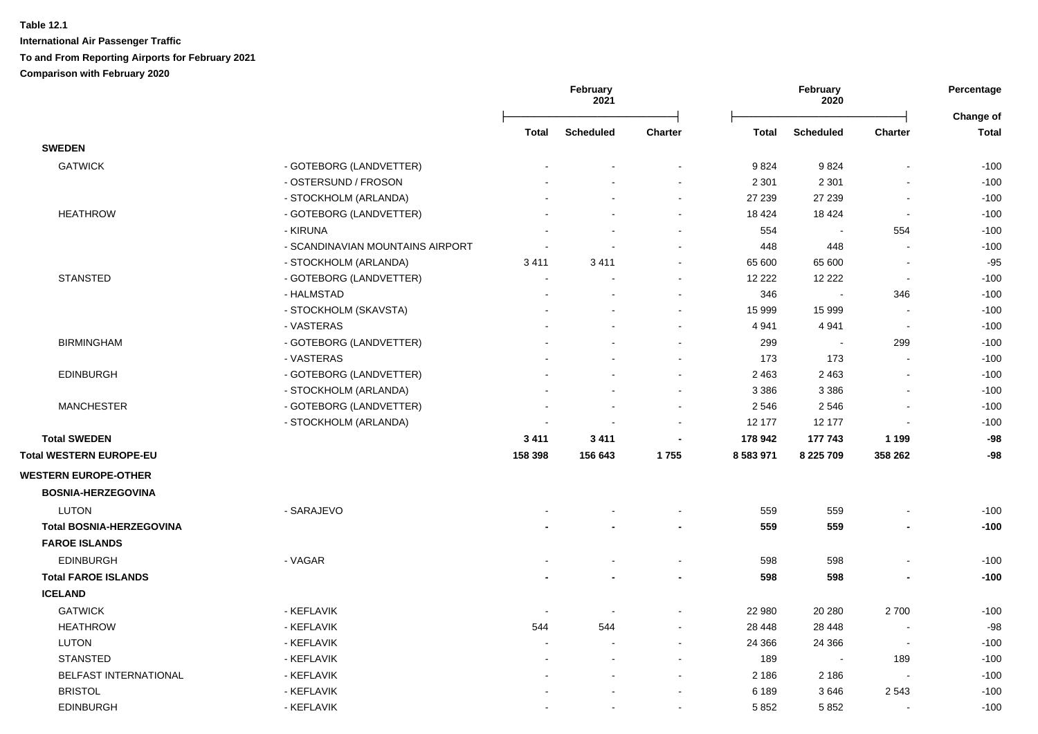|                                 |                                  | February<br>2021         |                      | February<br>2020 |               |                  | Percentage<br>Change of  |              |
|---------------------------------|----------------------------------|--------------------------|----------------------|------------------|---------------|------------------|--------------------------|--------------|
|                                 |                                  | <b>Total</b>             | <b>Scheduled</b>     | <b>Charter</b>   | <b>Total</b>  | <b>Scheduled</b> | Charter                  | <b>Total</b> |
| <b>SWEDEN</b>                   |                                  |                          |                      |                  |               |                  |                          |              |
| <b>GATWICK</b>                  | - GOTEBORG (LANDVETTER)          |                          |                      |                  | 9824          | 9824             |                          | $-100$       |
|                                 | - OSTERSUND / FROSON             |                          |                      |                  | 2 3 0 1       | 2 3 0 1          |                          | $-100$       |
|                                 | - STOCKHOLM (ARLANDA)            |                          |                      | $\sim$           | 27 239        | 27 239           |                          | $-100$       |
| <b>HEATHROW</b>                 | - GOTEBORG (LANDVETTER)          |                          |                      |                  | 18 4 24       | 18 4 24          |                          | $-100$       |
|                                 | - KIRUNA                         |                          |                      |                  | 554           |                  | 554                      | $-100$       |
|                                 | - SCANDINAVIAN MOUNTAINS AIRPORT |                          |                      |                  | 448           | 448              |                          | $-100$       |
|                                 | - STOCKHOLM (ARLANDA)            | 3411                     | 3411                 |                  | 65 600        | 65 600           |                          | $-95$        |
| <b>STANSTED</b>                 | - GOTEBORG (LANDVETTER)          | $\sim$                   |                      |                  | 12 2 2 2      | 12 2 2 2         | $\sim$                   | $-100$       |
|                                 | - HALMSTAD                       |                          |                      |                  | 346           |                  | 346                      | $-100$       |
|                                 | - STOCKHOLM (SKAVSTA)            |                          |                      | $\sim$           | 15 999        | 15 999           |                          | $-100$       |
|                                 | - VASTERAS                       |                          |                      |                  | 4 9 4 1       | 4 9 4 1          |                          | $-100$       |
| <b>BIRMINGHAM</b>               | - GOTEBORG (LANDVETTER)          |                          |                      | $\sim$           | 299           | $\blacksquare$   | 299                      | $-100$       |
|                                 | - VASTERAS                       |                          |                      |                  | 173           | 173              |                          | $-100$       |
| <b>EDINBURGH</b>                | - GOTEBORG (LANDVETTER)          |                          |                      |                  | 2 4 6 3       | 2 4 6 3          |                          | $-100$       |
|                                 | - STOCKHOLM (ARLANDA)            |                          |                      |                  | 3 3 8 6       | 3 3 8 6          |                          | $-100$       |
| <b>MANCHESTER</b>               | - GOTEBORG (LANDVETTER)          |                          |                      |                  | 2 5 4 6       | 2546             |                          | $-100$       |
|                                 | - STOCKHOLM (ARLANDA)            |                          |                      | ÷                | 12 177        | 12 177           |                          | $-100$       |
| <b>Total SWEDEN</b>             |                                  | 3 4 1 1                  | 3411                 |                  | 178 942       | 177 743          | 1 1 9 9                  | $-98$        |
| Total WESTERN EUROPE-EU         |                                  | 158 398                  | 156 643              | 1755             | 8 5 8 3 9 7 1 | 8 225 709        | 358 262                  | -98          |
| <b>WESTERN EUROPE-OTHER</b>     |                                  |                          |                      |                  |               |                  |                          |              |
| <b>BOSNIA-HERZEGOVINA</b>       |                                  |                          |                      |                  |               |                  |                          |              |
| <b>LUTON</b>                    | - SARAJEVO                       |                          |                      |                  | 559           | 559              |                          | $-100$       |
| <b>Total BOSNIA-HERZEGOVINA</b> |                                  |                          |                      |                  | 559           | 559              |                          | $-100$       |
| <b>FAROE ISLANDS</b>            |                                  |                          |                      |                  |               |                  |                          |              |
| <b>EDINBURGH</b>                | - VAGAR                          |                          |                      | $\blacksquare$   | 598           | 598              |                          | $-100$       |
| <b>Total FAROE ISLANDS</b>      |                                  |                          |                      |                  | 598           | 598              |                          | $-100$       |
| <b>ICELAND</b>                  |                                  |                          |                      |                  |               |                  |                          |              |
| <b>GATWICK</b>                  | - KEFLAVIK                       | $\overline{\phantom{a}}$ | $\sim$               |                  | 22 980        | 20 280           | 2700                     | $-100$       |
| <b>HEATHROW</b>                 | - KEFLAVIK                       | 544                      | 544                  |                  | 28 448        | 28 4 48          |                          | $-98$        |
| <b>LUTON</b>                    | - KEFLAVIK                       | $\blacksquare$           | $\ddot{\phantom{a}}$ |                  | 24 366        | 24 3 66          | $\overline{\phantom{a}}$ | $-100$       |
| <b>STANSTED</b>                 | - KEFLAVIK                       |                          |                      |                  | 189           |                  | 189                      | $-100$       |
| <b>BELFAST INTERNATIONAL</b>    | - KEFLAVIK                       |                          |                      |                  | 2 1 8 6       | 2 186            |                          | $-100$       |
| <b>BRISTOL</b>                  | - KEFLAVIK                       |                          |                      |                  | 6 189         | 3646             | 2543                     | $-100$       |
| <b>EDINBURGH</b>                | - KEFLAVIK                       |                          |                      | $\overline{a}$   | 5852          | 5852             |                          | $-100$       |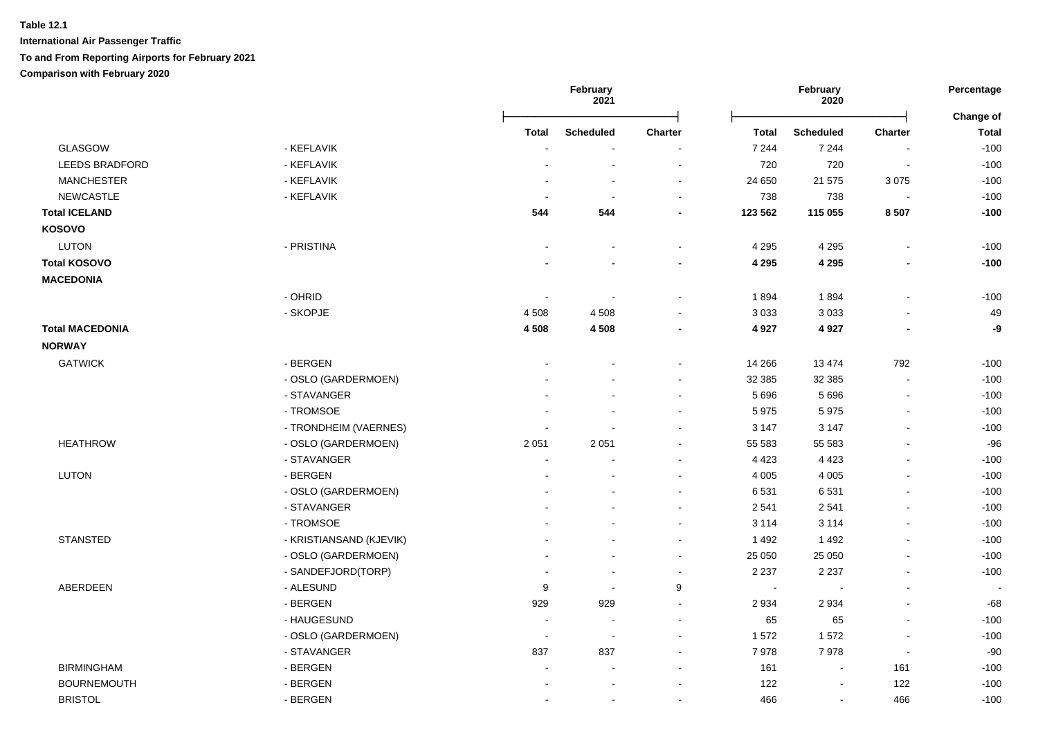|                        |                         | February<br>2021         |                          | February<br>2020         |              |                  | Percentage               |                           |
|------------------------|-------------------------|--------------------------|--------------------------|--------------------------|--------------|------------------|--------------------------|---------------------------|
|                        |                         | <b>Total</b>             | <b>Scheduled</b>         | Charter                  | <b>Total</b> | <b>Scheduled</b> | <b>Charter</b>           | Change of<br><b>Total</b> |
| GLASGOW                | - KEFLAVIK              |                          |                          |                          | 7 2 4 4      | 7 2 4 4          |                          | $-100$                    |
| <b>LEEDS BRADFORD</b>  | - KEFLAVIK              |                          | $\overline{a}$           | $\overline{\phantom{a}}$ | 720          | 720              | $\sim$                   | $-100$                    |
| <b>MANCHESTER</b>      | - KEFLAVIK              |                          |                          | $\blacksquare$           | 24 650       | 21 575           | 3075                     | $-100$                    |
| <b>NEWCASTLE</b>       | - KEFLAVIK              | <b>.</b>                 | $\sim$                   | $\blacksquare$           | 738          | 738              | $\sim$                   | $-100$                    |
| <b>Total ICELAND</b>   |                         | 544                      | 544                      |                          | 123 562      | 115 055          | 8507                     | $-100$                    |
| <b>KOSOVO</b>          |                         |                          |                          |                          |              |                  |                          |                           |
| <b>LUTON</b>           | - PRISTINA              |                          |                          |                          | 4 2 9 5      | 4 2 9 5          | $\overline{a}$           | $-100$                    |
| <b>Total KOSOVO</b>    |                         |                          |                          |                          | 4 2 9 5      | 4 2 9 5          | $\overline{\phantom{0}}$ | $-100$                    |
| <b>MACEDONIA</b>       |                         |                          |                          |                          |              |                  |                          |                           |
|                        | - OHRID                 | $\blacksquare$           |                          |                          | 1894         | 1894             | $\blacksquare$           | $-100$                    |
|                        | - SKOPJE                | 4 5 0 8                  | 4508                     |                          | 3 0 3 3      | 3 0 3 3          |                          | 49                        |
| <b>Total MACEDONIA</b> |                         | 4 5 0 8                  | 4508                     |                          | 4 9 2 7      | 4 9 27           | $\overline{\phantom{a}}$ | -9                        |
| <b>NORWAY</b>          |                         |                          |                          |                          |              |                  |                          |                           |
| <b>GATWICK</b>         | - BERGEN                |                          |                          |                          | 14 266       | 13 4 74          | 792                      | $-100$                    |
|                        | - OSLO (GARDERMOEN)     |                          |                          | $\blacksquare$           | 32 385       | 32 385           | $\sim$                   | $-100$                    |
|                        | - STAVANGER             |                          |                          | $\blacksquare$           | 5 6 9 6      | 5696             | $\blacksquare$           | $-100$                    |
|                        | - TROMSOE               |                          |                          |                          | 5975         | 5975             | $\blacksquare$           | $-100$                    |
|                        | - TRONDHEIM (VAERNES)   |                          |                          |                          | 3 1 4 7      | 3 1 4 7          | L.                       | $-100$                    |
| <b>HEATHROW</b>        | - OSLO (GARDERMOEN)     | 2 0 5 1                  | 2 0 5 1                  |                          | 55 583       | 55 583           | $\overline{a}$           | $-96$                     |
|                        | - STAVANGER             | $\sim$                   |                          |                          | 4 4 2 3      | 4 4 2 3          | $\mathbf{r}$             | $-100$                    |
| <b>LUTON</b>           | - BERGEN                | $\overline{a}$           |                          |                          | 4 0 0 5      | 4 0 0 5          | $\blacksquare$           | $-100$                    |
|                        | - OSLO (GARDERMOEN)     |                          |                          |                          | 6531         | 6531             | $\blacksquare$           | $-100$                    |
|                        | - STAVANGER             |                          |                          | $\sim$                   | 2 5 4 1      | 2541             | $\blacksquare$           | $-100$                    |
|                        | - TROMSOE               |                          |                          | $\sim$                   | 3 1 1 4      | 3 1 1 4          | $\blacksquare$           | $-100$                    |
| <b>STANSTED</b>        | - KRISTIANSAND (KJEVIK) |                          |                          | $\blacksquare$           | 1 4 9 2      | 1 4 9 2          | $\blacksquare$           | $-100$                    |
|                        | - OSLO (GARDERMOEN)     |                          |                          | $\blacksquare$           | 25 050       | 25 050           | $\overline{a}$           | $-100$                    |
|                        | - SANDEFJORD(TORP)      |                          | $\blacksquare$           | $\sim$                   | 2 2 3 7      | 2 2 3 7          | $\blacksquare$           | $-100$                    |
| ABERDEEN               | - ALESUND               | 9                        | $\overline{\phantom{a}}$ | 9                        | $\sim$       |                  | $\blacksquare$           | $\sim$                    |
|                        | - BERGEN                | 929                      | 929                      | $\blacksquare$           | 2 9 3 4      | 2934             | $\overline{a}$           | $-68$                     |
|                        | - HAUGESUND             | $\overline{\phantom{a}}$ | $\overline{a}$           | $\sim$                   | 65           | 65               | $\sim$                   | $-100$                    |
|                        | - OSLO (GARDERMOEN)     | $\overline{\phantom{a}}$ | $\sim$                   | $\blacksquare$           | 1572         | 1572             | $\overline{a}$           | $-100$                    |
|                        | - STAVANGER             | 837                      | 837                      |                          | 7978         | 7978             | $\sim$                   | $-90$                     |
| <b>BIRMINGHAM</b>      | - BERGEN                |                          |                          |                          | 161          |                  | 161                      | $-100$                    |
| <b>BOURNEMOUTH</b>     | - BERGEN                |                          |                          |                          | 122          | $\sim$           | 122                      | $-100$                    |
| <b>BRISTOL</b>         | - BERGEN                | $\overline{a}$           | $\overline{a}$           | $\sim$                   | 466          | $\sim$           | 466                      | $-100$                    |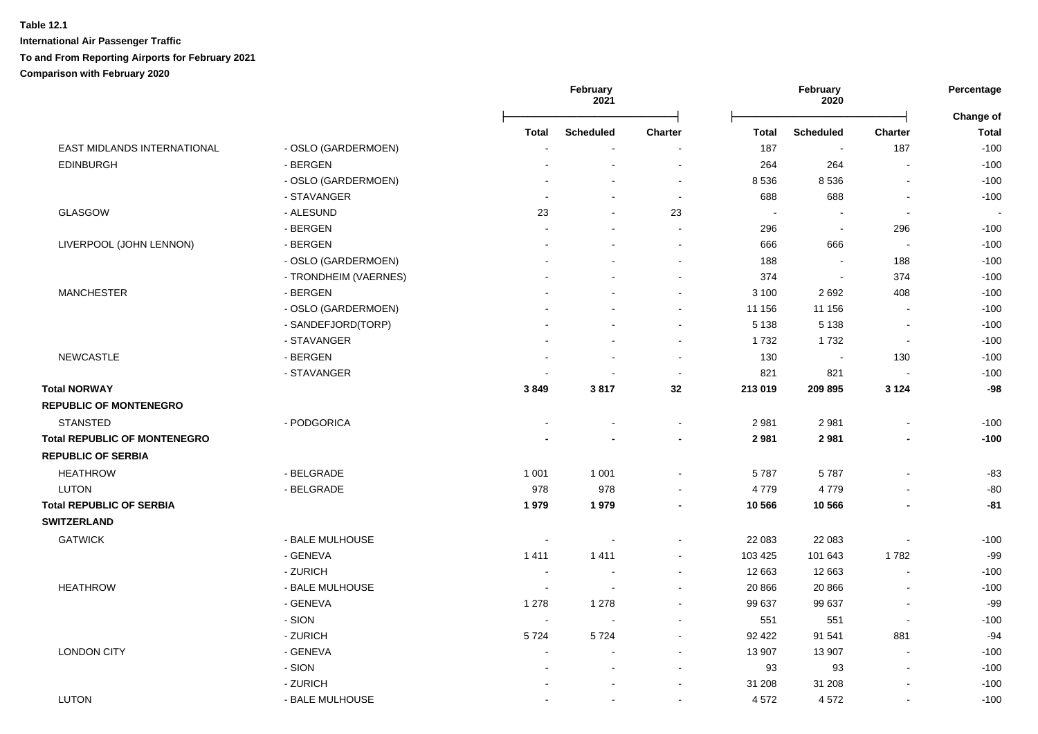|                                     |                       |                | February<br>2021         |                |              | February<br>2020         |                | Percentage                |
|-------------------------------------|-----------------------|----------------|--------------------------|----------------|--------------|--------------------------|----------------|---------------------------|
|                                     |                       | Total          | <b>Scheduled</b>         | <b>Charter</b> | <b>Total</b> | <b>Scheduled</b>         | <b>Charter</b> | Change of<br><b>Total</b> |
| EAST MIDLANDS INTERNATIONAL         | - OSLO (GARDERMOEN)   |                |                          |                | 187          | $\overline{\phantom{a}}$ | 187            | $-100$                    |
| <b>EDINBURGH</b>                    | - BERGEN              |                |                          |                | 264          | 264                      | $\blacksquare$ | $-100$                    |
|                                     | - OSLO (GARDERMOEN)   |                |                          | $\sim$         | 8 5 3 6      | 8536                     | $\blacksquare$ | $-100$                    |
|                                     | - STAVANGER           | $\sim$         |                          | $\sim$         | 688          | 688                      | $\blacksquare$ | $-100$                    |
| GLASGOW                             | - ALESUND             | 23             |                          | 23             | $\sim$       | $\blacksquare$           | $\blacksquare$ |                           |
|                                     | - BERGEN              |                |                          | $\sim$         | 296          | $\sim$                   | 296            | $-100$                    |
| LIVERPOOL (JOHN LENNON)             | - BERGEN              |                |                          |                | 666          | 666                      | ÷.             | $-100$                    |
|                                     | - OSLO (GARDERMOEN)   |                |                          |                | 188          | $\sim$                   | 188            | $-100$                    |
|                                     | - TRONDHEIM (VAERNES) |                |                          |                | 374          | $\sim$                   | 374            | $-100$                    |
| <b>MANCHESTER</b>                   | - BERGEN              |                |                          |                | 3 100        | 2692                     | 408            | $-100$                    |
|                                     | - OSLO (GARDERMOEN)   |                |                          |                | 11 156       | 11 156                   | $\blacksquare$ | $-100$                    |
|                                     | - SANDEFJORD(TORP)    |                |                          |                | 5 1 3 8      | 5 1 3 8                  | $\blacksquare$ | $-100$                    |
|                                     | - STAVANGER           |                |                          | $\sim$         | 1732         | 1732                     | $\sim$         | $-100$                    |
| <b>NEWCASTLE</b>                    | - BERGEN              |                |                          | $\sim$         | 130          | $\sim$                   | 130            | $-100$                    |
|                                     | - STAVANGER           |                | $\overline{\phantom{a}}$ | $\sim$         | 821          | 821                      | $\blacksquare$ | $-100$                    |
| <b>Total NORWAY</b>                 |                       | 3849           | 3817                     | 32             | 213 019      | 209 895                  | 3 1 2 4        | $-98$                     |
| <b>REPUBLIC OF MONTENEGRO</b>       |                       |                |                          |                |              |                          |                |                           |
| <b>STANSTED</b>                     | - PODGORICA           |                |                          | $\sim$         | 2981         | 2981                     | ä,             | $-100$                    |
| <b>Total REPUBLIC OF MONTENEGRO</b> |                       |                |                          |                | 2 9 8 1      | 2981                     |                | $-100$                    |
| <b>REPUBLIC OF SERBIA</b>           |                       |                |                          |                |              |                          |                |                           |
| <b>HEATHROW</b>                     | - BELGRADE            | 1 0 0 1        | 1 0 0 1                  |                | 5787         | 5787                     | ÷,             | $-83$                     |
| <b>LUTON</b>                        | - BELGRADE            | 978            | 978                      |                | 4779         | 4779                     |                | $-80$                     |
| <b>Total REPUBLIC OF SERBIA</b>     |                       | 1979           | 1979                     |                | 10 566       | 10 566                   |                | $-81$                     |
| <b>SWITZERLAND</b>                  |                       |                |                          |                |              |                          |                |                           |
| <b>GATWICK</b>                      | - BALE MULHOUSE       | $\blacksquare$ |                          |                | 22 083       | 22 083                   | $\blacksquare$ | $-100$                    |
|                                     | - GENEVA              | 1411           | 1411                     |                | 103 425      | 101 643                  | 1782           | $-99$                     |
|                                     | - ZURICH              | $\blacksquare$ |                          |                | 12 663       | 12 663                   | $\blacksquare$ | $-100$                    |
| <b>HEATHROW</b>                     | - BALE MULHOUSE       | $\overline{a}$ | ÷                        |                | 20 866       | 20 866                   | $\overline{a}$ | $-100$                    |
|                                     | - GENEVA              | 1 2 7 8        | 1 2 7 8                  |                | 99 637       | 99 637                   |                | $-99$                     |
|                                     | - SION                | $\blacksquare$ |                          |                | 551          | 551                      | $\blacksquare$ | $-100$                    |
|                                     | - ZURICH              | 5724           | 5724                     |                | 92 422       | 91 541                   | 881            | $-94$                     |
| <b>LONDON CITY</b>                  | - GENEVA              |                |                          |                | 13 907       | 13 907                   |                | $-100$                    |
|                                     | - SION                |                |                          |                | 93           | 93                       |                | $-100$                    |
|                                     | - ZURICH              |                |                          |                | 31 208       | 31 208                   |                | $-100$                    |
| <b>LUTON</b>                        | - BALE MULHOUSE       | ÷              | $\overline{a}$           |                | 4 5 7 2      | 4572                     | $\overline{a}$ | $-100$                    |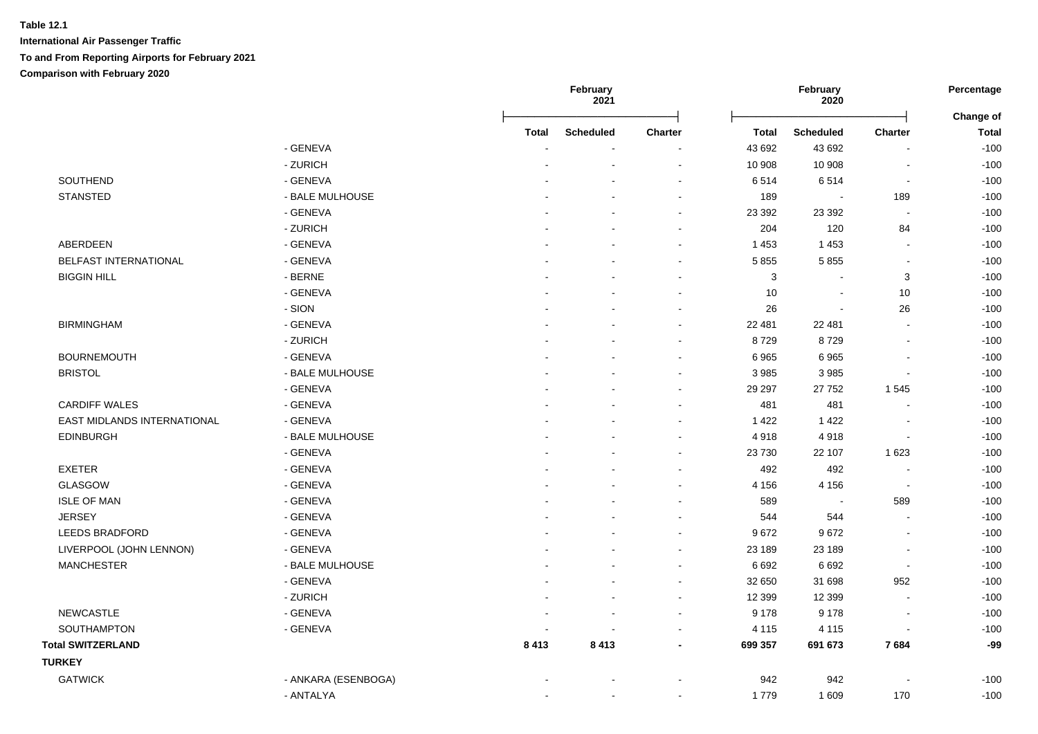|                              |                     |              | February<br>2021         |                          |              | February<br>2020         |                          | Percentage                |
|------------------------------|---------------------|--------------|--------------------------|--------------------------|--------------|--------------------------|--------------------------|---------------------------|
|                              |                     | <b>Total</b> | <b>Scheduled</b>         | Charter                  | <b>Total</b> | <b>Scheduled</b>         | <b>Charter</b>           | Change of<br><b>Total</b> |
|                              | - GENEVA            |              |                          |                          | 43 692       | 43 692                   | $\overline{a}$           | $-100$                    |
|                              | - ZURICH            |              |                          | $\sim$                   | 10 908       | 10 908                   | $\blacksquare$           | $-100$                    |
| SOUTHEND                     | - GENEVA            |              |                          | $\sim$                   | 6514         | 6514                     | $\blacksquare$           | $-100$                    |
| <b>STANSTED</b>              | - BALE MULHOUSE     |              |                          | $\overline{\phantom{a}}$ | 189          | $\sim$                   | 189                      | $-100$                    |
|                              | - GENEVA            |              |                          |                          | 23 392       | 23 392                   | $\sim$                   | $-100$                    |
|                              | - ZURICH            |              |                          |                          | 204          | 120                      | 84                       | $-100$                    |
| <b>ABERDEEN</b>              | - GENEVA            |              |                          |                          | 1 4 5 3      | 1453                     | $\overline{\phantom{a}}$ | $-100$                    |
| <b>BELFAST INTERNATIONAL</b> | - GENEVA            |              |                          |                          | 5 8 5 5      | 5855                     | $\overline{a}$           | $-100$                    |
| <b>BIGGIN HILL</b>           | - BERNE             |              |                          |                          | 3            | $\sim$                   | 3                        | $-100$                    |
|                              | - GENEVA            |              |                          |                          | 10           | $\sim$                   | 10                       | $-100$                    |
|                              | - SION              |              |                          |                          | 26           | $\sim$                   | 26                       | $-100$                    |
| <b>BIRMINGHAM</b>            | - GENEVA            |              |                          |                          | 22 481       | 22 481                   | $\blacksquare$           | $-100$                    |
|                              | - ZURICH            |              |                          |                          | 8729         | 8729                     | $\blacksquare$           | $-100$                    |
| <b>BOURNEMOUTH</b>           | - GENEVA            |              |                          | $\sim$                   | 6965         | 6965                     | $\blacksquare$           | $-100$                    |
| <b>BRISTOL</b>               | - BALE MULHOUSE     |              |                          |                          | 3 9 8 5      | 3 9 8 5                  | $\blacksquare$           | $-100$                    |
|                              | - GENEVA            |              |                          |                          | 29 29 7      | 27 752                   | 1545                     | $-100$                    |
| <b>CARDIFF WALES</b>         | - GENEVA            |              |                          |                          | 481          | 481                      | L,                       | $-100$                    |
| EAST MIDLANDS INTERNATIONAL  | - GENEVA            |              |                          |                          | 1 4 2 2      | 1 4 2 2                  |                          | $-100$                    |
| <b>EDINBURGH</b>             | - BALE MULHOUSE     |              |                          |                          | 4918         | 4918                     | $\blacksquare$           | $-100$                    |
|                              | - GENEVA            |              |                          |                          | 23 730       | 22 107                   | 1 6 2 3                  | $-100$                    |
| <b>EXETER</b>                | - GENEVA            |              |                          |                          | 492          | 492                      | L,                       | $-100$                    |
| <b>GLASGOW</b>               | - GENEVA            |              |                          |                          | 4 1 5 6      | 4 1 5 6                  | $\blacksquare$           | $-100$                    |
| <b>ISLE OF MAN</b>           | - GENEVA            |              |                          |                          | 589          | $\overline{\phantom{a}}$ | 589                      | $-100$                    |
| <b>JERSEY</b>                | - GENEVA            |              |                          |                          | 544          | 544                      | $\sim$                   | $-100$                    |
| <b>LEEDS BRADFORD</b>        | - GENEVA            |              |                          |                          | 9672         | 9672                     | $\blacksquare$           | $-100$                    |
| LIVERPOOL (JOHN LENNON)      | - GENEVA            |              |                          | $\sim$                   | 23 189       | 23 189                   | $\blacksquare$           | $-100$                    |
| <b>MANCHESTER</b>            | - BALE MULHOUSE     |              |                          | $\overline{\phantom{a}}$ | 6692         | 6692                     | $\overline{\phantom{a}}$ | $-100$                    |
|                              | - GENEVA            |              |                          | $\sim$                   | 32 650       | 31 698                   | 952                      | $-100$                    |
|                              | - ZURICH            |              |                          | $\overline{\phantom{a}}$ | 12 399       | 12 3 9 9                 | $\overline{a}$           | $-100$                    |
| <b>NEWCASTLE</b>             | - GENEVA            |              | $\overline{\phantom{a}}$ | $\sim$                   | 9 1 7 8      | 9 1 7 8                  | $\blacksquare$           | $-100$                    |
| SOUTHAMPTON                  | - GENEVA            |              |                          | $\sim$                   | 4 1 1 5      | 4 1 1 5                  | $\blacksquare$           | $-100$                    |
| <b>Total SWITZERLAND</b>     |                     | 8413         | 8413                     | $\blacksquare$           | 699 357      | 691 673                  | 7684                     | $-99$                     |
| <b>TURKEY</b>                |                     |              |                          |                          |              |                          |                          |                           |
| <b>GATWICK</b>               | - ANKARA (ESENBOGA) |              |                          |                          | 942          | 942                      | $\overline{\phantom{a}}$ | $-100$                    |
|                              | - ANTALYA           |              |                          |                          | 1779         | 1 609                    | 170                      | $-100$                    |
|                              |                     |              |                          |                          |              |                          |                          |                           |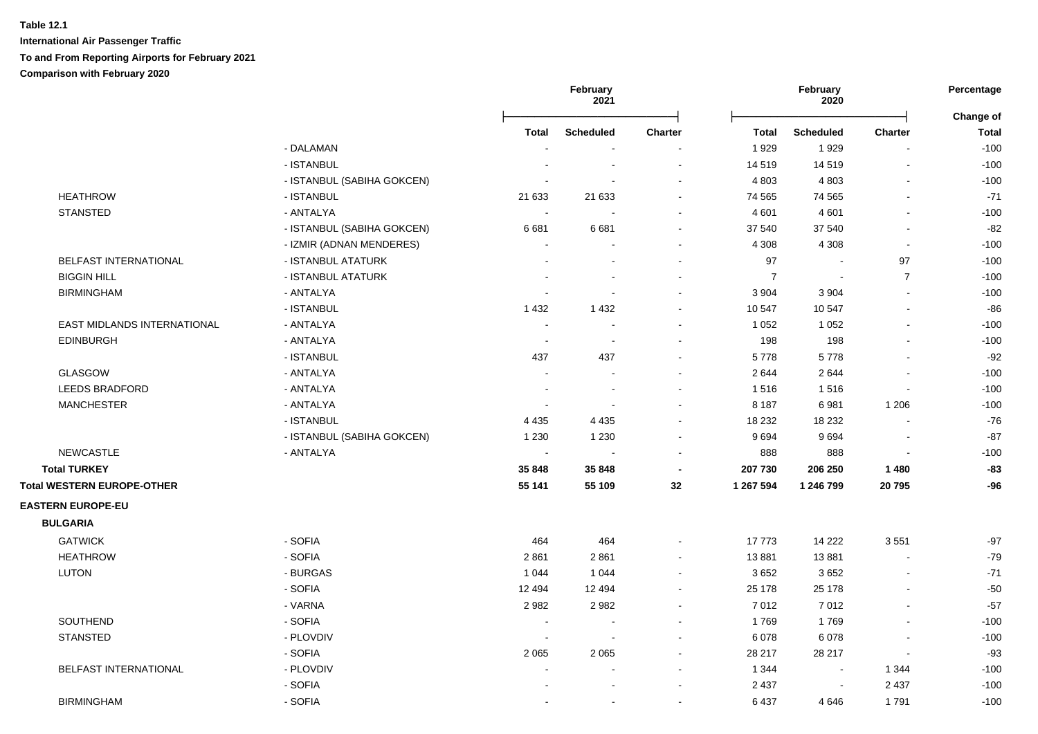|                                    |                            | February<br>2021         |                          | February<br>2020         |                |                  | Percentage<br>Change of  |              |
|------------------------------------|----------------------------|--------------------------|--------------------------|--------------------------|----------------|------------------|--------------------------|--------------|
|                                    |                            | <b>Total</b>             | <b>Scheduled</b>         | <b>Charter</b>           | <b>Total</b>   | <b>Scheduled</b> | <b>Charter</b>           | <b>Total</b> |
|                                    | - DALAMAN                  |                          | $\overline{\phantom{a}}$ |                          | 1929           | 1929             |                          | $-100$       |
|                                    | - ISTANBUL                 |                          | $\sim$                   | $\sim$                   | 14 519         | 14519            | $\blacksquare$           | $-100$       |
|                                    | - ISTANBUL (SABIHA GOKCEN) |                          |                          | $\sim$                   | 4 8 0 3        | 4 8 0 3          | $\overline{\phantom{a}}$ | $-100$       |
| <b>HEATHROW</b>                    | - ISTANBUL                 | 21 633                   | 21 633                   |                          | 74 565         | 74 565           | $\blacksquare$           | $-71$        |
| <b>STANSTED</b>                    | - ANTALYA                  |                          |                          |                          | 4 601          | 4 6 0 1          |                          | $-100$       |
|                                    | - ISTANBUL (SABIHA GOKCEN) | 6681                     | 6681                     | $\sim$                   | 37 540         | 37 540           | $\blacksquare$           | $-82$        |
|                                    | - IZMIR (ADNAN MENDERES)   | $\sim$                   |                          | $\blacksquare$           | 4 3 0 8        | 4 3 0 8          | $\sim$                   | $-100$       |
| BELFAST INTERNATIONAL              | - ISTANBUL ATATURK         | $\blacksquare$           |                          | $\sim$                   | 97             | $\sim$           | 97                       | $-100$       |
| <b>BIGGIN HILL</b>                 | - ISTANBUL ATATURK         |                          |                          | $\blacksquare$           | $\overline{7}$ | $\sim$           | $\overline{7}$           | $-100$       |
| <b>BIRMINGHAM</b>                  | - ANTALYA                  |                          | $\overline{a}$           | $\sim$                   | 3 9 0 4        | 3 9 0 4          | $\sim$                   | $-100$       |
|                                    | - ISTANBUL                 | 1 4 3 2                  | 1432                     | $\sim$                   | 10 547         | 10 547           | $\overline{\phantom{a}}$ | $-86$        |
| <b>EAST MIDLANDS INTERNATIONAL</b> | - ANTALYA                  | $\sim$                   | $\sim$                   | $\blacksquare$           | 1 0 5 2        | 1 0 5 2          |                          | $-100$       |
| <b>EDINBURGH</b>                   | - ANTALYA                  | $\overline{\phantom{a}}$ | $\sim$                   | $\blacksquare$           | 198            | 198              |                          | $-100$       |
|                                    | - ISTANBUL                 | 437                      | 437                      | $\blacksquare$           | 5778           | 5778             |                          | $-92$        |
| GLASGOW                            | - ANTALYA                  | $\sim$                   | $\sim$                   | $\blacksquare$           | 2644           | 2644             |                          | $-100$       |
| <b>LEEDS BRADFORD</b>              | - ANTALYA                  |                          |                          |                          | 1516           | 1516             |                          | $-100$       |
| <b>MANCHESTER</b>                  | - ANTALYA                  |                          |                          | $\blacksquare$           | 8 1 8 7        | 6981             | 1 2 0 6                  | $-100$       |
|                                    | - ISTANBUL                 | 4 4 3 5                  | 4 4 3 5                  | $\blacksquare$           | 18 232         | 18 232           |                          | $-76$        |
|                                    | - ISTANBUL (SABIHA GOKCEN) | 1 2 3 0                  | 1 2 3 0                  | $\blacksquare$           | 9694           | 9694             |                          | $-87$        |
| <b>NEWCASTLE</b>                   | - ANTALYA                  | $\sim$                   | $\sim$                   | $\sim$                   | 888            | 888              | $\sim$                   | $-100$       |
| <b>Total TURKEY</b>                |                            | 35 848                   | 35 848                   | $\blacksquare$           | 207 730        | 206 250          | 1480                     | $-83$        |
| <b>Total WESTERN EUROPE-OTHER</b>  |                            | 55 141                   | 55 109                   | 32                       | 1 267 594      | 1 246 799        | 20795                    | $-96$        |
| <b>EASTERN EUROPE-EU</b>           |                            |                          |                          |                          |                |                  |                          |              |
| <b>BULGARIA</b>                    |                            |                          |                          |                          |                |                  |                          |              |
| <b>GATWICK</b>                     | - SOFIA                    | 464                      | 464                      | $\blacksquare$           | 17773          | 14 222           | 3551                     | $-97$        |
| <b>HEATHROW</b>                    | - SOFIA                    | 2861                     | 2861                     | $\overline{\phantom{a}}$ | 13881          | 13881            | ÷,                       | $-79$        |
| LUTON                              | - BURGAS                   | 1 0 4 4                  | 1 0 4 4                  | $\blacksquare$           | 3652           | 3652             | $\blacksquare$           | $-71$        |
|                                    | - SOFIA                    | 12 4 94                  | 12 4 9 4                 | $\blacksquare$           | 25 178         | 25 178           |                          | $-50$        |
|                                    | - VARNA                    | 2982                     | 2982                     | $\blacksquare$           | 7012           | 7012             | $\ddot{\phantom{a}}$     | $-57$        |
| SOUTHEND                           | - SOFIA                    |                          |                          |                          | 1769           | 1769             |                          | $-100$       |
| <b>STANSTED</b>                    | - PLOVDIV                  |                          |                          | $\sim$                   | 6 0 78         | 6078             |                          | $-100$       |
|                                    | - SOFIA                    | 2 0 6 5                  | 2 0 6 5                  | $\sim$                   | 28 217         | 28 217           | $\sim$                   | $-93$        |
| BELFAST INTERNATIONAL              | - PLOVDIV                  |                          | $\blacksquare$           | $\sim$                   | 1 3 4 4        | $\sim$           | 1 3 4 4                  | $-100$       |
|                                    | - SOFIA                    |                          |                          | $\blacksquare$           | 2 4 3 7        | $\blacksquare$   | 2 4 3 7                  | $-100$       |
| <b>BIRMINGHAM</b>                  | - SOFIA                    |                          |                          | $\blacksquare$           | 6 4 3 7        | 4 6 4 6          | 1791                     | $-100$       |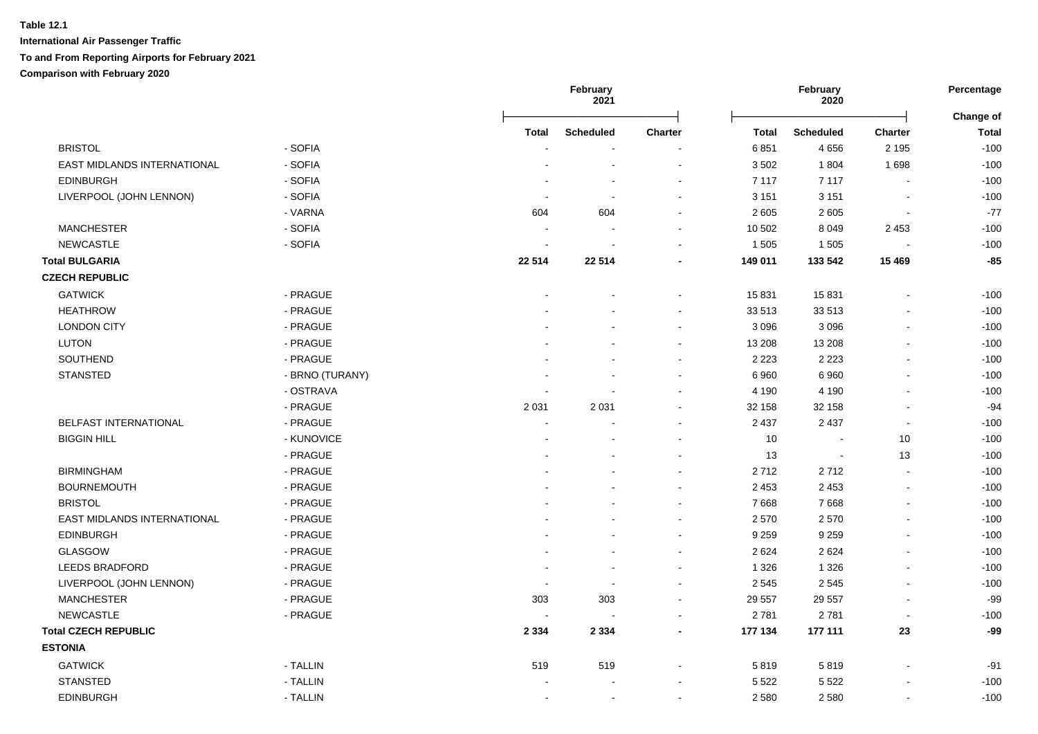|                             |                 |                          | February<br>2021 |                          | February<br>2020 |                  | Percentage     |                           |
|-----------------------------|-----------------|--------------------------|------------------|--------------------------|------------------|------------------|----------------|---------------------------|
|                             |                 | <b>Total</b>             | <b>Scheduled</b> | <b>Charter</b>           | <b>Total</b>     | <b>Scheduled</b> | <b>Charter</b> | Change of<br><b>Total</b> |
| <b>BRISTOL</b>              | - SOFIA         |                          |                  |                          | 6851             | 4656             | 2 1 9 5        | $-100$                    |
| EAST MIDLANDS INTERNATIONAL | - SOFIA         |                          | $\blacksquare$   | $\sim$                   | 3502             | 1804             | 1698           | $-100$                    |
| <b>EDINBURGH</b>            | - SOFIA         |                          | ÷                | $\sim$                   | 7 1 1 7          | 7 1 1 7          |                | $-100$                    |
| LIVERPOOL (JOHN LENNON)     | - SOFIA         |                          |                  |                          | 3 1 5 1          | 3 1 5 1          |                | $-100$                    |
|                             | - VARNA         | 604                      | 604              | $\blacksquare$           | 2 6 0 5          | 2 6 0 5          | $\blacksquare$ | $-77$                     |
| <b>MANCHESTER</b>           | - SOFIA         |                          |                  |                          | 10 502           | 8 0 4 9          | 2 4 5 3        | $-100$                    |
| <b>NEWCASTLE</b>            | - SOFIA         |                          |                  |                          | 1 5 0 5          | 1 5 0 5          |                | $-100$                    |
| <b>Total BULGARIA</b>       |                 | 22 5 14                  | 22 5 14          |                          | 149 011          | 133 542          | 15 4 69        | $-85$                     |
| <b>CZECH REPUBLIC</b>       |                 |                          |                  |                          |                  |                  |                |                           |
| <b>GATWICK</b>              | - PRAGUE        |                          |                  | $\sim$                   | 15 831           | 15831            |                | $-100$                    |
| <b>HEATHROW</b>             | - PRAGUE        |                          |                  |                          | 33 513           | 33 513           |                | $-100$                    |
| <b>LONDON CITY</b>          | - PRAGUE        |                          |                  |                          | 3 0 9 6          | 3 0 9 6          |                | $-100$                    |
| <b>LUTON</b>                | - PRAGUE        |                          |                  |                          | 13 208           | 13 208           |                | $-100$                    |
| SOUTHEND                    | - PRAGUE        |                          |                  |                          | 2 2 2 3          | 2 2 2 3          |                | $-100$                    |
| <b>STANSTED</b>             | - BRNO (TURANY) |                          |                  |                          | 6960             | 6960             |                | $-100$                    |
|                             | - OSTRAVA       |                          |                  |                          | 4 1 9 0          | 4 1 9 0          |                | $-100$                    |
|                             | - PRAGUE        | 2 0 3 1                  | 2 0 3 1          | $\blacksquare$           | 32 158           | 32 158           |                | $-94$                     |
| BELFAST INTERNATIONAL       | - PRAGUE        |                          |                  | $\sim$                   | 2 4 3 7          | 2 4 3 7          | $\sim$         | $-100$                    |
| <b>BIGGIN HILL</b>          | - KUNOVICE      |                          |                  |                          | 10               |                  | 10             | $-100$                    |
|                             | - PRAGUE        |                          |                  |                          | 13               | $\blacksquare$   | 13             | $-100$                    |
| <b>BIRMINGHAM</b>           | - PRAGUE        |                          |                  |                          | 2712             | 2712             | $\blacksquare$ | $-100$                    |
| <b>BOURNEMOUTH</b>          | - PRAGUE        |                          |                  | $\sim$                   | 2 4 5 3          | 2 4 5 3          | $\sim$         | $-100$                    |
| <b>BRISTOL</b>              | - PRAGUE        |                          |                  | $\sim$                   | 7668             | 7668             | $\mathbf{r}$   | $-100$                    |
| EAST MIDLANDS INTERNATIONAL | - PRAGUE        |                          |                  |                          | 2570             | 2570             |                | $-100$                    |
| <b>EDINBURGH</b>            | - PRAGUE        |                          |                  | $\sim$                   | 9 2 5 9          | 9 2 5 9          |                | $-100$                    |
| GLASGOW                     | - PRAGUE        |                          |                  | $\sim$                   | 2 6 2 4          | 2624             |                | $-100$                    |
| <b>LEEDS BRADFORD</b>       | - PRAGUE        |                          |                  |                          | 1 3 2 6          | 1 3 2 6          |                | $-100$                    |
| LIVERPOOL (JOHN LENNON)     | - PRAGUE        |                          |                  | $\sim$                   | 2 5 4 5          | 2545             |                | $-100$                    |
| <b>MANCHESTER</b>           | - PRAGUE        | 303                      | 303              | $\sim$                   | 29 557           | 29 557           | $\sim$         | $-99$                     |
| <b>NEWCASTLE</b>            | - PRAGUE        | $\overline{\phantom{a}}$ | $\blacksquare$   |                          | 2781             | 2781             | $\sim$         | $-100$                    |
| <b>Total CZECH REPUBLIC</b> |                 | 2 3 3 4                  | 2 3 3 4          |                          | 177 134          | 177 111          | 23             | $-99$                     |
| <b>ESTONIA</b>              |                 |                          |                  |                          |                  |                  |                |                           |
| <b>GATWICK</b>              | - TALLIN        | 519                      | 519              |                          | 5819             | 5819             |                | $-91$                     |
| <b>STANSTED</b>             | - TALLIN        |                          |                  |                          | 5 5 2 2          | 5 5 2 2          |                | $-100$                    |
| <b>EDINBURGH</b>            | - TALLIN        | $\sim$                   | $\sim$           | $\overline{\phantom{a}}$ | 2 5 8 0          | 2580             | $\mathbf{r}$   | $-100$                    |
|                             |                 |                          |                  |                          |                  |                  |                |                           |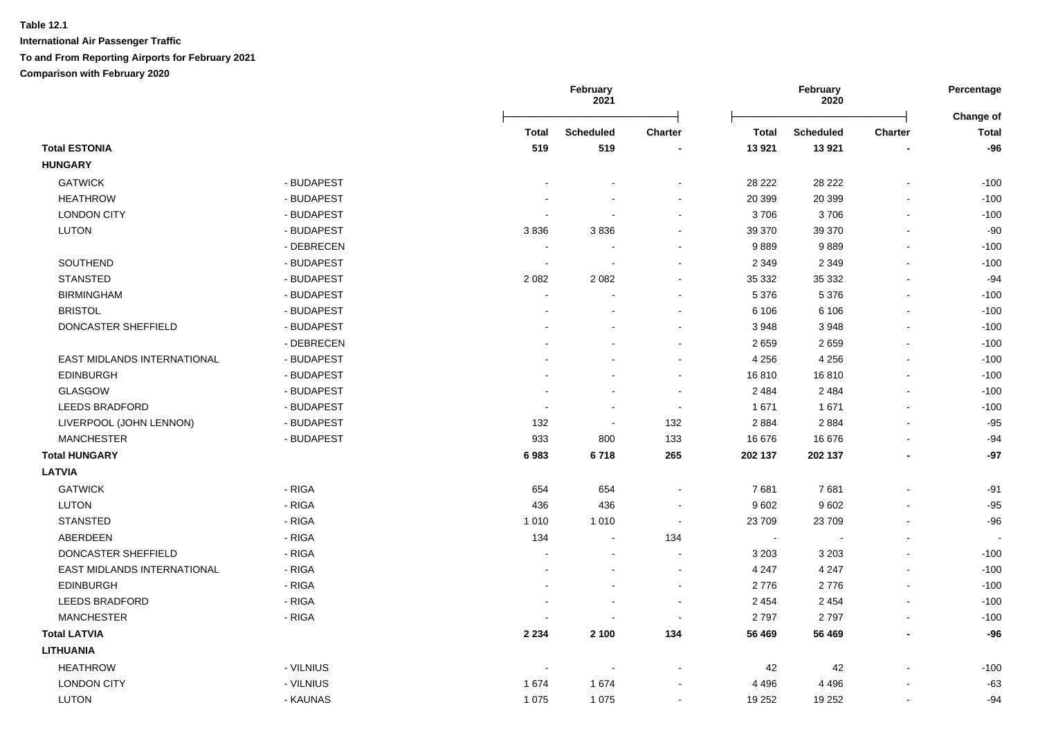|                             |            |              | February<br>2021 |                          |                             | February<br>2020 |                          |                           |
|-----------------------------|------------|--------------|------------------|--------------------------|-----------------------------|------------------|--------------------------|---------------------------|
|                             |            | <b>Total</b> | <b>Scheduled</b> | <b>Charter</b>           | Total                       | <b>Scheduled</b> | <b>Charter</b>           | Change of<br><b>Total</b> |
| <b>Total ESTONIA</b>        |            | 519          | 519              |                          | 13 9 21                     | 13 9 21          |                          | $-96$                     |
| <b>HUNGARY</b>              |            |              |                  |                          |                             |                  |                          |                           |
| <b>GATWICK</b>              | - BUDAPEST |              |                  | ۰                        | 28 222                      | 28 222           | $\overline{\phantom{a}}$ | $-100$                    |
| <b>HEATHROW</b>             | - BUDAPEST |              |                  | $\blacksquare$           | 20 399                      | 20 399           |                          | $-100$                    |
| <b>LONDON CITY</b>          | - BUDAPEST |              |                  | $\blacksquare$           | 3706                        | 3706             | $\blacksquare$           | $-100$                    |
| <b>LUTON</b>                | - BUDAPEST | 3836         | 3836             | ۰                        | 39 370                      | 39 370           | $\blacksquare$           | $-90$                     |
|                             | - DEBRECEN |              |                  |                          | 9889                        | 9889             |                          | $-100$                    |
| SOUTHEND                    | - BUDAPEST |              |                  | $\blacksquare$           | 2 3 4 9                     | 2 3 4 9          | $\sim$                   | $-100$                    |
| <b>STANSTED</b>             | - BUDAPEST | 2 0 8 2      | 2082             |                          | 35 332                      | 35 332           |                          | $-94$                     |
| <b>BIRMINGHAM</b>           | - BUDAPEST |              |                  |                          | 5 3 7 6                     | 5 3 7 6          |                          | $-100$                    |
| <b>BRISTOL</b>              | - BUDAPEST |              |                  | $\overline{a}$           | 6 10 6                      | 6 1 0 6          | ÷                        | $-100$                    |
| DONCASTER SHEFFIELD         | - BUDAPEST |              |                  |                          | 3 9 4 8                     | 3948             | $\overline{\phantom{a}}$ | $-100$                    |
|                             | - DEBRECEN |              |                  | $\blacksquare$           | 2659                        | 2659             | $\sim$                   | $-100$                    |
| EAST MIDLANDS INTERNATIONAL | - BUDAPEST |              |                  | ÷,                       | 4 2 5 6                     | 4 2 5 6          | $\blacksquare$           | $-100$                    |
| <b>EDINBURGH</b>            | - BUDAPEST |              |                  | $\blacksquare$           | 16810                       | 16810            |                          | $-100$                    |
| <b>GLASGOW</b>              | - BUDAPEST |              |                  | $\sim$                   | 2 4 8 4                     | 2 4 8 4          |                          | $-100$                    |
| LEEDS BRADFORD              | - BUDAPEST |              |                  | $\sim$                   | 1 671                       | 1671             | $\blacksquare$           | $-100$                    |
| LIVERPOOL (JOHN LENNON)     | - BUDAPEST | 132          |                  | 132                      | 2 8 8 4                     | 2884             | $\blacksquare$           | $-95$                     |
| <b>MANCHESTER</b>           | - BUDAPEST | 933          | 800              | 133                      | 16 676                      | 16 676           | $\overline{\phantom{a}}$ | $-94$                     |
| <b>Total HUNGARY</b>        |            | 6983         | 6718             | 265                      | 202 137                     | 202 137          | $\blacksquare$           | $-97$                     |
| <b>LATVIA</b>               |            |              |                  |                          |                             |                  |                          |                           |
| <b>GATWICK</b>              | - RIGA     | 654          | 654              | ÷,                       | 7681                        | 7681             | ÷,                       | $-91$                     |
| <b>LUTON</b>                | - RIGA     | 436          | 436              | $\blacksquare$           | 9602                        | 9602             |                          | $-95$                     |
| <b>STANSTED</b>             | - RIGA     | 1 0 1 0      | 1 0 1 0          | $\overline{\phantom{a}}$ | 23 709                      | 23709            | $\blacksquare$           | $-96$                     |
| ABERDEEN                    | - RIGA     | 134          | $\sim$           | 134                      | $\mathcal{L}_{\mathcal{A}}$ |                  | $\sim$                   |                           |
| DONCASTER SHEFFIELD         | - RIGA     |              |                  | $\blacksquare$           | 3 2 0 3                     | 3 2 0 3          |                          | $-100$                    |
| EAST MIDLANDS INTERNATIONAL | - RIGA     |              |                  | $\blacksquare$           | 4 2 4 7                     | 4 2 4 7          |                          | $-100$                    |
| <b>EDINBURGH</b>            | - RIGA     |              |                  | $\blacksquare$           | 2776                        | 2776             |                          | $-100$                    |
| <b>LEEDS BRADFORD</b>       | - RIGA     |              |                  |                          | 2 4 5 4                     | 2 4 5 4          |                          | $-100$                    |
| <b>MANCHESTER</b>           | - RIGA     |              |                  | $\overline{\phantom{a}}$ | 2797                        | 2797             | $\sim$                   | $-100$                    |
| <b>Total LATVIA</b>         |            | 2 2 3 4      | 2 100            | 134                      | 56 469                      | 56 469           | ٠                        | $-96$                     |
| <b>LITHUANIA</b>            |            |              |                  |                          |                             |                  |                          |                           |
| <b>HEATHROW</b>             | - VILNIUS  |              |                  |                          | 42                          | 42               |                          | $-100$                    |
| <b>LONDON CITY</b>          | - VILNIUS  | 1674         | 1674             |                          | 4 4 9 6                     | 4 4 9 6          |                          | $-63$                     |
| <b>LUTON</b>                | - KAUNAS   | 1 0 7 5      | 1 0 7 5          | ÷.                       | 19 252                      | 19 25 2          | $\sim$                   | $-94$                     |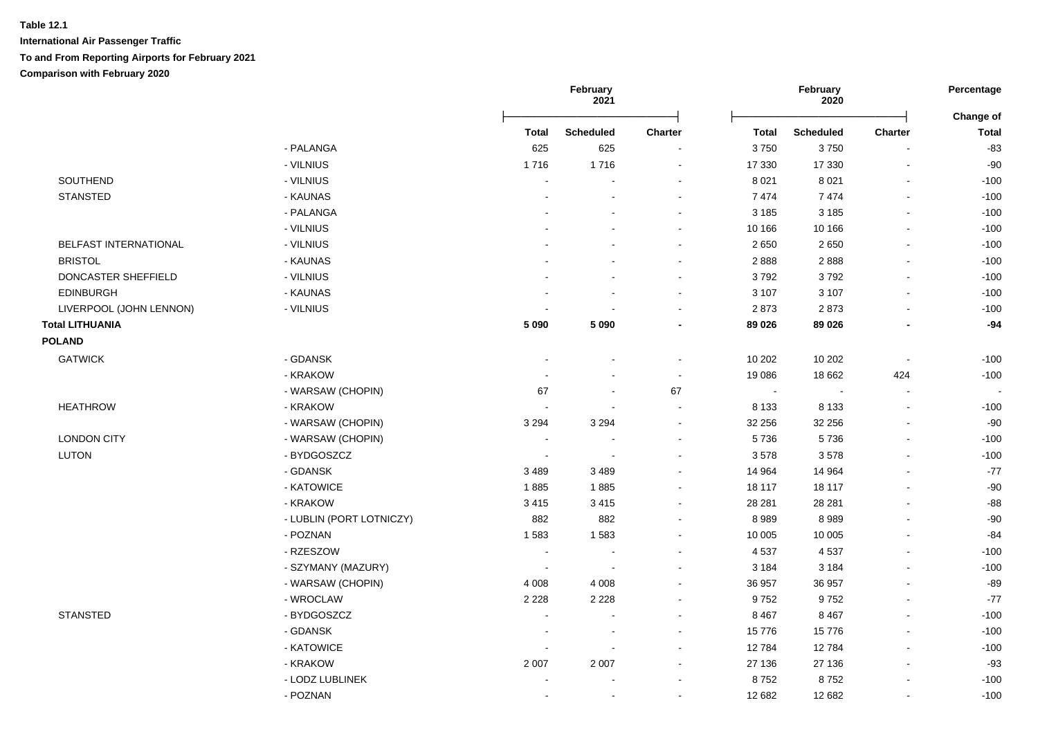|                              |                          | February<br>2021 |                  |                | February<br>2020 |                  |                          |                                  |
|------------------------------|--------------------------|------------------|------------------|----------------|------------------|------------------|--------------------------|----------------------------------|
|                              |                          | Total            | <b>Scheduled</b> | <b>Charter</b> | Total            | <b>Scheduled</b> | Charter                  | <b>Change of</b><br><b>Total</b> |
|                              | - PALANGA                | 625              | 625              |                | 3750             | 3750             |                          | $-83$                            |
|                              | - VILNIUS                | 1716             | 1716             | $\sim$         | 17 330           | 17 330           |                          | $-90$                            |
| SOUTHEND                     | - VILNIUS                |                  |                  |                | 8 0 21           | 8 0 21           |                          | $-100$                           |
| <b>STANSTED</b>              | - KAUNAS                 |                  |                  | $\sim$         | 7474             | 7474             |                          | $-100$                           |
|                              | - PALANGA                |                  |                  | $\sim$         | 3 1 8 5          | 3 1 8 5          |                          | $-100$                           |
|                              | - VILNIUS                |                  |                  | $\sim$         | 10 166           | 10 166           |                          | $-100$                           |
| <b>BELFAST INTERNATIONAL</b> | - VILNIUS                |                  |                  |                | 2 6 5 0          | 2650             |                          | $-100$                           |
| <b>BRISTOL</b>               | - KAUNAS                 |                  |                  |                | 2888             | 2888             |                          | $-100$                           |
| DONCASTER SHEFFIELD          | - VILNIUS                |                  |                  |                | 3792             | 3792             |                          | $-100$                           |
| <b>EDINBURGH</b>             | - KAUNAS                 |                  |                  |                | 3 107            | 3 1 0 7          |                          | $-100$                           |
| LIVERPOOL (JOHN LENNON)      | - VILNIUS                |                  |                  |                | 2873             | 2873             |                          | $-100$                           |
| <b>Total LITHUANIA</b>       |                          | 5 0 9 0          | 5 0 9 0          |                | 89 026           | 89 0 26          |                          | $-94$                            |
| <b>POLAND</b>                |                          |                  |                  |                |                  |                  |                          |                                  |
| <b>GATWICK</b>               | - GDANSK                 |                  |                  | $\sim$         | 10 20 2          | 10 20 2          | $\overline{\phantom{a}}$ | $-100$                           |
|                              | - KRAKOW                 |                  |                  |                | 19 086           | 18 662           | 424                      | $-100$                           |
|                              | - WARSAW (CHOPIN)        | 67               |                  | 67             | $\sim$           |                  |                          | $\overline{\phantom{a}}$         |
| <b>HEATHROW</b>              | - KRAKOW                 |                  |                  | $\sim$         | 8 1 3 3          | 8 1 3 3          |                          | $-100$                           |
|                              | - WARSAW (CHOPIN)        | 3 2 9 4          | 3 2 9 4          | $\sim$         | 32 256           | 32 256           |                          | $-90$                            |
| <b>LONDON CITY</b>           | - WARSAW (CHOPIN)        | $\sim$           |                  |                | 5736             | 5736             |                          | $-100$                           |
| <b>LUTON</b>                 | - BYDGOSZCZ              | $\blacksquare$   |                  | $\sim$         | 3578             | 3578             |                          | $-100$                           |
|                              | - GDANSK                 | 3489             | 3489             |                | 14 9 64          | 14 9 64          |                          | $-77$                            |
|                              | - KATOWICE               | 1885             | 1885             |                | 18 117           | 18 117           |                          | $-90$                            |
|                              | - KRAKOW                 | 3415             | 3 4 1 5          |                | 28 28 1          | 28 28 1          |                          | $-88$                            |
|                              | - LUBLIN (PORT LOTNICZY) | 882              | 882              |                | 8989             | 8989             |                          | $-90$                            |
|                              | - POZNAN                 | 1583             | 1583             | $\blacksquare$ | 10 005           | 10 005           |                          | $-84$                            |
|                              | - RZESZOW                | $\sim$           |                  | $\sim$         | 4537             | 4537             |                          | $-100$                           |
|                              | - SZYMANY (MAZURY)       | $\sim$           |                  |                | 3 1 8 4          | 3 1 8 4          |                          | $-100$                           |
|                              | - WARSAW (CHOPIN)        | 4 0 0 8          | 4 0 0 8          |                | 36 957           | 36 957           |                          | $-89$                            |
|                              | - WROCLAW                | 2 2 2 8          | 2 2 2 8          | $\sim$         | 9752             | 9752             |                          | $-77$                            |
| <b>STANSTED</b>              | - BYDGOSZCZ              |                  |                  |                | 8 4 6 7          | 8 4 6 7          |                          | $-100$                           |
|                              | - GDANSK                 |                  |                  |                | 15776            | 15776            |                          | $-100$                           |
|                              | - KATOWICE               |                  |                  |                | 12784            | 12784            |                          | $-100$                           |
|                              | - KRAKOW                 | 2 0 0 7          | 2 0 0 7          |                | 27 136           | 27 136           |                          | $-93$                            |
|                              | - LODZ LUBLINEK          |                  |                  |                | 8752             | 8752             |                          | $-100$                           |
|                              | - POZNAN                 |                  | $\sim$           | $\blacksquare$ | 12 682           | 12 682           |                          | $-100$                           |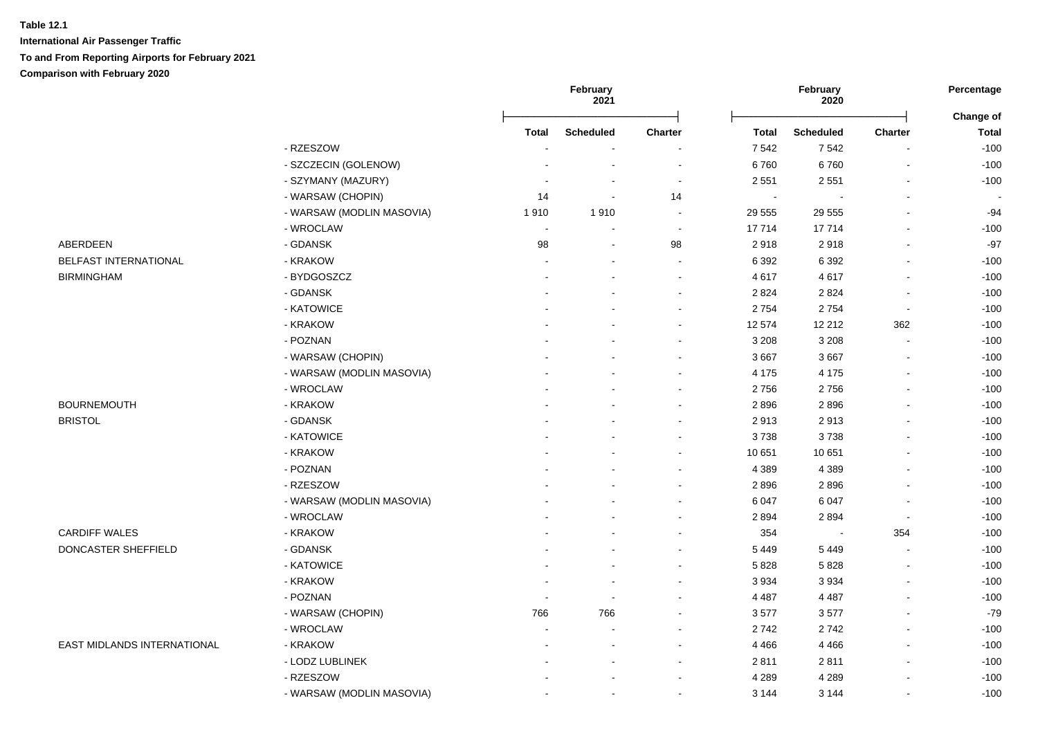|                             |                           |                          | February<br>2021         |                          |                | February<br>2020 |                          |                           |
|-----------------------------|---------------------------|--------------------------|--------------------------|--------------------------|----------------|------------------|--------------------------|---------------------------|
|                             |                           | <b>Total</b>             | <b>Scheduled</b>         | <b>Charter</b>           | <b>Total</b>   | <b>Scheduled</b> | <b>Charter</b>           | Change of<br><b>Total</b> |
|                             | - RZESZOW                 |                          |                          |                          | 7 5 4 2        | 7542             | $\blacksquare$           | $-100$                    |
|                             | - SZCZECIN (GOLENOW)      |                          | $\blacksquare$           | $\sim$                   | 6760           | 6760             | $\blacksquare$           | $-100$                    |
|                             | - SZYMANY (MAZURY)        |                          | $\blacksquare$           | $\sim$                   | 2 5 5 1        | 2 5 5 1          | $\blacksquare$           | $-100$                    |
|                             | - WARSAW (CHOPIN)         | 14                       | $\blacksquare$           | 14                       | $\overline{a}$ |                  | $\blacksquare$           |                           |
|                             | - WARSAW (MODLIN MASOVIA) | 1910                     | 1910                     |                          | 29 555         | 29 555           | $\sim$                   | $-94$                     |
|                             | - WROCLAW                 | $\overline{\phantom{a}}$ | $\overline{\phantom{a}}$ | $\overline{\phantom{a}}$ | 17714          | 17714            |                          | $-100$                    |
| ABERDEEN                    | - GDANSK                  | 98                       | $\blacksquare$           | 98                       | 2918           | 2918             |                          | $-97$                     |
| BELFAST INTERNATIONAL       | - KRAKOW                  | $\blacksquare$           |                          | $\overline{\phantom{a}}$ | 6 3 9 2        | 6 3 9 2          |                          | $-100$                    |
| <b>BIRMINGHAM</b>           | - BYDGOSZCZ               |                          |                          |                          | 4617           | 4617             |                          | $-100$                    |
|                             | - GDANSK                  |                          |                          |                          | 2 8 2 4        | 2824             |                          | $-100$                    |
|                             | - KATOWICE                |                          |                          |                          | 2754           | 2754             | $\sim$                   | $-100$                    |
|                             | - KRAKOW                  |                          |                          |                          | 12 574         | 12 212           | 362                      | $-100$                    |
|                             | - POZNAN                  |                          |                          |                          | 3 2 0 8        | 3 2 0 8          | $\overline{\phantom{a}}$ | $-100$                    |
|                             | - WARSAW (CHOPIN)         |                          |                          | $\overline{a}$           | 3 6 6 7        | 3667             |                          | $-100$                    |
|                             | - WARSAW (MODLIN MASOVIA) |                          |                          | ÷                        | 4 1 7 5        | 4 1 7 5          |                          | $-100$                    |
|                             | - WROCLAW                 |                          |                          |                          | 2756           | 2756             |                          | $-100$                    |
| <b>BOURNEMOUTH</b>          | - KRAKOW                  |                          |                          | $\overline{\phantom{a}}$ | 2896           | 2896             |                          | $-100$                    |
| <b>BRISTOL</b>              | - GDANSK                  |                          |                          | ÷                        | 2913           | 2913             |                          | $-100$                    |
|                             | - KATOWICE                |                          |                          |                          | 3738           | 3738             |                          | $-100$                    |
|                             | - KRAKOW                  |                          |                          |                          | 10 651         | 10 651           |                          | $-100$                    |
|                             | - POZNAN                  |                          |                          |                          | 4 3 8 9        | 4 3 8 9          |                          | $-100$                    |
|                             | - RZESZOW                 |                          |                          |                          | 2896           | 2896             |                          | $-100$                    |
|                             | - WARSAW (MODLIN MASOVIA) |                          |                          | $\blacksquare$           | 6 0 4 7        | 6 0 4 7          | $\overline{\phantom{a}}$ | $-100$                    |
|                             | - WROCLAW                 |                          |                          |                          | 2894           | 2894             | $\blacksquare$           | $-100$                    |
| <b>CARDIFF WALES</b>        | - KRAKOW                  |                          |                          |                          | 354            |                  | 354                      | $-100$                    |
| DONCASTER SHEFFIELD         | - GDANSK                  |                          |                          |                          | 5 4 4 9        | 5 4 4 9          | $\overline{\phantom{a}}$ | $-100$                    |
|                             | - KATOWICE                |                          |                          |                          | 5828           | 5828             | $\blacksquare$           | $-100$                    |
|                             | - KRAKOW                  |                          |                          |                          | 3 9 3 4        | 3934             |                          | $-100$                    |
|                             | - POZNAN                  |                          |                          |                          | 4 4 8 7        | 4 4 8 7          |                          | $-100$                    |
|                             | - WARSAW (CHOPIN)         | 766                      | 766                      | $\sim$                   | 3577           | 3577             |                          | $-79$                     |
|                             | - WROCLAW                 | ÷                        | $\sim$                   | ÷                        | 2742           | 2742             |                          | $-100$                    |
| EAST MIDLANDS INTERNATIONAL | - KRAKOW                  |                          | $\sim$                   | $\sim$                   | 4 4 6 6        | 4 4 6 6          | $\sim$                   | $-100$                    |
|                             | - LODZ LUBLINEK           |                          | $\blacksquare$           | $\blacksquare$           | 2811           | 2811             | $\blacksquare$           | $-100$                    |
|                             | - RZESZOW                 |                          |                          | $\overline{\phantom{a}}$ | 4 2 8 9        | 4 2 8 9          |                          | $-100$                    |
|                             | - WARSAW (MODLIN MASOVIA) |                          | $\blacksquare$           | $\blacksquare$           | 3 1 4 4        | 3 1 4 4          | $\blacksquare$           | $-100$                    |
|                             |                           |                          |                          |                          |                |                  |                          |                           |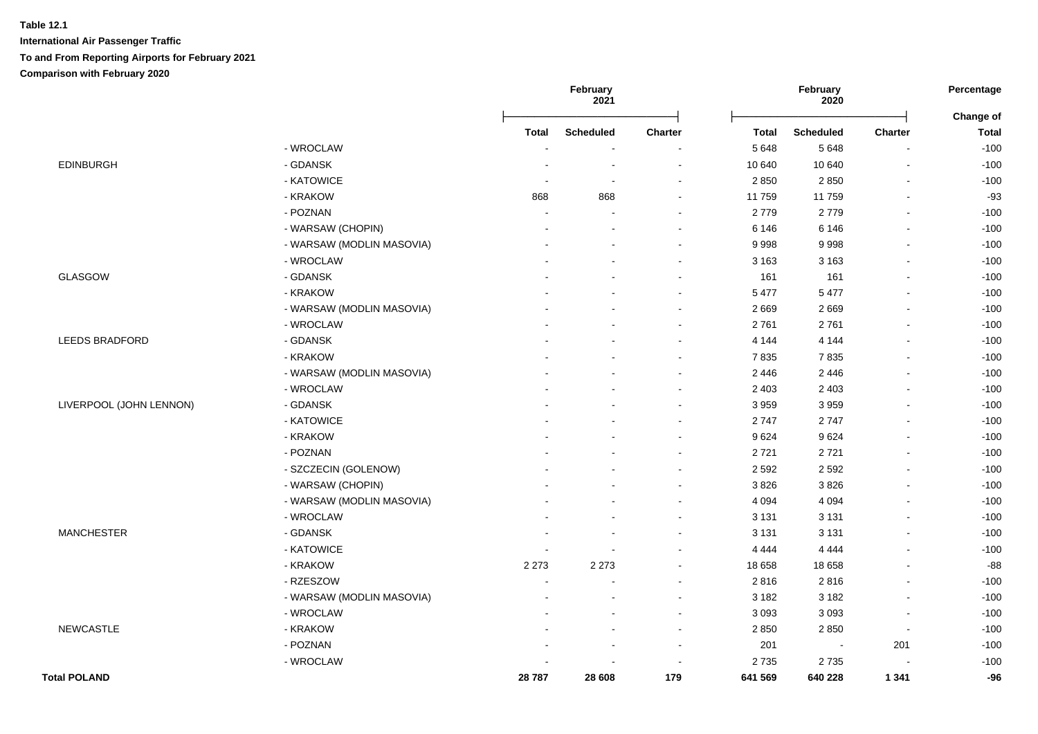|                         |                           |              | February<br>2021         |                |              | February<br>2020 |                          | Percentage<br>Change of |
|-------------------------|---------------------------|--------------|--------------------------|----------------|--------------|------------------|--------------------------|-------------------------|
|                         |                           | <b>Total</b> | <b>Scheduled</b>         | <b>Charter</b> | <b>Total</b> | <b>Scheduled</b> | Charter                  | <b>Total</b>            |
|                         | - WROCLAW                 |              |                          |                | 5 6 4 8      | 5648             | $\blacksquare$           | $-100$                  |
| <b>EDINBURGH</b>        | - GDANSK                  |              | $\blacksquare$           | $\blacksquare$ | 10 640       | 10 640           | $\blacksquare$           | $-100$                  |
|                         | - KATOWICE                |              | $\overline{\phantom{a}}$ | $\blacksquare$ | 2 8 5 0      | 2850             | $\overline{\phantom{a}}$ | $-100$                  |
|                         | - KRAKOW                  | 868          | 868                      | $\blacksquare$ | 11 759       | 11759            | $\blacksquare$           | $-93$                   |
|                         | - POZNAN                  |              |                          | $\blacksquare$ | 2779         | 2779             |                          | $-100$                  |
|                         | - WARSAW (CHOPIN)         |              |                          | $\blacksquare$ | 6 1 4 6      | 6 1 4 6          | $\blacksquare$           | $-100$                  |
|                         | - WARSAW (MODLIN MASOVIA) |              | $\overline{a}$           | $\sim$         | 9998         | 9998             | $\overline{\phantom{a}}$ | $-100$                  |
|                         | - WROCLAW                 |              |                          | $\blacksquare$ | 3 1 6 3      | 3 1 6 3          |                          | $-100$                  |
| <b>GLASGOW</b>          | - GDANSK                  |              |                          | $\blacksquare$ | 161          | 161              |                          | $-100$                  |
|                         | - KRAKOW                  |              |                          | $\blacksquare$ | 5 4 7 7      | 5 4 7 7          |                          | $-100$                  |
|                         | - WARSAW (MODLIN MASOVIA) |              |                          | $\blacksquare$ | 2669         | 2669             |                          | $-100$                  |
|                         | - WROCLAW                 |              |                          | $\blacksquare$ | 2761         | 2761             |                          | $-100$                  |
| <b>LEEDS BRADFORD</b>   | - GDANSK                  |              |                          | $\blacksquare$ | 4 1 4 4      | 4 1 4 4          |                          | $-100$                  |
|                         | - KRAKOW                  |              |                          | $\blacksquare$ | 7835         | 7835             |                          | $-100$                  |
|                         | - WARSAW (MODLIN MASOVIA) |              | $\overline{a}$           | $\blacksquare$ | 2 4 4 6      | 2 4 4 6          |                          | $-100$                  |
|                         | - WROCLAW                 |              |                          | $\sim$         | 2 4 0 3      | 2 4 0 3          |                          | $-100$                  |
| LIVERPOOL (JOHN LENNON) | - GDANSK                  |              |                          | $\blacksquare$ | 3 9 5 9      | 3959             |                          | $-100$                  |
|                         | - KATOWICE                |              |                          | $\blacksquare$ | 2747         | 2747             |                          | $-100$                  |
|                         | - KRAKOW                  |              |                          | $\sim$         | 9624         | 9624             |                          | $-100$                  |
|                         | - POZNAN                  |              |                          | $\sim$         | 2721         | 2721             | $\overline{a}$           | $-100$                  |
|                         | - SZCZECIN (GOLENOW)      |              |                          | $\sim$         | 2 5 9 2      | 2 5 9 2          |                          | $-100$                  |
|                         | - WARSAW (CHOPIN)         |              |                          | $\blacksquare$ | 3826         | 3826             |                          | $-100$                  |
|                         | - WARSAW (MODLIN MASOVIA) |              |                          | $\blacksquare$ | 4 0 9 4      | 4 0 9 4          |                          | $-100$                  |
|                         | - WROCLAW                 |              |                          | $\sim$         | 3 1 3 1      | 3 1 3 1          |                          | $-100$                  |
| <b>MANCHESTER</b>       | - GDANSK                  |              | $\overline{a}$           | $\sim$         | 3 1 3 1      | 3 1 3 1          | $\overline{a}$           | $-100$                  |
|                         | - KATOWICE                |              | $\blacksquare$           | $\sim$         | 4 4 4 4      | 4 4 4 4          |                          | $-100$                  |
|                         | - KRAKOW                  | 2 2 7 3      | 2 2 7 3                  | $\blacksquare$ | 18 658       | 18 658           |                          | $-88$                   |
|                         | - RZESZOW                 |              |                          | $\sim$         | 2816         | 2816             |                          | $-100$                  |
|                         | - WARSAW (MODLIN MASOVIA) |              |                          | $\blacksquare$ | 3 1 8 2      | 3 1 8 2          |                          | $-100$                  |
|                         | - WROCLAW                 |              |                          | $\sim$         | 3 0 9 3      | 3 0 9 3          | $\overline{\phantom{a}}$ | $-100$                  |
| <b>NEWCASTLE</b>        | - KRAKOW                  |              |                          | $\blacksquare$ | 2850         | 2850             | $\blacksquare$           | $-100$                  |
|                         | - POZNAN                  |              | $\blacksquare$           | $\blacksquare$ | 201          | $\blacksquare$   | 201                      | $-100$                  |
|                         | - WROCLAW                 |              |                          | $\blacksquare$ | 2735         | 2735             |                          | $-100$                  |
| <b>Total POLAND</b>     |                           | 28787        | 28 608                   | 179            | 641 569      | 640 228          | 1 3 4 1                  | $-96$                   |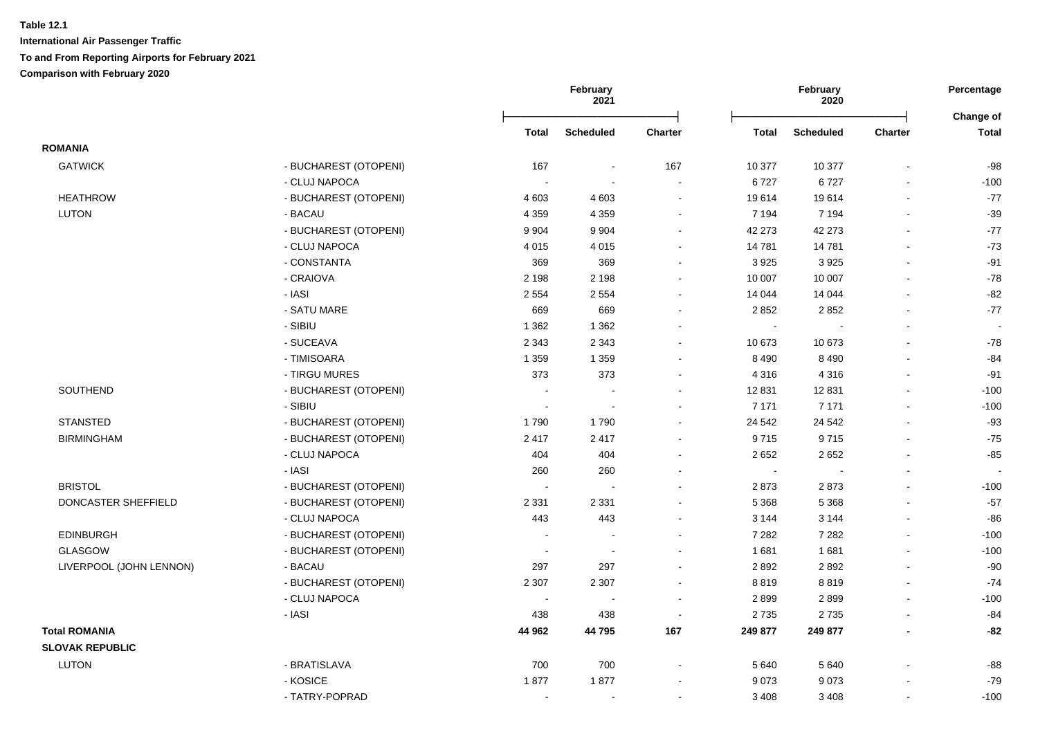| Total<br><b>Scheduled</b><br><b>Charter</b><br><b>Total</b><br><b>Scheduled</b><br><b>Charter</b><br><b>ROMANIA</b><br><b>GATWICK</b><br>- BUCHAREST (OTOPENI)<br>167<br>167<br>10 377<br>10 377<br>$\sim$<br>- CLUJ NAPOCA<br>6727<br>6727<br>$\sim$<br><b>HEATHROW</b><br>- BUCHAREST (OTOPENI)<br>4 6 0 3<br>19614<br>19614<br>4 603<br>$\blacksquare$<br>$\blacksquare$<br><b>LUTON</b><br>7 1 9 4<br>- BACAU<br>4 3 5 9<br>4 3 5 9<br>7 1 9 4<br>$\sim$<br>$\sim$<br>- BUCHAREST (OTOPENI)<br>42 273<br>9 9 0 4<br>9 9 0 4<br>42 273<br>$\blacksquare$<br>$\blacksquare$<br>- CLUJ NAPOCA<br>14 781<br>14781<br>4015<br>4015<br>$\blacksquare$<br>$\blacksquare$<br>3 9 2 5<br>- CONSTANTA<br>369<br>369<br>3 9 2 5<br>$\blacksquare$<br>$\sim$<br>- CRAIOVA<br>2 1 9 8<br>10 007<br>2 1 9 8<br>10 007<br>$\sim$<br>$\sim$<br>- IASI<br>14 044<br>2 5 5 4<br>2 5 5 4<br>14 044<br>- SATU MARE<br>669<br>669<br>2 8 5 2<br>2852<br>- SIBIU<br>1 3 6 2<br>1 3 6 2<br>$\sim$<br>$\sim$<br>$\overline{a}$<br>$\overline{a}$<br>- SUCEAVA<br>2 3 4 3<br>2 3 4 3<br>10 673<br>10 673<br>$\sim$<br>$\sim$<br>- TIMISOARA<br>1 3 5 9<br>8 4 9 0<br>1 3 5 9<br>8 4 9 0<br>$\sim$<br>$\sim$<br>- TIRGU MURES<br>373<br>373<br>4 3 1 6<br>4 3 1 6<br>$\blacksquare$<br>$\blacksquare$<br><b>SOUTHEND</b><br>- BUCHAREST (OTOPENI)<br>12 8 31<br>12 8 31<br>$\sim$<br>$\sim$<br>$\sim$<br>$\sim$<br>- SIBIU<br>7 1 7 1<br>7 1 7 1<br>$\sim$<br>$\sim$<br>$\blacksquare$<br>$\blacksquare$<br><b>STANSTED</b><br>- BUCHAREST (OTOPENI)<br>1790<br>24 5 42<br>24 5 42<br>1790<br>$\sim$<br>$\sim$<br><b>BIRMINGHAM</b><br>- BUCHAREST (OTOPENI)<br>2 4 1 7<br>9715<br>2417<br>9715<br>$\blacksquare$<br>404<br>2652<br>- CLUJ NAPOCA<br>404<br>2 6 5 2<br>$\sim$<br>$\sim$<br>- IASI<br>260<br>260<br>$\sim$<br>$\blacksquare$<br>$\blacksquare$<br><b>BRISTOL</b><br>- BUCHAREST (OTOPENI)<br>2873<br>2873<br>$\blacksquare$<br>$\sim$<br>$\blacksquare$<br>$\sim$<br>DONCASTER SHEFFIELD<br>- BUCHAREST (OTOPENI)<br>5 3 6 8<br>5 3 6 8<br>2 3 3 1<br>2 3 3 1<br>$\blacksquare$<br>- CLUJ NAPOCA<br>443<br>443<br>3 1 4 4<br>3 1 4 4<br>$\blacksquare$<br>7 2 8 2<br><b>EDINBURGH</b><br>- BUCHAREST (OTOPENI)<br>7 2 8 2<br><b>GLASGOW</b><br>- BUCHAREST (OTOPENI)<br>1681<br>1681<br>$\sim$<br>LIVERPOOL (JOHN LENNON)<br>- BACAU<br>297<br>297<br>2892<br>2892<br>÷<br>$\sim$<br>- BUCHAREST (OTOPENI)<br>2 3 0 7<br>2 3 0 7<br>8819<br>8819<br>$\sim$<br>$\sim$<br>- CLUJ NAPOCA<br>2899<br>2899<br>$\sim$<br>$\sim$<br>$\sim$<br>$\sim$<br>- IASI<br>438<br>438<br>2735<br>2735<br>$\blacksquare$<br>$\sim$ | Percentage                |
|------------------------------------------------------------------------------------------------------------------------------------------------------------------------------------------------------------------------------------------------------------------------------------------------------------------------------------------------------------------------------------------------------------------------------------------------------------------------------------------------------------------------------------------------------------------------------------------------------------------------------------------------------------------------------------------------------------------------------------------------------------------------------------------------------------------------------------------------------------------------------------------------------------------------------------------------------------------------------------------------------------------------------------------------------------------------------------------------------------------------------------------------------------------------------------------------------------------------------------------------------------------------------------------------------------------------------------------------------------------------------------------------------------------------------------------------------------------------------------------------------------------------------------------------------------------------------------------------------------------------------------------------------------------------------------------------------------------------------------------------------------------------------------------------------------------------------------------------------------------------------------------------------------------------------------------------------------------------------------------------------------------------------------------------------------------------------------------------------------------------------------------------------------------------------------------------------------------------------------------------------------------------------------------------------------------------------------------------------------------------------------------------------------------------------------------------------------------------------------------------------------------------------------------------------------------------------------------------------------|---------------------------|
|                                                                                                                                                                                                                                                                                                                                                                                                                                                                                                                                                                                                                                                                                                                                                                                                                                                                                                                                                                                                                                                                                                                                                                                                                                                                                                                                                                                                                                                                                                                                                                                                                                                                                                                                                                                                                                                                                                                                                                                                                                                                                                                                                                                                                                                                                                                                                                                                                                                                                                                                                                                                            | Change of<br><b>Total</b> |
|                                                                                                                                                                                                                                                                                                                                                                                                                                                                                                                                                                                                                                                                                                                                                                                                                                                                                                                                                                                                                                                                                                                                                                                                                                                                                                                                                                                                                                                                                                                                                                                                                                                                                                                                                                                                                                                                                                                                                                                                                                                                                                                                                                                                                                                                                                                                                                                                                                                                                                                                                                                                            |                           |
|                                                                                                                                                                                                                                                                                                                                                                                                                                                                                                                                                                                                                                                                                                                                                                                                                                                                                                                                                                                                                                                                                                                                                                                                                                                                                                                                                                                                                                                                                                                                                                                                                                                                                                                                                                                                                                                                                                                                                                                                                                                                                                                                                                                                                                                                                                                                                                                                                                                                                                                                                                                                            | $-98$                     |
|                                                                                                                                                                                                                                                                                                                                                                                                                                                                                                                                                                                                                                                                                                                                                                                                                                                                                                                                                                                                                                                                                                                                                                                                                                                                                                                                                                                                                                                                                                                                                                                                                                                                                                                                                                                                                                                                                                                                                                                                                                                                                                                                                                                                                                                                                                                                                                                                                                                                                                                                                                                                            | $-100$                    |
|                                                                                                                                                                                                                                                                                                                                                                                                                                                                                                                                                                                                                                                                                                                                                                                                                                                                                                                                                                                                                                                                                                                                                                                                                                                                                                                                                                                                                                                                                                                                                                                                                                                                                                                                                                                                                                                                                                                                                                                                                                                                                                                                                                                                                                                                                                                                                                                                                                                                                                                                                                                                            | $-77$                     |
|                                                                                                                                                                                                                                                                                                                                                                                                                                                                                                                                                                                                                                                                                                                                                                                                                                                                                                                                                                                                                                                                                                                                                                                                                                                                                                                                                                                                                                                                                                                                                                                                                                                                                                                                                                                                                                                                                                                                                                                                                                                                                                                                                                                                                                                                                                                                                                                                                                                                                                                                                                                                            | $-39$                     |
|                                                                                                                                                                                                                                                                                                                                                                                                                                                                                                                                                                                                                                                                                                                                                                                                                                                                                                                                                                                                                                                                                                                                                                                                                                                                                                                                                                                                                                                                                                                                                                                                                                                                                                                                                                                                                                                                                                                                                                                                                                                                                                                                                                                                                                                                                                                                                                                                                                                                                                                                                                                                            | $-77$                     |
|                                                                                                                                                                                                                                                                                                                                                                                                                                                                                                                                                                                                                                                                                                                                                                                                                                                                                                                                                                                                                                                                                                                                                                                                                                                                                                                                                                                                                                                                                                                                                                                                                                                                                                                                                                                                                                                                                                                                                                                                                                                                                                                                                                                                                                                                                                                                                                                                                                                                                                                                                                                                            | $-73$                     |
|                                                                                                                                                                                                                                                                                                                                                                                                                                                                                                                                                                                                                                                                                                                                                                                                                                                                                                                                                                                                                                                                                                                                                                                                                                                                                                                                                                                                                                                                                                                                                                                                                                                                                                                                                                                                                                                                                                                                                                                                                                                                                                                                                                                                                                                                                                                                                                                                                                                                                                                                                                                                            | $-91$                     |
|                                                                                                                                                                                                                                                                                                                                                                                                                                                                                                                                                                                                                                                                                                                                                                                                                                                                                                                                                                                                                                                                                                                                                                                                                                                                                                                                                                                                                                                                                                                                                                                                                                                                                                                                                                                                                                                                                                                                                                                                                                                                                                                                                                                                                                                                                                                                                                                                                                                                                                                                                                                                            | $-78$                     |
|                                                                                                                                                                                                                                                                                                                                                                                                                                                                                                                                                                                                                                                                                                                                                                                                                                                                                                                                                                                                                                                                                                                                                                                                                                                                                                                                                                                                                                                                                                                                                                                                                                                                                                                                                                                                                                                                                                                                                                                                                                                                                                                                                                                                                                                                                                                                                                                                                                                                                                                                                                                                            | $-82$                     |
|                                                                                                                                                                                                                                                                                                                                                                                                                                                                                                                                                                                                                                                                                                                                                                                                                                                                                                                                                                                                                                                                                                                                                                                                                                                                                                                                                                                                                                                                                                                                                                                                                                                                                                                                                                                                                                                                                                                                                                                                                                                                                                                                                                                                                                                                                                                                                                                                                                                                                                                                                                                                            | $-77$                     |
|                                                                                                                                                                                                                                                                                                                                                                                                                                                                                                                                                                                                                                                                                                                                                                                                                                                                                                                                                                                                                                                                                                                                                                                                                                                                                                                                                                                                                                                                                                                                                                                                                                                                                                                                                                                                                                                                                                                                                                                                                                                                                                                                                                                                                                                                                                                                                                                                                                                                                                                                                                                                            | $\overline{\phantom{a}}$  |
|                                                                                                                                                                                                                                                                                                                                                                                                                                                                                                                                                                                                                                                                                                                                                                                                                                                                                                                                                                                                                                                                                                                                                                                                                                                                                                                                                                                                                                                                                                                                                                                                                                                                                                                                                                                                                                                                                                                                                                                                                                                                                                                                                                                                                                                                                                                                                                                                                                                                                                                                                                                                            | $-78$                     |
|                                                                                                                                                                                                                                                                                                                                                                                                                                                                                                                                                                                                                                                                                                                                                                                                                                                                                                                                                                                                                                                                                                                                                                                                                                                                                                                                                                                                                                                                                                                                                                                                                                                                                                                                                                                                                                                                                                                                                                                                                                                                                                                                                                                                                                                                                                                                                                                                                                                                                                                                                                                                            | $-84$                     |
|                                                                                                                                                                                                                                                                                                                                                                                                                                                                                                                                                                                                                                                                                                                                                                                                                                                                                                                                                                                                                                                                                                                                                                                                                                                                                                                                                                                                                                                                                                                                                                                                                                                                                                                                                                                                                                                                                                                                                                                                                                                                                                                                                                                                                                                                                                                                                                                                                                                                                                                                                                                                            | $-91$                     |
|                                                                                                                                                                                                                                                                                                                                                                                                                                                                                                                                                                                                                                                                                                                                                                                                                                                                                                                                                                                                                                                                                                                                                                                                                                                                                                                                                                                                                                                                                                                                                                                                                                                                                                                                                                                                                                                                                                                                                                                                                                                                                                                                                                                                                                                                                                                                                                                                                                                                                                                                                                                                            | $-100$                    |
|                                                                                                                                                                                                                                                                                                                                                                                                                                                                                                                                                                                                                                                                                                                                                                                                                                                                                                                                                                                                                                                                                                                                                                                                                                                                                                                                                                                                                                                                                                                                                                                                                                                                                                                                                                                                                                                                                                                                                                                                                                                                                                                                                                                                                                                                                                                                                                                                                                                                                                                                                                                                            | $-100$                    |
|                                                                                                                                                                                                                                                                                                                                                                                                                                                                                                                                                                                                                                                                                                                                                                                                                                                                                                                                                                                                                                                                                                                                                                                                                                                                                                                                                                                                                                                                                                                                                                                                                                                                                                                                                                                                                                                                                                                                                                                                                                                                                                                                                                                                                                                                                                                                                                                                                                                                                                                                                                                                            | $-93$                     |
|                                                                                                                                                                                                                                                                                                                                                                                                                                                                                                                                                                                                                                                                                                                                                                                                                                                                                                                                                                                                                                                                                                                                                                                                                                                                                                                                                                                                                                                                                                                                                                                                                                                                                                                                                                                                                                                                                                                                                                                                                                                                                                                                                                                                                                                                                                                                                                                                                                                                                                                                                                                                            | $-75$                     |
|                                                                                                                                                                                                                                                                                                                                                                                                                                                                                                                                                                                                                                                                                                                                                                                                                                                                                                                                                                                                                                                                                                                                                                                                                                                                                                                                                                                                                                                                                                                                                                                                                                                                                                                                                                                                                                                                                                                                                                                                                                                                                                                                                                                                                                                                                                                                                                                                                                                                                                                                                                                                            | $-85$                     |
|                                                                                                                                                                                                                                                                                                                                                                                                                                                                                                                                                                                                                                                                                                                                                                                                                                                                                                                                                                                                                                                                                                                                                                                                                                                                                                                                                                                                                                                                                                                                                                                                                                                                                                                                                                                                                                                                                                                                                                                                                                                                                                                                                                                                                                                                                                                                                                                                                                                                                                                                                                                                            | $\sim$                    |
|                                                                                                                                                                                                                                                                                                                                                                                                                                                                                                                                                                                                                                                                                                                                                                                                                                                                                                                                                                                                                                                                                                                                                                                                                                                                                                                                                                                                                                                                                                                                                                                                                                                                                                                                                                                                                                                                                                                                                                                                                                                                                                                                                                                                                                                                                                                                                                                                                                                                                                                                                                                                            | $-100$                    |
|                                                                                                                                                                                                                                                                                                                                                                                                                                                                                                                                                                                                                                                                                                                                                                                                                                                                                                                                                                                                                                                                                                                                                                                                                                                                                                                                                                                                                                                                                                                                                                                                                                                                                                                                                                                                                                                                                                                                                                                                                                                                                                                                                                                                                                                                                                                                                                                                                                                                                                                                                                                                            | $-57$                     |
|                                                                                                                                                                                                                                                                                                                                                                                                                                                                                                                                                                                                                                                                                                                                                                                                                                                                                                                                                                                                                                                                                                                                                                                                                                                                                                                                                                                                                                                                                                                                                                                                                                                                                                                                                                                                                                                                                                                                                                                                                                                                                                                                                                                                                                                                                                                                                                                                                                                                                                                                                                                                            | $-86$                     |
|                                                                                                                                                                                                                                                                                                                                                                                                                                                                                                                                                                                                                                                                                                                                                                                                                                                                                                                                                                                                                                                                                                                                                                                                                                                                                                                                                                                                                                                                                                                                                                                                                                                                                                                                                                                                                                                                                                                                                                                                                                                                                                                                                                                                                                                                                                                                                                                                                                                                                                                                                                                                            | $-100$                    |
|                                                                                                                                                                                                                                                                                                                                                                                                                                                                                                                                                                                                                                                                                                                                                                                                                                                                                                                                                                                                                                                                                                                                                                                                                                                                                                                                                                                                                                                                                                                                                                                                                                                                                                                                                                                                                                                                                                                                                                                                                                                                                                                                                                                                                                                                                                                                                                                                                                                                                                                                                                                                            | $-100$                    |
|                                                                                                                                                                                                                                                                                                                                                                                                                                                                                                                                                                                                                                                                                                                                                                                                                                                                                                                                                                                                                                                                                                                                                                                                                                                                                                                                                                                                                                                                                                                                                                                                                                                                                                                                                                                                                                                                                                                                                                                                                                                                                                                                                                                                                                                                                                                                                                                                                                                                                                                                                                                                            | $-90$                     |
|                                                                                                                                                                                                                                                                                                                                                                                                                                                                                                                                                                                                                                                                                                                                                                                                                                                                                                                                                                                                                                                                                                                                                                                                                                                                                                                                                                                                                                                                                                                                                                                                                                                                                                                                                                                                                                                                                                                                                                                                                                                                                                                                                                                                                                                                                                                                                                                                                                                                                                                                                                                                            | $-74$                     |
|                                                                                                                                                                                                                                                                                                                                                                                                                                                                                                                                                                                                                                                                                                                                                                                                                                                                                                                                                                                                                                                                                                                                                                                                                                                                                                                                                                                                                                                                                                                                                                                                                                                                                                                                                                                                                                                                                                                                                                                                                                                                                                                                                                                                                                                                                                                                                                                                                                                                                                                                                                                                            | $-100$                    |
|                                                                                                                                                                                                                                                                                                                                                                                                                                                                                                                                                                                                                                                                                                                                                                                                                                                                                                                                                                                                                                                                                                                                                                                                                                                                                                                                                                                                                                                                                                                                                                                                                                                                                                                                                                                                                                                                                                                                                                                                                                                                                                                                                                                                                                                                                                                                                                                                                                                                                                                                                                                                            | $-84$                     |
| <b>Total ROMANIA</b><br>44 962<br>44 795<br>167<br>249 877<br>249 877<br>$\blacksquare$                                                                                                                                                                                                                                                                                                                                                                                                                                                                                                                                                                                                                                                                                                                                                                                                                                                                                                                                                                                                                                                                                                                                                                                                                                                                                                                                                                                                                                                                                                                                                                                                                                                                                                                                                                                                                                                                                                                                                                                                                                                                                                                                                                                                                                                                                                                                                                                                                                                                                                                    | $-82$                     |
| <b>SLOVAK REPUBLIC</b>                                                                                                                                                                                                                                                                                                                                                                                                                                                                                                                                                                                                                                                                                                                                                                                                                                                                                                                                                                                                                                                                                                                                                                                                                                                                                                                                                                                                                                                                                                                                                                                                                                                                                                                                                                                                                                                                                                                                                                                                                                                                                                                                                                                                                                                                                                                                                                                                                                                                                                                                                                                     |                           |
| - BRATISLAVA<br><b>LUTON</b><br>700<br>700<br>5 6 4 0<br>5 6 4 0                                                                                                                                                                                                                                                                                                                                                                                                                                                                                                                                                                                                                                                                                                                                                                                                                                                                                                                                                                                                                                                                                                                                                                                                                                                                                                                                                                                                                                                                                                                                                                                                                                                                                                                                                                                                                                                                                                                                                                                                                                                                                                                                                                                                                                                                                                                                                                                                                                                                                                                                           | $-88$                     |
| - KOSICE<br>1877<br>1877<br>9073<br>9073<br>$\blacksquare$<br>$\blacksquare$                                                                                                                                                                                                                                                                                                                                                                                                                                                                                                                                                                                                                                                                                                                                                                                                                                                                                                                                                                                                                                                                                                                                                                                                                                                                                                                                                                                                                                                                                                                                                                                                                                                                                                                                                                                                                                                                                                                                                                                                                                                                                                                                                                                                                                                                                                                                                                                                                                                                                                                               | $-79$                     |
| - TATRY-POPRAD<br>3 4 0 8<br>3 4 0 8<br>$\sim$<br>$\sim$<br>$\sim$<br>$\blacksquare$                                                                                                                                                                                                                                                                                                                                                                                                                                                                                                                                                                                                                                                                                                                                                                                                                                                                                                                                                                                                                                                                                                                                                                                                                                                                                                                                                                                                                                                                                                                                                                                                                                                                                                                                                                                                                                                                                                                                                                                                                                                                                                                                                                                                                                                                                                                                                                                                                                                                                                                       | $-100$                    |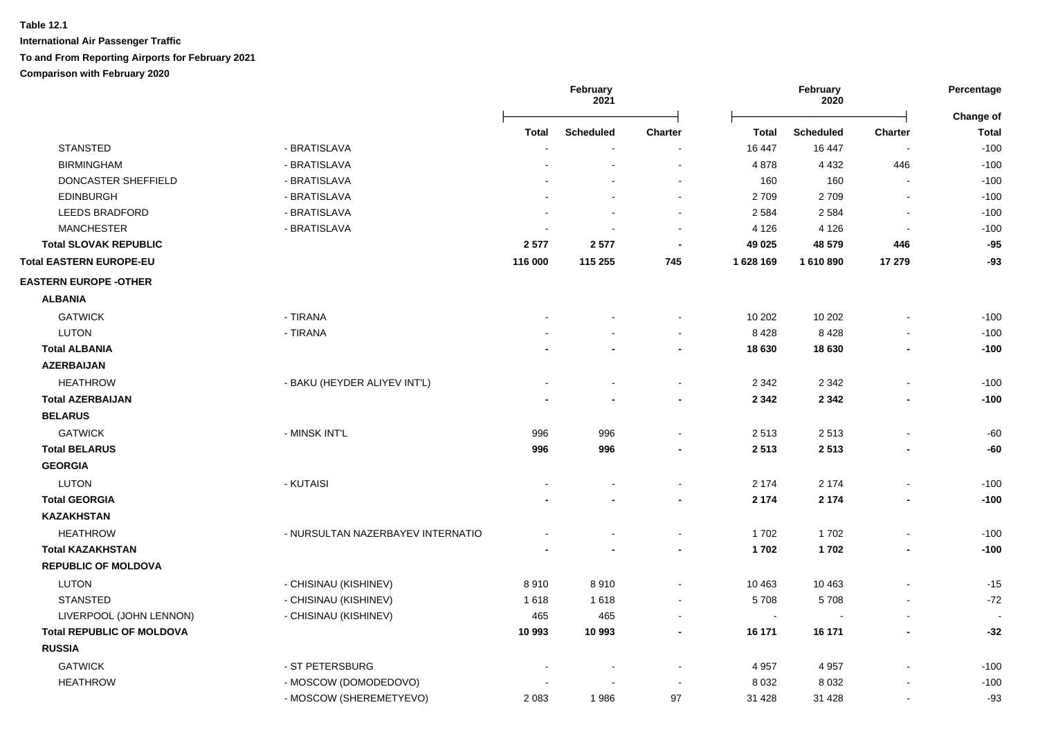|                                  |                                   | February<br>2021 |                  | February<br>2020 |              | Percentage<br>Change of |                          |              |
|----------------------------------|-----------------------------------|------------------|------------------|------------------|--------------|-------------------------|--------------------------|--------------|
|                                  |                                   | Total            | <b>Scheduled</b> | <b>Charter</b>   | <b>Total</b> | <b>Scheduled</b>        | <b>Charter</b>           | <b>Total</b> |
| <b>STANSTED</b>                  | - BRATISLAVA                      |                  |                  |                  | 16 447       | 16 447                  | $\overline{\phantom{a}}$ | $-100$       |
| <b>BIRMINGHAM</b>                | - BRATISLAVA                      |                  |                  | $\sim$           | 4878         | 4 4 3 2                 | 446                      | $-100$       |
| DONCASTER SHEFFIELD              | - BRATISLAVA                      |                  |                  | $\sim$           | 160          | 160                     | $\sim$                   | $-100$       |
| <b>EDINBURGH</b>                 | - BRATISLAVA                      |                  |                  | $\blacksquare$   | 2709         | 2709                    | $\blacksquare$           | $-100$       |
| <b>LEEDS BRADFORD</b>            | - BRATISLAVA                      |                  |                  | $\sim$           | 2 5 8 4      | 2 5 8 4                 | $\sim$                   | $-100$       |
| <b>MANCHESTER</b>                | - BRATISLAVA                      |                  |                  | $\blacksquare$   | 4 1 2 6      | 4 1 2 6                 | $\blacksquare$           | $-100$       |
| <b>Total SLOVAK REPUBLIC</b>     |                                   | 2577             | 2577             |                  | 49 0 25      | 48 579                  | 446                      | $-95$        |
| <b>Total EASTERN EUROPE-EU</b>   |                                   | 116 000          | 115 255          | 745              | 1628 169     | 1 610 890               | 17 279                   | $-93$        |
| <b>EASTERN EUROPE - OTHER</b>    |                                   |                  |                  |                  |              |                         |                          |              |
| <b>ALBANIA</b>                   |                                   |                  |                  |                  |              |                         |                          |              |
| <b>GATWICK</b>                   | - TIRANA                          |                  |                  |                  | 10 20 2      | 10 20 2                 |                          | $-100$       |
| <b>LUTON</b>                     | - TIRANA                          |                  |                  | $\blacksquare$   | 8428         | 8428                    | ä,                       | $-100$       |
| <b>Total ALBANIA</b>             |                                   |                  |                  | $\blacksquare$   | 18 630       | 18 630                  | ۰                        | $-100$       |
| <b>AZERBAIJAN</b>                |                                   |                  |                  |                  |              |                         |                          |              |
| <b>HEATHROW</b>                  | - BAKU (HEYDER ALIYEV INT'L)      |                  |                  | $\sim$           | 2 3 4 2      | 2 3 4 2                 | $\overline{a}$           | $-100$       |
| <b>Total AZERBAIJAN</b>          |                                   |                  |                  | $\blacksquare$   | 2 3 4 2      | 2 3 4 2                 | $\blacksquare$           | $-100$       |
| <b>BELARUS</b>                   |                                   |                  |                  |                  |              |                         |                          |              |
| <b>GATWICK</b>                   | - MINSK INT'L                     | 996              | 996              |                  | 2513         | 2513                    | $\blacksquare$           | -60          |
| <b>Total BELARUS</b>             |                                   | 996              | 996              |                  | 2 5 1 3      | 2513                    | $\blacksquare$           | -60          |
| <b>GEORGIA</b>                   |                                   |                  |                  |                  |              |                         |                          |              |
| <b>LUTON</b>                     | - KUTAISI                         |                  |                  |                  | 2 1 7 4      | 2 1 7 4                 |                          | $-100$       |
| <b>Total GEORGIA</b>             |                                   |                  |                  |                  | 2 1 7 4      | 2 1 7 4                 | $\blacksquare$           | $-100$       |
| <b>KAZAKHSTAN</b>                |                                   |                  |                  |                  |              |                         |                          |              |
| <b>HEATHROW</b>                  | - NURSULTAN NAZERBAYEV INTERNATIO |                  |                  |                  | 1702         | 1702                    | $\overline{a}$           | $-100$       |
| <b>Total KAZAKHSTAN</b>          |                                   |                  |                  |                  | 1702         | 1702                    |                          | $-100$       |
| <b>REPUBLIC OF MOLDOVA</b>       |                                   |                  |                  |                  |              |                         |                          |              |
| LUTON                            | - CHISINAU (KISHINEV)             | 8910             | 8910             | $\sim$           | 10 4 63      | 10 4 63                 | $\blacksquare$           | $-15$        |
| <b>STANSTED</b>                  | - CHISINAU (KISHINEV)             | 1618             | 1618             |                  | 5708         | 5708                    |                          | $-72$        |
| LIVERPOOL (JOHN LENNON)          | - CHISINAU (KISHINEV)             | 465              | 465              |                  | $\sim$       |                         |                          |              |
| <b>Total REPUBLIC OF MOLDOVA</b> |                                   | 10 993           | 10 993           |                  | 16 171       | 16 171                  |                          | $-32$        |
| <b>RUSSIA</b>                    |                                   |                  |                  |                  |              |                         |                          |              |
| <b>GATWICK</b>                   | - ST PETERSBURG                   |                  |                  |                  | 4 9 5 7      | 4 9 5 7                 | $\blacksquare$           | $-100$       |
| <b>HEATHROW</b>                  | - MOSCOW (DOMODEDOVO)             |                  |                  |                  | 8 0 3 2      | 8 0 3 2                 |                          | $-100$       |
|                                  | - MOSCOW (SHEREMETYEVO)           | 2 0 8 3          | 1986             | 97               | 31 4 28      | 31 4 28                 | $\overline{a}$           | -93          |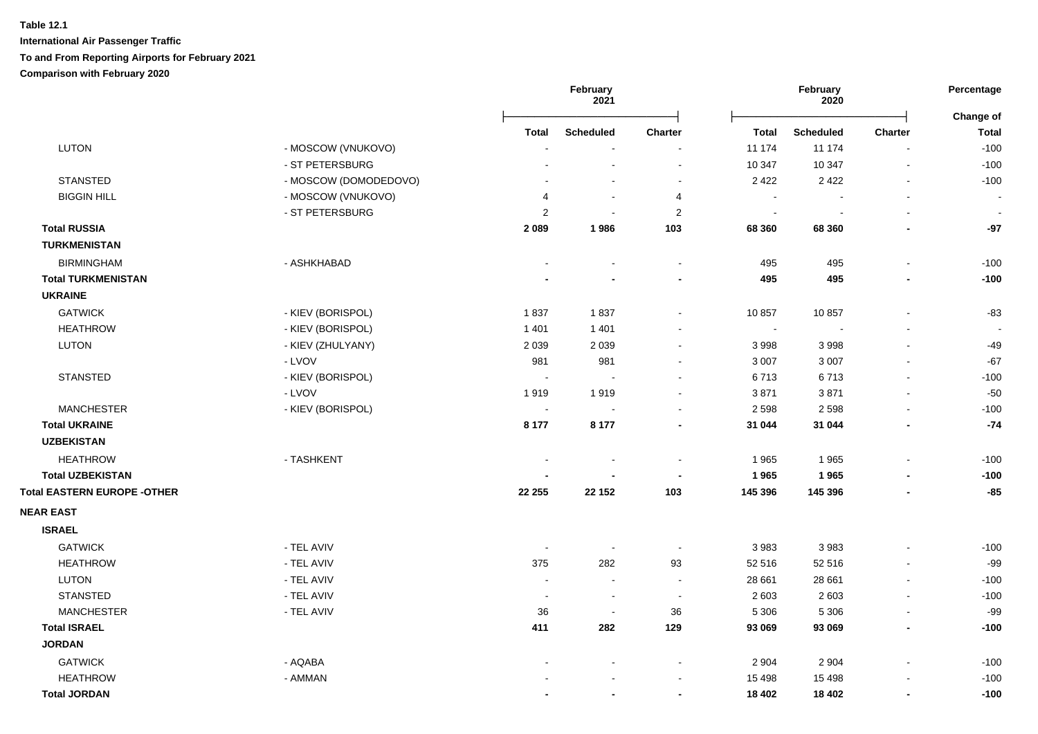|                                    |                       |                | February<br>2021         |                          |         | February<br>2020 | Percentage<br>Change of  |                          |
|------------------------------------|-----------------------|----------------|--------------------------|--------------------------|---------|------------------|--------------------------|--------------------------|
|                                    |                       | Total          | <b>Scheduled</b>         | <b>Charter</b>           | Total   | <b>Scheduled</b> | <b>Charter</b>           | <b>Total</b>             |
| <b>LUTON</b>                       | - MOSCOW (VNUKOVO)    |                |                          |                          | 11 174  | 11 174           | $\blacksquare$           | $-100$                   |
|                                    | - ST PETERSBURG       |                |                          | $\blacksquare$           | 10 347  | 10 347           | $\sim$                   | $-100$                   |
| <b>STANSTED</b>                    | - MOSCOW (DOMODEDOVO) |                |                          | $\sim$                   | 2 4 2 2 | 2 4 2 2          | $\blacksquare$           | $-100$                   |
| <b>BIGGIN HILL</b>                 | - MOSCOW (VNUKOVO)    | 4              | $\blacksquare$           | 4                        | $\sim$  |                  | $\blacksquare$           | $\overline{\phantom{a}}$ |
|                                    | - ST PETERSBURG       | 2              | $\sim$                   | $\overline{2}$           | $\sim$  | $\blacksquare$   | $\blacksquare$           | $\sim$                   |
| <b>Total RUSSIA</b>                |                       | 2 0 8 9        | 1986                     | 103                      | 68 360  | 68 360           | $\blacksquare$           | $-97$                    |
| <b>TURKMENISTAN</b>                |                       |                |                          |                          |         |                  |                          |                          |
| <b>BIRMINGHAM</b>                  | - ASHKHABAD           |                |                          | $\blacksquare$           | 495     | 495              | $\blacksquare$           | $-100$                   |
| <b>Total TURKMENISTAN</b>          |                       |                |                          | $\overline{\phantom{a}}$ | 495     | 495              | $\blacksquare$           | $-100$                   |
| <b>UKRAINE</b>                     |                       |                |                          |                          |         |                  |                          |                          |
| <b>GATWICK</b>                     | - KIEV (BORISPOL)     | 1837           | 1837                     | $\blacksquare$           | 10 857  | 10857            | $\blacksquare$           | $-83$                    |
| <b>HEATHROW</b>                    | - KIEV (BORISPOL)     | 1 4 0 1        | 1 4 0 1                  | $\blacksquare$           | $\sim$  |                  |                          |                          |
| <b>LUTON</b>                       | - KIEV (ZHULYANY)     | 2 0 3 9        | 2 0 3 9                  | $\blacksquare$           | 3 9 9 8 | 3998             |                          | $-49$                    |
|                                    | - LVOV                | 981            | 981                      | $\sim$                   | 3 0 0 7 | 3 0 0 7          | $\blacksquare$           | $-67$                    |
| <b>STANSTED</b>                    | - KIEV (BORISPOL)     | $\sim$         | $\sim$                   | $\sim$                   | 6713    | 6713             | $\blacksquare$           | $-100$                   |
|                                    | - LVOV                | 1919           | 1919                     | $\sim$                   | 3871    | 3871             | $\blacksquare$           | $-50$                    |
| <b>MANCHESTER</b>                  | - KIEV (BORISPOL)     | $\sim$         | $\sim$                   | $\blacksquare$           | 2 5 9 8 | 2598             | $\blacksquare$           | $-100$                   |
| <b>Total UKRAINE</b>               |                       | 8 1 7 7        | 8 1 7 7                  | $\blacksquare$           | 31 044  | 31 044           | $\overline{\phantom{a}}$ | $-74$                    |
| <b>UZBEKISTAN</b>                  |                       |                |                          |                          |         |                  |                          |                          |
| <b>HEATHROW</b>                    | - TASHKENT            | $\blacksquare$ | $\overline{\phantom{a}}$ | $\blacksquare$           | 1965    | 1965             | $\blacksquare$           | $-100$                   |
| <b>Total UZBEKISTAN</b>            |                       |                |                          | $\overline{\phantom{a}}$ | 1965    | 1965             |                          | $-100$                   |
| <b>Total EASTERN EUROPE -OTHER</b> |                       | 22 255         | 22 152                   | 103                      | 145 396 | 145 396          | $\blacksquare$           | $-85$                    |
| <b>NEAR EAST</b>                   |                       |                |                          |                          |         |                  |                          |                          |
| <b>ISRAEL</b>                      |                       |                |                          |                          |         |                  |                          |                          |
| <b>GATWICK</b>                     | - TEL AVIV            |                | $\overline{\phantom{a}}$ | $\overline{\phantom{a}}$ | 3 9 8 3 | 3983             |                          | $-100$                   |
| <b>HEATHROW</b>                    | - TEL AVIV            | 375            | 282                      | 93                       | 52 516  | 52 516           | $\overline{a}$           | $-99$                    |
| <b>LUTON</b>                       | - TEL AVIV            | $\sim$         | $\sim$                   | $\sim$                   | 28 661  | 28 661           | $\sim$                   | $-100$                   |
| <b>STANSTED</b>                    | - TEL AVIV            | $\sim$         | $\sim$                   | $\blacksquare$           | 2 603   | 2 6 0 3          | $\overline{\phantom{a}}$ | $-100$                   |
| <b>MANCHESTER</b>                  | - TEL AVIV            | 36             | $\sim$                   | 36                       | 5 3 0 6 | 5 3 0 6          | $\blacksquare$           | $-99$                    |
| <b>Total ISRAEL</b>                |                       | 411            | 282                      | 129                      | 93 069  | 93 069           | $\blacksquare$           | $-100$                   |
| <b>JORDAN</b>                      |                       |                |                          |                          |         |                  |                          |                          |
| <b>GATWICK</b>                     | - AQABA               |                |                          | $\sim$                   | 2 9 0 4 | 2 9 0 4          | $\overline{a}$           | $-100$                   |
| <b>HEATHROW</b>                    | - AMMAN               |                |                          | $\blacksquare$           | 15 4 98 | 15 4 98          |                          | $-100$                   |
| <b>Total JORDAN</b>                |                       |                | $\blacksquare$           | $\blacksquare$           | 18 402  | 18 402           | $\blacksquare$           | $-100$                   |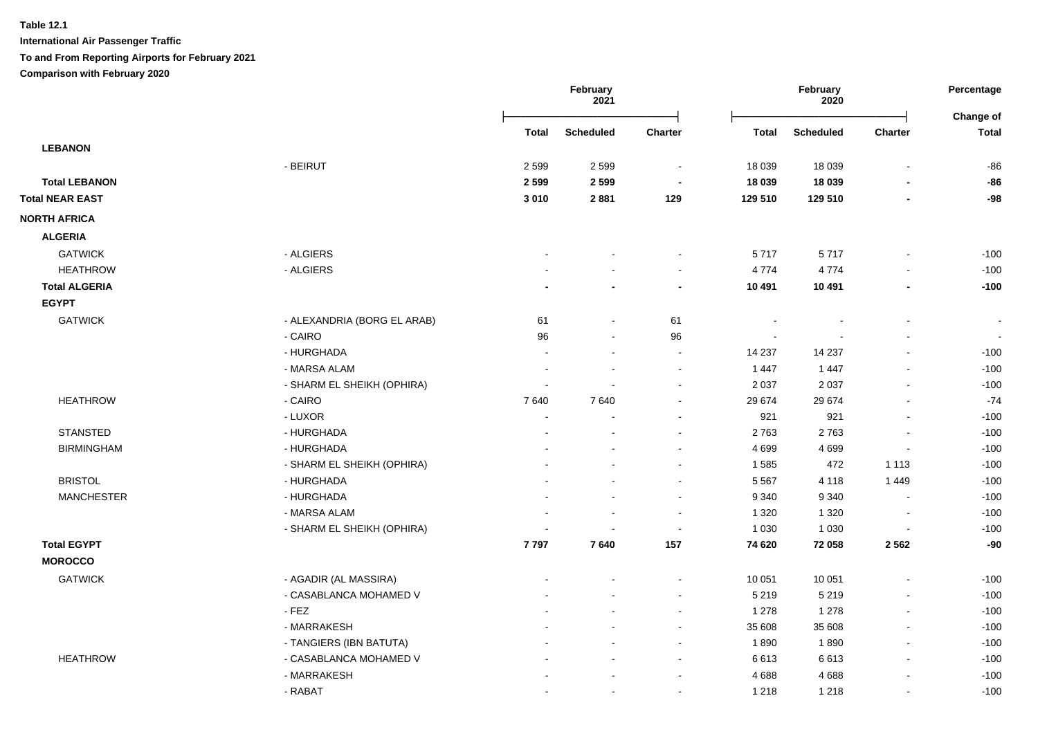**International Air Passenger Traffic**

**To and From Reporting Airports for February 2021**

**Comparison with February 2020**

|                        |                             | February<br>2021 |                  |                             | February<br>2020 |                          |                          |                           |
|------------------------|-----------------------------|------------------|------------------|-----------------------------|------------------|--------------------------|--------------------------|---------------------------|
|                        |                             | <b>Total</b>     | <b>Scheduled</b> | <b>Charter</b>              | <b>Total</b>     | <b>Scheduled</b>         | <b>Charter</b>           | Change of<br><b>Total</b> |
| <b>LEBANON</b>         |                             |                  |                  |                             |                  |                          |                          |                           |
|                        | - BEIRUT                    | 2 5 9 9          | 2599             | $\sim$                      | 18 0 39          | 18 0 39                  |                          | $-86$                     |
| <b>Total LEBANON</b>   |                             | 2 5 9 9          | 2599             | $\overline{\phantom{a}}$    | 18 039           | 18 039                   | $\blacksquare$           | $-86$                     |
| <b>Total NEAR EAST</b> |                             | 3 0 1 0          | 2881             | 129                         | 129 510          | 129 510                  | $\blacksquare$           | -98                       |
| <b>NORTH AFRICA</b>    |                             |                  |                  |                             |                  |                          |                          |                           |
| <b>ALGERIA</b>         |                             |                  |                  |                             |                  |                          |                          |                           |
| <b>GATWICK</b>         | - ALGIERS                   |                  |                  | $\sim$                      | 5717             | 5717                     | $\blacksquare$           | $-100$                    |
| <b>HEATHROW</b>        | - ALGIERS                   |                  |                  | $\sim$                      | 4774             | 4774                     | $\blacksquare$           | $-100$                    |
| <b>Total ALGERIA</b>   |                             |                  |                  | $\blacksquare$              | 10 491           | 10 491                   | $\overline{\phantom{a}}$ | $-100$                    |
| <b>EGYPT</b>           |                             |                  |                  |                             |                  |                          |                          |                           |
| <b>GATWICK</b>         | - ALEXANDRIA (BORG EL ARAB) | 61               | $\blacksquare$   | 61                          |                  | $\overline{\phantom{a}}$ | $\blacksquare$           | $\blacksquare$            |
|                        | - CAIRO                     | 96               | $\sim$           | 96                          |                  |                          | $\blacksquare$           | $\sim$                    |
|                        | - HURGHADA                  |                  | $\sim$           | $\sim$                      | 14 237           | 14 237                   | $\blacksquare$           | $-100$                    |
|                        | - MARSA ALAM                |                  |                  | $\blacksquare$              | 1 4 4 7          | 1 4 4 7                  | $\blacksquare$           | $-100$                    |
|                        | - SHARM EL SHEIKH (OPHIRA)  |                  |                  | $\sim$                      | 2 0 3 7          | 2 0 3 7                  | $\blacksquare$           | $-100$                    |
| <b>HEATHROW</b>        | - CAIRO                     | 7640             | 7640             | $\sim$                      | 29 674           | 29 674                   | $\blacksquare$           | $-74$                     |
|                        | - LUXOR                     |                  |                  | $\blacksquare$              | 921              | 921                      | $\blacksquare$           | $-100$                    |
| <b>STANSTED</b>        | - HURGHADA                  |                  |                  | $\sim$                      | 2763             | 2763                     | $\overline{\phantom{a}}$ | $-100$                    |
| <b>BIRMINGHAM</b>      | - HURGHADA                  |                  |                  | $\sim$                      | 4 6 9 9          | 4699                     | $\sim$                   | $-100$                    |
|                        | - SHARM EL SHEIKH (OPHIRA)  |                  |                  | $\sim$                      | 1585             | 472                      | 1 1 1 3                  | $-100$                    |
| <b>BRISTOL</b>         | - HURGHADA                  |                  |                  | $\blacksquare$              | 5 5 6 7          | 4 1 1 8                  | 1 4 4 9                  | $-100$                    |
| <b>MANCHESTER</b>      | - HURGHADA                  |                  |                  | $\sim$                      | 9 3 4 0          | 9 3 4 0                  | $\sim$                   | $-100$                    |
|                        | - MARSA ALAM                |                  |                  | $\sim$                      | 1 3 2 0          | 1 3 2 0                  | $\blacksquare$           | $-100$                    |
|                        | - SHARM EL SHEIKH (OPHIRA)  |                  |                  | $\mathcal{L}_{\mathcal{A}}$ | 1 0 3 0          | 1 0 3 0                  | $\overline{\phantom{a}}$ | $-100$                    |
| <b>Total EGYPT</b>     |                             | 7797             | 7640             | 157                         | 74 620           | 72 058                   | 2 5 6 2                  | $-90$                     |
| <b>MOROCCO</b>         |                             |                  |                  |                             |                  |                          |                          |                           |
| <b>GATWICK</b>         | - AGADIR (AL MASSIRA)       |                  |                  | $\blacksquare$              | 10 051           | 10 051                   | $\blacksquare$           | $-100$                    |
|                        | - CASABLANCA MOHAMED V      |                  |                  | $\sim$                      | 5 2 1 9          | 5 2 1 9                  | $\blacksquare$           | $-100$                    |
|                        | $-FEZ$                      |                  |                  | $\blacksquare$              | 1 2 7 8          | 1 2 7 8                  | $\blacksquare$           | $-100$                    |
|                        | - MARRAKESH                 |                  |                  | $\sim$                      | 35 608           | 35 608                   | $\blacksquare$           | $-100$                    |
|                        | - TANGIERS (IBN BATUTA)     |                  |                  | $\sim$                      | 1890             | 1890                     | $\blacksquare$           | $-100$                    |
| <b>HEATHROW</b>        | - CASABLANCA MOHAMED V      |                  |                  | $\sim$                      | 6613             | 6613                     | $\mathbf{r}$             | $-100$                    |
|                        | - MARRAKESH                 |                  |                  | $\sim$                      | 4688             | 4688                     | $\blacksquare$           | $-100$                    |
|                        | - RABAT                     |                  |                  | $\sim$                      | 1 2 1 8          | 1 2 1 8                  | $\blacksquare$           | $-100$                    |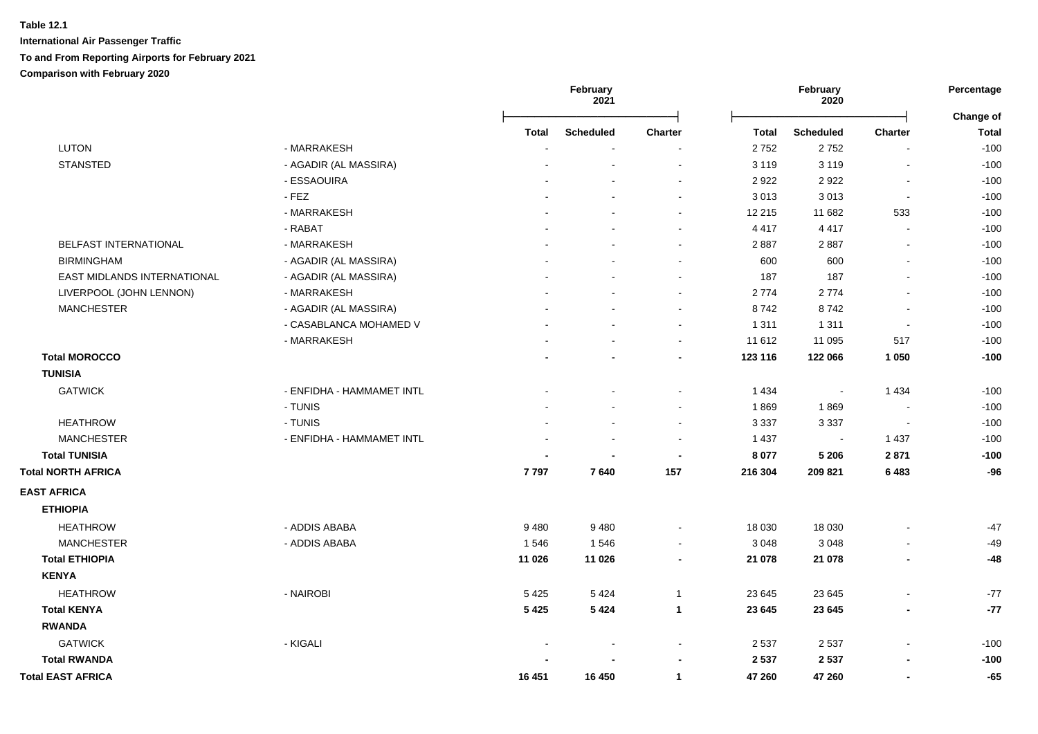|                             |                           |                | February<br>2021 |                | February<br>2020 |                          | Percentage               |                                  |
|-----------------------------|---------------------------|----------------|------------------|----------------|------------------|--------------------------|--------------------------|----------------------------------|
|                             |                           | Total          | <b>Scheduled</b> | <b>Charter</b> | Total            | <b>Scheduled</b>         | <b>Charter</b>           | <b>Change of</b><br><b>Total</b> |
| <b>LUTON</b>                | - MARRAKESH               | $\overline{a}$ | $\sim$           |                | 2752             | 2752                     | $\blacksquare$           | $-100$                           |
| <b>STANSTED</b>             | - AGADIR (AL MASSIRA)     |                |                  | $\sim$         | 3 1 1 9          | 3 1 1 9                  | $\sim$                   | $-100$                           |
|                             | - ESSAOUIRA               |                |                  | $\sim$         | 2922             | 2922                     | $\sim$                   | $-100$                           |
|                             | $-FEZ$                    |                |                  | $\sim$         | 3013             | 3013                     | $\sim$                   | $-100$                           |
|                             | - MARRAKESH               |                |                  | $\sim$         | 12 215           | 11 682                   | 533                      | $-100$                           |
|                             | - RABAT                   |                |                  | $\sim$         | 4 4 1 7          | 4 4 1 7                  | $\sim$                   | $-100$                           |
| BELFAST INTERNATIONAL       | - MARRAKESH               |                |                  | $\sim$         | 2887             | 2887                     | $\sim$                   | $-100$                           |
| <b>BIRMINGHAM</b>           | - AGADIR (AL MASSIRA)     |                |                  | $\sim$         | 600              | 600                      | $\blacksquare$           | $-100$                           |
| EAST MIDLANDS INTERNATIONAL | - AGADIR (AL MASSIRA)     |                |                  | $\sim$         | 187              | 187                      | $\sim$                   | $-100$                           |
| LIVERPOOL (JOHN LENNON)     | - MARRAKESH               |                |                  | $\sim$         | 2774             | 2774                     | $\overline{\phantom{a}}$ | $-100$                           |
| <b>MANCHESTER</b>           | - AGADIR (AL MASSIRA)     |                |                  | $\sim$         | 8742             | 8742                     | $\sim$                   | $-100$                           |
|                             | - CASABLANCA MOHAMED V    |                |                  | $\blacksquare$ | 1 3 1 1          | 1 3 1 1                  | $\blacksquare$           | $-100$                           |
|                             | - MARRAKESH               |                |                  | $\sim$         | 11 612           | 11 095                   | 517                      | $-100$                           |
| <b>Total MOROCCO</b>        |                           |                |                  | $\blacksquare$ | 123 116          | 122 066                  | 1 0 5 0                  | $-100$                           |
| <b>TUNISIA</b>              |                           |                |                  |                |                  |                          |                          |                                  |
| <b>GATWICK</b>              | - ENFIDHA - HAMMAMET INTL |                |                  |                | 1 4 3 4          | $\overline{\phantom{a}}$ | 1 4 3 4                  | $-100$                           |
|                             | - TUNIS                   |                |                  | ÷              | 1869             | 1869                     | $\sim$                   | $-100$                           |
| <b>HEATHROW</b>             | - TUNIS                   |                |                  | $\blacksquare$ | 3 3 3 7          | 3 3 3 7                  | $\blacksquare$           | $-100$                           |
| <b>MANCHESTER</b>           | - ENFIDHA - HAMMAMET INTL |                |                  |                | 1 4 3 7          | $\overline{\phantom{a}}$ | 1 4 3 7                  | $-100$                           |
| <b>Total TUNISIA</b>        |                           |                |                  | $\blacksquare$ | 8 0 7 7          | 5 2 0 6                  | 2871                     | $-100$                           |
| <b>Total NORTH AFRICA</b>   |                           | 7797           | 7640             | 157            | 216 304          | 209 821                  | 6483                     | $-96$                            |
| <b>EAST AFRICA</b>          |                           |                |                  |                |                  |                          |                          |                                  |
| <b>ETHIOPIA</b>             |                           |                |                  |                |                  |                          |                          |                                  |
| <b>HEATHROW</b>             | - ADDIS ABABA             | 9480           | 9480             | $\blacksquare$ | 18 0 30          | 18 030                   | $\blacksquare$           | $-47$                            |
| <b>MANCHESTER</b>           | - ADDIS ABABA             | 1546           | 1546             | $\blacksquare$ | 3 0 4 8          | 3 0 4 8                  |                          | $-49$                            |
| <b>Total ETHIOPIA</b>       |                           | 11 0 26        | 11 0 26          | $\blacksquare$ | 21 078           | 21 078                   | $\blacksquare$           | $-48$                            |
| <b>KENYA</b>                |                           |                |                  |                |                  |                          |                          |                                  |
| <b>HEATHROW</b>             | - NAIROBI                 | 5425           | 5424             | $\overline{1}$ | 23 645           | 23 645                   |                          | $-77$                            |
| <b>Total KENYA</b>          |                           | 5 4 2 5        | 5 4 2 4          | $\mathbf{1}$   | 23 645           | 23 645                   | $\overline{\phantom{a}}$ | $-77$                            |
| <b>RWANDA</b>               |                           |                |                  |                |                  |                          |                          |                                  |
| <b>GATWICK</b>              | - KIGALI                  |                |                  | $\blacksquare$ | 2 5 3 7          | 2 5 3 7                  |                          | $-100$                           |
| <b>Total RWANDA</b>         |                           |                |                  |                | 2 5 3 7          | 2 5 3 7                  |                          | $-100$                           |
| <b>Total EAST AFRICA</b>    |                           | 16 451         | 16 450           | $\mathbf{1}$   | 47 260           | 47 260                   | $\blacksquare$           | $-65$                            |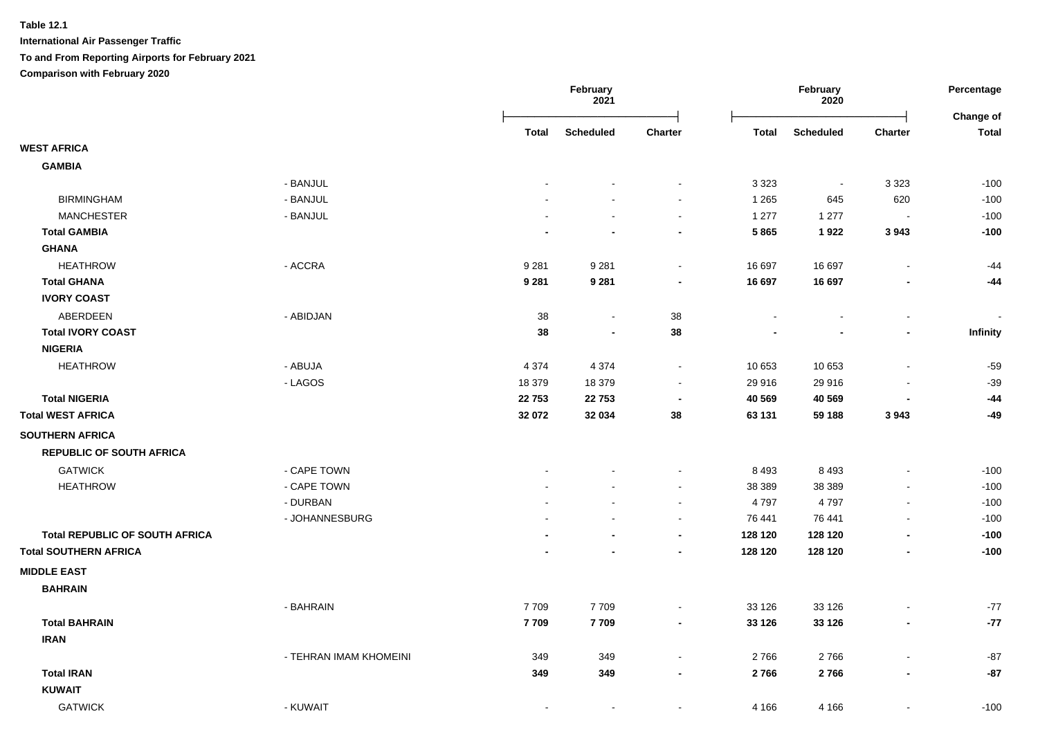|                                       |                        | February<br>2021 |                          |                          | February<br>2020 | Percentage<br>Change of |                          |                 |
|---------------------------------------|------------------------|------------------|--------------------------|--------------------------|------------------|-------------------------|--------------------------|-----------------|
|                                       |                        | <b>Total</b>     | <b>Scheduled</b>         | <b>Charter</b>           | <b>Total</b>     | <b>Scheduled</b>        | <b>Charter</b>           | <b>Total</b>    |
| <b>WEST AFRICA</b>                    |                        |                  |                          |                          |                  |                         |                          |                 |
| <b>GAMBIA</b>                         |                        |                  |                          |                          |                  |                         |                          |                 |
|                                       | - BANJUL               |                  |                          |                          | 3 3 2 3          | $\blacksquare$          | 3 3 2 3                  | $-100$          |
| <b>BIRMINGHAM</b>                     | - BANJUL               |                  |                          | $\blacksquare$           | 1 2 6 5          | 645                     | 620                      | $-100$          |
| <b>MANCHESTER</b>                     | - BANJUL               |                  |                          | $\blacksquare$           | 1 277            | 1 2 7 7                 |                          | $-100$          |
| <b>Total GAMBIA</b>                   |                        |                  | $\overline{\phantom{0}}$ | $\blacksquare$           | 5865             | 1922                    | 3943                     | $-100$          |
| <b>GHANA</b>                          |                        |                  |                          |                          |                  |                         |                          |                 |
| <b>HEATHROW</b>                       | - ACCRA                | 9 2 8 1          | 9 2 8 1                  | $\blacksquare$           | 16 697           | 16 697                  |                          | $-44$           |
| <b>Total GHANA</b>                    |                        | 9 2 8 1          | 9 2 8 1                  | $\blacksquare$           | 16 697           | 16 697                  |                          | $-44$           |
| <b>IVORY COAST</b>                    |                        |                  |                          |                          |                  |                         |                          |                 |
| ABERDEEN                              | - ABIDJAN              | 38               | $\sim$                   | 38                       |                  |                         | $\blacksquare$           |                 |
| <b>Total IVORY COAST</b>              |                        | 38               | $\blacksquare$           | 38                       |                  |                         | $\blacksquare$           | <b>Infinity</b> |
| <b>NIGERIA</b>                        |                        |                  |                          |                          |                  |                         |                          |                 |
| <b>HEATHROW</b>                       | - ABUJA                | 4 3 7 4          | 4 3 7 4                  | $\sim$                   | 10 653           | 10 653                  |                          | $-59$           |
|                                       | - LAGOS                | 18 379           | 18 379                   |                          | 29 916           | 29 916                  |                          | $-39$           |
| <b>Total NIGERIA</b>                  |                        | 22753            | 22 7 53                  | $\overline{\phantom{a}}$ | 40 569           | 40 569                  |                          | $-44$           |
| <b>Total WEST AFRICA</b>              |                        | 32 072           | 32 034                   | 38                       | 63 131           | 59 188                  | 3943                     | $-49$           |
| <b>SOUTHERN AFRICA</b>                |                        |                  |                          |                          |                  |                         |                          |                 |
| <b>REPUBLIC OF SOUTH AFRICA</b>       |                        |                  |                          |                          |                  |                         |                          |                 |
| <b>GATWICK</b>                        | - CAPE TOWN            |                  |                          |                          | 8 4 9 3          | 8 4 9 3                 |                          | $-100$          |
| <b>HEATHROW</b>                       | - CAPE TOWN            |                  |                          | $\blacksquare$           | 38 38 9          | 38 389                  |                          | $-100$          |
|                                       | - DURBAN               |                  | ÷                        | $\blacksquare$           | 4797             | 4797                    |                          | $-100$          |
|                                       | - JOHANNESBURG         |                  |                          | $\blacksquare$           | 76 441           | 76 441                  | $\overline{\phantom{a}}$ | $-100$          |
| <b>Total REPUBLIC OF SOUTH AFRICA</b> |                        |                  |                          |                          | 128 120          | 128 120                 |                          | $-100$          |
| <b>Total SOUTHERN AFRICA</b>          |                        |                  |                          |                          | 128 120          | 128 120                 |                          | $-100$          |
| <b>MIDDLE EAST</b>                    |                        |                  |                          |                          |                  |                         |                          |                 |
| <b>BAHRAIN</b>                        |                        |                  |                          |                          |                  |                         |                          |                 |
|                                       | - BAHRAIN              | 7709             | 7709                     |                          | 33 1 26          | 33 1 26                 |                          | $-77$           |
| <b>Total BAHRAIN</b>                  |                        | 7709             | 7709                     | $\blacksquare$           | 33 1 26          | 33 1 26                 |                          | $-77$           |
| <b>IRAN</b>                           |                        |                  |                          |                          |                  |                         |                          |                 |
|                                       | - TEHRAN IMAM KHOMEINI | 349              | 349                      | $\blacksquare$           | 2766             | 2766                    |                          | $-87$           |
| <b>Total IRAN</b><br><b>KUWAIT</b>    |                        | 349              | 349                      | $\blacksquare$           | 2766             | 2766                    |                          | $-87$           |
| <b>GATWICK</b>                        | - KUWAIT               |                  | $\blacksquare$           | $\blacksquare$           | 4 1 6 6          | 4 1 6 6                 | $\blacksquare$           | $-100$          |
|                                       |                        |                  |                          |                          |                  |                         |                          |                 |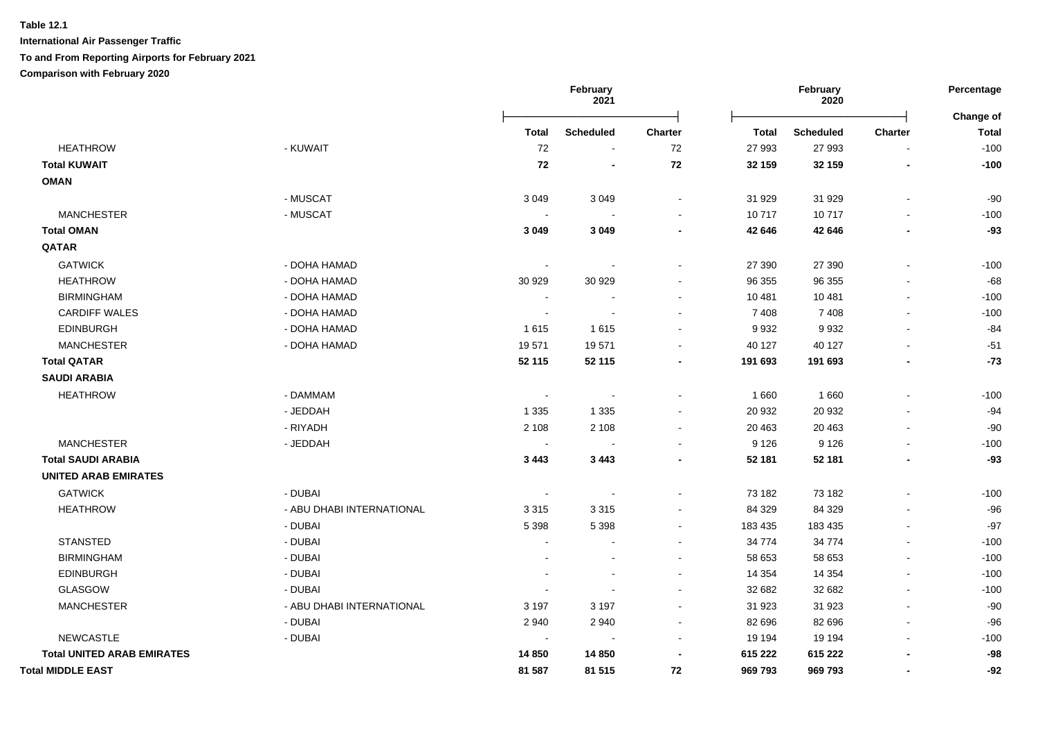**International Air Passenger Traffic To and From Reporting Airports for February 2021**

**Comparison with February 2020**

|                                   |                           | February<br>2021         |                  |                | February<br>2020 |                  |                          |                           |
|-----------------------------------|---------------------------|--------------------------|------------------|----------------|------------------|------------------|--------------------------|---------------------------|
|                                   |                           | <b>Total</b>             | <b>Scheduled</b> | Charter        | <b>Total</b>     | <b>Scheduled</b> | Charter                  | Change of<br><b>Total</b> |
| <b>HEATHROW</b>                   | - KUWAIT                  | 72                       |                  | $\bf 72$       | 27 993           | 27 993           |                          | $-100$                    |
| <b>Total KUWAIT</b>               |                           | 72                       |                  | ${\bf 72}$     | 32 159           | 32 159           |                          | $-100$                    |
| <b>OMAN</b>                       |                           |                          |                  |                |                  |                  |                          |                           |
|                                   | - MUSCAT                  | 3 0 4 9                  | 3 0 4 9          | $\sim$         | 31 929           | 31 929           | $\sim$                   | $-90$                     |
| <b>MANCHESTER</b>                 | - MUSCAT                  |                          |                  |                | 10717            | 10717            |                          | $-100$                    |
| <b>Total OMAN</b>                 |                           | 3 0 4 9                  | 3 0 4 9          |                | 42 646           | 42 646           |                          | $-93$                     |
| QATAR                             |                           |                          |                  |                |                  |                  |                          |                           |
| <b>GATWICK</b>                    | - DOHA HAMAD              |                          |                  | $\sim$         | 27 390           | 27 390           |                          | $-100$                    |
| <b>HEATHROW</b>                   | - DOHA HAMAD              | 30 929                   | 30 929           |                | 96 355           | 96 355           |                          | $-68$                     |
| <b>BIRMINGHAM</b>                 | - DOHA HAMAD              | $\sim$                   |                  | $\sim$         | 10 481           | 10 4 81          | $\sim$                   | $-100$                    |
| <b>CARDIFF WALES</b>              | - DOHA HAMAD              |                          |                  |                | 7408             | 7408             |                          | $-100$                    |
| <b>EDINBURGH</b>                  | - DOHA HAMAD              | 1615                     | 1615             |                | 9932             | 9932             |                          | $-84$                     |
| <b>MANCHESTER</b>                 | - DOHA HAMAD              | 19571                    | 19571            |                | 40 127           | 40 127           |                          | $-51$                     |
| <b>Total QATAR</b>                |                           | 52 115                   | 52 115           |                | 191 693          | 191 693          |                          | $-73$                     |
| <b>SAUDI ARABIA</b>               |                           |                          |                  |                |                  |                  |                          |                           |
| <b>HEATHROW</b>                   | - DAMMAM                  | $\overline{\phantom{a}}$ |                  |                | 1 6 6 0          | 1 6 6 0          |                          | $-100$                    |
|                                   | - JEDDAH                  | 1 3 3 5                  | 1 3 3 5          |                | 20 932           | 20 932           |                          | $-94$                     |
|                                   | - RIYADH                  | 2 1 0 8                  | 2 1 0 8          |                | 20 4 63          | 20 463           |                          | $-90$                     |
| <b>MANCHESTER</b>                 | - JEDDAH                  |                          |                  |                | 9 1 2 6          | 9 1 2 6          |                          | $-100$                    |
| <b>Total SAUDI ARABIA</b>         |                           | 3 4 4 3                  | 3 4 4 3          |                | 52 181           | 52 181           |                          | $-93$                     |
| <b>UNITED ARAB EMIRATES</b>       |                           |                          |                  |                |                  |                  |                          |                           |
| <b>GATWICK</b>                    | - DUBAI                   |                          |                  |                | 73 182           | 73 182           |                          | $-100$                    |
| <b>HEATHROW</b>                   | - ABU DHABI INTERNATIONAL | 3 3 1 5                  | 3315             | $\sim$         | 84 329           | 84 329           | $\blacksquare$           | $-96$                     |
|                                   | - DUBAI                   | 5 3 9 8                  | 5 3 9 8          | $\sim$         | 183 435          | 183 435          |                          | $-97$                     |
| <b>STANSTED</b>                   | - DUBAI                   | $\overline{\phantom{a}}$ |                  | $\sim$         | 34 774           | 34 774           | $\blacksquare$           | $-100$                    |
| <b>BIRMINGHAM</b>                 | - DUBAI                   |                          |                  |                | 58 653           | 58 653           | $\overline{\phantom{a}}$ | $-100$                    |
| <b>EDINBURGH</b>                  | - DUBAI                   |                          |                  | $\blacksquare$ | 14 3 54          | 14 3 54          |                          | $-100$                    |
| GLASGOW                           | - DUBAI                   |                          |                  | $\blacksquare$ | 32 682           | 32 682           | $\blacksquare$           | $-100$                    |
| <b>MANCHESTER</b>                 | - ABU DHABI INTERNATIONAL | 3 1 9 7                  | 3 1 9 7          | $\sim$         | 31 923           | 31 923           | $\sim$                   | $-90$                     |
|                                   | - DUBAI                   | 2940                     | 2940             | $\sim$         | 82 696           | 82 696           |                          | $-96$                     |
| <b>NEWCASTLE</b>                  | - DUBAI                   | $\sim$                   | $\blacksquare$   | $\blacksquare$ | 19 194           | 19 194           |                          | $-100$                    |
| <b>Total UNITED ARAB EMIRATES</b> |                           | 14 850                   | 14 850           |                | 615 222          | 615 222          |                          | $-98$                     |
| <b>Total MIDDLE EAST</b>          |                           | 81 587                   | 81 515           | 72             | 969 793          | 969 793          |                          | $-92$                     |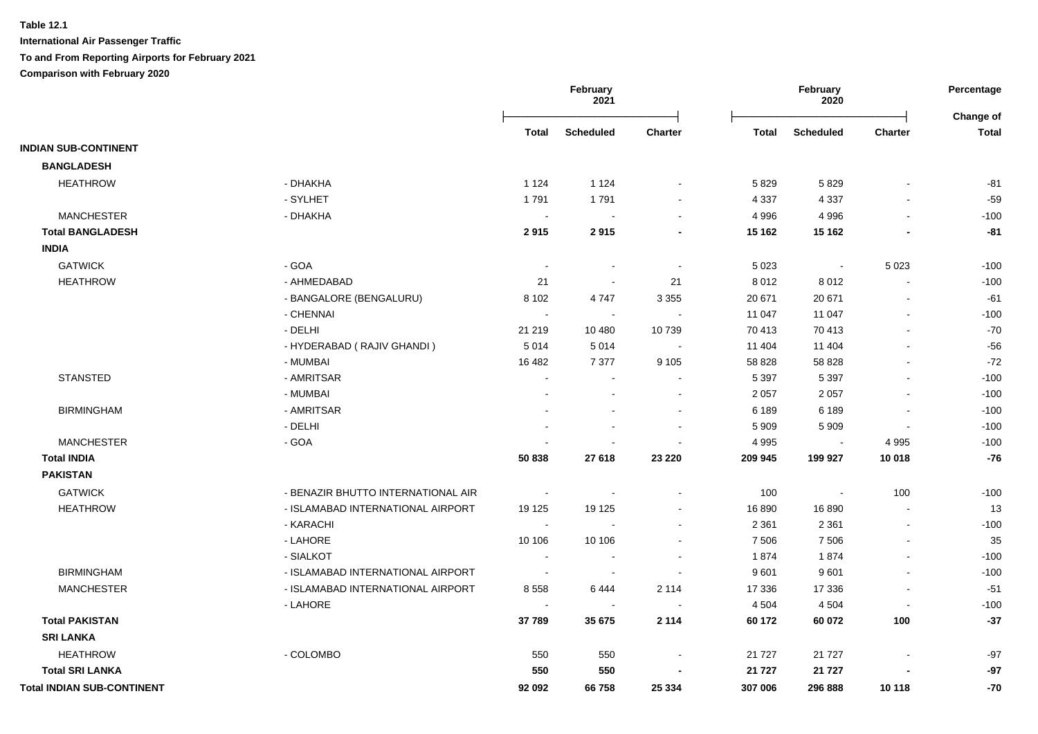|                                   |                                    |                | February<br>2021 |                |              | February<br>2020 |                | Percentage<br><b>Change of</b> |
|-----------------------------------|------------------------------------|----------------|------------------|----------------|--------------|------------------|----------------|--------------------------------|
|                                   |                                    | <b>Total</b>   | <b>Scheduled</b> | <b>Charter</b> | <b>Total</b> | <b>Scheduled</b> | <b>Charter</b> | <b>Total</b>                   |
| <b>INDIAN SUB-CONTINENT</b>       |                                    |                |                  |                |              |                  |                |                                |
| <b>BANGLADESH</b>                 |                                    |                |                  |                |              |                  |                |                                |
| <b>HEATHROW</b>                   | - DHAKHA                           | 1 1 2 4        | 1 1 2 4          |                | 5829         | 5829             |                | $-81$                          |
|                                   | - SYLHET                           | 1791           | 1791             |                | 4 3 3 7      | 4 3 3 7          |                | $-59$                          |
| <b>MANCHESTER</b>                 | - DHAKHA                           |                |                  |                | 4 9 9 6      | 4 9 9 6          |                | $-100$                         |
| <b>Total BANGLADESH</b>           |                                    | 2915           | 2915             |                | 15 162       | 15 162           |                | $-81$                          |
| <b>INDIA</b>                      |                                    |                |                  |                |              |                  |                |                                |
| <b>GATWICK</b>                    | - GOA                              |                | $\sim$           |                | 5 0 2 3      | $\blacksquare$   | 5 0 2 3        | $-100$                         |
| <b>HEATHROW</b>                   | - AHMEDABAD                        | 21             | $\sim$           | 21             | 8 0 1 2      | 8 0 1 2          |                | $-100$                         |
|                                   | - BANGALORE (BENGALURU)            | 8 1 0 2        | 4747             | 3 3 5 5        | 20 671       | 20 671           |                | $-61$                          |
|                                   | - CHENNAI                          |                | $\sim$           |                | 11 047       | 11 047           |                | $-100$                         |
|                                   | - DELHI                            | 21 219         | 10 480           | 10739          | 70 413       | 70 413           |                | $-70$                          |
|                                   | - HYDERABAD (RAJIV GHANDI)         | 5014           | 5014             |                | 11 404       | 11 404           |                | $-56$                          |
|                                   | - MUMBAI                           | 16 482         | 7 3 7 7          | 9 1 0 5        | 58 828       | 58 828           |                | $-72$                          |
| <b>STANSTED</b>                   | - AMRITSAR                         |                |                  |                | 5 3 9 7      | 5 3 9 7          |                | $-100$                         |
|                                   | - MUMBAI                           |                |                  | ÷.             | 2 0 5 7      | 2 0 5 7          |                | $-100$                         |
| <b>BIRMINGHAM</b>                 | - AMRITSAR                         |                |                  | $\blacksquare$ | 6 189        | 6 1 8 9          |                | $-100$                         |
|                                   | - DELHI                            |                | $\sim$           | $\blacksquare$ | 5 9 0 9      | 5 9 0 9          | $\blacksquare$ | $-100$                         |
| <b>MANCHESTER</b>                 | - GOA                              |                |                  |                | 4 9 9 5      | $\mathbf{r}$     | 4 9 9 5        | $-100$                         |
| <b>Total INDIA</b>                |                                    | 50 838         | 27 618           | 23 220         | 209 945      | 199 927          | 10 018         | $-76$                          |
| <b>PAKISTAN</b>                   |                                    |                |                  |                |              |                  |                |                                |
| <b>GATWICK</b>                    | - BENAZIR BHUTTO INTERNATIONAL AIR | $\blacksquare$ |                  |                | 100          |                  | 100            | $-100$                         |
| <b>HEATHROW</b>                   | - ISLAMABAD INTERNATIONAL AIRPORT  | 19 125         | 19 125           |                | 16 890       | 16890            |                | 13                             |
|                                   | - KARACHI                          |                |                  |                | 2 3 6 1      | 2 3 6 1          |                | $-100$                         |
|                                   | - LAHORE                           | 10 10 6        | 10 10 6          |                | 7 5 0 6      | 7506             |                | 35                             |
|                                   | - SIALKOT                          |                |                  |                | 1874         | 1874             | $\sim$         | $-100$                         |
| <b>BIRMINGHAM</b>                 | - ISLAMABAD INTERNATIONAL AIRPORT  | $\sim$         |                  | ÷.             | 9601         | 9601             |                | $-100$                         |
| <b>MANCHESTER</b>                 | - ISLAMABAD INTERNATIONAL AIRPORT  | 8558           | 6444             | 2 1 1 4        | 17 336       | 17 336           | $\blacksquare$ | $-51$                          |
|                                   | - LAHORE                           |                | $\blacksquare$   | $\blacksquare$ | 4 5 0 4      | 4 5 0 4          | $\blacksquare$ | $-100$                         |
| <b>Total PAKISTAN</b>             |                                    | 37789          | 35 675           | 2 1 1 4        | 60 172       | 60 072           | 100            | $-37$                          |
| <b>SRI LANKA</b>                  |                                    |                |                  |                |              |                  |                |                                |
| <b>HEATHROW</b>                   | - COLOMBO                          | 550            | 550              |                | 21 7 27      | 21 7 27          |                | $-97$                          |
| <b>Total SRI LANKA</b>            |                                    | 550            | 550              |                | 21 7 27      | 21 7 27          |                | $-97$                          |
| <b>Total INDIAN SUB-CONTINENT</b> |                                    | 92 092         | 66758            | 25 334         | 307 006      | 296 888          | 10 118         | $-70$                          |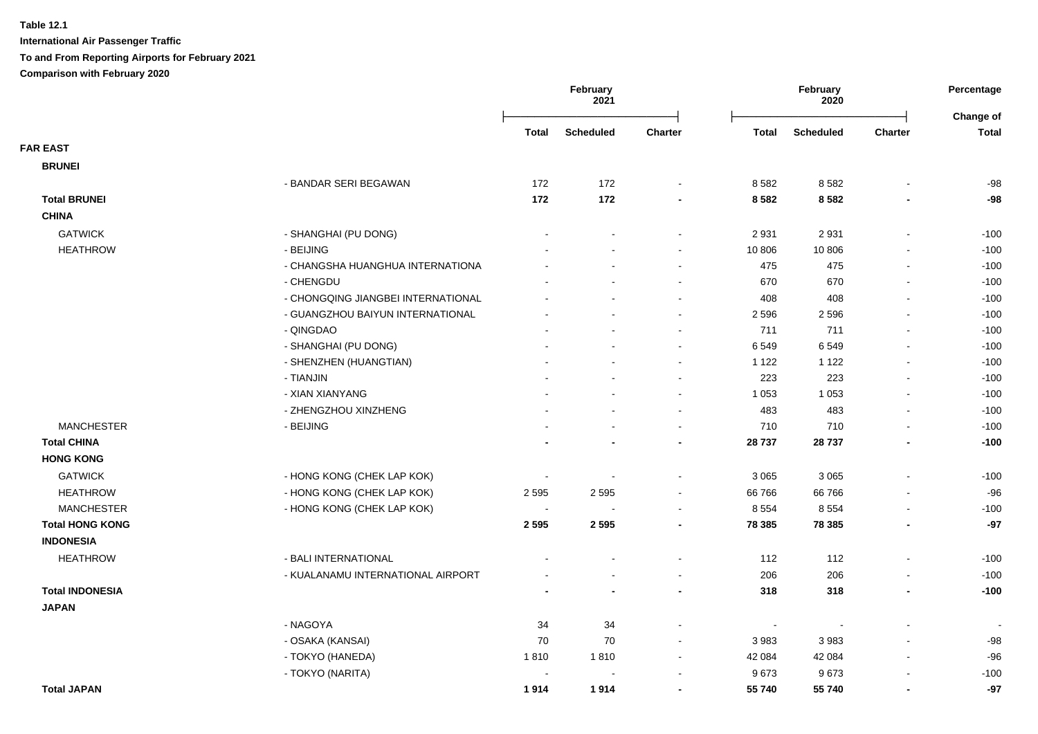|                        |                                    |                          | February<br>2021 |                |                          | February<br>2020 |                          | Percentage                |
|------------------------|------------------------------------|--------------------------|------------------|----------------|--------------------------|------------------|--------------------------|---------------------------|
|                        |                                    | Total                    | <b>Scheduled</b> | <b>Charter</b> | <b>Total</b>             | <b>Scheduled</b> | <b>Charter</b>           | Change of<br><b>Total</b> |
| <b>FAR EAST</b>        |                                    |                          |                  |                |                          |                  |                          |                           |
| <b>BRUNEI</b>          |                                    |                          |                  |                |                          |                  |                          |                           |
|                        | - BANDAR SERI BEGAWAN              | 172                      | 172              |                | 8582                     | 8582             |                          | $-98$                     |
| <b>Total BRUNEI</b>    |                                    | 172                      | 172              |                | 8 5 8 2                  | 8582             |                          | $-98$                     |
| <b>CHINA</b>           |                                    |                          |                  |                |                          |                  |                          |                           |
| <b>GATWICK</b>         | - SHANGHAI (PU DONG)               |                          |                  |                | 2 9 3 1                  | 2931             | $\blacksquare$           | $-100$                    |
| <b>HEATHROW</b>        | - BEIJING                          |                          |                  | $\sim$         | 10 806                   | 10 806           | $\blacksquare$           | $-100$                    |
|                        | - CHANGSHA HUANGHUA INTERNATIONA   |                          |                  |                | 475                      | 475              | $\overline{\phantom{a}}$ | $-100$                    |
|                        | - CHENGDU                          |                          |                  |                | 670                      | 670              | $\sim$                   | $-100$                    |
|                        | - CHONGQING JIANGBEI INTERNATIONAL |                          |                  |                | 408                      | 408              | $\overline{\phantom{a}}$ | $-100$                    |
|                        | - GUANGZHOU BAIYUN INTERNATIONAL   |                          |                  |                | 2 5 9 6                  | 2 5 9 6          | $\sim$                   | $-100$                    |
|                        | - QINGDAO                          |                          |                  |                | 711                      | 711              | $\overline{\phantom{a}}$ | $-100$                    |
|                        | - SHANGHAI (PU DONG)               |                          |                  |                | 6549                     | 6549             | $\blacksquare$           | $-100$                    |
|                        | - SHENZHEN (HUANGTIAN)             |                          |                  |                | 1 1 2 2                  | 1 1 2 2          | $\blacksquare$           | $-100$                    |
|                        | - TIANJIN                          |                          |                  |                | 223                      | 223              | $\blacksquare$           | $-100$                    |
|                        | - XIAN XIANYANG                    |                          |                  |                | 1 0 5 3                  | 1 0 5 3          | $\blacksquare$           | $-100$                    |
|                        | - ZHENGZHOU XINZHENG               |                          |                  |                | 483                      | 483              | $\blacksquare$           | $-100$                    |
| <b>MANCHESTER</b>      | - BEIJING                          |                          |                  | $\sim$         | 710                      | 710              | $\sim$                   | $-100$                    |
| <b>Total CHINA</b>     |                                    |                          |                  | $\blacksquare$ | 28 737                   | 28737            | $\blacksquare$           | $-100$                    |
| <b>HONG KONG</b>       |                                    |                          |                  |                |                          |                  |                          |                           |
| <b>GATWICK</b>         | - HONG KONG (CHEK LAP KOK)         | $\overline{\phantom{a}}$ |                  |                | 3 0 6 5                  | 3 0 6 5          | $\overline{\phantom{a}}$ | $-100$                    |
| <b>HEATHROW</b>        | - HONG KONG (CHEK LAP KOK)         | 2595                     | 2595             |                | 66 766                   | 66766            | $\blacksquare$           | $-96$                     |
| <b>MANCHESTER</b>      | - HONG KONG (CHEK LAP KOK)         | $\blacksquare$           |                  |                | 8 5 5 4                  | 8 5 5 4          | $\blacksquare$           | $-100$                    |
| <b>Total HONG KONG</b> |                                    | 2 5 9 5                  | 2595             | $\blacksquare$ | 78 385                   | 78 385           | $\blacksquare$           | $-97$                     |
| <b>INDONESIA</b>       |                                    |                          |                  |                |                          |                  |                          |                           |
| <b>HEATHROW</b>        | - BALI INTERNATIONAL               |                          |                  |                | 112                      | 112              | $\overline{\phantom{a}}$ | $-100$                    |
|                        | - KUALANAMU INTERNATIONAL AIRPORT  |                          |                  | $\sim$         | 206                      | 206              | $\blacksquare$           | $-100$                    |
| <b>Total INDONESIA</b> |                                    |                          |                  | $\blacksquare$ | 318                      | 318              | $\overline{\phantom{a}}$ | $-100$                    |
| <b>JAPAN</b>           |                                    |                          |                  |                |                          |                  |                          |                           |
|                        | - NAGOYA                           | 34                       | 34               |                | $\overline{\phantom{a}}$ |                  |                          |                           |
|                        | - OSAKA (KANSAI)                   | 70                       | 70               |                | 3 9 8 3                  | 3983             | $\overline{\phantom{a}}$ | $-98$                     |
|                        | - TOKYO (HANEDA)                   | 1810                     | 1810             | $\sim$         | 42 084                   | 42 084           | $\blacksquare$           | $-96$                     |
|                        | - TOKYO (NARITA)                   | $\overline{\phantom{a}}$ |                  |                | 9673                     | 9673             | $\overline{\phantom{a}}$ | $-100$                    |
| <b>Total JAPAN</b>     |                                    | 1914                     | 1914             |                | 55 740                   | 55 740           | $\blacksquare$           | $-97$                     |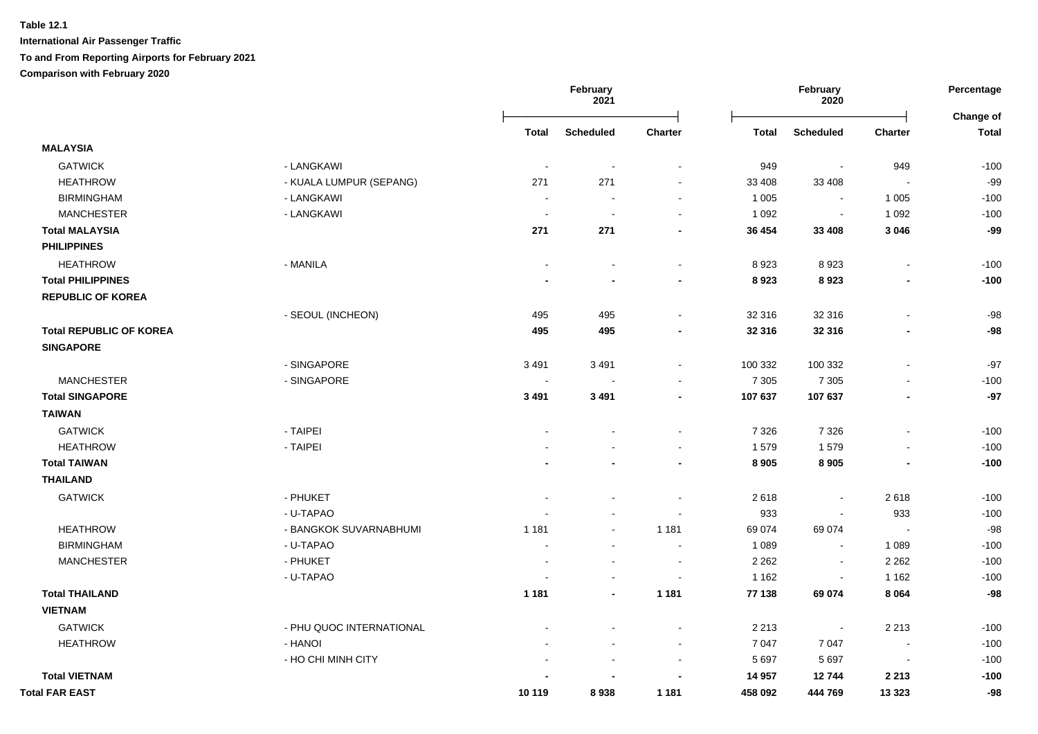|                                |                          | February<br>2021 |                          |                          | February<br>2020 |                  |                          |                           |
|--------------------------------|--------------------------|------------------|--------------------------|--------------------------|------------------|------------------|--------------------------|---------------------------|
|                                |                          | <b>Total</b>     | <b>Scheduled</b>         | <b>Charter</b>           | <b>Total</b>     | <b>Scheduled</b> | <b>Charter</b>           | Change of<br><b>Total</b> |
| <b>MALAYSIA</b>                |                          |                  |                          |                          |                  |                  |                          |                           |
| <b>GATWICK</b>                 | - LANGKAWI               |                  | $\overline{\phantom{a}}$ |                          | 949              | $\blacksquare$   | 949                      | $-100$                    |
| <b>HEATHROW</b>                | - KUALA LUMPUR (SEPANG)  | 271              | 271                      | $\sim$                   | 33 408           | 33 408           | $\sim$                   | $-99$                     |
| <b>BIRMINGHAM</b>              | - LANGKAWI               |                  | $\sim$                   | $\sim$                   | 1 0 0 5          | $\sim$           | 1 0 0 5                  | $-100$                    |
| <b>MANCHESTER</b>              | - LANGKAWI               |                  | $\overline{\phantom{a}}$ | $\blacksquare$           | 1 0 9 2          | $\sim$           | 1 0 9 2                  | $-100$                    |
| <b>Total MALAYSIA</b>          |                          | 271              | 271                      | $\blacksquare$           | 36 454           | 33 408           | 3 0 4 6                  | $-99$                     |
| <b>PHILIPPINES</b>             |                          |                  |                          |                          |                  |                  |                          |                           |
| <b>HEATHROW</b>                | - MANILA                 |                  |                          | $\blacksquare$           | 8923             | 8923             |                          | $-100$                    |
| <b>Total PHILIPPINES</b>       |                          |                  | $\blacksquare$           | $\blacksquare$           | 8923             | 8923             | $\blacksquare$           | $-100$                    |
| <b>REPUBLIC OF KOREA</b>       |                          |                  |                          |                          |                  |                  |                          |                           |
|                                | - SEOUL (INCHEON)        | 495              | 495                      | $\overline{a}$           | 32 316           | 32 316           | $\sim$                   | $-98$                     |
| <b>Total REPUBLIC OF KOREA</b> |                          | 495              | 495                      | $\blacksquare$           | 32 316           | 32 316           | $\blacksquare$           | $-98$                     |
| <b>SINGAPORE</b>               |                          |                  |                          |                          |                  |                  |                          |                           |
|                                | - SINGAPORE              | 3 4 9 1          | 3491                     | $\blacksquare$           | 100 332          | 100 332          |                          | $-97$                     |
| <b>MANCHESTER</b>              | - SINGAPORE              | $\sim$           | $\overline{a}$           | $\overline{a}$           | 7 3 0 5          | 7 3 0 5          | $\sim$                   | $-100$                    |
| <b>Total SINGAPORE</b>         |                          | 3 4 9 1          | 3 4 9 1                  | $\blacksquare$           | 107 637          | 107 637          | $\blacksquare$           | $-97$                     |
| <b>TAIWAN</b>                  |                          |                  |                          |                          |                  |                  |                          |                           |
| <b>GATWICK</b>                 | - TAIPEI                 |                  |                          |                          | 7 3 2 6          | 7 3 2 6          |                          | $-100$                    |
| <b>HEATHROW</b>                | - TAIPEI                 |                  |                          |                          | 1579             | 1579             |                          | $-100$                    |
| <b>Total TAIWAN</b>            |                          |                  |                          | $\blacksquare$           | 8 9 0 5          | 8 9 0 5          |                          | $-100$                    |
| <b>THAILAND</b>                |                          |                  |                          |                          |                  |                  |                          |                           |
| <b>GATWICK</b>                 | - PHUKET                 |                  |                          |                          | 2618             | ÷,               | 2618                     | $-100$                    |
|                                | - U-TAPAO                |                  |                          |                          | 933              | ÷,               | 933                      | $-100$                    |
| <b>HEATHROW</b>                | - BANGKOK SUVARNABHUMI   | 1 1 8 1          |                          | 1 1 8 1                  | 69 074           | 69 074           | $\blacksquare$           | $-98$                     |
| <b>BIRMINGHAM</b>              | - U-TAPAO                |                  | $\blacksquare$           | $\overline{\phantom{a}}$ | 1 0 8 9          | $\blacksquare$   | 1 0 8 9                  | $-100$                    |
| <b>MANCHESTER</b>              | - PHUKET                 |                  | $\overline{a}$           | $\overline{\phantom{a}}$ | 2 2 6 2          | $\sim$           | 2 2 6 2                  | $-100$                    |
|                                | - U-TAPAO                |                  | $\blacksquare$           | $\blacksquare$           | 1 1 6 2          | $\blacksquare$   | 1 1 6 2                  | $-100$                    |
| <b>Total THAILAND</b>          |                          | 1 1 8 1          | $\blacksquare$           | 1 1 8 1                  | 77 138           | 69 074           | 8 0 6 4                  | $-98$                     |
| <b>VIETNAM</b>                 |                          |                  |                          |                          |                  |                  |                          |                           |
| <b>GATWICK</b>                 | - PHU QUOC INTERNATIONAL |                  |                          |                          | 2 2 1 3          | $\blacksquare$   | 2 2 1 3                  | $-100$                    |
| <b>HEATHROW</b>                | - HANOI                  |                  |                          | $\blacksquare$           | 7 0 4 7          | 7 0 4 7          | $\overline{\phantom{a}}$ | $-100$                    |
|                                | - HO CHI MINH CITY       |                  | $\blacksquare$           | $\blacksquare$           | 5 6 9 7          | 5 6 9 7          | $\sim$                   | $-100$                    |
| <b>Total VIETNAM</b>           |                          |                  |                          | $\blacksquare$           | 14 957           | 12744            | 2 2 1 3                  | $-100$                    |
| <b>Total FAR EAST</b>          |                          | 10 119           | 8938                     | 1 1 8 1                  | 458 092          | 444 769          | 13 3 23                  | $-98$                     |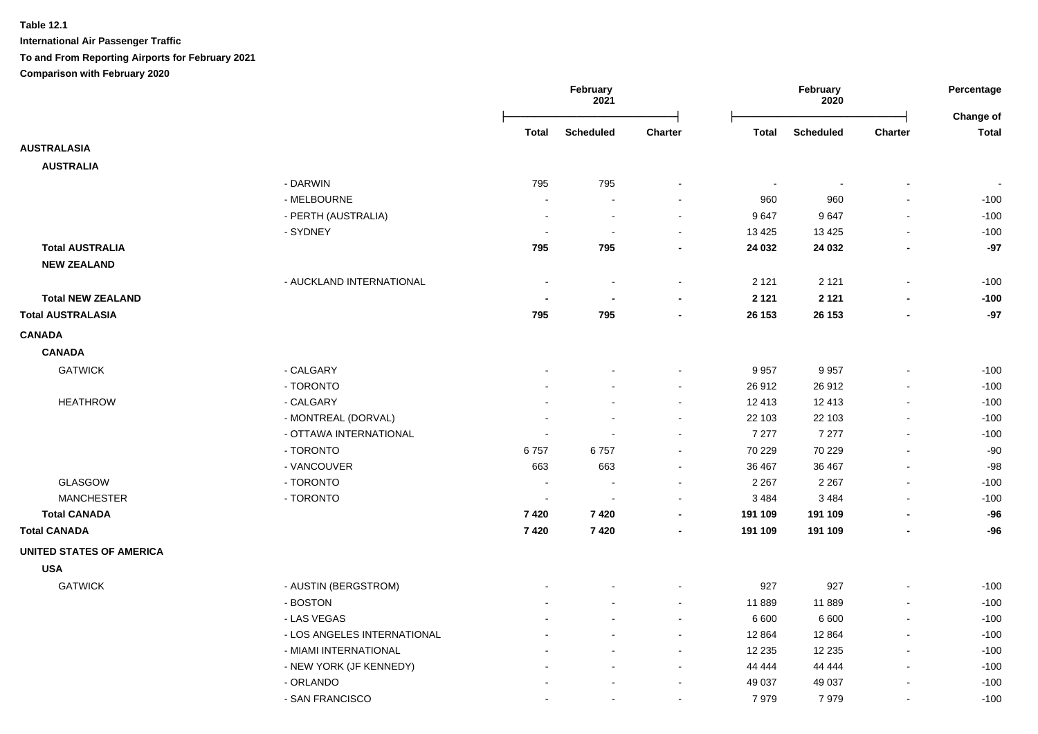|                                 |                             |                          | February<br>2021         | February<br>2020         |                | Percentage<br>Change of |                          |                          |
|---------------------------------|-----------------------------|--------------------------|--------------------------|--------------------------|----------------|-------------------------|--------------------------|--------------------------|
|                                 |                             | Total                    | <b>Scheduled</b>         | <b>Charter</b>           | <b>Total</b>   | Scheduled               | Charter                  | Total                    |
| <b>AUSTRALASIA</b>              |                             |                          |                          |                          |                |                         |                          |                          |
| <b>AUSTRALIA</b>                |                             |                          |                          |                          |                |                         |                          |                          |
|                                 | - DARWIN                    | 795                      | 795                      |                          | $\blacksquare$ |                         |                          | $\overline{\phantom{a}}$ |
|                                 | - MELBOURNE                 | $\overline{\phantom{a}}$ |                          |                          | 960            | 960                     |                          | $-100$                   |
|                                 | - PERTH (AUSTRALIA)         | $\overline{\phantom{a}}$ | $\overline{\phantom{a}}$ | $\overline{\phantom{a}}$ | 9647           | 9647                    | $\sim$                   | $-100$                   |
|                                 | - SYDNEY                    | $\overline{\phantom{a}}$ |                          |                          | 13 4 25        | 13 4 25                 |                          | $-100$                   |
| <b>Total AUSTRALIA</b>          |                             | 795                      | 795                      |                          | 24 032         | 24 03 2                 | $\blacksquare$           | $-97$                    |
| <b>NEW ZEALAND</b>              |                             |                          |                          |                          |                |                         |                          |                          |
|                                 | - AUCKLAND INTERNATIONAL    |                          |                          |                          | 2 1 2 1        | 2 1 2 1                 | $\sim$                   | $-100$                   |
| <b>Total NEW ZEALAND</b>        |                             |                          |                          |                          | 2 1 2 1        | 2 1 2 1                 |                          | $-100$                   |
| <b>Total AUSTRALASIA</b>        |                             | 795                      | 795                      |                          | 26 153         | 26 153                  |                          | $-97$                    |
| <b>CANADA</b>                   |                             |                          |                          |                          |                |                         |                          |                          |
| <b>CANADA</b>                   |                             |                          |                          |                          |                |                         |                          |                          |
| <b>GATWICK</b>                  | - CALGARY                   |                          |                          |                          | 9 9 5 7        | 9957                    |                          | $-100$                   |
|                                 | - TORONTO                   |                          |                          |                          | 26 912         | 26 912                  |                          | $-100$                   |
| <b>HEATHROW</b>                 | - CALGARY                   |                          |                          |                          | 12 413         | 12 413                  | $\sim$                   | $-100$                   |
|                                 | - MONTREAL (DORVAL)         |                          |                          |                          | 22 103         | 22 103                  | $\overline{\phantom{a}}$ | $-100$                   |
|                                 | - OTTAWA INTERNATIONAL      |                          |                          |                          | 7 277          | 7 2 7 7                 | $\sim$                   | $-100$                   |
|                                 | - TORONTO                   | 6757                     | 6757                     | $\sim$                   | 70 229         | 70 229                  | $\sim$                   | $-90$                    |
|                                 | - VANCOUVER                 | 663                      | 663                      | $\sim$                   | 36 467         | 36 467                  |                          | $-98$                    |
| GLASGOW                         | - TORONTO                   | $\sim$                   |                          | $\sim$                   | 2 2 6 7        | 2 2 6 7                 | $\sim$                   | $-100$                   |
| <b>MANCHESTER</b>               | - TORONTO                   | $\overline{\phantom{a}}$ |                          | $\sim$                   | 3 4 8 4        | 3 4 8 4                 | $\sim$                   | $-100$                   |
| <b>Total CANADA</b>             |                             | 7420                     | 7420                     |                          | 191 109        | 191 109                 |                          | $-96$                    |
| <b>Total CANADA</b>             |                             | 7420                     | 7420                     |                          | 191 109        | 191 109                 |                          | $-96$                    |
| <b>UNITED STATES OF AMERICA</b> |                             |                          |                          |                          |                |                         |                          |                          |
| <b>USA</b>                      |                             |                          |                          |                          |                |                         |                          |                          |
| <b>GATWICK</b>                  | - AUSTIN (BERGSTROM)        |                          |                          |                          | 927            | 927                     | $\blacksquare$           | $-100$                   |
|                                 | - BOSTON                    |                          |                          |                          | 11 889         | 11889                   |                          | $-100$                   |
|                                 | - LAS VEGAS                 |                          |                          |                          | 6 600          | 6 600                   |                          | $-100$                   |
|                                 | - LOS ANGELES INTERNATIONAL |                          |                          |                          | 12 8 64        | 12 8 64                 | $\overline{a}$           | $-100$                   |
|                                 | - MIAMI INTERNATIONAL       |                          |                          |                          | 12 2 35        | 12 2 35                 |                          | $-100$                   |
|                                 | - NEW YORK (JF KENNEDY)     |                          |                          |                          | 44 444         | 44 4 44                 | $\sim$                   | $-100$                   |
|                                 | - ORLANDO                   |                          |                          |                          | 49 037         | 49 037                  |                          | $-100$                   |
|                                 | - SAN FRANCISCO             |                          |                          | $\overline{\phantom{a}}$ | 7979           | 7979                    | $\blacksquare$           | $-100$                   |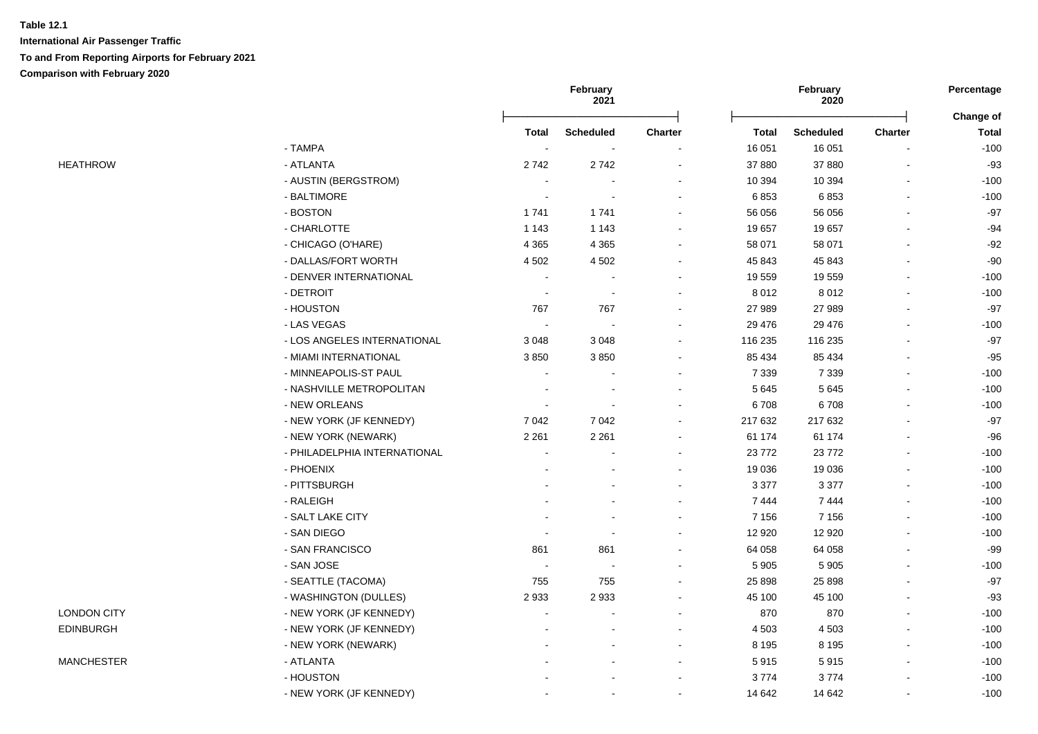|                    |                              | February<br>2021         |                  |         | February<br>2020 |                  | Percentage     |                           |
|--------------------|------------------------------|--------------------------|------------------|---------|------------------|------------------|----------------|---------------------------|
|                    |                              | <b>Total</b>             | <b>Scheduled</b> | Charter | <b>Total</b>     | <b>Scheduled</b> | <b>Charter</b> | Change of<br><b>Total</b> |
|                    | - TAMPA                      |                          |                  |         | 16 051           | 16 051           |                | $-100$                    |
| <b>HEATHROW</b>    | - ATLANTA                    | 2742                     | 2742             |         | 37 880           | 37 880           |                | $-93$                     |
|                    | - AUSTIN (BERGSTROM)         | ÷.                       |                  |         | 10 394           | 10 394           |                | $-100$                    |
|                    | - BALTIMORE                  | $\overline{\phantom{a}}$ |                  |         | 6853             | 6853             | $\overline{a}$ | $-100$                    |
|                    | - BOSTON                     | 1741                     | 1741             |         | 56 056           | 56 056           |                | $-97$                     |
|                    | - CHARLOTTE                  | 1 1 4 3                  | 1 1 4 3          |         | 19 657           | 19657            |                | $-94$                     |
|                    | - CHICAGO (O'HARE)           | 4 3 6 5                  | 4 3 6 5          | $\sim$  | 58 071           | 58 071           | $\sim$         | $-92$                     |
|                    | - DALLAS/FORT WORTH          | 4 5 0 2                  | 4 5 0 2          |         | 45 843           | 45 843           |                | $-90$                     |
|                    | - DENVER INTERNATIONAL       |                          |                  |         | 19 559           | 19559            |                | $-100$                    |
|                    | - DETROIT                    | $\blacksquare$           | $\blacksquare$   |         | 8 0 1 2          | 8 0 1 2          |                | $-100$                    |
|                    | - HOUSTON                    | 767                      | 767              |         | 27 989           | 27 989           |                | $-97$                     |
|                    | - LAS VEGAS                  |                          | $\sim$           |         | 29 4 76          | 29 4 7 6         | $\blacksquare$ | $-100$                    |
|                    | - LOS ANGELES INTERNATIONAL  | 3 0 4 8                  | 3 0 4 8          |         | 116 235          | 116 235          |                | $-97$                     |
|                    | - MIAMI INTERNATIONAL        | 3850                     | 3850             |         | 85 434           | 85 434           |                | $-95$                     |
|                    | - MINNEAPOLIS-ST PAUL        |                          |                  |         | 7 3 3 9          | 7 3 3 9          |                | $-100$                    |
|                    | - NASHVILLE METROPOLITAN     |                          |                  |         | 5 6 4 5          | 5 6 4 5          |                | $-100$                    |
|                    | - NEW ORLEANS                |                          |                  |         | 6708             | 6708             |                | $-100$                    |
|                    | - NEW YORK (JF KENNEDY)      | 7 0 4 2                  | 7 0 4 2          |         | 217 632          | 217 632          |                | $-97$                     |
|                    | - NEW YORK (NEWARK)          | 2 2 6 1                  | 2 2 6 1          |         | 61 174           | 61 174           |                | $-96$                     |
|                    | - PHILADELPHIA INTERNATIONAL | $\overline{a}$           |                  |         | 23 772           | 23 7 72          |                | $-100$                    |
|                    | - PHOENIX                    |                          |                  |         | 19 036           | 19 0 36          |                | $-100$                    |
|                    | - PITTSBURGH                 |                          |                  |         | 3 3 7 7          | 3 3 7 7          |                | $-100$                    |
|                    | - RALEIGH                    |                          |                  |         | 7444             | 7444             |                | $-100$                    |
|                    | - SALT LAKE CITY             |                          |                  |         | 7 1 5 6          | 7 1 5 6          |                | $-100$                    |
|                    | - SAN DIEGO                  |                          |                  |         | 12 9 20          | 12 9 20          |                | $-100$                    |
|                    | - SAN FRANCISCO              | 861                      | 861              |         | 64 058           | 64 058           |                | $-99$                     |
|                    | - SAN JOSE                   | $\overline{\phantom{a}}$ | $\blacksquare$   |         | 5 9 0 5          | 5 9 0 5          |                | $-100$                    |
|                    | - SEATTLE (TACOMA)           | 755                      | 755              |         | 25 8 98          | 25 8 98          |                | $-97$                     |
|                    | - WASHINGTON (DULLES)        | 2933                     | 2933             |         | 45 100           | 45 100           |                | $-93$                     |
| <b>LONDON CITY</b> | - NEW YORK (JF KENNEDY)      |                          |                  |         | 870              | 870              |                | $-100$                    |
| <b>EDINBURGH</b>   | - NEW YORK (JF KENNEDY)      |                          |                  |         | 4 5 0 3          | 4 5 0 3          |                | $-100$                    |
|                    | - NEW YORK (NEWARK)          |                          |                  |         | 8 1 9 5          | 8 1 9 5          |                | $-100$                    |
| <b>MANCHESTER</b>  | - ATLANTA                    |                          |                  |         | 5915             | 5915             |                | $-100$                    |
|                    | - HOUSTON                    |                          |                  |         | 3774             | 3774             |                | $-100$                    |
|                    | - NEW YORK (JF KENNEDY)      |                          |                  |         | 14 642           | 14 642           |                | $-100$                    |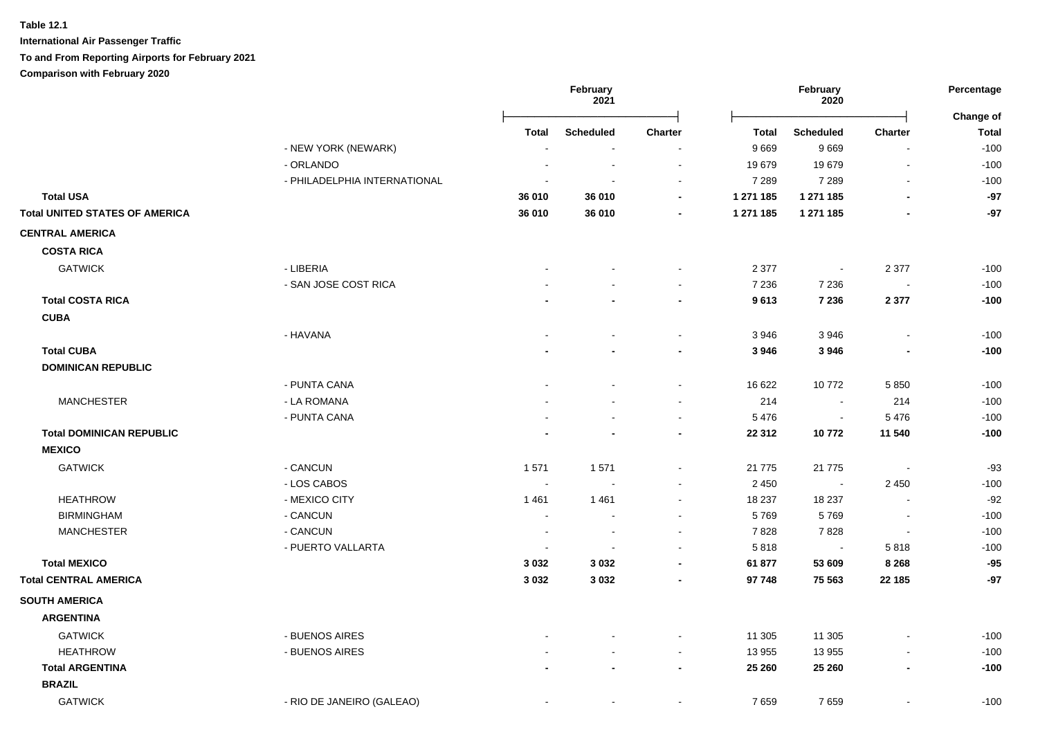**International Air Passenger Traffic To and From Reporting Airports for February 2021**

**Comparison with February 2020**

|                                       |                              |                | February<br>2021 |                          |              | February<br>2020 |                          | Percentage<br>Change of |
|---------------------------------------|------------------------------|----------------|------------------|--------------------------|--------------|------------------|--------------------------|-------------------------|
|                                       |                              | Total          | Scheduled        | <b>Charter</b>           | <b>Total</b> | <b>Scheduled</b> | Charter                  | <b>Total</b>            |
|                                       | - NEW YORK (NEWARK)          |                |                  | $\overline{a}$           | 9669         | 9669             | $\sim$                   | $-100$                  |
|                                       | - ORLANDO                    |                |                  | $\sim$                   | 19679        | 19679            | $\blacksquare$           | $-100$                  |
|                                       | - PHILADELPHIA INTERNATIONAL |                |                  | $\overline{\phantom{a}}$ | 7 2 8 9      | 7 2 8 9          | $\blacksquare$           | $-100$                  |
| <b>Total USA</b>                      |                              | 36 010         | 36 010           | $\overline{\phantom{a}}$ | 1 271 185    | 1 271 185        |                          | $-97$                   |
| <b>Total UNITED STATES OF AMERICA</b> |                              | 36 010         | 36 010           |                          | 1 271 185    | 1 271 185        |                          | -97                     |
| <b>CENTRAL AMERICA</b>                |                              |                |                  |                          |              |                  |                          |                         |
| <b>COSTA RICA</b>                     |                              |                |                  |                          |              |                  |                          |                         |
| <b>GATWICK</b>                        | - LIBERIA                    |                |                  | $\overline{\phantom{a}}$ | 2 3 7 7      | $\blacksquare$   | 2 3 7 7                  | $-100$                  |
|                                       | - SAN JOSE COST RICA         |                |                  | $\sim$                   | 7 2 3 6      | 7 2 3 6          | $\sim$                   | $-100$                  |
| <b>Total COSTA RICA</b>               |                              |                |                  | $\overline{\phantom{a}}$ | 9613         | 7 2 3 6          | 2 3 7 7                  | $-100$                  |
| <b>CUBA</b>                           |                              |                |                  |                          |              |                  |                          |                         |
|                                       | - HAVANA                     |                |                  | $\sim$                   | 3946         | 3946             | $\blacksquare$           | $-100$                  |
| <b>Total CUBA</b>                     |                              |                |                  | $\blacksquare$           | 3 9 4 6      | 3946             | $\blacksquare$           | $-100$                  |
| <b>DOMINICAN REPUBLIC</b>             |                              |                |                  |                          |              |                  |                          |                         |
|                                       | - PUNTA CANA                 |                |                  | $\sim$                   | 16 622       | 10772            | 5850                     | $-100$                  |
| <b>MANCHESTER</b>                     | - LA ROMANA                  |                |                  | $\sim$                   | 214          | $\blacksquare$   | 214                      | $-100$                  |
|                                       | - PUNTA CANA                 |                |                  | $\blacksquare$           | 5 4 7 6      | $\blacksquare$   | 5476                     | $-100$                  |
| <b>Total DOMINICAN REPUBLIC</b>       |                              |                |                  | $\blacksquare$           | 22 312       | 10772            | 11 540                   | $-100$                  |
| <b>MEXICO</b>                         |                              |                |                  |                          |              |                  |                          |                         |
| <b>GATWICK</b>                        | - CANCUN                     | 1571           | 1571             | $\blacksquare$           | 21 775       | 21 775           | $\overline{\phantom{a}}$ | $-93$                   |
|                                       | - LOS CABOS                  | $\sim$         |                  | $\blacksquare$           | 2 4 5 0      | $\sim$           | 2 4 5 0                  | $-100$                  |
| <b>HEATHROW</b>                       | - MEXICO CITY                | 1461           | 1461             | $\sim$                   | 18 237       | 18 237           | $\blacksquare$           | $-92$                   |
| <b>BIRMINGHAM</b>                     | - CANCUN                     | $\blacksquare$ |                  | $\blacksquare$           | 5769         | 5769             | $\blacksquare$           | $-100$                  |
| <b>MANCHESTER</b>                     | - CANCUN                     |                |                  |                          | 7828         | 7828             | $\blacksquare$           | $-100$                  |
|                                       | - PUERTO VALLARTA            |                |                  | $\overline{\phantom{a}}$ | 5818         | $\sim$           | 5818                     | $-100$                  |
| <b>Total MEXICO</b>                   |                              | 3 0 3 2        | 3 0 3 2          | $\blacksquare$           | 61 877       | 53 609           | 8 2 6 8                  | $-95$                   |
| <b>Total CENTRAL AMERICA</b>          |                              | 3 0 3 2        | 3 0 3 2          | $\overline{a}$           | 97 748       | 75 563           | 22 185                   | $-97$                   |
| <b>SOUTH AMERICA</b>                  |                              |                |                  |                          |              |                  |                          |                         |
| <b>ARGENTINA</b>                      |                              |                |                  |                          |              |                  |                          |                         |
| <b>GATWICK</b>                        | - BUENOS AIRES               |                |                  | $\blacksquare$           | 11 305       | 11 305           |                          | $-100$                  |
| <b>HEATHROW</b>                       | - BUENOS AIRES               |                |                  | $\blacksquare$           | 13 955       | 13 955           | $\blacksquare$           | $-100$                  |
| <b>Total ARGENTINA</b>                |                              |                |                  | $\blacksquare$           | 25 260       | 25 260           | $\overline{\phantom{a}}$ | $-100$                  |
| <b>BRAZIL</b>                         |                              |                |                  |                          |              |                  |                          |                         |
| <b>GATWICK</b>                        | - RIO DE JANEIRO (GALEAO)    |                | $\blacksquare$   | $\blacksquare$           | 7659         | 7659             |                          | $-100$                  |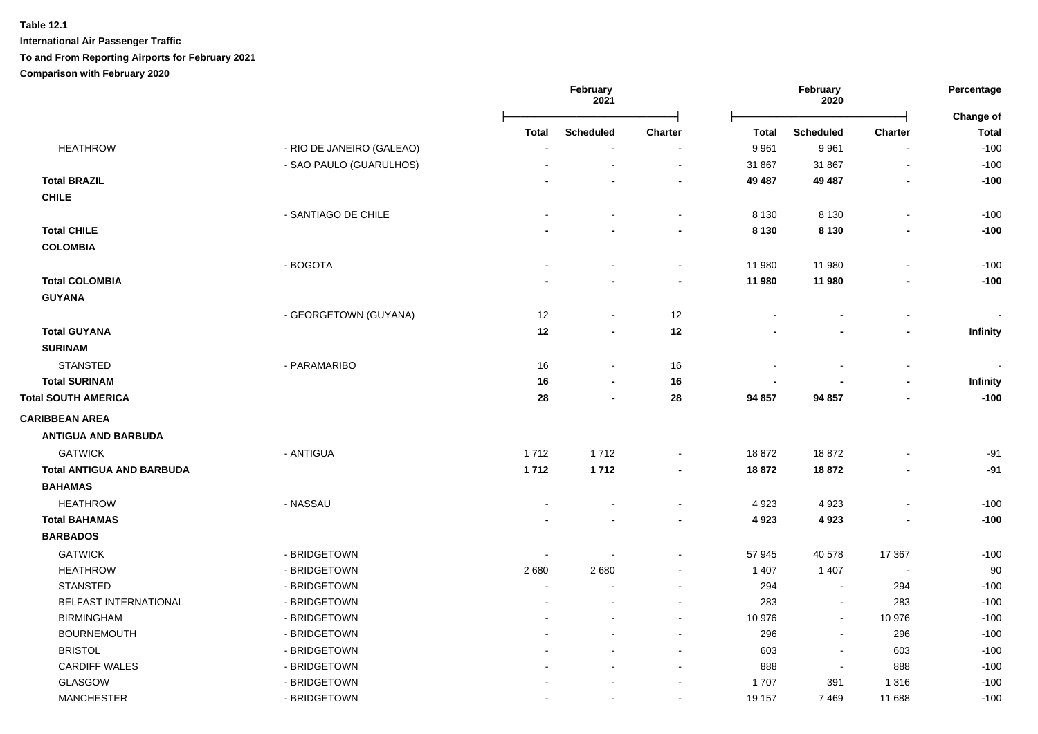|                                  |                           | February<br>2021 |                          | February<br>2020         |                          |                          | Percentage               |                           |
|----------------------------------|---------------------------|------------------|--------------------------|--------------------------|--------------------------|--------------------------|--------------------------|---------------------------|
|                                  |                           | <b>Total</b>     | <b>Scheduled</b>         | <b>Charter</b>           | <b>Total</b>             | <b>Scheduled</b>         | <b>Charter</b>           | Change of<br><b>Total</b> |
| <b>HEATHROW</b>                  | - RIO DE JANEIRO (GALEAO) | $\sim$           |                          |                          | 9 9 6 1                  | 9961                     | $\blacksquare$           | $-100$                    |
|                                  | - SAO PAULO (GUARULHOS)   |                  | $\overline{\phantom{a}}$ | $\tilde{\phantom{a}}$    | 31 867                   | 31 867                   | $\blacksquare$           | $-100$                    |
| <b>Total BRAZIL</b>              |                           |                  |                          | $\overline{\phantom{a}}$ | 49 487                   | 49 487                   | $\overline{\phantom{a}}$ | $-100$                    |
| <b>CHILE</b>                     |                           |                  |                          |                          |                          |                          |                          |                           |
|                                  | - SANTIAGO DE CHILE       |                  |                          | $\blacksquare$           | 8 1 3 0                  | 8 1 3 0                  | $\blacksquare$           | $-100$                    |
| <b>Total CHILE</b>               |                           |                  |                          | $\blacksquare$           | 8 1 3 0                  | 8 1 3 0                  | $\blacksquare$           | $-100$                    |
| <b>COLOMBIA</b>                  |                           |                  |                          |                          |                          |                          |                          |                           |
|                                  | - BOGOTA                  |                  |                          | $\blacksquare$           | 11 980                   | 11 980                   |                          | $-100$                    |
| <b>Total COLOMBIA</b>            |                           |                  |                          | $\blacksquare$           | 11 980                   | 11 980                   | $\blacksquare$           | $-100$                    |
| <b>GUYANA</b>                    |                           |                  |                          |                          |                          |                          |                          |                           |
|                                  | - GEORGETOWN (GUYANA)     | 12               | $\blacksquare$           | 12                       |                          |                          |                          |                           |
| <b>Total GUYANA</b>              |                           | 12               | $\overline{\phantom{a}}$ | 12                       |                          |                          | $\blacksquare$           | Infinity                  |
| <b>SURINAM</b>                   |                           |                  |                          |                          |                          |                          |                          |                           |
| <b>STANSTED</b>                  | - PARAMARIBO              | 16               | $\blacksquare$           | 16                       |                          |                          | $\blacksquare$           |                           |
| <b>Total SURINAM</b>             |                           | 16               | $\blacksquare$           | 16                       | $\overline{\phantom{a}}$ |                          | $\blacksquare$           | Infinity                  |
| <b>Total SOUTH AMERICA</b>       |                           | 28               | $\overline{\phantom{a}}$ | 28                       | 94 857                   | 94 857                   | $\blacksquare$           | $-100$                    |
| <b>CARIBBEAN AREA</b>            |                           |                  |                          |                          |                          |                          |                          |                           |
| <b>ANTIGUA AND BARBUDA</b>       |                           |                  |                          |                          |                          |                          |                          |                           |
| <b>GATWICK</b>                   | - ANTIGUA                 | 1712             | 1712                     | $\blacksquare$           | 18872                    | 18872                    |                          | $-91$                     |
| <b>Total ANTIGUA AND BARBUDA</b> |                           | 1712             | 1712                     | $\blacksquare$           | 18 872                   | 18 872                   |                          | $-91$                     |
| <b>BAHAMAS</b>                   |                           |                  |                          |                          |                          |                          |                          |                           |
| <b>HEATHROW</b>                  | - NASSAU                  |                  |                          | $\blacksquare$           | 4 9 23                   | 4923                     | $\blacksquare$           | $-100$                    |
| <b>Total BAHAMAS</b>             |                           |                  |                          | $\blacksquare$           | 4923                     | 4923                     |                          | $-100$                    |
| <b>BARBADOS</b>                  |                           |                  |                          |                          |                          |                          |                          |                           |
| <b>GATWICK</b>                   | - BRIDGETOWN              | $\sim$           |                          | $\sim$                   | 57 945                   | 40 578                   | 17 367                   | $-100$                    |
| <b>HEATHROW</b>                  | - BRIDGETOWN              | 2680             | 2680                     | $\blacksquare$           | 1 4 0 7                  | 1 4 0 7                  | $\blacksquare$           | 90                        |
| <b>STANSTED</b>                  | - BRIDGETOWN              | $\sim$           |                          |                          | 294                      | $\sim$                   | 294                      | $-100$                    |
| BELFAST INTERNATIONAL            | - BRIDGETOWN              |                  |                          |                          | 283                      | $\blacksquare$           | 283                      | $-100$                    |
| <b>BIRMINGHAM</b>                | - BRIDGETOWN              |                  |                          | $\blacksquare$           | 10 976                   | $\blacksquare$           | 10 976                   | $-100$                    |
| <b>BOURNEMOUTH</b>               | - BRIDGETOWN              |                  |                          | $\blacksquare$           | 296                      | $\blacksquare$           | 296                      | $-100$                    |
| <b>BRISTOL</b>                   | - BRIDGETOWN              |                  |                          | $\blacksquare$           | 603                      | $\overline{\phantom{a}}$ | 603                      | $-100$                    |
| <b>CARDIFF WALES</b>             | - BRIDGETOWN              |                  |                          | $\sim$                   | 888                      | $\blacksquare$           | 888                      | $-100$                    |
| <b>GLASGOW</b>                   | - BRIDGETOWN              |                  |                          |                          | 1707                     | 391                      | 1 3 1 6                  | $-100$                    |
| <b>MANCHESTER</b>                | - BRIDGETOWN              |                  | $\blacksquare$           | $\blacksquare$           | 19 157                   | 7469                     | 11 688                   | $-100$                    |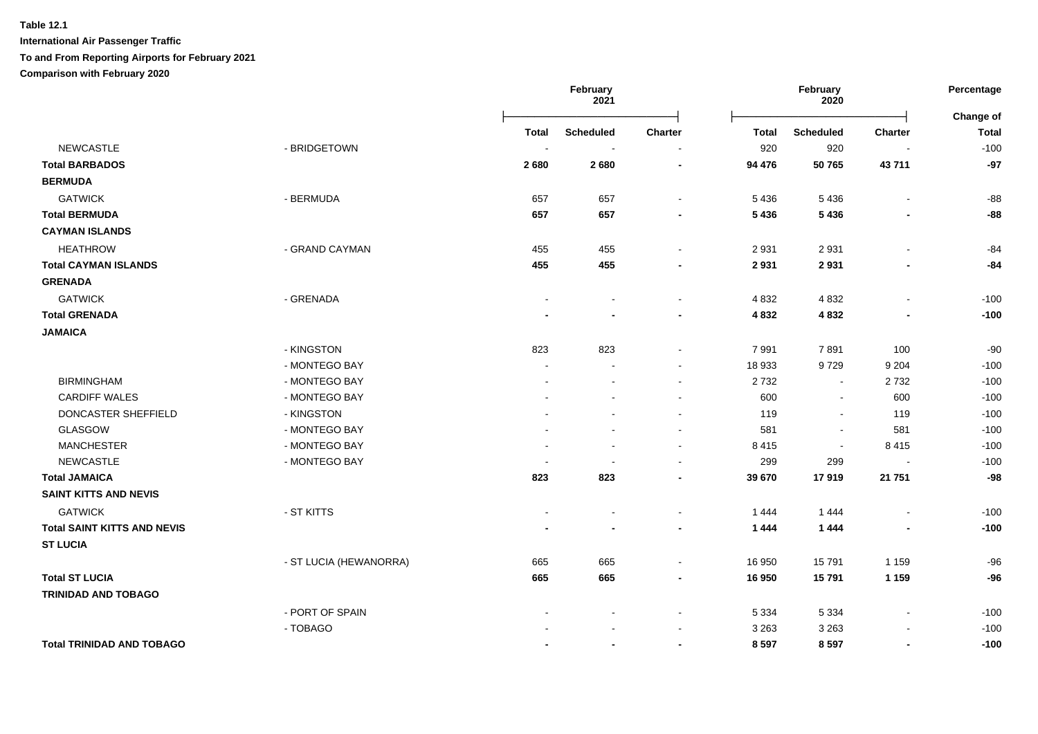**International Air Passenger Traffic**

#### **To and From Reporting Airports for February 2021**

**Comparison with February 2020**

|                                    |                        |                          | February<br>2021         |                          |              | February<br>2020 |                          |                           |
|------------------------------------|------------------------|--------------------------|--------------------------|--------------------------|--------------|------------------|--------------------------|---------------------------|
|                                    |                        | Total                    | <b>Scheduled</b>         | <b>Charter</b>           | <b>Total</b> | <b>Scheduled</b> | <b>Charter</b>           | Change of<br><b>Total</b> |
| <b>NEWCASTLE</b>                   | - BRIDGETOWN           | $\overline{\phantom{a}}$ | $\overline{\phantom{a}}$ | $\overline{\phantom{a}}$ | 920          | 920              | $\overline{\phantom{a}}$ | $-100$                    |
| <b>Total BARBADOS</b>              |                        | 2680                     | 2680                     | $\blacksquare$           | 94 476       | 50765            | 43711                    | $-97$                     |
| <b>BERMUDA</b>                     |                        |                          |                          |                          |              |                  |                          |                           |
| <b>GATWICK</b>                     | - BERMUDA              | 657                      | 657                      | $\sim$                   | 5 4 3 6      | 5 4 3 6          | $\blacksquare$           | $-88$                     |
| <b>Total BERMUDA</b>               |                        | 657                      | 657                      | $\blacksquare$           | 5 4 3 6      | 5 4 3 6          | $\overline{\phantom{a}}$ | $-88$                     |
| <b>CAYMAN ISLANDS</b>              |                        |                          |                          |                          |              |                  |                          |                           |
| <b>HEATHROW</b>                    | - GRAND CAYMAN         | 455                      | 455                      |                          | 2 9 3 1      | 2931             | $\blacksquare$           | $-84$                     |
| <b>Total CAYMAN ISLANDS</b>        |                        | 455                      | 455                      |                          | 2931         | 2931             | $\blacksquare$           | $-84$                     |
| <b>GRENADA</b>                     |                        |                          |                          |                          |              |                  |                          |                           |
| <b>GATWICK</b>                     | - GRENADA              | $\blacksquare$           |                          | $\sim$                   | 4 8 3 2      | 4832             | $\blacksquare$           | $-100$                    |
| <b>Total GRENADA</b>               |                        |                          |                          | $\blacksquare$           | 4832         | 4 8 3 2          | $\blacksquare$           | $-100$                    |
| <b>JAMAICA</b>                     |                        |                          |                          |                          |              |                  |                          |                           |
|                                    | - KINGSTON             | 823                      | 823                      |                          | 7991         | 7891             | 100                      | $-90$                     |
|                                    | - MONTEGO BAY          | $\sim$                   |                          |                          | 18 933       | 9729             | 9 2 0 4                  | $-100$                    |
| <b>BIRMINGHAM</b>                  | - MONTEGO BAY          |                          |                          | $\sim$                   | 2732         | $\sim$           | 2732                     | $-100$                    |
| <b>CARDIFF WALES</b>               | - MONTEGO BAY          |                          |                          |                          | 600          | $\sim$           | 600                      | $-100$                    |
| DONCASTER SHEFFIELD                | - KINGSTON             |                          |                          | $\overline{\phantom{a}}$ | 119          | $\sim$           | 119                      | $-100$                    |
| GLASGOW                            | - MONTEGO BAY          |                          | $\blacksquare$           | $\sim$                   | 581          | $\sim$           | 581                      | $-100$                    |
| <b>MANCHESTER</b>                  | - MONTEGO BAY          | $\overline{\phantom{a}}$ |                          | $\blacksquare$           | 8 4 1 5      | $\sim$           | 8415                     | $-100$                    |
| <b>NEWCASTLE</b>                   | - MONTEGO BAY          | $\overline{a}$           |                          |                          | 299          | 299              | $\overline{\phantom{a}}$ | $-100$                    |
| <b>Total JAMAICA</b>               |                        | 823                      | 823                      |                          | 39 670       | 17919            | 21 751                   | $-98$                     |
| <b>SAINT KITTS AND NEVIS</b>       |                        |                          |                          |                          |              |                  |                          |                           |
| <b>GATWICK</b>                     | - ST KITTS             | $\blacksquare$           |                          | $\sim$                   | 1444         | 1 4 4 4          | $\overline{\phantom{a}}$ | $-100$                    |
| <b>Total SAINT KITTS AND NEVIS</b> |                        |                          |                          | $\blacksquare$           | 1444         | 1 4 4 4          | $\overline{\phantom{a}}$ | $-100$                    |
| <b>ST LUCIA</b>                    |                        |                          |                          |                          |              |                  |                          |                           |
|                                    | - ST LUCIA (HEWANORRA) | 665                      | 665                      |                          | 16 950       | 15791            | 1 1 5 9                  | $-96$                     |
| <b>Total ST LUCIA</b>              |                        | 665                      | 665                      | $\blacksquare$           | 16 950       | 15791            | 1 1 5 9                  | $-96$                     |
| <b>TRINIDAD AND TOBAGO</b>         |                        |                          |                          |                          |              |                  |                          |                           |
|                                    | - PORT OF SPAIN        |                          |                          | $\overline{\phantom{a}}$ | 5 3 3 4      | 5 3 3 4          | $\blacksquare$           | $-100$                    |
|                                    | - TOBAGO               |                          |                          |                          | 3 2 6 3      | 3 2 6 3          |                          | $-100$                    |
| <b>Total TRINIDAD AND TOBAGO</b>   |                        |                          |                          |                          | 8 5 9 7      | 8597             | $\blacksquare$           | $-100$                    |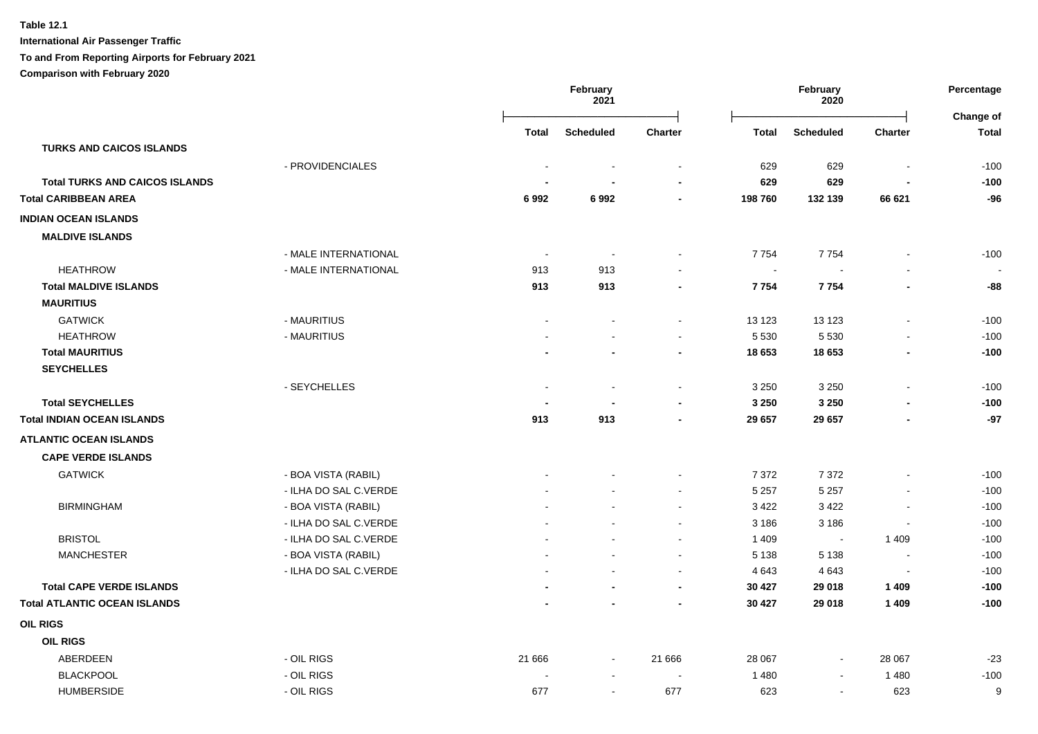**Table 12.1 International Air Passenger Traffic**

# **To and From Reporting Airports for February 2021**

**Comparison with February 2020**

|                                       |                       | February<br>2021 |                  | February<br>2020 |              |                  | Percentage     |                           |
|---------------------------------------|-----------------------|------------------|------------------|------------------|--------------|------------------|----------------|---------------------------|
|                                       |                       | <b>Total</b>     | <b>Scheduled</b> | <b>Charter</b>   | <b>Total</b> | <b>Scheduled</b> | Charter        | Change of<br><b>Total</b> |
| <b>TURKS AND CAICOS ISLANDS</b>       |                       |                  |                  |                  |              |                  |                |                           |
|                                       | - PROVIDENCIALES      |                  |                  | $\sim$           | 629          | 629              | $\sim$         | $-100$                    |
| <b>Total TURKS AND CAICOS ISLANDS</b> |                       |                  |                  |                  | 629          | 629              |                | $-100$                    |
| <b>Total CARIBBEAN AREA</b>           |                       | 6992             | 6992             | $\blacksquare$   | 198760       | 132 139          | 66 621         | $-96$                     |
| <b>INDIAN OCEAN ISLANDS</b>           |                       |                  |                  |                  |              |                  |                |                           |
| <b>MALDIVE ISLANDS</b>                |                       |                  |                  |                  |              |                  |                |                           |
|                                       | - MALE INTERNATIONAL  | $\sim$           | $\sim$           |                  | 7754         | 7754             |                | $-100$                    |
| <b>HEATHROW</b>                       | - MALE INTERNATIONAL  | 913              | 913              |                  | $\sim$       |                  |                | $\sim$                    |
| <b>Total MALDIVE ISLANDS</b>          |                       | 913              | 913              |                  | 7754         | 7754             |                | $-88$                     |
| <b>MAURITIUS</b>                      |                       |                  |                  |                  |              |                  |                |                           |
| <b>GATWICK</b>                        | - MAURITIUS           | $\sim$           | $\blacksquare$   | $\blacksquare$   | 13 123       | 13 1 23          |                | $-100$                    |
| <b>HEATHROW</b>                       | - MAURITIUS           |                  |                  | $\blacksquare$   | 5 5 3 0      | 5 5 3 0          |                | $-100$                    |
| <b>Total MAURITIUS</b>                |                       |                  |                  |                  | 18 653       | 18 653           |                | $-100$                    |
| <b>SEYCHELLES</b>                     |                       |                  |                  |                  |              |                  |                |                           |
|                                       | - SEYCHELLES          | $\blacksquare$   | $\blacksquare$   | $\blacksquare$   | 3 2 5 0      | 3 2 5 0          | $\blacksquare$ | $-100$                    |
| <b>Total SEYCHELLES</b>               |                       |                  |                  |                  | 3 2 5 0      | 3 2 5 0          |                | $-100$                    |
| <b>Total INDIAN OCEAN ISLANDS</b>     |                       | 913              | 913              | $\blacksquare$   | 29 657       | 29 657           |                | $-97$                     |
| <b>ATLANTIC OCEAN ISLANDS</b>         |                       |                  |                  |                  |              |                  |                |                           |
| <b>CAPE VERDE ISLANDS</b>             |                       |                  |                  |                  |              |                  |                |                           |
| <b>GATWICK</b>                        | - BOA VISTA (RABIL)   |                  |                  |                  | 7 3 7 2      | 7 3 7 2          |                | $-100$                    |
|                                       | - ILHA DO SAL C.VERDE |                  |                  | $\sim$           | 5 2 5 7      | 5 2 5 7          |                | $-100$                    |
| <b>BIRMINGHAM</b>                     | - BOA VISTA (RABIL)   |                  |                  | $\sim$           | 3 4 2 2      | 3422             |                | $-100$                    |
|                                       | - ILHA DO SAL C.VERDE |                  |                  |                  | 3 1 8 6      | 3 1 8 6          |                | $-100$                    |
| <b>BRISTOL</b>                        | - ILHA DO SAL C.VERDE |                  |                  |                  | 1 4 0 9      | $\sim$           | 1 4 0 9        | $-100$                    |
| <b>MANCHESTER</b>                     | - BOA VISTA (RABIL)   |                  |                  |                  | 5 1 3 8      | 5 1 3 8          |                | $-100$                    |
|                                       | - ILHA DO SAL C.VERDE |                  |                  | $\sim$           | 4 6 4 3      | 4 6 4 3          |                | $-100$                    |
| <b>Total CAPE VERDE ISLANDS</b>       |                       |                  |                  |                  | 30 4 27      | 29 018           | 1 4 0 9        | $-100$                    |
| <b>Total ATLANTIC OCEAN ISLANDS</b>   |                       |                  |                  |                  | 30 427       | 29 018           | 1 4 0 9        | $-100$                    |
| <b>OIL RIGS</b>                       |                       |                  |                  |                  |              |                  |                |                           |
| <b>OIL RIGS</b>                       |                       |                  |                  |                  |              |                  |                |                           |
| ABERDEEN                              | - OIL RIGS            | 21 666           | $\blacksquare$   | 21 666           | 28 067       | $\blacksquare$   | 28 067         | $-23$                     |
| <b>BLACKPOOL</b>                      | - OIL RIGS            |                  |                  |                  | 1 4 8 0      |                  | 1 4 8 0        | $-100$                    |
| <b>HUMBERSIDE</b>                     | - OIL RIGS            | 677              |                  | 677              | 623          |                  | 623            | 9                         |